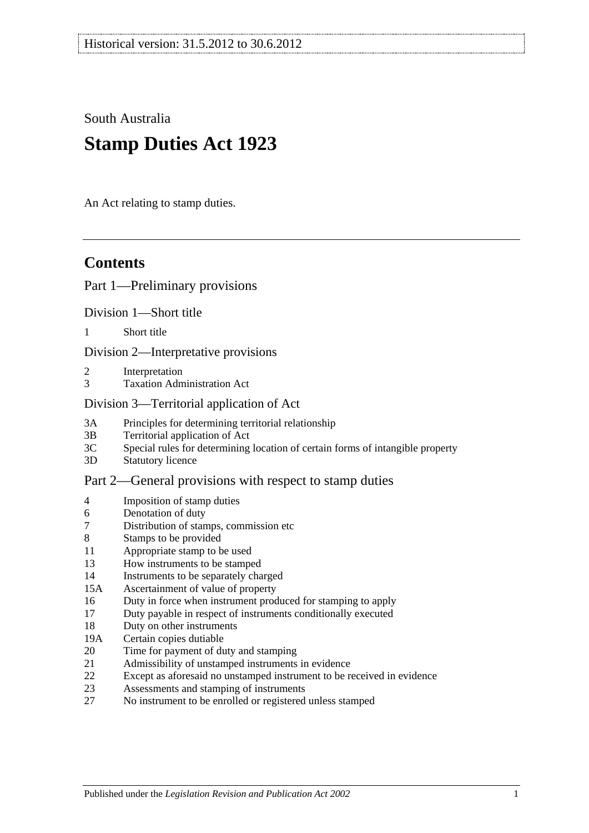South Australia

# **Stamp Duties Act 1923**

An Act relating to stamp duties.

# **Contents**

#### [Part 1—Preliminary provisions](#page-6-0)

[Division 1—Short title](#page-6-1)

1 [Short title](#page-6-2)

[Division 2—Interpretative provisions](#page-6-3)

- 2 [Interpretation](#page-6-4)
- 3 [Taxation Administration Act](#page-9-0)

#### [Division 3—Territorial application of Act](#page-9-1)

- 3A [Principles for determining territorial relationship](#page-9-2)
- 3B [Territorial application of Act](#page-10-0)
- 3C [Special rules for determining location of certain forms of intangible property](#page-10-1)
- 3D [Statutory licence](#page-11-0)

#### [Part 2—General provisions with respect to stamp duties](#page-12-0)

- 4 [Imposition of stamp duties](#page-12-1)
- 6 [Denotation of duty](#page-12-2)
- 7 [Distribution of stamps, commission etc](#page-12-3)
- 8 [Stamps to be provided](#page-12-4)
- 11 [Appropriate stamp to be used](#page-12-5)
- 13 [How instruments to be stamped](#page-12-6)
- 14 [Instruments to be separately charged](#page-13-0)
- 15A [Ascertainment of value of property](#page-13-1)
- 16 [Duty in force when instrument produced for stamping to apply](#page-13-2)
- 17 [Duty payable in respect of instruments conditionally executed](#page-13-3)
- 18 [Duty on other instruments](#page-13-4)
- 19A [Certain copies dutiable](#page-14-0)
- 20 [Time for payment of duty and stamping](#page-14-1)
- 21 [Admissibility of unstamped instruments in evidence](#page-15-0)
- 22 [Except as aforesaid no unstamped instrument to be received in evidence](#page-15-1)
- 23 [Assessments and stamping of instruments](#page-15-2)
- 27 [No instrument to be enrolled or registered unless stamped](#page-16-0)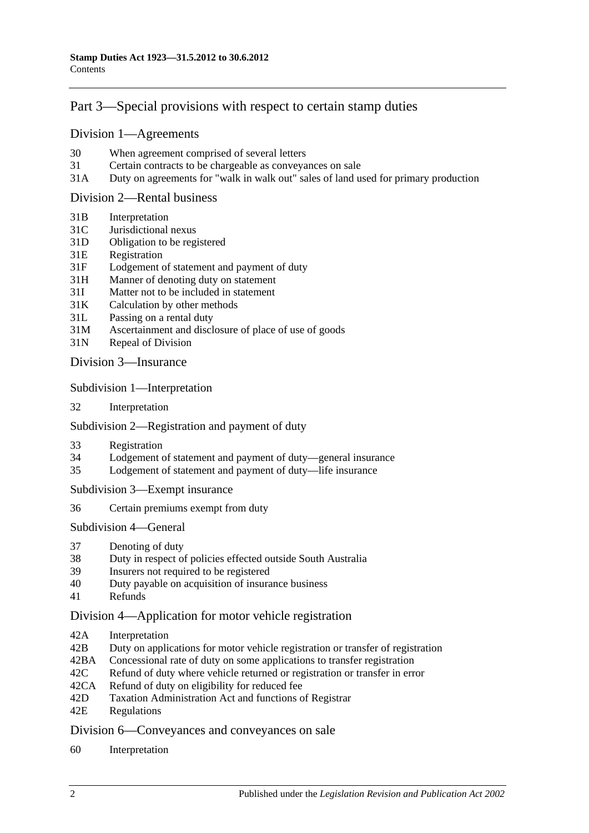# [Part 3—Special provisions with respect to certain stamp duties](#page-18-0)

#### [Division 1—Agreements](#page-18-1)

- 30 [When agreement comprised of several letters](#page-18-2)
- 31 [Certain contracts to be chargeable as conveyances on sale](#page-18-3)
- 31A [Duty on agreements for "walk in walk out" sales of land used for primary production](#page-19-0)

#### [Division 2—Rental business](#page-19-1)

- 31B [Interpretation](#page-19-2)
- 31C [Jurisdictional nexus](#page-21-0)
- 31D [Obligation to be registered](#page-21-1)
- 31E [Registration](#page-21-2)
- 31F [Lodgement of statement and payment of duty](#page-21-3)
- 31H [Manner of denoting duty on statement](#page-23-0)
- 31I [Matter not to be included in statement](#page-23-1)
- 31K [Calculation by other methods](#page-25-0)
- 31L [Passing on a rental duty](#page-25-1)
- 31M [Ascertainment and disclosure of place of use of goods](#page-26-0)
- 31N [Repeal of Division](#page-26-1)

Division [3—Insurance](#page-26-2)

Subdivision [1—Interpretation](#page-26-3)

32 [Interpretation](#page-26-4)

#### Subdivision [2—Registration and payment of duty](#page-28-0)

- 33 [Registration](#page-28-1)
- 34 [Lodgement of statement and payment of duty—general insurance](#page-28-2)
- 35 [Lodgement of statement and payment of duty—life insurance](#page-29-0)

Subdivision [3—Exempt insurance](#page-31-0)

36 [Certain premiums exempt from duty](#page-31-1)

[Subdivision](#page-31-2) 4—General

- 37 [Denoting of duty](#page-31-3)
- 38 [Duty in respect of policies effected outside South Australia](#page-32-0)
- 39 [Insurers not required to be registered](#page-32-1)
- 40 [Duty payable on acquisition of insurance business](#page-33-0)
- 41 [Refunds](#page-33-1)

#### [Division 4—Application for motor vehicle registration](#page-33-2)

- 42A [Interpretation](#page-33-3)
- 42B [Duty on applications for motor vehicle registration or transfer of registration](#page-34-0)
- 42BA [Concessional rate of duty on some applications to transfer registration](#page-36-0)
- 42C [Refund of duty where vehicle returned or registration or transfer in error](#page-37-0)
- 42CA [Refund of duty on eligibility for reduced fee](#page-37-1)
- 42D [Taxation Administration Act and functions of Registrar](#page-37-2)
- 42E [Regulations](#page-37-3)

[Division 6—Conveyances and conveyances on sale](#page-38-0)

60 [Interpretation](#page-38-1)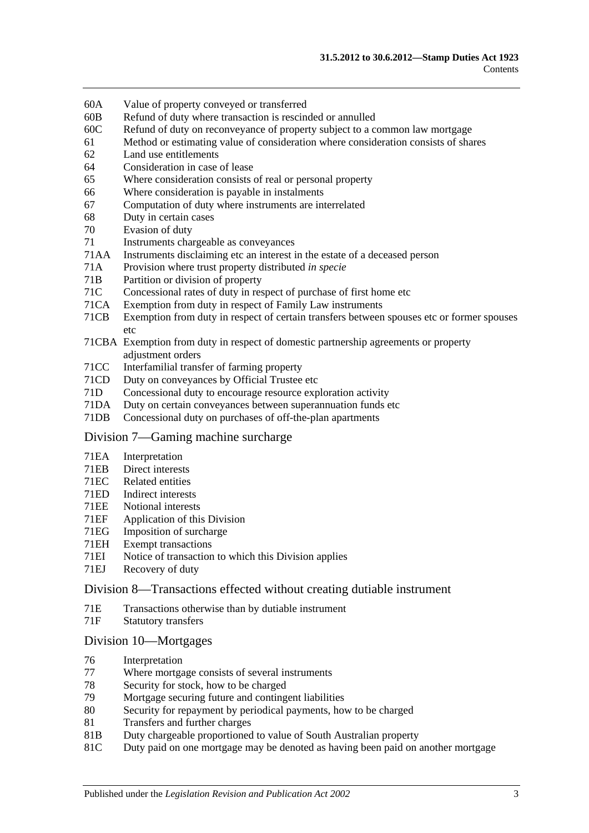- 60A [Value of property conveyed or transferred](#page-38-2)
- 60B [Refund of duty where transaction](#page-40-0) is rescinded or annulled
- 60C [Refund of duty on reconveyance of property subject to a common law mortgage](#page-40-1)
- 61 [Method or estimating value of consideration where consideration consists of shares](#page-41-0)
- 62 [Land use entitlements](#page-41-1)
- 64 [Consideration in case of lease](#page-42-0)
- 65 [Where consideration consists of real or personal property](#page-42-1)
- 66 [Where consideration is payable in instalments](#page-42-2)
- 67 [Computation of duty where instruments are interrelated](#page-42-3)
- 68 [Duty in certain cases](#page-43-0)
- 70 [Evasion of duty](#page-43-1)
- 71 [Instruments chargeable as conveyances](#page-44-0)
- 71AA [Instruments disclaiming etc an interest in the estate of a deceased person](#page-49-0)
- 71A [Provision where trust property distributed](#page-50-0) *in specie*
- 71B [Partition or division of property](#page-50-1)
- 71C [Concessional rates of duty in respect of purchase of first home etc](#page-50-2)
- 71CA [Exemption from duty in respect of Family Law instruments](#page-54-0)
- 71CB [Exemption from duty in respect of certain transfers between spouses etc or former spouses](#page-57-0)  [etc](#page-57-0)
- 71CBA [Exemption from duty in respect of domestic partnership agreements or property](#page-58-0)  [adjustment orders](#page-58-0)
- 71CC [Interfamilial transfer of farming property](#page-60-0)
- 71CD [Duty on conveyances by Official Trustee etc](#page-61-0)
- 71D [Concessional duty to encourage resource exploration activity](#page-62-0)
- 71DA [Duty on certain conveyances between superannuation funds etc](#page-63-0)
- 71DB [Concessional duty on purchases of off-the-plan apartments](#page-65-0)

#### [Division 7—Gaming machine surcharge](#page-67-0)

- 71EA [Interpretation](#page-67-1)
- 71EB [Direct interests](#page-68-0)
- 71EC [Related entities](#page-69-0)
- 71ED [Indirect interests](#page-69-1)<br>71EE Notional interests
- [Notional interests](#page-70-0)
- 71EF [Application of this Division](#page-70-1)<br>71EG Imposition of surcharge
- [Imposition of surcharge](#page-70-2)
- 71EH [Exempt transactions](#page-71-0)
- 71EI [Notice of transaction to which this Division applies](#page-71-1)
- 71EJ [Recovery of duty](#page-71-2)

#### [Division 8—Transactions effected without creating dutiable instrument](#page-72-0)

- 71E [Transactions otherwise than by dutiable instrument](#page-72-1)
- 71F [Statutory transfers](#page-73-0)

#### [Division 10—Mortgages](#page-74-0)

- 76 [Interpretation](#page-74-1)
- 77 [Where mortgage consists of several instruments](#page-75-0)
- 78 [Security for stock, how to be charged](#page-75-1)
- 79 [Mortgage securing future and contingent liabilities](#page-75-2)
- 80 [Security for repayment by periodical payments, how to be charged](#page-77-0)
- 81 [Transfers and further charges](#page-77-1)
- 81B [Duty chargeable proportioned to value of South Australian property](#page-77-2)
- 81C [Duty paid on one mortgage may be denoted as having been paid on another mortgage](#page-78-0)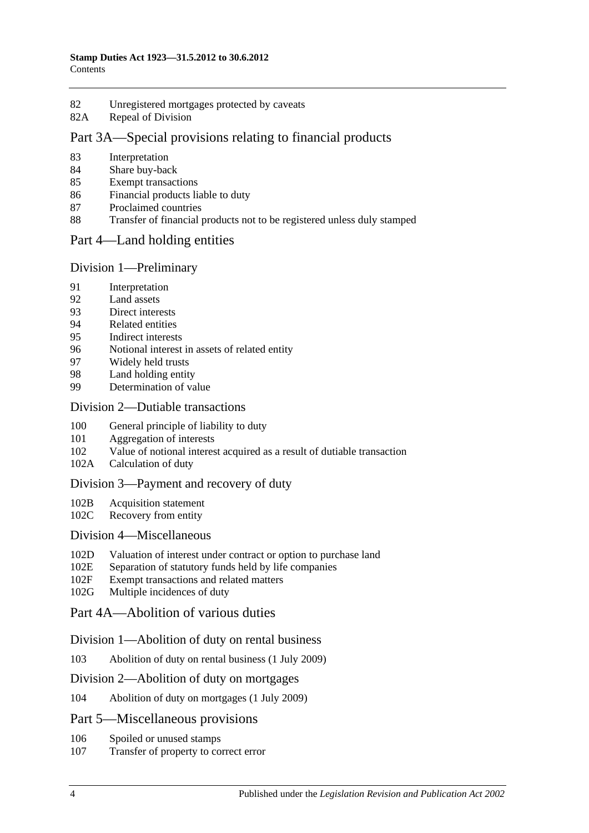- 82 [Unregistered mortgages protected by caveats](#page-79-0)
- 82A [Repeal of Division](#page-79-1)

# [Part 3A—Special provisions relating to financial products](#page-80-0)

- 83 [Interpretation](#page-80-1)
- 84 [Share buy-back](#page-80-2)
- 85 [Exempt transactions](#page-80-3)
- 86 [Financial products liable to duty](#page-80-4)
- 87 [Proclaimed countries](#page-81-0)
- 88 [Transfer of financial products not to be registered unless duly stamped](#page-81-1)

#### [Part 4—Land holding entities](#page-84-0)

#### Division [1—Preliminary](#page-84-1)

- 91 [Interpretation](#page-84-2)
- 92 [Land assets](#page-88-0)
- 93 [Direct interests](#page-89-0)
- 94 [Related entities](#page-89-1)
- 95 [Indirect interests](#page-89-2)
- 96 [Notional interest in assets of related entity](#page-90-0)
- 97 [Widely held trusts](#page-90-1)
- 98 [Land holding entity](#page-91-0)
- 99 [Determination of value](#page-91-1)

# Division [2—Dutiable transactions](#page-91-2)

- 100 [General principle of liability to duty](#page-91-3)
- 101 [Aggregation of interests](#page-92-0)
- 102 [Value of notional interest acquired as a result of dutiable transaction](#page-92-1)
- 102A [Calculation of duty](#page-93-0)

#### [Division 3—Payment and recovery of duty](#page-95-0)

- 102B [Acquisition statement](#page-95-1)
- 102C [Recovery from entity](#page-96-0)

#### [Division 4—Miscellaneous](#page-97-0)

- 102D [Valuation of interest under contract or option to purchase land](#page-97-1)
- 102E [Separation of statutory funds held by life companies](#page-97-2)
- 102F [Exempt transactions and related matters](#page-97-3)
- 102G [Multiple incidences of duty](#page-98-0)

## [Part 4A—Abolition of various duties](#page-100-0)

#### [Division 1—Abolition of duty on rental business](#page-100-1)

103 [Abolition of duty on rental business \(1](#page-100-2) July 2009)

#### [Division 2—Abolition of duty on mortgages](#page-100-3)

104 [Abolition of duty on mortgages \(1 July 2009\)](#page-100-4)

#### [Part 5—Miscellaneous provisions](#page-102-0)

- 106 [Spoiled or unused stamps](#page-102-1)
- 107 [Transfer of property to correct error](#page-102-2)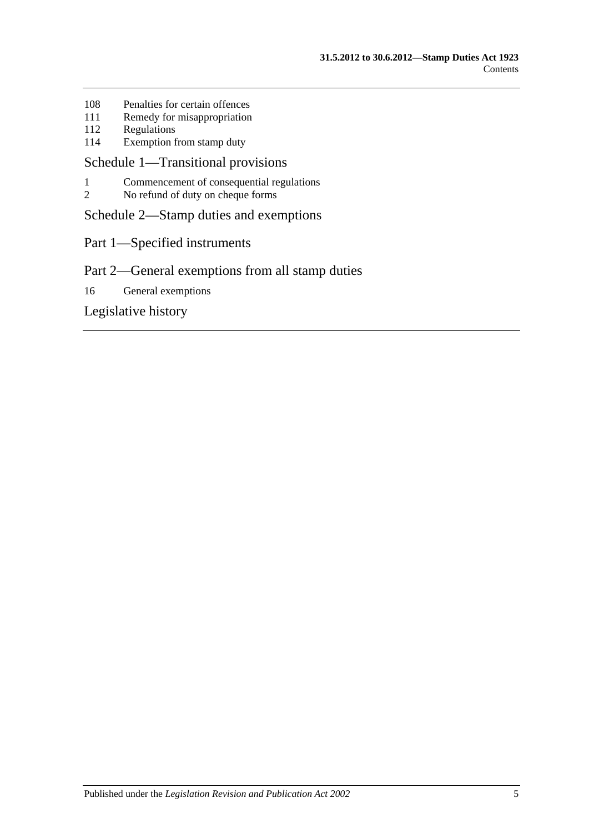- 108 [Penalties for certain offences](#page-102-3)
- 111 [Remedy for misappropriation](#page-103-0)
- 112 [Regulations](#page-103-1)<br>114 Exemption 1
- [Exemption from stamp duty](#page-104-0)

# [Schedule 1—Transitional provisions](#page-106-0)

- 1 [Commencement of consequential regulations](#page-106-1)<br>2 No refund of duty on cheque forms
- [No refund of duty on cheque forms](#page-106-2)

[Schedule 2—Stamp duties and exemptions](#page-106-3)

Part 1—Specified instruments

# Part 2—General exemptions from all stamp duties

16 [General exemptions](#page-115-0)

[Legislative history](#page-120-0)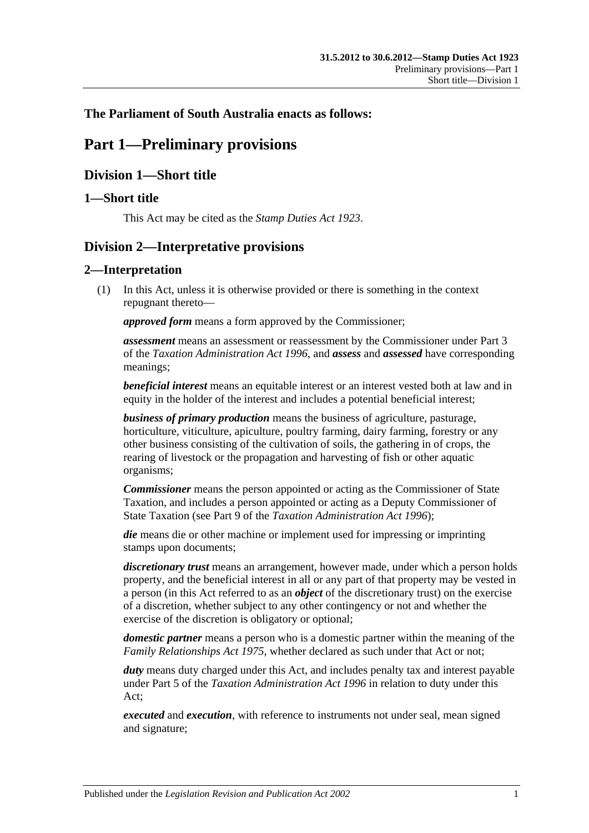# <span id="page-6-0"></span>**The Parliament of South Australia enacts as follows:**

# **Part 1—Preliminary provisions**

# <span id="page-6-1"></span>**Division 1—Short title**

# <span id="page-6-2"></span>**1—Short title**

This Act may be cited as the *Stamp Duties Act 1923*.

# <span id="page-6-3"></span>**Division 2—Interpretative provisions**

## <span id="page-6-4"></span>**2—Interpretation**

(1) In this Act, unless it is otherwise provided or there is something in the context repugnant thereto—

*approved form* means a form approved by the Commissioner;

*assessment* means an assessment or reassessment by the Commissioner under Part 3 of the *[Taxation Administration Act](http://www.legislation.sa.gov.au/index.aspx?action=legref&type=act&legtitle=Taxation%20Administration%20Act%201996) 1996*, and *assess* and *assessed* have corresponding meanings;

*beneficial interest* means an equitable interest or an interest vested both at law and in equity in the holder of the interest and includes a potential beneficial interest;

*business of primary production* means the business of agriculture, pasturage, horticulture, viticulture, apiculture, poultry farming, dairy farming, forestry or any other business consisting of the cultivation of soils, the gathering in of crops, the rearing of livestock or the propagation and harvesting of fish or other aquatic organisms;

*Commissioner* means the person appointed or acting as the Commissioner of State Taxation, and includes a person appointed or acting as a Deputy Commissioner of State Taxation (see Part 9 of the *[Taxation Administration Act](http://www.legislation.sa.gov.au/index.aspx?action=legref&type=act&legtitle=Taxation%20Administration%20Act%201996) 1996*);

*die* means die or other machine or implement used for impressing or imprinting stamps upon documents;

*discretionary trust* means an arrangement, however made, under which a person holds property, and the beneficial interest in all or any part of that property may be vested in a person (in this Act referred to as an *object* of the discretionary trust) on the exercise of a discretion, whether subject to any other contingency or not and whether the exercise of the discretion is obligatory or optional;

*domestic partner* means a person who is a domestic partner within the meaning of the *[Family Relationships Act](http://www.legislation.sa.gov.au/index.aspx?action=legref&type=act&legtitle=Family%20Relationships%20Act%201975) 1975*, whether declared as such under that Act or not;

*duty* means duty charged under this Act, and includes penalty tax and interest payable under Part 5 of the *[Taxation Administration Act](http://www.legislation.sa.gov.au/index.aspx?action=legref&type=act&legtitle=Taxation%20Administration%20Act%201996) 1996* in relation to duty under this Act;

*executed* and *execution*, with reference to instruments not under seal, mean signed and signature;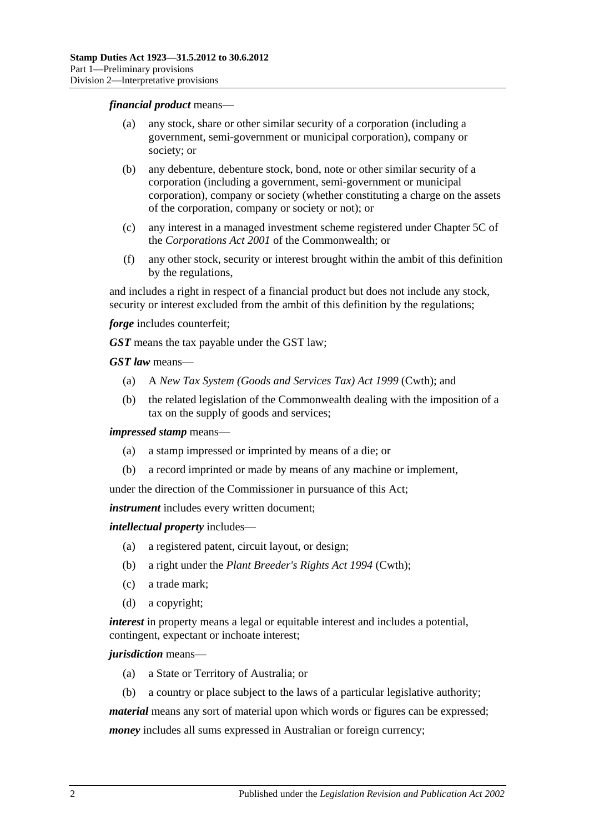#### *financial product* means—

- (a) any stock, share or other similar security of a corporation (including a government, semi-government or municipal corporation), company or society; or
- (b) any debenture, debenture stock, bond, note or other similar security of a corporation (including a government, semi-government or municipal corporation), company or society (whether constituting a charge on the assets of the corporation, company or society or not); or
- (c) any interest in a managed investment scheme registered under Chapter 5C of the *Corporations Act 2001* of the Commonwealth; or
- (f) any other stock, security or interest brought within the ambit of this definition by the regulations,

and includes a right in respect of a financial product but does not include any stock, security or interest excluded from the ambit of this definition by the regulations;

*forge* includes counterfeit;

*GST* means the tax payable under the GST law;

*GST law* means—

- (a) A *New Tax System (Goods and Services Tax) Act 1999* (Cwth); and
- (b) the related legislation of the Commonwealth dealing with the imposition of a tax on the supply of goods and services;

*impressed stamp* means—

- (a) a stamp impressed or imprinted by means of a die; or
- (b) a record imprinted or made by means of any machine or implement,

under the direction of the Commissioner in pursuance of this Act;

*instrument* includes every written document;

*intellectual property* includes—

- (a) a registered patent, circuit layout, or design;
- (b) a right under the *Plant Breeder's Rights Act 1994* (Cwth);
- (c) a trade mark;
- (d) a copyright;

*interest* in property means a legal or equitable interest and includes a potential, contingent, expectant or inchoate interest;

#### *jurisdiction* means—

- (a) a State or Territory of Australia; or
- (b) a country or place subject to the laws of a particular legislative authority;

*material* means any sort of material upon which words or figures can be expressed;

*money* includes all sums expressed in Australian or foreign currency;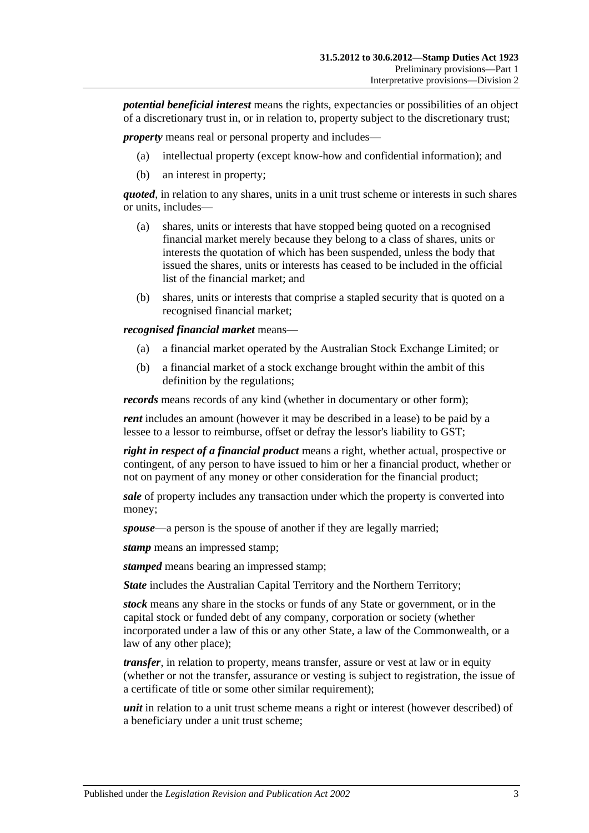*potential beneficial interest* means the rights, expectancies or possibilities of an object of a discretionary trust in, or in relation to, property subject to the discretionary trust;

*property* means real or personal property and includes—

- (a) intellectual property (except know-how and confidential information); and
- (b) an interest in property;

*quoted*, in relation to any shares, units in a unit trust scheme or interests in such shares or units, includes—

- (a) shares, units or interests that have stopped being quoted on a recognised financial market merely because they belong to a class of shares, units or interests the quotation of which has been suspended, unless the body that issued the shares, units or interests has ceased to be included in the official list of the financial market; and
- (b) shares, units or interests that comprise a stapled security that is quoted on a recognised financial market;

*recognised financial market* means—

- (a) a financial market operated by the Australian Stock Exchange Limited; or
- (b) a financial market of a stock exchange brought within the ambit of this definition by the regulations;

*records* means records of any kind (whether in documentary or other form);

*rent* includes an amount (however it may be described in a lease) to be paid by a lessee to a lessor to reimburse, offset or defray the lessor's liability to GST;

*right in respect of a financial product* means a right, whether actual, prospective or contingent, of any person to have issued to him or her a financial product, whether or not on payment of any money or other consideration for the financial product;

*sale* of property includes any transaction under which the property is converted into money;

*spouse*—a person is the spouse of another if they are legally married;

*stamp* means an impressed stamp;

*stamped* means bearing an impressed stamp;

*State* includes the Australian Capital Territory and the Northern Territory;

*stock* means any share in the stocks or funds of any State or government, or in the capital stock or funded debt of any company, corporation or society (whether incorporated under a law of this or any other State, a law of the Commonwealth, or a law of any other place);

*transfer*, in relation to property, means transfer, assure or vest at law or in equity (whether or not the transfer, assurance or vesting is subject to registration, the issue of a certificate of title or some other similar requirement);

*unit* in relation to a unit trust scheme means a right or interest (however described) of a beneficiary under a unit trust scheme;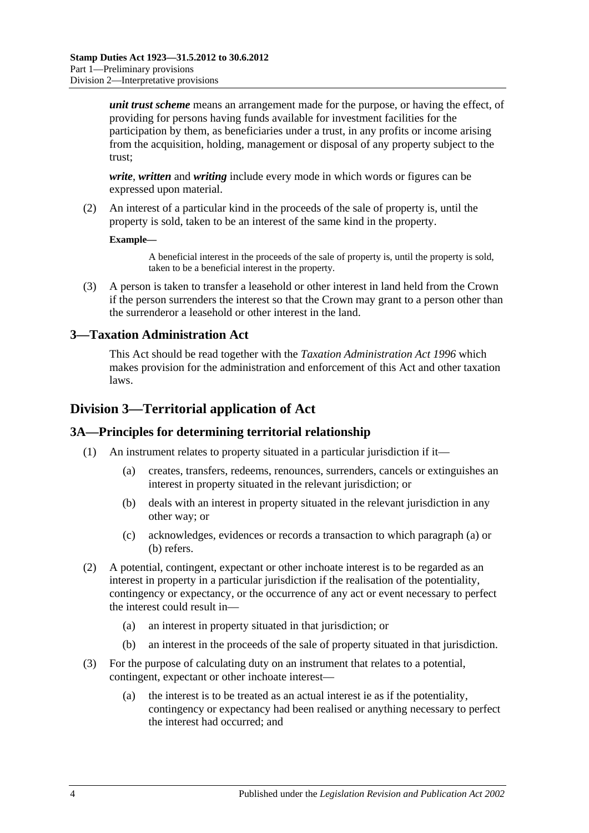*unit trust scheme* means an arrangement made for the purpose, or having the effect, of providing for persons having funds available for investment facilities for the participation by them, as beneficiaries under a trust, in any profits or income arising from the acquisition, holding, management or disposal of any property subject to the trust;

*write*, *written* and *writing* include every mode in which words or figures can be expressed upon material.

(2) An interest of a particular kind in the proceeds of the sale of property is, until the property is sold, taken to be an interest of the same kind in the property.

#### **Example—**

A beneficial interest in the proceeds of the sale of property is, until the property is sold, taken to be a beneficial interest in the property.

(3) A person is taken to transfer a leasehold or other interest in land held from the Crown if the person surrenders the interest so that the Crown may grant to a person other than the surrenderor a leasehold or other interest in the land.

## <span id="page-9-0"></span>**3—Taxation Administration Act**

This Act should be read together with the *[Taxation Administration Act](http://www.legislation.sa.gov.au/index.aspx?action=legref&type=act&legtitle=Taxation%20Administration%20Act%201996) 1996* which makes provision for the administration and enforcement of this Act and other taxation laws.

# <span id="page-9-1"></span>**Division 3—Territorial application of Act**

#### <span id="page-9-2"></span>**3A—Principles for determining territorial relationship**

- <span id="page-9-4"></span><span id="page-9-3"></span>(1) An instrument relates to property situated in a particular jurisdiction if it—
	- (a) creates, transfers, redeems, renounces, surrenders, cancels or extinguishes an interest in property situated in the relevant jurisdiction; or
	- (b) deals with an interest in property situated in the relevant jurisdiction in any other way; or
	- (c) acknowledges, evidences or records a transaction to which [paragraph](#page-9-3) (a) or [\(b\)](#page-9-4) refers.
- (2) A potential, contingent, expectant or other inchoate interest is to be regarded as an interest in property in a particular jurisdiction if the realisation of the potentiality, contingency or expectancy, or the occurrence of any act or event necessary to perfect the interest could result in—
	- (a) an interest in property situated in that jurisdiction; or
	- (b) an interest in the proceeds of the sale of property situated in that jurisdiction.
- (3) For the purpose of calculating duty on an instrument that relates to a potential, contingent, expectant or other inchoate interest—
	- (a) the interest is to be treated as an actual interest ie as if the potentiality, contingency or expectancy had been realised or anything necessary to perfect the interest had occurred; and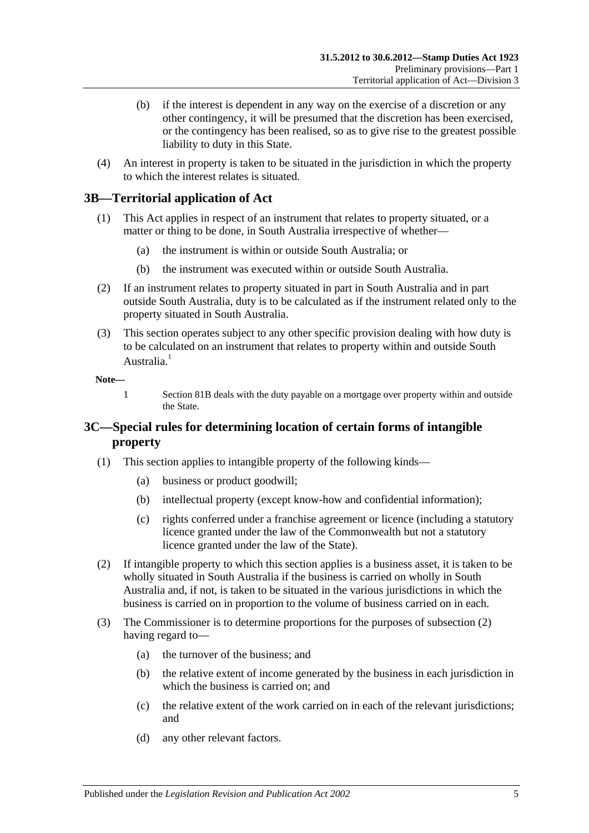- (b) if the interest is dependent in any way on the exercise of a discretion or any other contingency, it will be presumed that the discretion has been exercised, or the contingency has been realised, so as to give rise to the greatest possible liability to duty in this State.
- (4) An interest in property is taken to be situated in the jurisdiction in which the property to which the interest relates is situated.

# <span id="page-10-0"></span>**3B—Territorial application of Act**

- (1) This Act applies in respect of an instrument that relates to property situated, or a matter or thing to be done, in South Australia irrespective of whether—
	- (a) the instrument is within or outside South Australia; or
	- (b) the instrument was executed within or outside South Australia.
- (2) If an instrument relates to property situated in part in South Australia and in part outside South Australia, duty is to be calculated as if the instrument related only to the property situated in South Australia.
- (3) This section operates subject to any other specific provision dealing with how duty is to be calculated on an instrument that relates to property within and outside South Australia.<sup>1</sup>

**Note—**

1 [Section](#page-77-2) 81B deals with the duty payable on a mortgage over property within and outside the State.

# <span id="page-10-1"></span>**3C—Special rules for determining location of certain forms of intangible property**

- (1) This section applies to intangible property of the following kinds—
	- (a) business or product goodwill;
	- (b) intellectual property (except know-how and confidential information);
	- (c) rights conferred under a franchise agreement or licence (including a statutory licence granted under the law of the Commonwealth but not a statutory licence granted under the law of the State).
- <span id="page-10-2"></span>(2) If intangible property to which this section applies is a business asset, it is taken to be wholly situated in South Australia if the business is carried on wholly in South Australia and, if not, is taken to be situated in the various jurisdictions in which the business is carried on in proportion to the volume of business carried on in each.
- (3) The Commissioner is to determine proportions for the purposes of [subsection](#page-10-2) (2) having regard to—
	- (a) the turnover of the business; and
	- (b) the relative extent of income generated by the business in each jurisdiction in which the business is carried on; and
	- (c) the relative extent of the work carried on in each of the relevant jurisdictions; and
	- (d) any other relevant factors.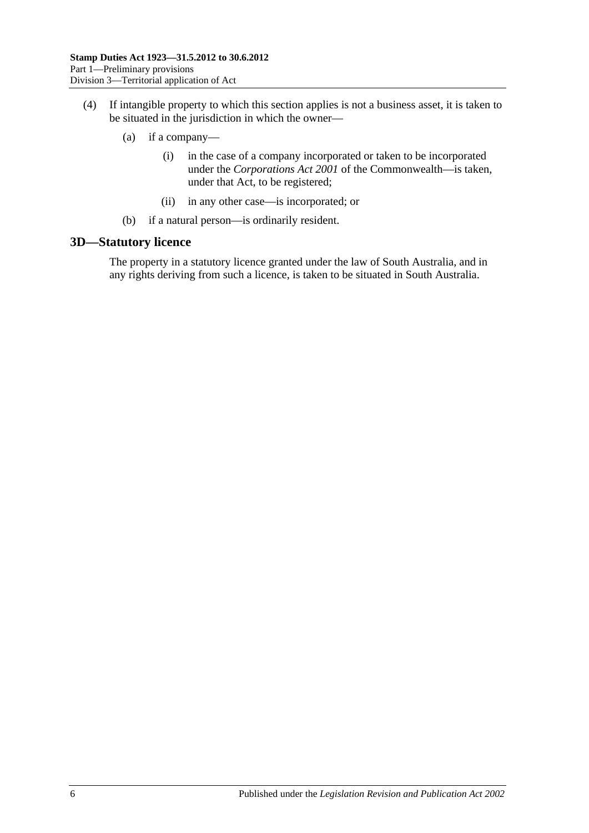- (4) If intangible property to which this section applies is not a business asset, it is taken to be situated in the jurisdiction in which the owner—
	- (a) if a company—
		- (i) in the case of a company incorporated or taken to be incorporated under the *Corporations Act 2001* of the Commonwealth—is taken, under that Act, to be registered;
		- (ii) in any other case—is incorporated; or
	- (b) if a natural person—is ordinarily resident.

#### <span id="page-11-0"></span>**3D—Statutory licence**

The property in a statutory licence granted under the law of South Australia, and in any rights deriving from such a licence, is taken to be situated in South Australia.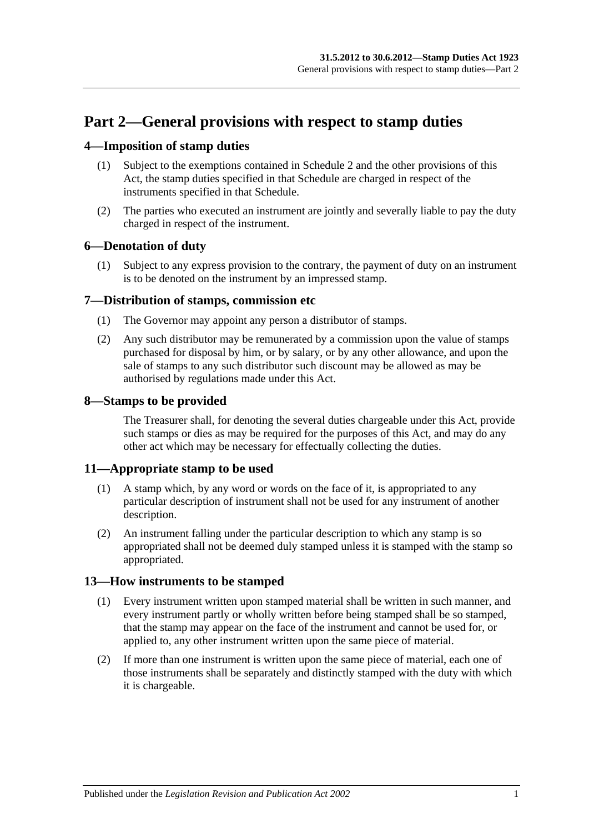# <span id="page-12-0"></span>**Part 2—General provisions with respect to stamp duties**

# <span id="page-12-1"></span>**4—Imposition of stamp duties**

- (1) Subject to the exemptions contained in [Schedule](#page-106-3) 2 and the other provisions of this Act, the stamp duties specified in that Schedule are charged in respect of the instruments specified in that Schedule.
- (2) The parties who executed an instrument are jointly and severally liable to pay the duty charged in respect of the instrument.

# <span id="page-12-2"></span>**6—Denotation of duty**

(1) Subject to any express provision to the contrary, the payment of duty on an instrument is to be denoted on the instrument by an impressed stamp.

## <span id="page-12-3"></span>**7—Distribution of stamps, commission etc**

- (1) The Governor may appoint any person a distributor of stamps.
- (2) Any such distributor may be remunerated by a commission upon the value of stamps purchased for disposal by him, or by salary, or by any other allowance, and upon the sale of stamps to any such distributor such discount may be allowed as may be authorised by regulations made under this Act.

## <span id="page-12-4"></span>**8—Stamps to be provided**

The Treasurer shall, for denoting the several duties chargeable under this Act, provide such stamps or dies as may be required for the purposes of this Act, and may do any other act which may be necessary for effectually collecting the duties.

## <span id="page-12-5"></span>**11—Appropriate stamp to be used**

- (1) A stamp which, by any word or words on the face of it, is appropriated to any particular description of instrument shall not be used for any instrument of another description.
- (2) An instrument falling under the particular description to which any stamp is so appropriated shall not be deemed duly stamped unless it is stamped with the stamp so appropriated.

## <span id="page-12-6"></span>**13—How instruments to be stamped**

- (1) Every instrument written upon stamped material shall be written in such manner, and every instrument partly or wholly written before being stamped shall be so stamped, that the stamp may appear on the face of the instrument and cannot be used for, or applied to, any other instrument written upon the same piece of material.
- (2) If more than one instrument is written upon the same piece of material, each one of those instruments shall be separately and distinctly stamped with the duty with which it is chargeable.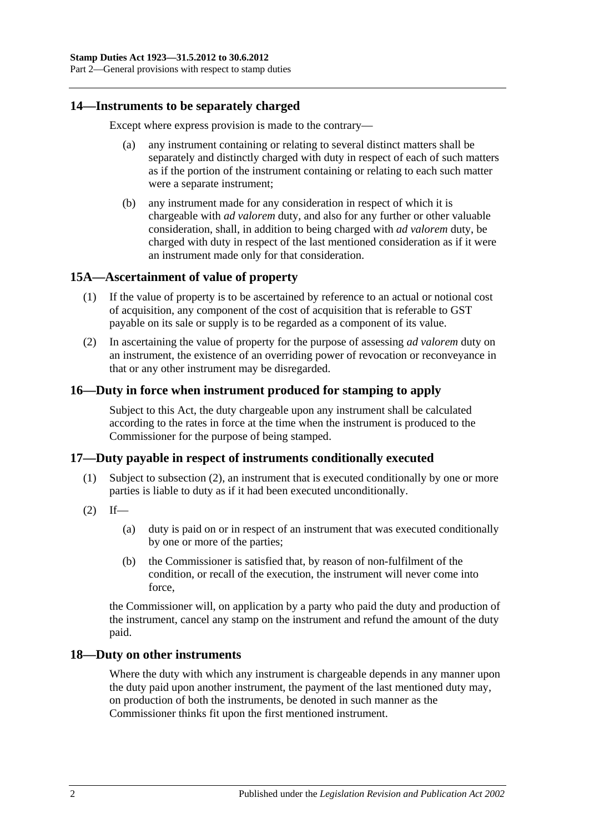Part 2—General provisions with respect to stamp duties

#### <span id="page-13-0"></span>**14—Instruments to be separately charged**

Except where express provision is made to the contrary—

- (a) any instrument containing or relating to several distinct matters shall be separately and distinctly charged with duty in respect of each of such matters as if the portion of the instrument containing or relating to each such matter were a separate instrument;
- (b) any instrument made for any consideration in respect of which it is chargeable with *ad valorem* duty, and also for any further or other valuable consideration, shall, in addition to being charged with *ad valorem* duty, be charged with duty in respect of the last mentioned consideration as if it were an instrument made only for that consideration.

#### <span id="page-13-1"></span>**15A—Ascertainment of value of property**

- (1) If the value of property is to be ascertained by reference to an actual or notional cost of acquisition, any component of the cost of acquisition that is referable to GST payable on its sale or supply is to be regarded as a component of its value.
- (2) In ascertaining the value of property for the purpose of assessing *ad valorem* duty on an instrument, the existence of an overriding power of revocation or reconveyance in that or any other instrument may be disregarded.

# <span id="page-13-2"></span>**16—Duty in force when instrument produced for stamping to apply**

Subject to this Act, the duty chargeable upon any instrument shall be calculated according to the rates in force at the time when the instrument is produced to the Commissioner for the purpose of being stamped.

## <span id="page-13-3"></span>**17—Duty payable in respect of instruments conditionally executed**

- (1) Subject to [subsection](#page-13-5) (2), an instrument that is executed conditionally by one or more parties is liable to duty as if it had been executed unconditionally.
- <span id="page-13-5"></span> $(2)$  If—
	- (a) duty is paid on or in respect of an instrument that was executed conditionally by one or more of the parties;
	- (b) the Commissioner is satisfied that, by reason of non-fulfilment of the condition, or recall of the execution, the instrument will never come into force,

the Commissioner will, on application by a party who paid the duty and production of the instrument, cancel any stamp on the instrument and refund the amount of the duty paid.

#### <span id="page-13-4"></span>**18—Duty on other instruments**

Where the duty with which any instrument is chargeable depends in any manner upon the duty paid upon another instrument, the payment of the last mentioned duty may, on production of both the instruments, be denoted in such manner as the Commissioner thinks fit upon the first mentioned instrument.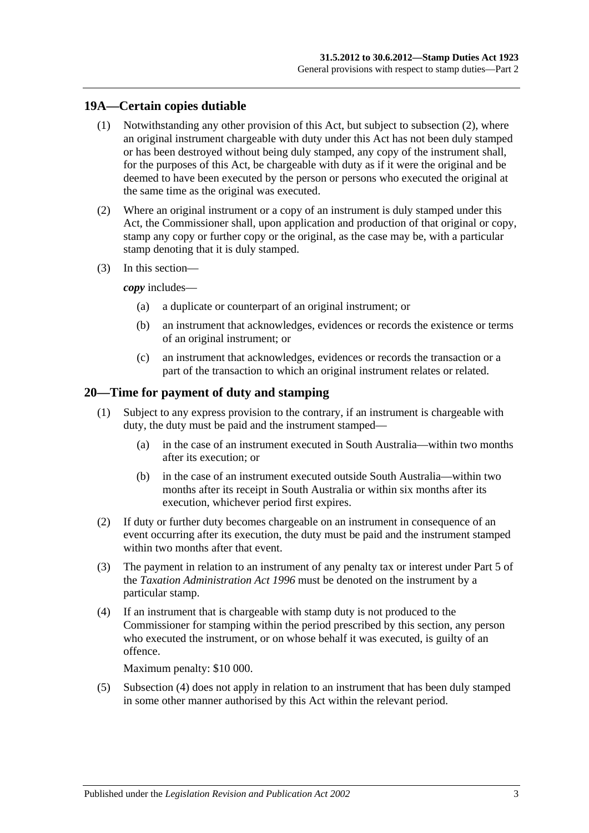# <span id="page-14-0"></span>**19A—Certain copies dutiable**

- (1) Notwithstanding any other provision of this Act, but subject to [subsection](#page-14-2) (2), where an original instrument chargeable with duty under this Act has not been duly stamped or has been destroyed without being duly stamped, any copy of the instrument shall, for the purposes of this Act, be chargeable with duty as if it were the original and be deemed to have been executed by the person or persons who executed the original at the same time as the original was executed.
- <span id="page-14-2"></span>(2) Where an original instrument or a copy of an instrument is duly stamped under this Act, the Commissioner shall, upon application and production of that original or copy, stamp any copy or further copy or the original, as the case may be, with a particular stamp denoting that it is duly stamped.
- (3) In this section—

*copy* includes—

- (a) a duplicate or counterpart of an original instrument; or
- (b) an instrument that acknowledges, evidences or records the existence or terms of an original instrument; or
- (c) an instrument that acknowledges, evidences or records the transaction or a part of the transaction to which an original instrument relates or related.

#### <span id="page-14-1"></span>**20—Time for payment of duty and stamping**

- (1) Subject to any express provision to the contrary, if an instrument is chargeable with duty, the duty must be paid and the instrument stamped—
	- (a) in the case of an instrument executed in South Australia—within two months after its execution; or
	- (b) in the case of an instrument executed outside South Australia—within two months after its receipt in South Australia or within six months after its execution, whichever period first expires.
- (2) If duty or further duty becomes chargeable on an instrument in consequence of an event occurring after its execution, the duty must be paid and the instrument stamped within two months after that event.
- (3) The payment in relation to an instrument of any penalty tax or interest under Part 5 of the *[Taxation Administration Act](http://www.legislation.sa.gov.au/index.aspx?action=legref&type=act&legtitle=Taxation%20Administration%20Act%201996) 1996* must be denoted on the instrument by a particular stamp.
- <span id="page-14-3"></span>(4) If an instrument that is chargeable with stamp duty is not produced to the Commissioner for stamping within the period prescribed by this section, any person who executed the instrument, or on whose behalf it was executed, is guilty of an offence.

Maximum penalty: \$10 000.

(5) [Subsection](#page-14-3) (4) does not apply in relation to an instrument that has been duly stamped in some other manner authorised by this Act within the relevant period.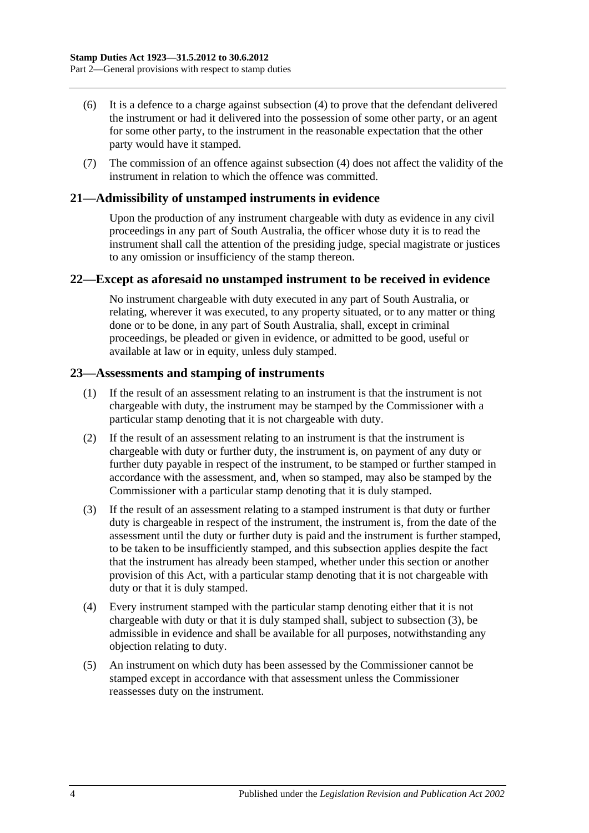- (6) It is a defence to a charge against [subsection](#page-14-3) (4) to prove that the defendant delivered the instrument or had it delivered into the possession of some other party, or an agent for some other party, to the instrument in the reasonable expectation that the other party would have it stamped.
- (7) The commission of an offence against [subsection](#page-14-3) (4) does not affect the validity of the instrument in relation to which the offence was committed.

# <span id="page-15-0"></span>**21—Admissibility of unstamped instruments in evidence**

Upon the production of any instrument chargeable with duty as evidence in any civil proceedings in any part of South Australia, the officer whose duty it is to read the instrument shall call the attention of the presiding judge, special magistrate or justices to any omission or insufficiency of the stamp thereon.

#### <span id="page-15-1"></span>**22—Except as aforesaid no unstamped instrument to be received in evidence**

No instrument chargeable with duty executed in any part of South Australia, or relating, wherever it was executed, to any property situated, or to any matter or thing done or to be done, in any part of South Australia, shall, except in criminal proceedings, be pleaded or given in evidence, or admitted to be good, useful or available at law or in equity, unless duly stamped.

#### <span id="page-15-2"></span>**23—Assessments and stamping of instruments**

- (1) If the result of an assessment relating to an instrument is that the instrument is not chargeable with duty, the instrument may be stamped by the Commissioner with a particular stamp denoting that it is not chargeable with duty.
- (2) If the result of an assessment relating to an instrument is that the instrument is chargeable with duty or further duty, the instrument is, on payment of any duty or further duty payable in respect of the instrument, to be stamped or further stamped in accordance with the assessment, and, when so stamped, may also be stamped by the Commissioner with a particular stamp denoting that it is duly stamped.
- <span id="page-15-3"></span>(3) If the result of an assessment relating to a stamped instrument is that duty or further duty is chargeable in respect of the instrument, the instrument is, from the date of the assessment until the duty or further duty is paid and the instrument is further stamped, to be taken to be insufficiently stamped, and this subsection applies despite the fact that the instrument has already been stamped, whether under this section or another provision of this Act, with a particular stamp denoting that it is not chargeable with duty or that it is duly stamped.
- (4) Every instrument stamped with the particular stamp denoting either that it is not chargeable with duty or that it is duly stamped shall, subject to [subsection](#page-15-3) (3), be admissible in evidence and shall be available for all purposes, notwithstanding any objection relating to duty.
- (5) An instrument on which duty has been assessed by the Commissioner cannot be stamped except in accordance with that assessment unless the Commissioner reassesses duty on the instrument.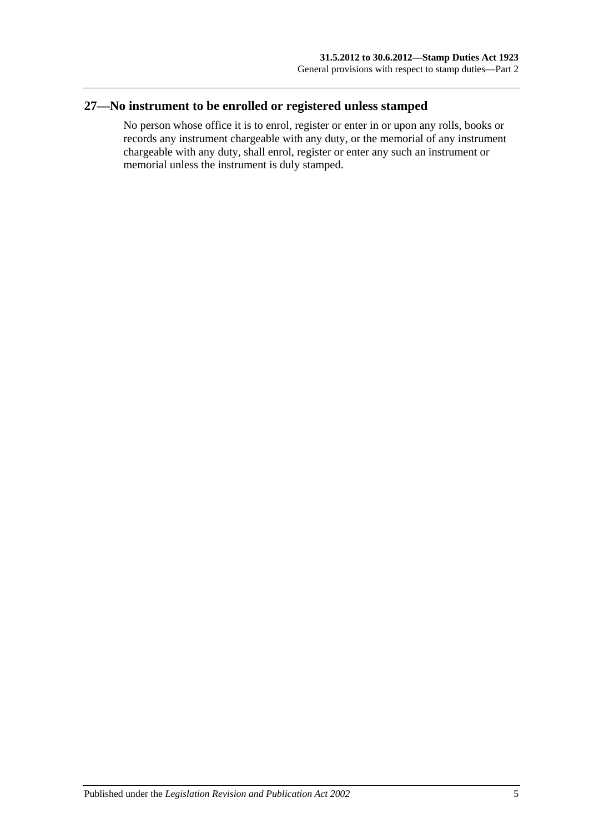# <span id="page-16-0"></span>**27—No instrument to be enrolled or registered unless stamped**

No person whose office it is to enrol, register or enter in or upon any rolls, books or records any instrument chargeable with any duty, or the memorial of any instrument chargeable with any duty, shall enrol, register or enter any such an instrument or memorial unless the instrument is duly stamped.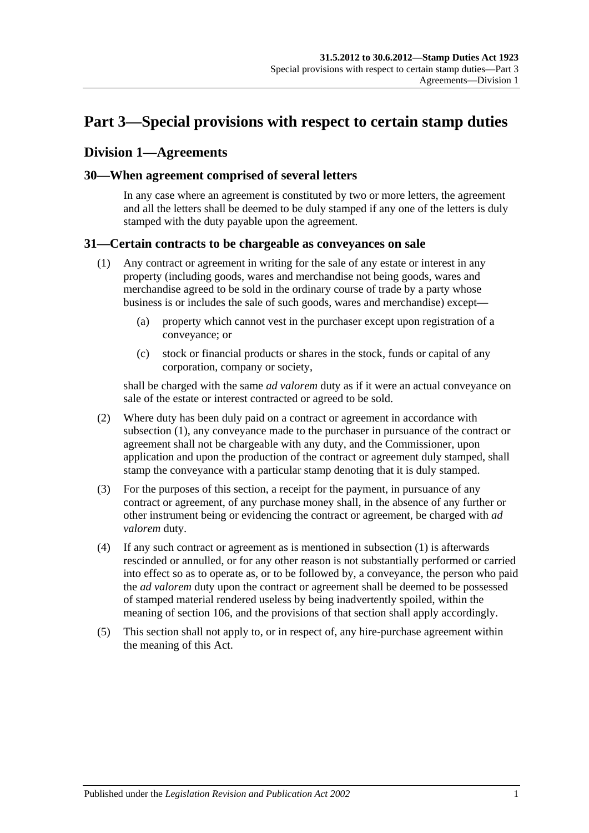# <span id="page-18-0"></span>**Part 3—Special provisions with respect to certain stamp duties**

# <span id="page-18-1"></span>**Division 1—Agreements**

## <span id="page-18-2"></span>**30—When agreement comprised of several letters**

In any case where an agreement is constituted by two or more letters, the agreement and all the letters shall be deemed to be duly stamped if any one of the letters is duly stamped with the duty payable upon the agreement.

## <span id="page-18-4"></span><span id="page-18-3"></span>**31—Certain contracts to be chargeable as conveyances on sale**

- (1) Any contract or agreement in writing for the sale of any estate or interest in any property (including goods, wares and merchandise not being goods, wares and merchandise agreed to be sold in the ordinary course of trade by a party whose business is or includes the sale of such goods, wares and merchandise) except—
	- (a) property which cannot vest in the purchaser except upon registration of a conveyance; or
	- (c) stock or financial products or shares in the stock, funds or capital of any corporation, company or society,

shall be charged with the same *ad valorem* duty as if it were an actual conveyance on sale of the estate or interest contracted or agreed to be sold.

- (2) Where duty has been duly paid on a contract or agreement in accordance with [subsection](#page-18-4) (1), any conveyance made to the purchaser in pursuance of the contract or agreement shall not be chargeable with any duty, and the Commissioner, upon application and upon the production of the contract or agreement duly stamped, shall stamp the conveyance with a particular stamp denoting that it is duly stamped.
- (3) For the purposes of this section, a receipt for the payment, in pursuance of any contract or agreement, of any purchase money shall, in the absence of any further or other instrument being or evidencing the contract or agreement, be charged with *ad valorem* duty.
- (4) If any such contract or agreement as is mentioned in [subsection](#page-18-4) (1) is afterwards rescinded or annulled, or for any other reason is not substantially performed or carried into effect so as to operate as, or to be followed by, a conveyance, the person who paid the *ad valorem* duty upon the contract or agreement shall be deemed to be possessed of stamped material rendered useless by being inadvertently spoiled, within the meaning of [section](#page-102-1) 106, and the provisions of that section shall apply accordingly.
- (5) This section shall not apply to, or in respect of, any hire-purchase agreement within the meaning of this Act.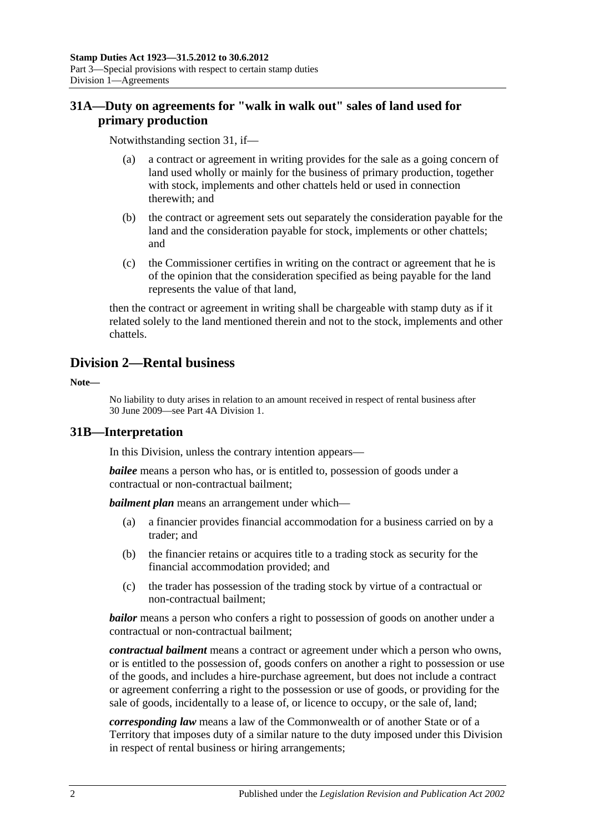# <span id="page-19-0"></span>**31A—Duty on agreements for "walk in walk out" sales of land used for primary production**

Notwithstanding [section](#page-18-3) 31, if—

- (a) a contract or agreement in writing provides for the sale as a going concern of land used wholly or mainly for the business of primary production, together with stock, implements and other chattels held or used in connection therewith; and
- (b) the contract or agreement sets out separately the consideration payable for the land and the consideration payable for stock, implements or other chattels; and
- (c) the Commissioner certifies in writing on the contract or agreement that he is of the opinion that the consideration specified as being payable for the land represents the value of that land,

then the contract or agreement in writing shall be chargeable with stamp duty as if it related solely to the land mentioned therein and not to the stock, implements and other chattels.

# <span id="page-19-1"></span>**Division 2—Rental business**

**Note—**

No liability to duty arises in relation to an amount received in respect of rental business after 30 June 2009—see [Part 4A Division 1.](#page-100-1)

## <span id="page-19-2"></span>**31B—Interpretation**

In this Division, unless the contrary intention appears—

*bailee* means a person who has, or is entitled to, possession of goods under a contractual or non-contractual bailment;

*bailment plan* means an arrangement under which—

- (a) a financier provides financial accommodation for a business carried on by a trader; and
- (b) the financier retains or acquires title to a trading stock as security for the financial accommodation provided; and
- (c) the trader has possession of the trading stock by virtue of a contractual or non-contractual bailment;

*bailor* means a person who confers a right to possession of goods on another under a contractual or non-contractual bailment;

*contractual bailment* means a contract or agreement under which a person who owns, or is entitled to the possession of, goods confers on another a right to possession or use of the goods, and includes a hire-purchase agreement, but does not include a contract or agreement conferring a right to the possession or use of goods, or providing for the sale of goods, incidentally to a lease of, or licence to occupy, or the sale of, land;

*corresponding law* means a law of the Commonwealth or of another State or of a Territory that imposes duty of a similar nature to the duty imposed under this Division in respect of rental business or hiring arrangements;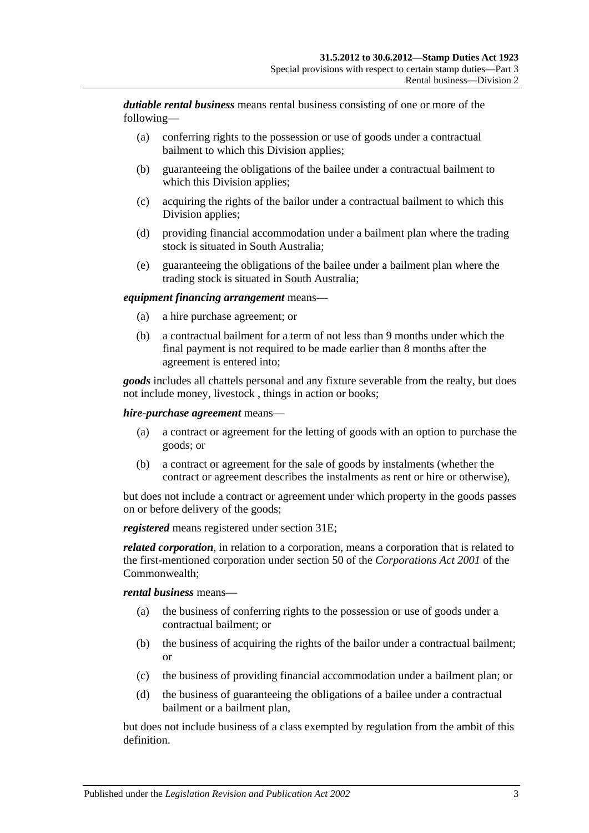*dutiable rental business* means rental business consisting of one or more of the following—

- (a) conferring rights to the possession or use of goods under a contractual bailment to which this Division applies;
- (b) guaranteeing the obligations of the bailee under a contractual bailment to which this Division applies;
- (c) acquiring the rights of the bailor under a contractual bailment to which this Division applies;
- (d) providing financial accommodation under a bailment plan where the trading stock is situated in South Australia;
- (e) guaranteeing the obligations of the bailee under a bailment plan where the trading stock is situated in South Australia;

#### *equipment financing arrangement* means—

- (a) a hire purchase agreement; or
- (b) a contractual bailment for a term of not less than 9 months under which the final payment is not required to be made earlier than 8 months after the agreement is entered into;

*goods* includes all chattels personal and any fixture severable from the realty, but does not include money, livestock , things in action or books;

#### *hire-purchase agreement* means—

- (a) a contract or agreement for the letting of goods with an option to purchase the goods; or
- (b) a contract or agreement for the sale of goods by instalments (whether the contract or agreement describes the instalments as rent or hire or otherwise),

but does not include a contract or agreement under which property in the goods passes on or before delivery of the goods;

*registered* means registered under [section](#page-21-2) 31E;

*related corporation*, in relation to a corporation, means a corporation that is related to the first-mentioned corporation under section 50 of the *Corporations Act 2001* of the Commonwealth;

#### *rental business* means—

- (a) the business of conferring rights to the possession or use of goods under a contractual bailment; or
- (b) the business of acquiring the rights of the bailor under a contractual bailment; or
- (c) the business of providing financial accommodation under a bailment plan; or
- (d) the business of guaranteeing the obligations of a bailee under a contractual bailment or a bailment plan,

but does not include business of a class exempted by regulation from the ambit of this definition.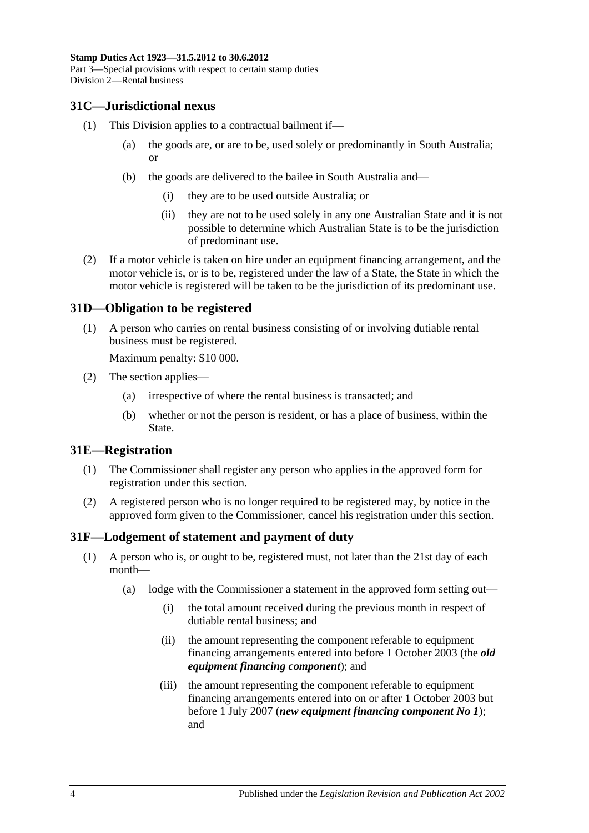## <span id="page-21-0"></span>**31C—Jurisdictional nexus**

- (1) This Division applies to a contractual bailment if—
	- (a) the goods are, or are to be, used solely or predominantly in South Australia; or
	- (b) the goods are delivered to the bailee in South Australia and—
		- (i) they are to be used outside Australia; or
		- (ii) they are not to be used solely in any one Australian State and it is not possible to determine which Australian State is to be the jurisdiction of predominant use.
- (2) If a motor vehicle is taken on hire under an equipment financing arrangement, and the motor vehicle is, or is to be, registered under the law of a State, the State in which the motor vehicle is registered will be taken to be the jurisdiction of its predominant use.

## <span id="page-21-1"></span>**31D—Obligation to be registered**

(1) A person who carries on rental business consisting of or involving dutiable rental business must be registered.

Maximum penalty: \$10 000.

- (2) The section applies—
	- (a) irrespective of where the rental business is transacted; and
	- (b) whether or not the person is resident, or has a place of business, within the State.

## <span id="page-21-2"></span>**31E—Registration**

- (1) The Commissioner shall register any person who applies in the approved form for registration under this section.
- (2) A registered person who is no longer required to be registered may, by notice in the approved form given to the Commissioner, cancel his registration under this section.

## <span id="page-21-4"></span><span id="page-21-3"></span>**31F—Lodgement of statement and payment of duty**

- (1) A person who is, or ought to be, registered must, not later than the 21st day of each month—
	- (a) lodge with the Commissioner a statement in the approved form setting out—
		- (i) the total amount received during the previous month in respect of dutiable rental business; and
		- (ii) the amount representing the component referable to equipment financing arrangements entered into before 1 October 2003 (the *old equipment financing component*); and
		- (iii) the amount representing the component referable to equipment financing arrangements entered into on or after 1 October 2003 but before 1 July 2007 (*new equipment financing component No 1*); and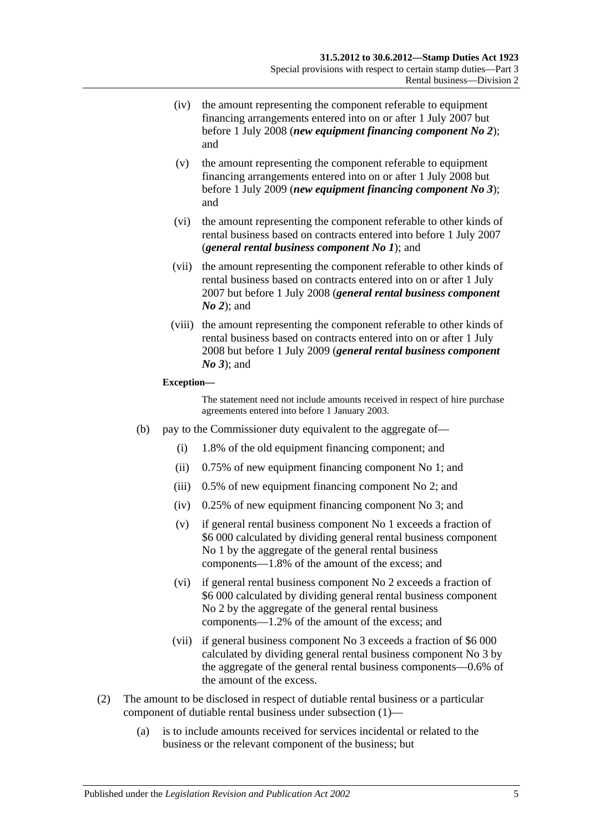- (iv) the amount representing the component referable to equipment financing arrangements entered into on or after 1 July 2007 but before 1 July 2008 (*new equipment financing component No 2*); and
- (v) the amount representing the component referable to equipment financing arrangements entered into on or after 1 July 2008 but before 1 July 2009 (*new equipment financing component No 3*); and
- (vi) the amount representing the component referable to other kinds of rental business based on contracts entered into before 1 July 2007 (*general rental business component No 1*); and
- (vii) the amount representing the component referable to other kinds of rental business based on contracts entered into on or after 1 July 2007 but before 1 July 2008 (*general rental business component No 2*); and
- (viii) the amount representing the component referable to other kinds of rental business based on contracts entered into on or after 1 July 2008 but before 1 July 2009 (*general rental business component No 3*); and

#### **Exception—**

The statement need not include amounts received in respect of hire purchase agreements entered into before 1 January 2003.

- (b) pay to the Commissioner duty equivalent to the aggregate of—
	- (i) 1.8% of the old equipment financing component; and
	- (ii) 0.75% of new equipment financing component No 1; and
	- (iii) 0.5% of new equipment financing component No 2; and
	- (iv) 0.25% of new equipment financing component No 3; and
	- (v) if general rental business component No 1 exceeds a fraction of \$6 000 calculated by dividing general rental business component No 1 by the aggregate of the general rental business components—1.8% of the amount of the excess; and
	- (vi) if general rental business component No 2 exceeds a fraction of \$6 000 calculated by dividing general rental business component No 2 by the aggregate of the general rental business components—1.2% of the amount of the excess; and
	- (vii) if general business component No 3 exceeds a fraction of \$6 000 calculated by dividing general rental business component No 3 by the aggregate of the general rental business components—0.6% of the amount of the excess.
- (2) The amount to be disclosed in respect of dutiable rental business or a particular component of dutiable rental business under [subsection](#page-21-4) (1)—
	- (a) is to include amounts received for services incidental or related to the business or the relevant component of the business; but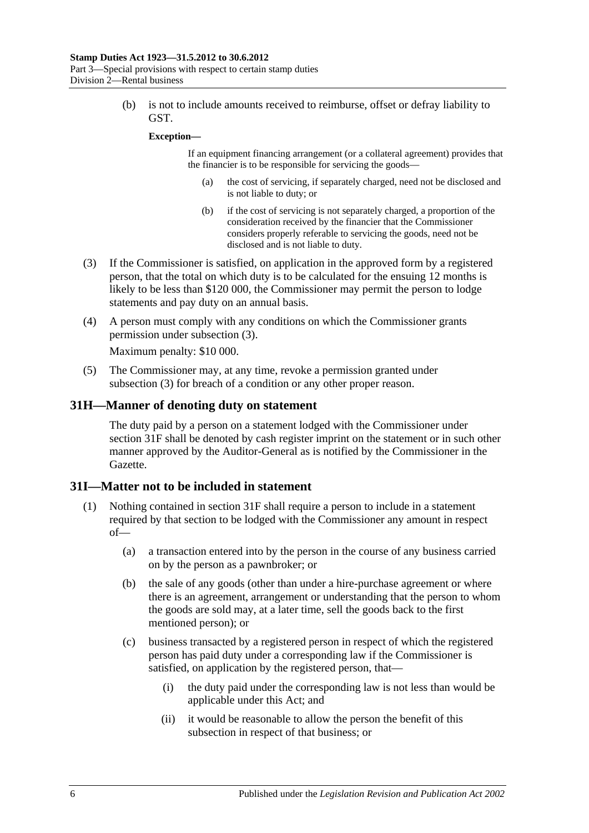(b) is not to include amounts received to reimburse, offset or defray liability to GST.

#### **Exception—**

If an equipment financing arrangement (or a collateral agreement) provides that the financier is to be responsible for servicing the goods—

- (a) the cost of servicing, if separately charged, need not be disclosed and is not liable to duty; or
- (b) if the cost of servicing is not separately charged, a proportion of the consideration received by the financier that the Commissioner considers properly referable to servicing the goods, need not be disclosed and is not liable to duty.
- <span id="page-23-2"></span>(3) If the Commissioner is satisfied, on application in the approved form by a registered person, that the total on which duty is to be calculated for the ensuing 12 months is likely to be less than \$120 000, the Commissioner may permit the person to lodge statements and pay duty on an annual basis.
- (4) A person must comply with any conditions on which the Commissioner grants permission under [subsection](#page-23-2) (3).

Maximum penalty: \$10 000.

(5) The Commissioner may, at any time, revoke a permission granted under [subsection](#page-23-2) (3) for breach of a condition or any other proper reason.

#### <span id="page-23-0"></span>**31H—Manner of denoting duty on statement**

The duty paid by a person on a statement lodged with the Commissioner under [section](#page-21-3) 31F shall be denoted by cash register imprint on the statement or in such other manner approved by the Auditor-General as is notified by the Commissioner in the Gazette.

#### <span id="page-23-1"></span>**31I—Matter not to be included in statement**

- <span id="page-23-3"></span>(1) Nothing contained in [section](#page-21-3) 31F shall require a person to include in a statement required by that section to be lodged with the Commissioner any amount in respect of—
	- (a) a transaction entered into by the person in the course of any business carried on by the person as a pawnbroker; or
	- (b) the sale of any goods (other than under a hire-purchase agreement or where there is an agreement, arrangement or understanding that the person to whom the goods are sold may, at a later time, sell the goods back to the first mentioned person); or
	- (c) business transacted by a registered person in respect of which the registered person has paid duty under a corresponding law if the Commissioner is satisfied, on application by the registered person, that—
		- (i) the duty paid under the corresponding law is not less than would be applicable under this Act; and
		- (ii) it would be reasonable to allow the person the benefit of this subsection in respect of that business; or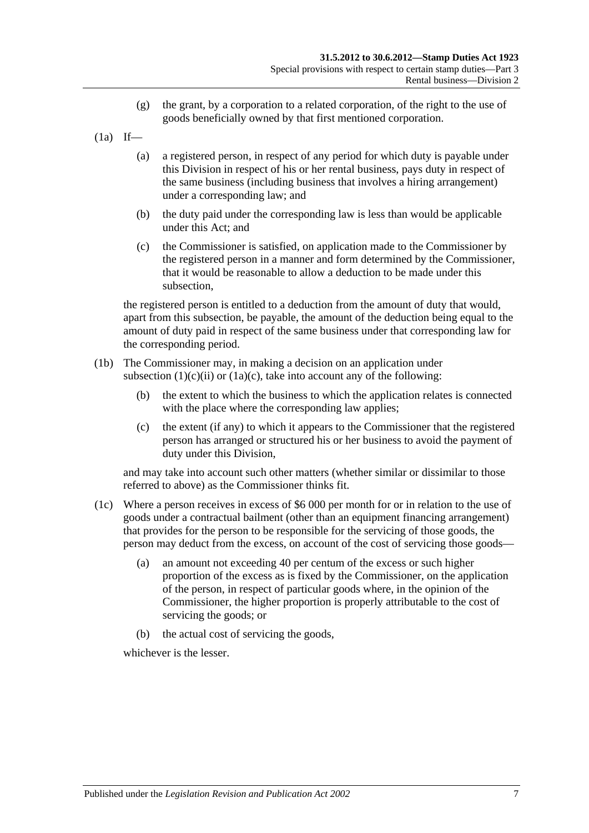- (g) the grant, by a corporation to a related corporation, of the right to the use of goods beneficially owned by that first mentioned corporation.
- $(1a)$  If—
	- (a) a registered person, in respect of any period for which duty is payable under this Division in respect of his or her rental business, pays duty in respect of the same business (including business that involves a hiring arrangement) under a corresponding law; and
	- (b) the duty paid under the corresponding law is less than would be applicable under this Act; and
	- (c) the Commissioner is satisfied, on application made to the Commissioner by the registered person in a manner and form determined by the Commissioner, that it would be reasonable to allow a deduction to be made under this subsection,

<span id="page-24-0"></span>the registered person is entitled to a deduction from the amount of duty that would, apart from this subsection, be payable, the amount of the deduction being equal to the amount of duty paid in respect of the same business under that corresponding law for the corresponding period.

- (1b) The Commissioner may, in making a decision on an application under [subsection](#page-23-3)  $(1)(c)(ii)$  or  $(1a)(c)$ , take into account any of the following:
	- (b) the extent to which the business to which the application relates is connected with the place where the corresponding law applies:
	- (c) the extent (if any) to which it appears to the Commissioner that the registered person has arranged or structured his or her business to avoid the payment of duty under this Division,

and may take into account such other matters (whether similar or dissimilar to those referred to above) as the Commissioner thinks fit.

- (1c) Where a person receives in excess of \$6 000 per month for or in relation to the use of goods under a contractual bailment (other than an equipment financing arrangement) that provides for the person to be responsible for the servicing of those goods, the person may deduct from the excess, on account of the cost of servicing those goods—
	- (a) an amount not exceeding 40 per centum of the excess or such higher proportion of the excess as is fixed by the Commissioner, on the application of the person, in respect of particular goods where, in the opinion of the Commissioner, the higher proportion is properly attributable to the cost of servicing the goods; or
	- (b) the actual cost of servicing the goods,

whichever is the lesser.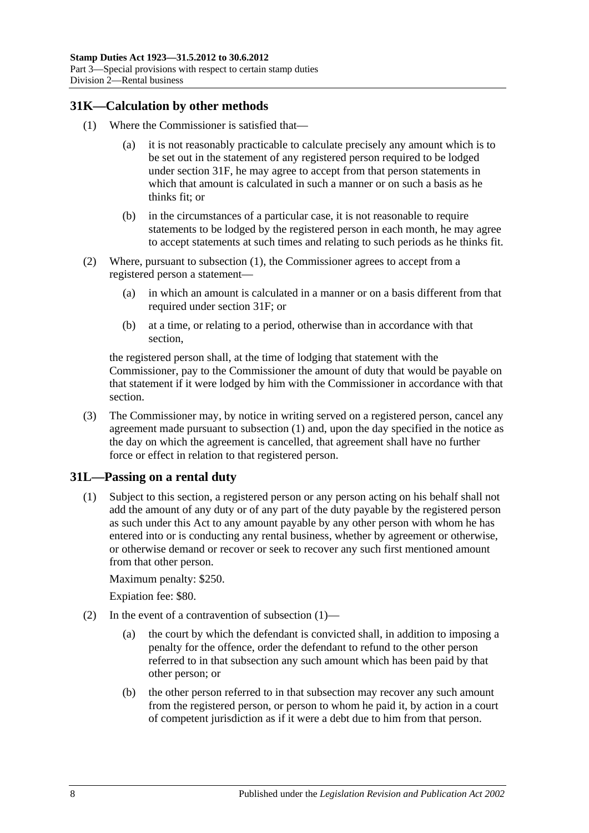# <span id="page-25-2"></span><span id="page-25-0"></span>**31K—Calculation by other methods**

- (1) Where the Commissioner is satisfied that—
	- (a) it is not reasonably practicable to calculate precisely any amount which is to be set out in the statement of any registered person required to be lodged under [section](#page-21-3) 31F, he may agree to accept from that person statements in which that amount is calculated in such a manner or on such a basis as he thinks fit; or
	- (b) in the circumstances of a particular case, it is not reasonable to require statements to be lodged by the registered person in each month, he may agree to accept statements at such times and relating to such periods as he thinks fit.
- (2) Where, pursuant to [subsection](#page-25-2) (1), the Commissioner agrees to accept from a registered person a statement—
	- (a) in which an amount is calculated in a manner or on a basis different from that required under [section](#page-21-3) 31F; or
	- (b) at a time, or relating to a period, otherwise than in accordance with that section,

the registered person shall, at the time of lodging that statement with the Commissioner, pay to the Commissioner the amount of duty that would be payable on that statement if it were lodged by him with the Commissioner in accordance with that section.

(3) The Commissioner may, by notice in writing served on a registered person, cancel any agreement made pursuant to [subsection](#page-25-2) (1) and, upon the day specified in the notice as the day on which the agreement is cancelled, that agreement shall have no further force or effect in relation to that registered person.

## <span id="page-25-3"></span><span id="page-25-1"></span>**31L—Passing on a rental duty**

(1) Subject to this section, a registered person or any person acting on his behalf shall not add the amount of any duty or of any part of the duty payable by the registered person as such under this Act to any amount payable by any other person with whom he has entered into or is conducting any rental business, whether by agreement or otherwise, or otherwise demand or recover or seek to recover any such first mentioned amount from that other person.

Maximum penalty: \$250.

Expiation fee: \$80.

- (2) In the event of a contravention of [subsection](#page-25-3)  $(1)$ 
	- (a) the court by which the defendant is convicted shall, in addition to imposing a penalty for the offence, order the defendant to refund to the other person referred to in that subsection any such amount which has been paid by that other person; or
	- (b) the other person referred to in that subsection may recover any such amount from the registered person, or person to whom he paid it, by action in a court of competent jurisdiction as if it were a debt due to him from that person.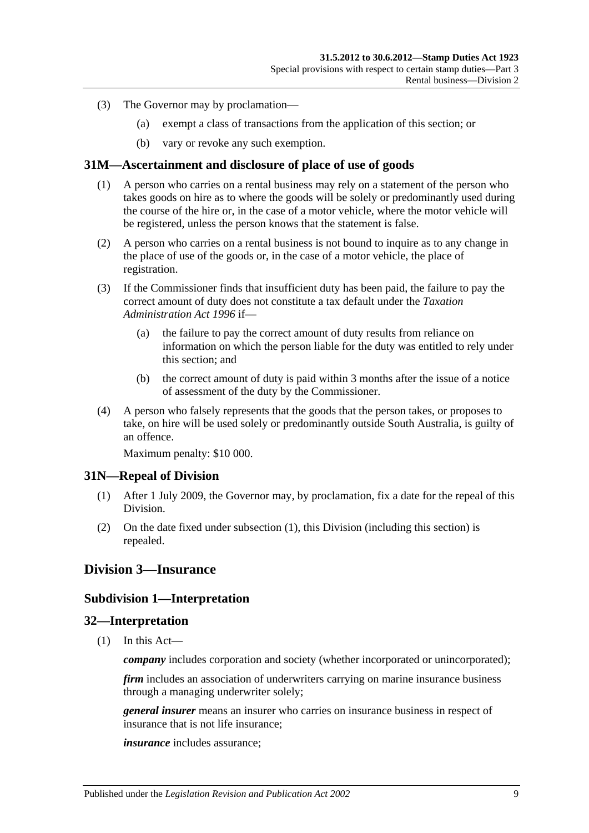- (3) The Governor may by proclamation—
	- (a) exempt a class of transactions from the application of this section; or
	- (b) vary or revoke any such exemption.

#### <span id="page-26-0"></span>**31M—Ascertainment and disclosure of place of use of goods**

- (1) A person who carries on a rental business may rely on a statement of the person who takes goods on hire as to where the goods will be solely or predominantly used during the course of the hire or, in the case of a motor vehicle, where the motor vehicle will be registered, unless the person knows that the statement is false.
- (2) A person who carries on a rental business is not bound to inquire as to any change in the place of use of the goods or, in the case of a motor vehicle, the place of registration.
- (3) If the Commissioner finds that insufficient duty has been paid, the failure to pay the correct amount of duty does not constitute a tax default under the *[Taxation](http://www.legislation.sa.gov.au/index.aspx?action=legref&type=act&legtitle=Taxation%20Administration%20Act%201996)  [Administration Act](http://www.legislation.sa.gov.au/index.aspx?action=legref&type=act&legtitle=Taxation%20Administration%20Act%201996) 1996* if—
	- (a) the failure to pay the correct amount of duty results from reliance on information on which the person liable for the duty was entitled to rely under this section; and
	- (b) the correct amount of duty is paid within 3 months after the issue of a notice of assessment of the duty by the Commissioner.
- (4) A person who falsely represents that the goods that the person takes, or proposes to take, on hire will be used solely or predominantly outside South Australia, is guilty of an offence.

Maximum penalty: \$10 000.

#### <span id="page-26-5"></span><span id="page-26-1"></span>**31N—Repeal of Division**

- (1) After 1 July 2009, the Governor may, by proclamation, fix a date for the repeal of this Division.
- (2) On the date fixed under [subsection](#page-26-5) (1), this Division (including this section) is repealed.

## <span id="page-26-3"></span><span id="page-26-2"></span>**Division 3—Insurance**

#### **Subdivision 1—Interpretation**

#### <span id="page-26-4"></span>**32—Interpretation**

(1) In this Act—

*company* includes corporation and society (whether incorporated or unincorporated);

*firm* includes an association of underwriters carrying on marine insurance business through a managing underwriter solely;

*general insurer* means an insurer who carries on insurance business in respect of insurance that is not life insurance;

*insurance* includes assurance;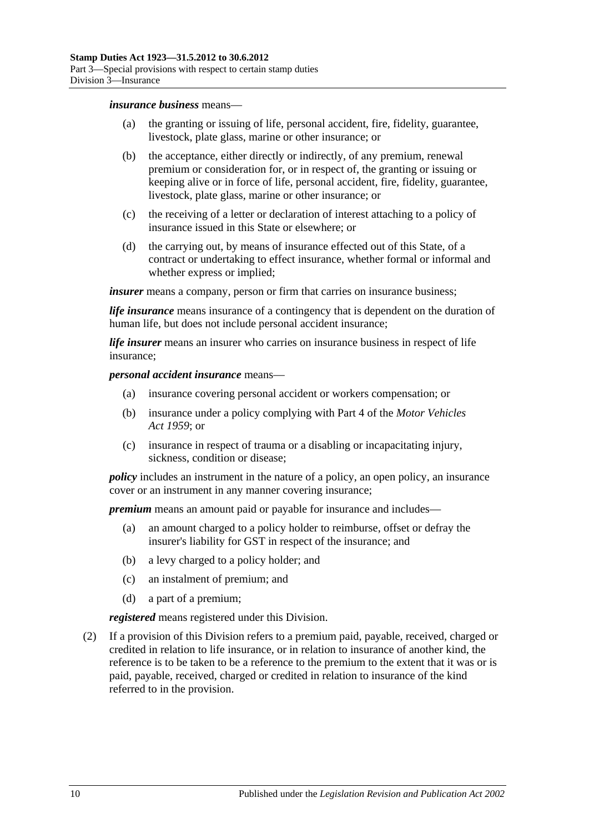#### *insurance business* means—

- (a) the granting or issuing of life, personal accident, fire, fidelity, guarantee, livestock, plate glass, marine or other insurance; or
- (b) the acceptance, either directly or indirectly, of any premium, renewal premium or consideration for, or in respect of, the granting or issuing or keeping alive or in force of life, personal accident, fire, fidelity, guarantee, livestock, plate glass, marine or other insurance; or
- (c) the receiving of a letter or declaration of interest attaching to a policy of insurance issued in this State or elsewhere; or
- (d) the carrying out, by means of insurance effected out of this State, of a contract or undertaking to effect insurance, whether formal or informal and whether express or implied;

*insurer* means a company, person or firm that carries on insurance business;

*life insurance* means insurance of a contingency that is dependent on the duration of human life, but does not include personal accident insurance;

*life insurer* means an insurer who carries on insurance business in respect of life insurance;

#### *personal accident insurance* means—

- (a) insurance covering personal accident or workers compensation; or
- (b) insurance under a policy complying with Part 4 of the *[Motor Vehicles](http://www.legislation.sa.gov.au/index.aspx?action=legref&type=act&legtitle=Motor%20Vehicles%20Act%201959)  Act [1959](http://www.legislation.sa.gov.au/index.aspx?action=legref&type=act&legtitle=Motor%20Vehicles%20Act%201959)*; or
- (c) insurance in respect of trauma or a disabling or incapacitating injury, sickness, condition or disease;

*policy* includes an instrument in the nature of a policy, an open policy, an insurance cover or an instrument in any manner covering insurance;

*premium* means an amount paid or payable for insurance and includes—

- (a) an amount charged to a policy holder to reimburse, offset or defray the insurer's liability for GST in respect of the insurance; and
- (b) a levy charged to a policy holder; and
- (c) an instalment of premium; and
- (d) a part of a premium;

*registered* means registered under this Division.

(2) If a provision of this Division refers to a premium paid, payable, received, charged or credited in relation to life insurance, or in relation to insurance of another kind, the reference is to be taken to be a reference to the premium to the extent that it was or is paid, payable, received, charged or credited in relation to insurance of the kind referred to in the provision.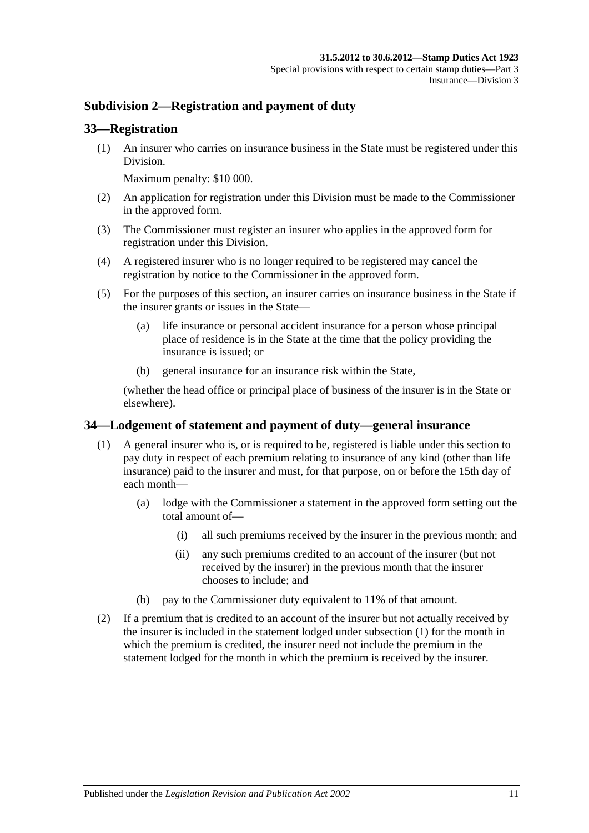# <span id="page-28-0"></span>**Subdivision 2—Registration and payment of duty**

#### <span id="page-28-1"></span>**33—Registration**

(1) An insurer who carries on insurance business in the State must be registered under this Division.

Maximum penalty: \$10 000.

- (2) An application for registration under this Division must be made to the Commissioner in the approved form.
- (3) The Commissioner must register an insurer who applies in the approved form for registration under this Division.
- (4) A registered insurer who is no longer required to be registered may cancel the registration by notice to the Commissioner in the approved form.
- (5) For the purposes of this section, an insurer carries on insurance business in the State if the insurer grants or issues in the State—
	- (a) life insurance or personal accident insurance for a person whose principal place of residence is in the State at the time that the policy providing the insurance is issued; or
	- (b) general insurance for an insurance risk within the State,

(whether the head office or principal place of business of the insurer is in the State or elsewhere).

#### <span id="page-28-3"></span><span id="page-28-2"></span>**34—Lodgement of statement and payment of duty—general insurance**

- (1) A general insurer who is, or is required to be, registered is liable under this section to pay duty in respect of each premium relating to insurance of any kind (other than life insurance) paid to the insurer and must, for that purpose, on or before the 15th day of each month—
	- (a) lodge with the Commissioner a statement in the approved form setting out the total amount of—
		- (i) all such premiums received by the insurer in the previous month; and
		- (ii) any such premiums credited to an account of the insurer (but not received by the insurer) in the previous month that the insurer chooses to include; and
	- (b) pay to the Commissioner duty equivalent to 11% of that amount.
- (2) If a premium that is credited to an account of the insurer but not actually received by the insurer is included in the statement lodged under [subsection](#page-28-3) (1) for the month in which the premium is credited, the insurer need not include the premium in the statement lodged for the month in which the premium is received by the insurer.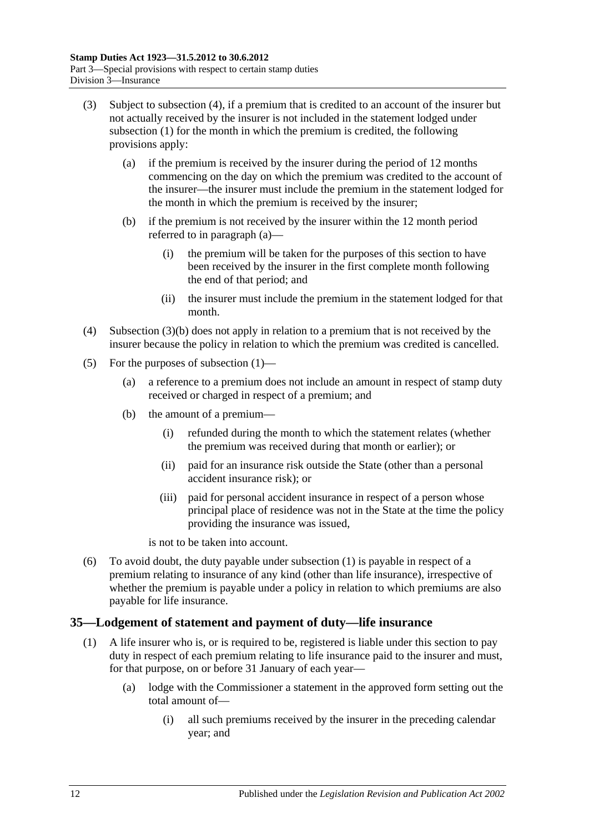- <span id="page-29-3"></span><span id="page-29-2"></span>(3) Subject to [subsection](#page-29-1) (4), if a premium that is credited to an account of the insurer but not actually received by the insurer is not included in the statement lodged under [subsection](#page-28-3) (1) for the month in which the premium is credited, the following provisions apply:
	- (a) if the premium is received by the insurer during the period of 12 months commencing on the day on which the premium was credited to the account of the insurer—the insurer must include the premium in the statement lodged for the month in which the premium is received by the insurer;
	- (b) if the premium is not received by the insurer within the 12 month period referred to in [paragraph](#page-29-2) (a)—
		- (i) the premium will be taken for the purposes of this section to have been received by the insurer in the first complete month following the end of that period; and
		- (ii) the insurer must include the premium in the statement lodged for that month.
- <span id="page-29-1"></span>(4) [Subsection](#page-29-3) (3)(b) does not apply in relation to a premium that is not received by the insurer because the policy in relation to which the premium was credited is cancelled.
- (5) For the purposes of [subsection](#page-28-3) (1)—
	- (a) a reference to a premium does not include an amount in respect of stamp duty received or charged in respect of a premium; and
	- (b) the amount of a premium—
		- (i) refunded during the month to which the statement relates (whether the premium was received during that month or earlier); or
		- (ii) paid for an insurance risk outside the State (other than a personal accident insurance risk); or
		- (iii) paid for personal accident insurance in respect of a person whose principal place of residence was not in the State at the time the policy providing the insurance was issued,

is not to be taken into account.

(6) To avoid doubt, the duty payable under [subsection](#page-28-3) (1) is payable in respect of a premium relating to insurance of any kind (other than life insurance), irrespective of whether the premium is payable under a policy in relation to which premiums are also payable for life insurance.

## <span id="page-29-4"></span><span id="page-29-0"></span>**35—Lodgement of statement and payment of duty—life insurance**

- (1) A life insurer who is, or is required to be, registered is liable under this section to pay duty in respect of each premium relating to life insurance paid to the insurer and must, for that purpose, on or before 31 January of each year—
	- (a) lodge with the Commissioner a statement in the approved form setting out the total amount of—
		- (i) all such premiums received by the insurer in the preceding calendar year; and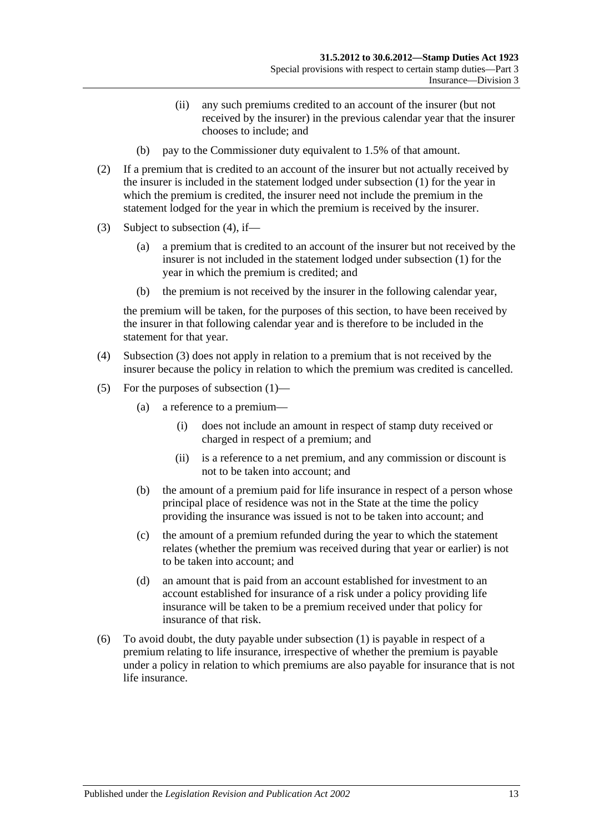- (ii) any such premiums credited to an account of the insurer (but not received by the insurer) in the previous calendar year that the insurer chooses to include; and
- (b) pay to the Commissioner duty equivalent to 1.5% of that amount.
- (2) If a premium that is credited to an account of the insurer but not actually received by the insurer is included in the statement lodged under [subsection](#page-29-4) (1) for the year in which the premium is credited, the insurer need not include the premium in the statement lodged for the year in which the premium is received by the insurer.
- <span id="page-30-1"></span>(3) Subject to [subsection](#page-30-0) (4), if—
	- (a) a premium that is credited to an account of the insurer but not received by the insurer is not included in the statement lodged under [subsection](#page-29-4) (1) for the year in which the premium is credited; and
	- (b) the premium is not received by the insurer in the following calendar year,

the premium will be taken, for the purposes of this section, to have been received by the insurer in that following calendar year and is therefore to be included in the statement for that year.

- <span id="page-30-0"></span>(4) [Subsection](#page-30-1) (3) does not apply in relation to a premium that is not received by the insurer because the policy in relation to which the premium was credited is cancelled.
- (5) For the purposes of [subsection](#page-29-4) (1)—
	- (a) a reference to a premium—
		- (i) does not include an amount in respect of stamp duty received or charged in respect of a premium; and
		- (ii) is a reference to a net premium, and any commission or discount is not to be taken into account; and
	- (b) the amount of a premium paid for life insurance in respect of a person whose principal place of residence was not in the State at the time the policy providing the insurance was issued is not to be taken into account; and
	- (c) the amount of a premium refunded during the year to which the statement relates (whether the premium was received during that year or earlier) is not to be taken into account; and
	- (d) an amount that is paid from an account established for investment to an account established for insurance of a risk under a policy providing life insurance will be taken to be a premium received under that policy for insurance of that risk.
- (6) To avoid doubt, the duty payable under [subsection](#page-29-4) (1) is payable in respect of a premium relating to life insurance, irrespective of whether the premium is payable under a policy in relation to which premiums are also payable for insurance that is not life insurance.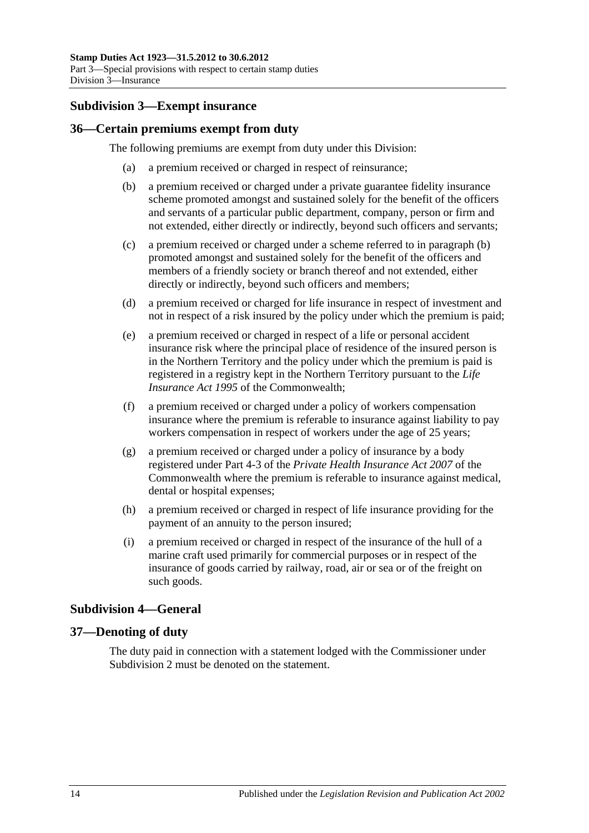# <span id="page-31-0"></span>**Subdivision 3—Exempt insurance**

#### <span id="page-31-1"></span>**36—Certain premiums exempt from duty**

<span id="page-31-4"></span>The following premiums are exempt from duty under this Division:

- (a) a premium received or charged in respect of reinsurance;
- (b) a premium received or charged under a private guarantee fidelity insurance scheme promoted amongst and sustained solely for the benefit of the officers and servants of a particular public department, company, person or firm and not extended, either directly or indirectly, beyond such officers and servants;
- (c) a premium received or charged under a scheme referred to in [paragraph](#page-31-4) (b) promoted amongst and sustained solely for the benefit of the officers and members of a friendly society or branch thereof and not extended, either directly or indirectly, beyond such officers and members;
- (d) a premium received or charged for life insurance in respect of investment and not in respect of a risk insured by the policy under which the premium is paid;
- (e) a premium received or charged in respect of a life or personal accident insurance risk where the principal place of residence of the insured person is in the Northern Territory and the policy under which the premium is paid is registered in a registry kept in the Northern Territory pursuant to the *Life Insurance Act 1995* of the Commonwealth;
- (f) a premium received or charged under a policy of workers compensation insurance where the premium is referable to insurance against liability to pay workers compensation in respect of workers under the age of 25 years;
- (g) a premium received or charged under a policy of insurance by a body registered under Part 4-3 of the *Private Health Insurance Act 2007* of the Commonwealth where the premium is referable to insurance against medical, dental or hospital expenses;
- (h) a premium received or charged in respect of life insurance providing for the payment of an annuity to the person insured;
- (i) a premium received or charged in respect of the insurance of the hull of a marine craft used primarily for commercial purposes or in respect of the insurance of goods carried by railway, road, air or sea or of the freight on such goods.

# <span id="page-31-2"></span>**Subdivision 4—General**

## <span id="page-31-3"></span>**37—Denoting of duty**

The duty paid in connection with a statement lodged with the Commissioner under [Subdivision](#page-28-0) 2 must be denoted on the statement.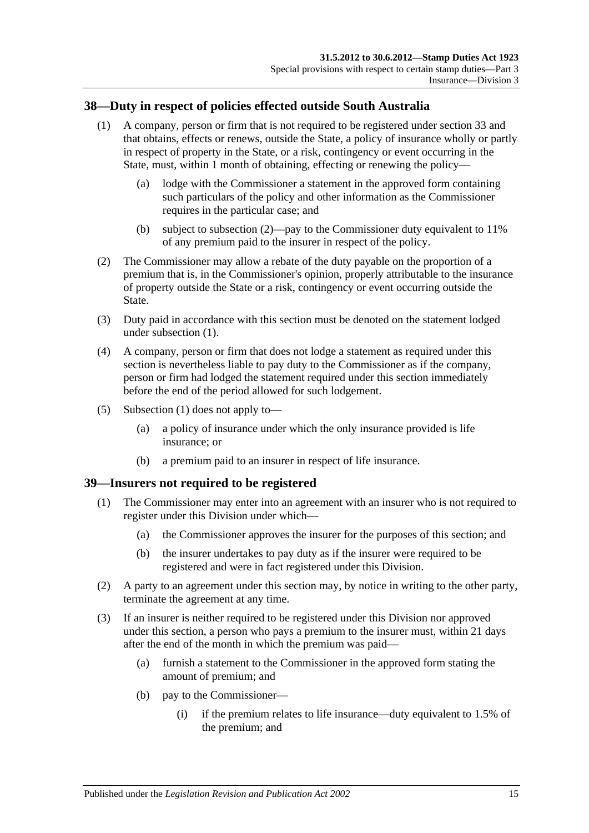# <span id="page-32-3"></span><span id="page-32-0"></span>**38—Duty in respect of policies effected outside South Australia**

- (1) A company, person or firm that is not required to be registered under [section](#page-28-1) 33 and that obtains, effects or renews, outside the State, a policy of insurance wholly or partly in respect of property in the State, or a risk, contingency or event occurring in the State, must, within 1 month of obtaining, effecting or renewing the policy—
	- (a) lodge with the Commissioner a statement in the approved form containing such particulars of the policy and other information as the Commissioner requires in the particular case; and
	- (b) subject to [subsection](#page-32-2) (2)—pay to the Commissioner duty equivalent to 11% of any premium paid to the insurer in respect of the policy.
- <span id="page-32-2"></span>(2) The Commissioner may allow a rebate of the duty payable on the proportion of a premium that is, in the Commissioner's opinion, properly attributable to the insurance of property outside the State or a risk, contingency or event occurring outside the State.
- (3) Duty paid in accordance with this section must be denoted on the statement lodged under [subsection](#page-32-3) (1).
- (4) A company, person or firm that does not lodge a statement as required under this section is nevertheless liable to pay duty to the Commissioner as if the company, person or firm had lodged the statement required under this section immediately before the end of the period allowed for such lodgement.
- (5) [Subsection](#page-32-3) (1) does not apply to—
	- (a) a policy of insurance under which the only insurance provided is life insurance; or
	- (b) a premium paid to an insurer in respect of life insurance.

#### <span id="page-32-1"></span>**39—Insurers not required to be registered**

- (1) The Commissioner may enter into an agreement with an insurer who is not required to register under this Division under which—
	- (a) the Commissioner approves the insurer for the purposes of this section; and
	- (b) the insurer undertakes to pay duty as if the insurer were required to be registered and were in fact registered under this Division.
- (2) A party to an agreement under this section may, by notice in writing to the other party, terminate the agreement at any time.
- (3) If an insurer is neither required to be registered under this Division nor approved under this section, a person who pays a premium to the insurer must, within 21 days after the end of the month in which the premium was paid—
	- (a) furnish a statement to the Commissioner in the approved form stating the amount of premium; and
	- (b) pay to the Commissioner—
		- (i) if the premium relates to life insurance—duty equivalent to 1.5% of the premium; and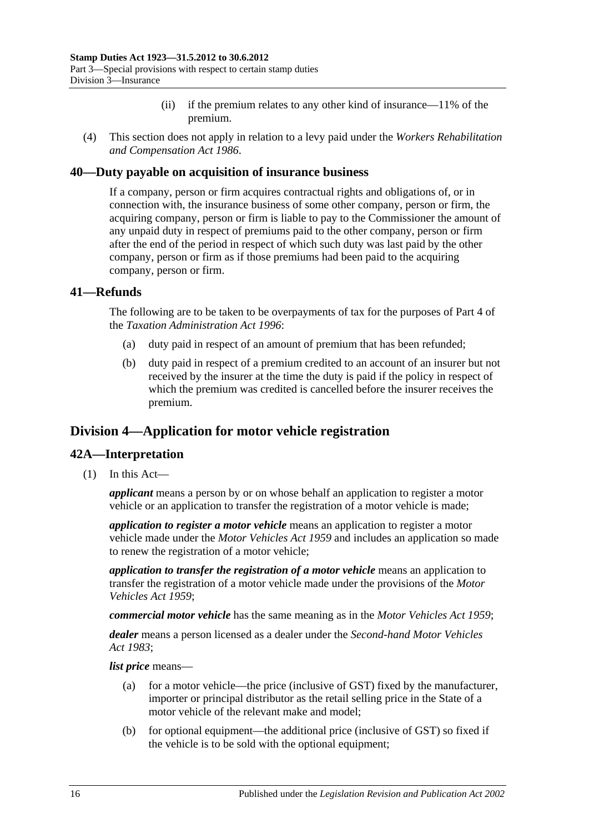- (ii) if the premium relates to any other kind of insurance—11% of the premium.
- (4) This section does not apply in relation to a levy paid under the *[Workers Rehabilitation](http://www.legislation.sa.gov.au/index.aspx?action=legref&type=act&legtitle=Workers%20Rehabilitation%20and%20Compensation%20Act%201986)  [and Compensation Act](http://www.legislation.sa.gov.au/index.aspx?action=legref&type=act&legtitle=Workers%20Rehabilitation%20and%20Compensation%20Act%201986) 1986*.

#### <span id="page-33-0"></span>**40—Duty payable on acquisition of insurance business**

If a company, person or firm acquires contractual rights and obligations of, or in connection with, the insurance business of some other company, person or firm, the acquiring company, person or firm is liable to pay to the Commissioner the amount of any unpaid duty in respect of premiums paid to the other company, person or firm after the end of the period in respect of which such duty was last paid by the other company, person or firm as if those premiums had been paid to the acquiring company, person or firm.

## <span id="page-33-1"></span>**41—Refunds**

The following are to be taken to be overpayments of tax for the purposes of Part 4 of the *[Taxation Administration Act](http://www.legislation.sa.gov.au/index.aspx?action=legref&type=act&legtitle=Taxation%20Administration%20Act%201996) 1996*:

- (a) duty paid in respect of an amount of premium that has been refunded;
- (b) duty paid in respect of a premium credited to an account of an insurer but not received by the insurer at the time the duty is paid if the policy in respect of which the premium was credited is cancelled before the insurer receives the premium.

# <span id="page-33-2"></span>**Division 4—Application for motor vehicle registration**

## <span id="page-33-3"></span>**42A—Interpretation**

(1) In this Act—

*applicant* means a person by or on whose behalf an application to register a motor vehicle or an application to transfer the registration of a motor vehicle is made;

*application to register a motor vehicle* means an application to register a motor vehicle made under the *[Motor Vehicles Act](http://www.legislation.sa.gov.au/index.aspx?action=legref&type=act&legtitle=Motor%20Vehicles%20Act%201959) 1959* and includes an application so made to renew the registration of a motor vehicle;

*application to transfer the registration of a motor vehicle* means an application to transfer the registration of a motor vehicle made under the provisions of the *[Motor](http://www.legislation.sa.gov.au/index.aspx?action=legref&type=act&legtitle=Motor%20Vehicles%20Act%201959)  [Vehicles Act](http://www.legislation.sa.gov.au/index.aspx?action=legref&type=act&legtitle=Motor%20Vehicles%20Act%201959) 1959*;

*commercial motor vehicle* has the same meaning as in the *[Motor Vehicles Act](http://www.legislation.sa.gov.au/index.aspx?action=legref&type=act&legtitle=Motor%20Vehicles%20Act%201959) 1959*;

*dealer* means a person licensed as a dealer under the *[Second-hand Motor Vehicles](http://www.legislation.sa.gov.au/index.aspx?action=legref&type=act&legtitle=Second-hand%20Motor%20Vehicles%20Act%201983)  Act [1983](http://www.legislation.sa.gov.au/index.aspx?action=legref&type=act&legtitle=Second-hand%20Motor%20Vehicles%20Act%201983)*;

*list price* means—

- (a) for a motor vehicle—the price (inclusive of GST) fixed by the manufacturer, importer or principal distributor as the retail selling price in the State of a motor vehicle of the relevant make and model;
- (b) for optional equipment—the additional price (inclusive of GST) so fixed if the vehicle is to be sold with the optional equipment;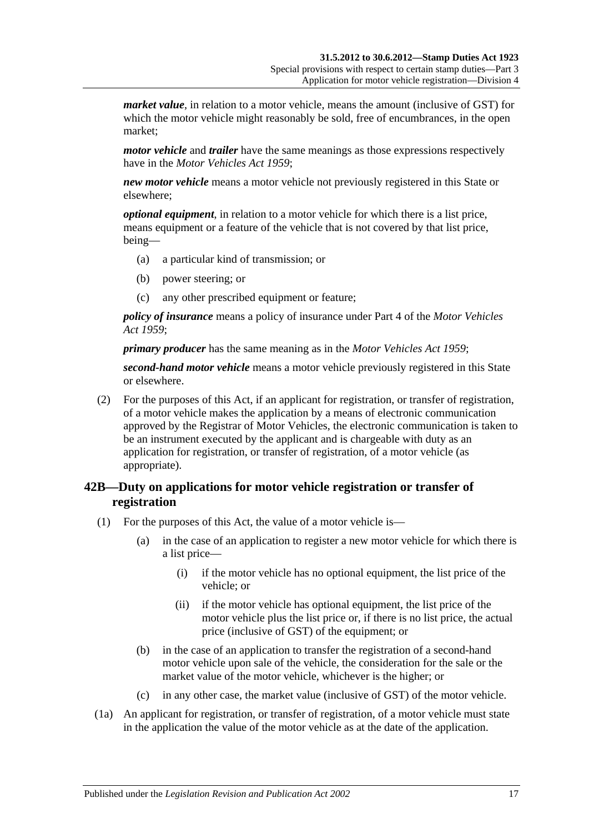*market value*, in relation to a motor vehicle, means the amount (inclusive of GST) for which the motor vehicle might reasonably be sold, free of encumbrances, in the open market;

*motor vehicle* and *trailer* have the same meanings as those expressions respectively have in the *[Motor Vehicles Act](http://www.legislation.sa.gov.au/index.aspx?action=legref&type=act&legtitle=Motor%20Vehicles%20Act%201959) 1959*;

*new motor vehicle* means a motor vehicle not previously registered in this State or elsewhere;

*optional equipment*, in relation to a motor vehicle for which there is a list price, means equipment or a feature of the vehicle that is not covered by that list price, being—

- (a) a particular kind of transmission; or
- (b) power steering; or
- (c) any other prescribed equipment or feature;

*policy of insurance* means a policy of insurance under Part 4 of the *[Motor Vehicles](http://www.legislation.sa.gov.au/index.aspx?action=legref&type=act&legtitle=Motor%20Vehicles%20Act%201959)  Act [1959](http://www.legislation.sa.gov.au/index.aspx?action=legref&type=act&legtitle=Motor%20Vehicles%20Act%201959)*;

*primary producer* has the same meaning as in the *[Motor Vehicles Act](http://www.legislation.sa.gov.au/index.aspx?action=legref&type=act&legtitle=Motor%20Vehicles%20Act%201959) 1959*;

*second-hand motor vehicle* means a motor vehicle previously registered in this State or elsewhere.

(2) For the purposes of this Act, if an applicant for registration, or transfer of registration, of a motor vehicle makes the application by a means of electronic communication approved by the Registrar of Motor Vehicles, the electronic communication is taken to be an instrument executed by the applicant and is chargeable with duty as an application for registration, or transfer of registration, of a motor vehicle (as appropriate).

# <span id="page-34-0"></span>**42B—Duty on applications for motor vehicle registration or transfer of registration**

- (1) For the purposes of this Act, the value of a motor vehicle is—
	- (a) in the case of an application to register a new motor vehicle for which there is a list price—
		- (i) if the motor vehicle has no optional equipment, the list price of the vehicle; or
		- (ii) if the motor vehicle has optional equipment, the list price of the motor vehicle plus the list price or, if there is no list price, the actual price (inclusive of GST) of the equipment; or
	- (b) in the case of an application to transfer the registration of a second-hand motor vehicle upon sale of the vehicle, the consideration for the sale or the market value of the motor vehicle, whichever is the higher; or
	- (c) in any other case, the market value (inclusive of GST) of the motor vehicle.
- (1a) An applicant for registration, or transfer of registration, of a motor vehicle must state in the application the value of the motor vehicle as at the date of the application.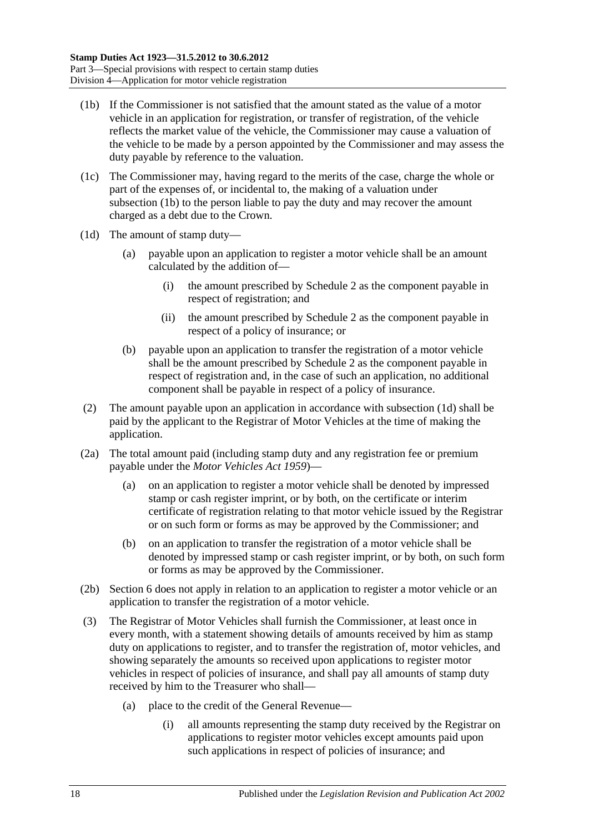- <span id="page-35-0"></span>(1b) If the Commissioner is not satisfied that the amount stated as the value of a motor vehicle in an application for registration, or transfer of registration, of the vehicle reflects the market value of the vehicle, the Commissioner may cause a valuation of the vehicle to be made by a person appointed by the Commissioner and may assess the duty payable by reference to the valuation.
- (1c) The Commissioner may, having regard to the merits of the case, charge the whole or part of the expenses of, or incidental to, the making of a valuation under [subsection](#page-35-0) (1b) to the person liable to pay the duty and may recover the amount charged as a debt due to the Crown.
- <span id="page-35-1"></span>(1d) The amount of stamp duty—
	- (a) payable upon an application to register a motor vehicle shall be an amount calculated by the addition of—
		- (i) the amount prescribed by [Schedule 2](#page-106-3) as the component payable in respect of registration; and
		- (ii) the amount prescribed by [Schedule 2](#page-106-3) as the component payable in respect of a policy of insurance; or
	- (b) payable upon an application to transfer the registration of a motor vehicle shall be the amount prescribed by [Schedule 2](#page-106-3) as the component payable in respect of registration and, in the case of such an application, no additional component shall be payable in respect of a policy of insurance.
- (2) The amount payable upon an application in accordance with [subsection](#page-35-1) (1d) shall be paid by the applicant to the Registrar of Motor Vehicles at the time of making the application.
- (2a) The total amount paid (including stamp duty and any registration fee or premium payable under the *[Motor Vehicles Act](http://www.legislation.sa.gov.au/index.aspx?action=legref&type=act&legtitle=Motor%20Vehicles%20Act%201959) 1959*)—
	- (a) on an application to register a motor vehicle shall be denoted by impressed stamp or cash register imprint, or by both, on the certificate or interim certificate of registration relating to that motor vehicle issued by the Registrar or on such form or forms as may be approved by the Commissioner; and
	- (b) on an application to transfer the registration of a motor vehicle shall be denoted by impressed stamp or cash register imprint, or by both, on such form or forms as may be approved by the Commissioner.
- (2b) Section 6 does not apply in relation to an application to register a motor vehicle or an application to transfer the registration of a motor vehicle.
- (3) The Registrar of Motor Vehicles shall furnish the Commissioner, at least once in every month, with a statement showing details of amounts received by him as stamp duty on applications to register, and to transfer the registration of, motor vehicles, and showing separately the amounts so received upon applications to register motor vehicles in respect of policies of insurance, and shall pay all amounts of stamp duty received by him to the Treasurer who shall—
	- (a) place to the credit of the General Revenue—
		- (i) all amounts representing the stamp duty received by the Registrar on applications to register motor vehicles except amounts paid upon such applications in respect of policies of insurance; and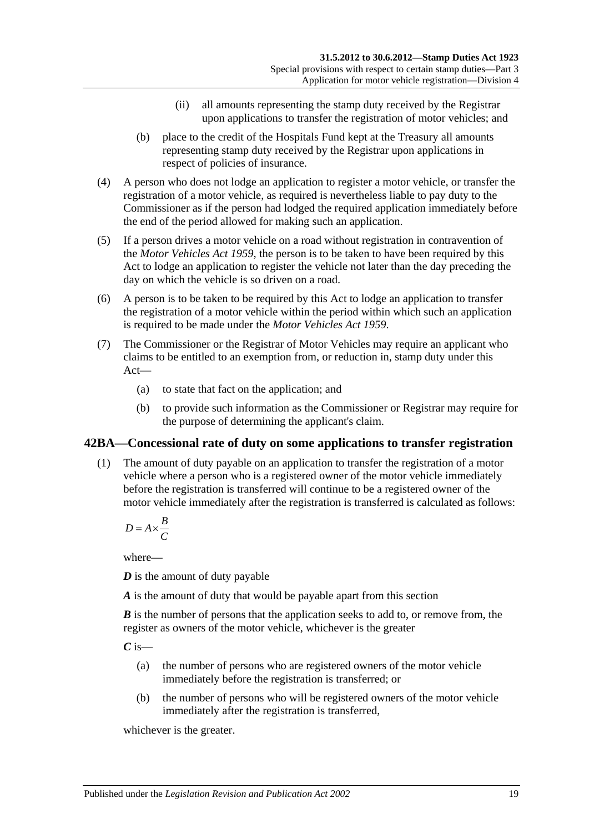- (ii) all amounts representing the stamp duty received by the Registrar upon applications to transfer the registration of motor vehicles; and
- (b) place to the credit of the Hospitals Fund kept at the Treasury all amounts representing stamp duty received by the Registrar upon applications in respect of policies of insurance.
- (4) A person who does not lodge an application to register a motor vehicle, or transfer the registration of a motor vehicle, as required is nevertheless liable to pay duty to the Commissioner as if the person had lodged the required application immediately before the end of the period allowed for making such an application.
- (5) If a person drives a motor vehicle on a road without registration in contravention of the *[Motor Vehicles Act](http://www.legislation.sa.gov.au/index.aspx?action=legref&type=act&legtitle=Motor%20Vehicles%20Act%201959) 1959*, the person is to be taken to have been required by this Act to lodge an application to register the vehicle not later than the day preceding the day on which the vehicle is so driven on a road.
- (6) A person is to be taken to be required by this Act to lodge an application to transfer the registration of a motor vehicle within the period within which such an application is required to be made under the *[Motor Vehicles Act](http://www.legislation.sa.gov.au/index.aspx?action=legref&type=act&legtitle=Motor%20Vehicles%20Act%201959) 1959*.
- (7) The Commissioner or the Registrar of Motor Vehicles may require an applicant who claims to be entitled to an exemption from, or reduction in, stamp duty under this Act—
	- (a) to state that fact on the application; and
	- (b) to provide such information as the Commissioner or Registrar may require for the purpose of determining the applicant's claim.

### <span id="page-36-0"></span>**42BA—Concessional rate of duty on some applications to transfer registration**

(1) The amount of duty payable on an application to transfer the registration of a motor vehicle where a person who is a registered owner of the motor vehicle immediately before the registration is transferred will continue to be a registered owner of the motor vehicle immediately after the registration is transferred is calculated as follows:

$$
D = A \times \frac{B}{C}
$$

where—

*D* is the amount of duty payable

*A* is the amount of duty that would be payable apart from this section

*B* is the number of persons that the application seeks to add to, or remove from, the register as owners of the motor vehicle, whichever is the greater

*C* is—

- (a) the number of persons who are registered owners of the motor vehicle immediately before the registration is transferred; or
- (b) the number of persons who will be registered owners of the motor vehicle immediately after the registration is transferred,

whichever is the greater.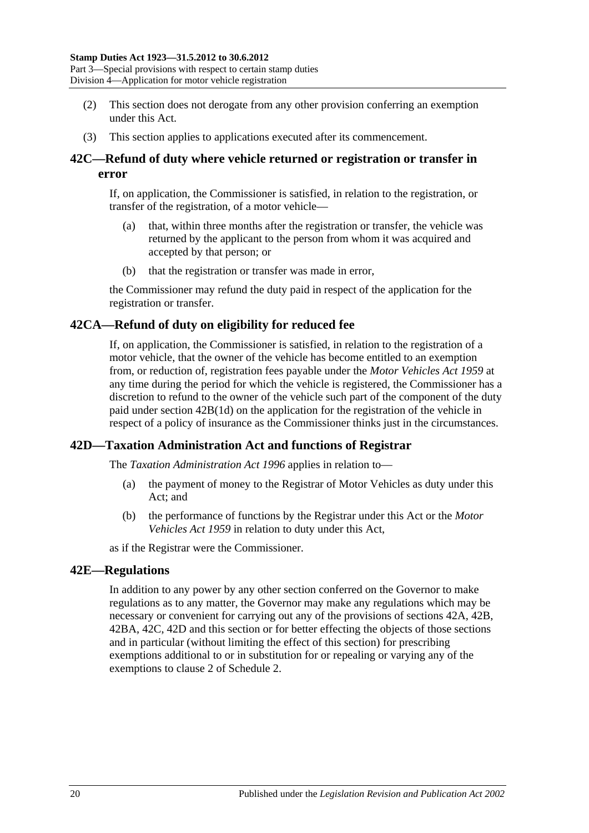- (2) This section does not derogate from any other provision conferring an exemption under this Act.
- (3) This section applies to applications executed after its commencement.

### <span id="page-37-0"></span>**42C—Refund of duty where vehicle returned or registration or transfer in error**

If, on application, the Commissioner is satisfied, in relation to the registration, or transfer of the registration, of a motor vehicle—

- (a) that, within three months after the registration or transfer, the vehicle was returned by the applicant to the person from whom it was acquired and accepted by that person; or
- (b) that the registration or transfer was made in error,

the Commissioner may refund the duty paid in respect of the application for the registration or transfer.

### **42CA—Refund of duty on eligibility for reduced fee**

If, on application, the Commissioner is satisfied, in relation to the registration of a motor vehicle, that the owner of the vehicle has become entitled to an exemption from, or reduction of, registration fees payable under the *[Motor Vehicles Act](http://www.legislation.sa.gov.au/index.aspx?action=legref&type=act&legtitle=Motor%20Vehicles%20Act%201959) 1959* at any time during the period for which the vehicle is registered, the Commissioner has a discretion to refund to the owner of the vehicle such part of the component of the duty paid under section [42B\(1d\)](#page-35-0) on the application for the registration of the vehicle in respect of a policy of insurance as the Commissioner thinks just in the circumstances.

### <span id="page-37-1"></span>**42D—Taxation Administration Act and functions of Registrar**

The *[Taxation Administration Act](http://www.legislation.sa.gov.au/index.aspx?action=legref&type=act&legtitle=Taxation%20Administration%20Act%201996) 1996* applies in relation to—

- (a) the payment of money to the Registrar of Motor Vehicles as duty under this Act; and
- (b) the performance of functions by the Registrar under this Act or the *[Motor](http://www.legislation.sa.gov.au/index.aspx?action=legref&type=act&legtitle=Motor%20Vehicles%20Act%201959)  [Vehicles Act](http://www.legislation.sa.gov.au/index.aspx?action=legref&type=act&legtitle=Motor%20Vehicles%20Act%201959) 1959* in relation to duty under this Act,

as if the Registrar were the Commissioner.

#### **42E—Regulations**

In addition to any power by any other section conferred on the Governor to make regulations as to any matter, the Governor may make any regulations which may be necessary or convenient for carrying out any of the provisions of [sections](#page-33-0) 42A, [42B,](#page-34-0) [42BA,](#page-36-0) [42C,](#page-37-0) [42D](#page-37-1) and this section or for better effecting the objects of those sections and in particular (without limiting the effect of this section) for prescribing exemptions additional to or in substitution for or repealing or varying any of the exemptions to clause 2 of [Schedule 2.](#page-106-0)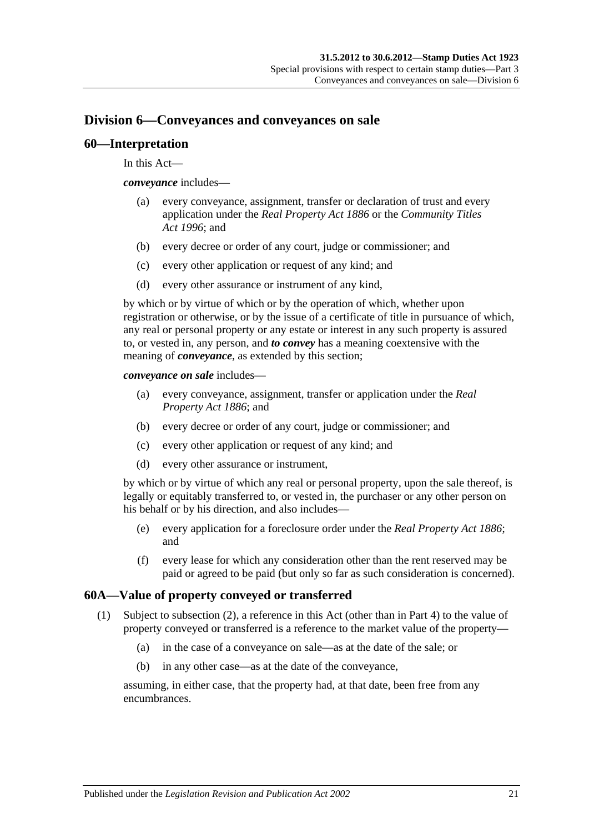# **Division 6—Conveyances and conveyances on sale**

#### **60—Interpretation**

In this Act—

*conveyance* includes—

- (a) every conveyance, assignment, transfer or declaration of trust and every application under the *[Real Property Act](http://www.legislation.sa.gov.au/index.aspx?action=legref&type=act&legtitle=Real%20Property%20Act%201886) 1886* or the *[Community Titles](http://www.legislation.sa.gov.au/index.aspx?action=legref&type=act&legtitle=Community%20Titles%20Act%201996)  Act [1996](http://www.legislation.sa.gov.au/index.aspx?action=legref&type=act&legtitle=Community%20Titles%20Act%201996)*; and
- (b) every decree or order of any court, judge or commissioner; and
- (c) every other application or request of any kind; and
- (d) every other assurance or instrument of any kind,

by which or by virtue of which or by the operation of which, whether upon registration or otherwise, or by the issue of a certificate of title in pursuance of which, any real or personal property or any estate or interest in any such property is assured to, or vested in, any person, and *to convey* has a meaning coextensive with the meaning of *conveyance*, as extended by this section;

*conveyance on sale* includes—

- (a) every conveyance, assignment, transfer or application under the *[Real](http://www.legislation.sa.gov.au/index.aspx?action=legref&type=act&legtitle=Real%20Property%20Act%201886)  [Property Act](http://www.legislation.sa.gov.au/index.aspx?action=legref&type=act&legtitle=Real%20Property%20Act%201886) 1886*; and
- (b) every decree or order of any court, judge or commissioner; and
- (c) every other application or request of any kind; and
- (d) every other assurance or instrument,

by which or by virtue of which any real or personal property, upon the sale thereof, is legally or equitably transferred to, or vested in, the purchaser or any other person on his behalf or by his direction, and also includes—

- (e) every application for a foreclosure order under the *[Real Property Act](http://www.legislation.sa.gov.au/index.aspx?action=legref&type=act&legtitle=Real%20Property%20Act%201886) 1886*; and
- (f) every lease for which any consideration other than the rent reserved may be paid or agreed to be paid (but only so far as such consideration is concerned).

### <span id="page-38-1"></span><span id="page-38-0"></span>**60A—Value of property conveyed or transferred**

- (1) Subject to [subsection](#page-39-0) (2), a reference in this Act (other than in Part 4) to the value of property conveyed or transferred is a reference to the market value of the property—
	- (a) in the case of a conveyance on sale—as at the date of the sale; or
	- (b) in any other case—as at the date of the conveyance,

assuming, in either case, that the property had, at that date, been free from any encumbrances.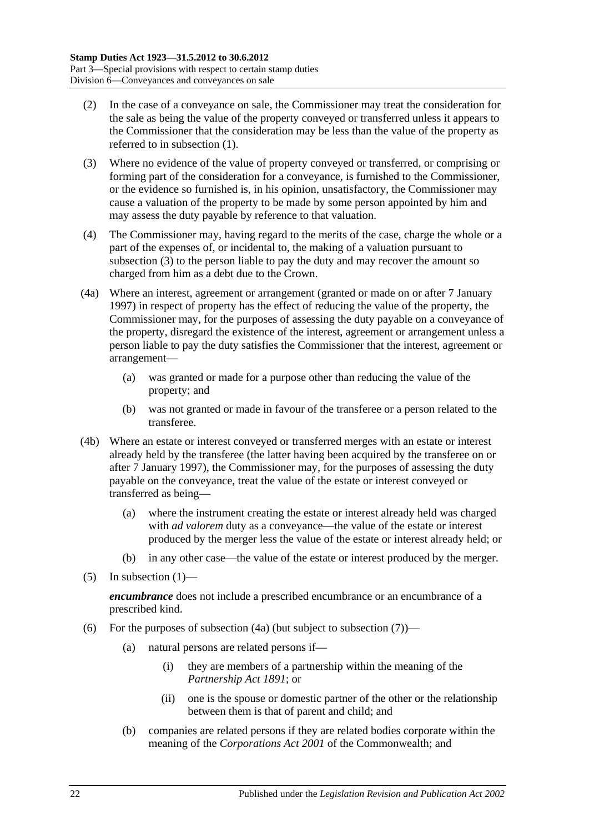- <span id="page-39-0"></span>(2) In the case of a conveyance on sale, the Commissioner may treat the consideration for the sale as being the value of the property conveyed or transferred unless it appears to the Commissioner that the consideration may be less than the value of the property as referred to in [subsection](#page-38-0) (1).
- <span id="page-39-1"></span>(3) Where no evidence of the value of property conveyed or transferred, or comprising or forming part of the consideration for a conveyance, is furnished to the Commissioner, or the evidence so furnished is, in his opinion, unsatisfactory, the Commissioner may cause a valuation of the property to be made by some person appointed by him and may assess the duty payable by reference to that valuation.
- (4) The Commissioner may, having regard to the merits of the case, charge the whole or a part of the expenses of, or incidental to, the making of a valuation pursuant to [subsection](#page-39-1) (3) to the person liable to pay the duty and may recover the amount so charged from him as a debt due to the Crown.
- <span id="page-39-2"></span>(4a) Where an interest, agreement or arrangement (granted or made on or after 7 January 1997) in respect of property has the effect of reducing the value of the property, the Commissioner may, for the purposes of assessing the duty payable on a conveyance of the property, disregard the existence of the interest, agreement or arrangement unless a person liable to pay the duty satisfies the Commissioner that the interest, agreement or arrangement—
	- (a) was granted or made for a purpose other than reducing the value of the property; and
	- (b) was not granted or made in favour of the transferee or a person related to the transferee.
- (4b) Where an estate or interest conveyed or transferred merges with an estate or interest already held by the transferee (the latter having been acquired by the transferee on or after 7 January 1997), the Commissioner may, for the purposes of assessing the duty payable on the conveyance, treat the value of the estate or interest conveyed or transferred as being—
	- (a) where the instrument creating the estate or interest already held was charged with *ad valorem* duty as a conveyance—the value of the estate or interest produced by the merger less the value of the estate or interest already held; or
	- (b) in any other case—the value of the estate or interest produced by the merger.
- (5) In [subsection](#page-38-0)  $(1)$ —

*encumbrance* does not include a prescribed encumbrance or an encumbrance of a prescribed kind.

- <span id="page-39-3"></span>(6) For the purposes of [subsection](#page-40-0)  $(4a)$  (but subject to subsection  $(7)$ )—
	- (a) natural persons are related persons if—
		- (i) they are members of a partnership within the meaning of the *[Partnership Act](http://www.legislation.sa.gov.au/index.aspx?action=legref&type=act&legtitle=Partnership%20Act%201891) 1891*; or
		- (ii) one is the spouse or domestic partner of the other or the relationship between them is that of parent and child; and
	- (b) companies are related persons if they are related bodies corporate within the meaning of the *Corporations Act 2001* of the Commonwealth; and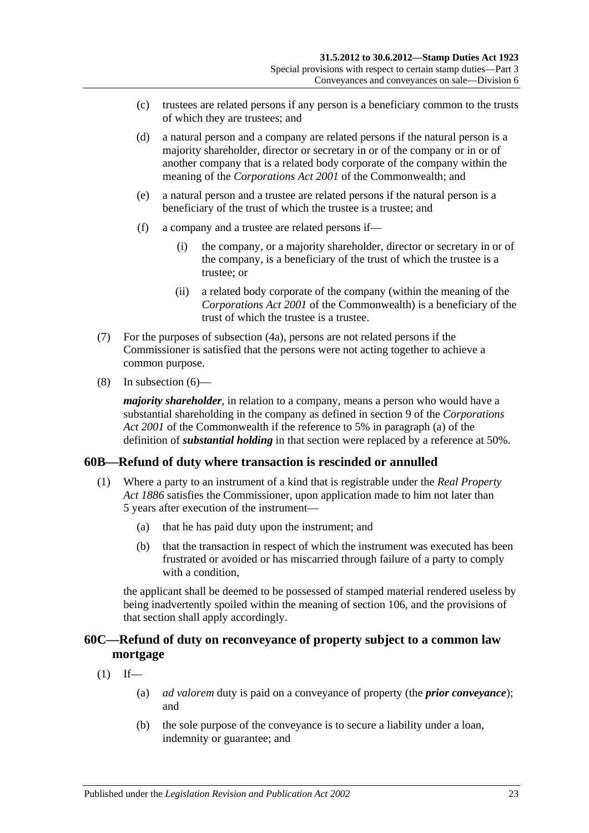- (c) trustees are related persons if any person is a beneficiary common to the trusts of which they are trustees; and
- (d) a natural person and a company are related persons if the natural person is a majority shareholder, director or secretary in or of the company or in or of another company that is a related body corporate of the company within the meaning of the *Corporations Act 2001* of the Commonwealth; and
- (e) a natural person and a trustee are related persons if the natural person is a beneficiary of the trust of which the trustee is a trustee; and
- (f) a company and a trustee are related persons if—
	- (i) the company, or a majority shareholder, director or secretary in or of the company, is a beneficiary of the trust of which the trustee is a trustee; or
	- (ii) a related body corporate of the company (within the meaning of the *Corporations Act 2001* of the Commonwealth) is a beneficiary of the trust of which the trustee is a trustee.
- <span id="page-40-0"></span>(7) For the purposes of [subsection](#page-39-2) (4a), persons are not related persons if the Commissioner is satisfied that the persons were not acting together to achieve a common purpose.
- (8) In [subsection](#page-39-3) (6)—

*majority shareholder*, in relation to a company, means a person who would have a substantial shareholding in the company as defined in section 9 of the *Corporations Act 2001* of the Commonwealth if the reference to 5% in paragraph (a) of the definition of *substantial holding* in that section were replaced by a reference at 50%.

### **60B—Refund of duty where transaction is rescinded or annulled**

- (1) Where a party to an instrument of a kind that is registrable under the *[Real Property](http://www.legislation.sa.gov.au/index.aspx?action=legref&type=act&legtitle=Real%20Property%20Act%201886)  Act [1886](http://www.legislation.sa.gov.au/index.aspx?action=legref&type=act&legtitle=Real%20Property%20Act%201886)* satisfies the Commissioner, upon application made to him not later than 5 years after execution of the instrument—
	- (a) that he has paid duty upon the instrument; and
	- (b) that the transaction in respect of which the instrument was executed has been frustrated or avoided or has miscarried through failure of a party to comply with a condition.

the applicant shall be deemed to be possessed of stamped material rendered useless by being inadvertently spoiled within the meaning of [section](#page-102-0) 106, and the provisions of that section shall apply accordingly.

## **60C—Refund of duty on reconveyance of property subject to a common law mortgage**

- $(1)$  If—
	- (a) *ad valorem* duty is paid on a conveyance of property (the *prior conveyance*); and
	- (b) the sole purpose of the conveyance is to secure a liability under a loan, indemnity or guarantee; and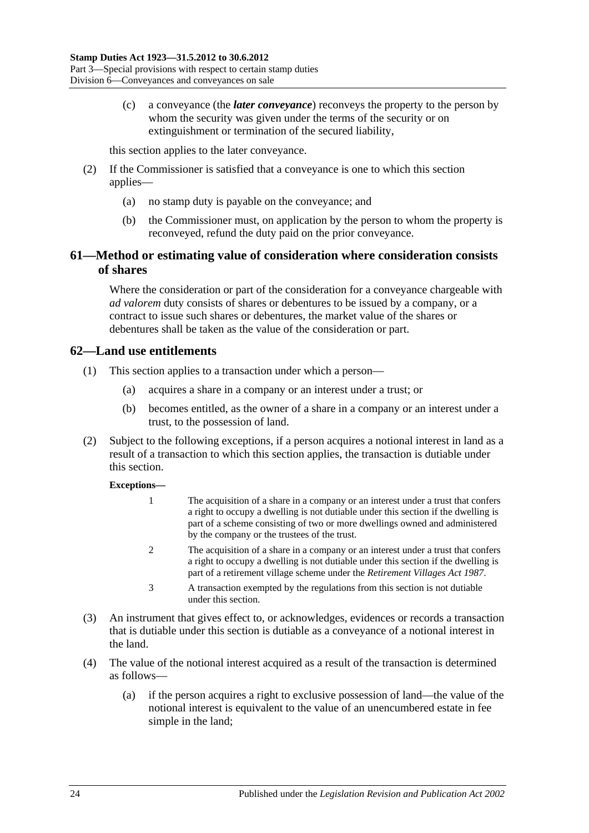(c) a conveyance (the *later conveyance*) reconveys the property to the person by whom the security was given under the terms of the security or on extinguishment or termination of the secured liability,

this section applies to the later conveyance.

- (2) If the Commissioner is satisfied that a conveyance is one to which this section applies—
	- (a) no stamp duty is payable on the conveyance; and
	- (b) the Commissioner must, on application by the person to whom the property is reconveyed, refund the duty paid on the prior conveyance.

# **61—Method or estimating value of consideration where consideration consists of shares**

Where the consideration or part of the consideration for a conveyance chargeable with *ad valorem* duty consists of shares or debentures to be issued by a company, or a contract to issue such shares or debentures, the market value of the shares or debentures shall be taken as the value of the consideration or part.

## **62—Land use entitlements**

- (1) This section applies to a transaction under which a person—
	- (a) acquires a share in a company or an interest under a trust; or
	- (b) becomes entitled, as the owner of a share in a company or an interest under a trust, to the possession of land.
- (2) Subject to the following exceptions, if a person acquires a notional interest in land as a result of a transaction to which this section applies, the transaction is dutiable under this section.

#### **Exceptions—**

- 1 The acquisition of a share in a company or an interest under a trust that confers a right to occupy a dwelling is not dutiable under this section if the dwelling is part of a scheme consisting of two or more dwellings owned and administered by the company or the trustees of the trust.
- 2 The acquisition of a share in a company or an interest under a trust that confers a right to occupy a dwelling is not dutiable under this section if the dwelling is part of a retirement village scheme under the *[Retirement Villages Act](http://www.legislation.sa.gov.au/index.aspx?action=legref&type=act&legtitle=Retirement%20Villages%20Act%201987) 1987*.
- 3 A transaction exempted by the regulations from this section is not dutiable under this section.
- (3) An instrument that gives effect to, or acknowledges, evidences or records a transaction that is dutiable under this section is dutiable as a conveyance of a notional interest in the land.
- (4) The value of the notional interest acquired as a result of the transaction is determined as follows—
	- (a) if the person acquires a right to exclusive possession of land—the value of the notional interest is equivalent to the value of an unencumbered estate in fee simple in the land;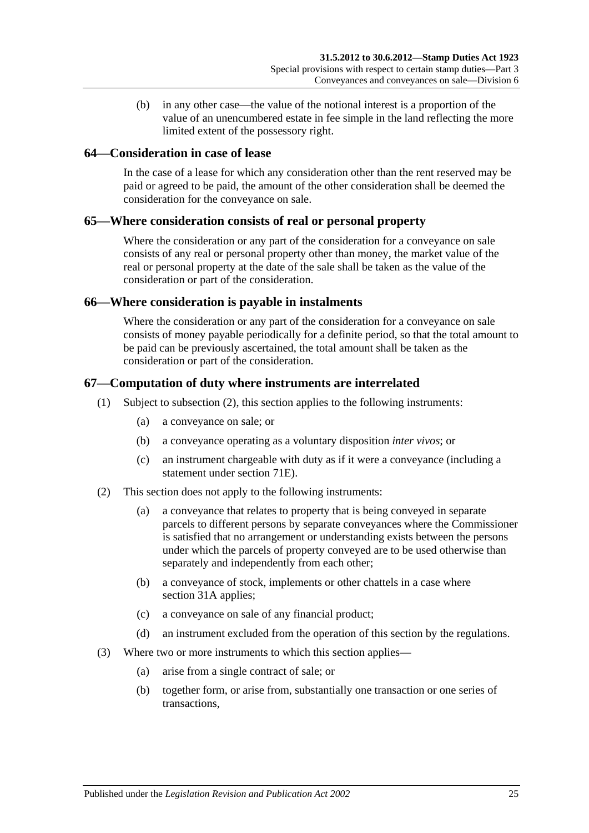(b) in any other case—the value of the notional interest is a proportion of the value of an unencumbered estate in fee simple in the land reflecting the more limited extent of the possessory right.

#### **64—Consideration in case of lease**

In the case of a lease for which any consideration other than the rent reserved may be paid or agreed to be paid, the amount of the other consideration shall be deemed the consideration for the conveyance on sale.

#### **65—Where consideration consists of real or personal property**

Where the consideration or any part of the consideration for a conveyance on sale consists of any real or personal property other than money, the market value of the real or personal property at the date of the sale shall be taken as the value of the consideration or part of the consideration.

#### **66—Where consideration is payable in instalments**

Where the consideration or any part of the consideration for a conveyance on sale consists of money payable periodically for a definite period, so that the total amount to be paid can be previously ascertained, the total amount shall be taken as the consideration or part of the consideration.

#### **67—Computation of duty where instruments are interrelated**

- (1) Subject to [subsection](#page-42-0) (2), this section applies to the following instruments:
	- (a) a conveyance on sale; or
	- (b) a conveyance operating as a voluntary disposition *inter vivos*; or
	- (c) an instrument chargeable with duty as if it were a conveyance (including a statement under [section](#page-72-0) 71E).
- <span id="page-42-0"></span>(2) This section does not apply to the following instruments:
	- (a) a conveyance that relates to property that is being conveyed in separate parcels to different persons by separate conveyances where the Commissioner is satisfied that no arrangement or understanding exists between the persons under which the parcels of property conveyed are to be used otherwise than separately and independently from each other;
	- (b) a conveyance of stock, implements or other chattels in a case where [section](#page-19-0) 31A applies;
	- (c) a conveyance on sale of any financial product;
	- (d) an instrument excluded from the operation of this section by the regulations.
- (3) Where two or more instruments to which this section applies—
	- (a) arise from a single contract of sale; or
	- (b) together form, or arise from, substantially one transaction or one series of transactions,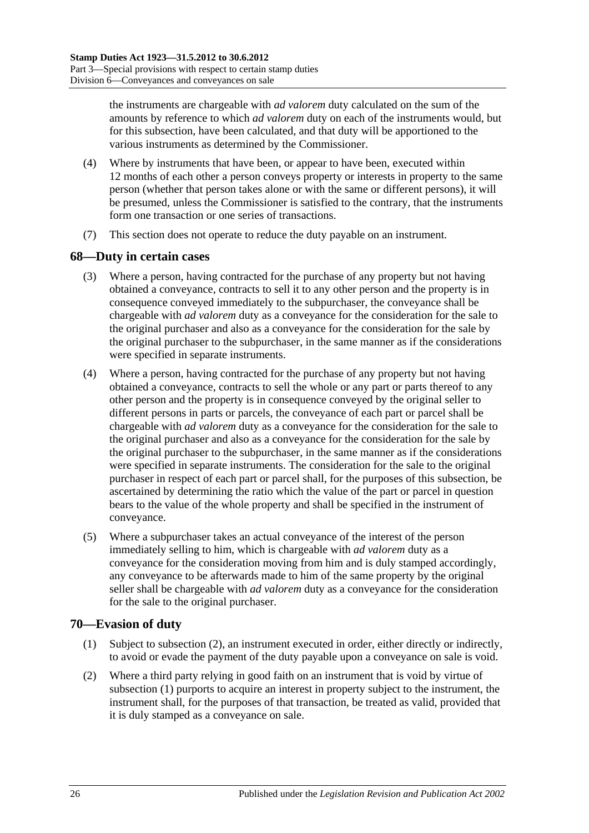the instruments are chargeable with *ad valorem* duty calculated on the sum of the amounts by reference to which *ad valorem* duty on each of the instruments would, but for this subsection, have been calculated, and that duty will be apportioned to the various instruments as determined by the Commissioner.

- (4) Where by instruments that have been, or appear to have been, executed within 12 months of each other a person conveys property or interests in property to the same person (whether that person takes alone or with the same or different persons), it will be presumed, unless the Commissioner is satisfied to the contrary, that the instruments form one transaction or one series of transactions.
- (7) This section does not operate to reduce the duty payable on an instrument.

### **68—Duty in certain cases**

- (3) Where a person, having contracted for the purchase of any property but not having obtained a conveyance, contracts to sell it to any other person and the property is in consequence conveyed immediately to the subpurchaser, the conveyance shall be chargeable with *ad valorem* duty as a conveyance for the consideration for the sale to the original purchaser and also as a conveyance for the consideration for the sale by the original purchaser to the subpurchaser, in the same manner as if the considerations were specified in separate instruments.
- (4) Where a person, having contracted for the purchase of any property but not having obtained a conveyance, contracts to sell the whole or any part or parts thereof to any other person and the property is in consequence conveyed by the original seller to different persons in parts or parcels, the conveyance of each part or parcel shall be chargeable with *ad valorem* duty as a conveyance for the consideration for the sale to the original purchaser and also as a conveyance for the consideration for the sale by the original purchaser to the subpurchaser, in the same manner as if the considerations were specified in separate instruments. The consideration for the sale to the original purchaser in respect of each part or parcel shall, for the purposes of this subsection, be ascertained by determining the ratio which the value of the part or parcel in question bears to the value of the whole property and shall be specified in the instrument of conveyance.
- (5) Where a subpurchaser takes an actual conveyance of the interest of the person immediately selling to him, which is chargeable with *ad valorem* duty as a conveyance for the consideration moving from him and is duly stamped accordingly, any conveyance to be afterwards made to him of the same property by the original seller shall be chargeable with *ad valorem* duty as a conveyance for the consideration for the sale to the original purchaser.

### <span id="page-43-1"></span>**70—Evasion of duty**

- (1) Subject to [subsection](#page-43-0) (2), an instrument executed in order, either directly or indirectly, to avoid or evade the payment of the duty payable upon a conveyance on sale is void.
- <span id="page-43-0"></span>(2) Where a third party relying in good faith on an instrument that is void by virtue of [subsection](#page-43-1) (1) purports to acquire an interest in property subject to the instrument, the instrument shall, for the purposes of that transaction, be treated as valid, provided that it is duly stamped as a conveyance on sale.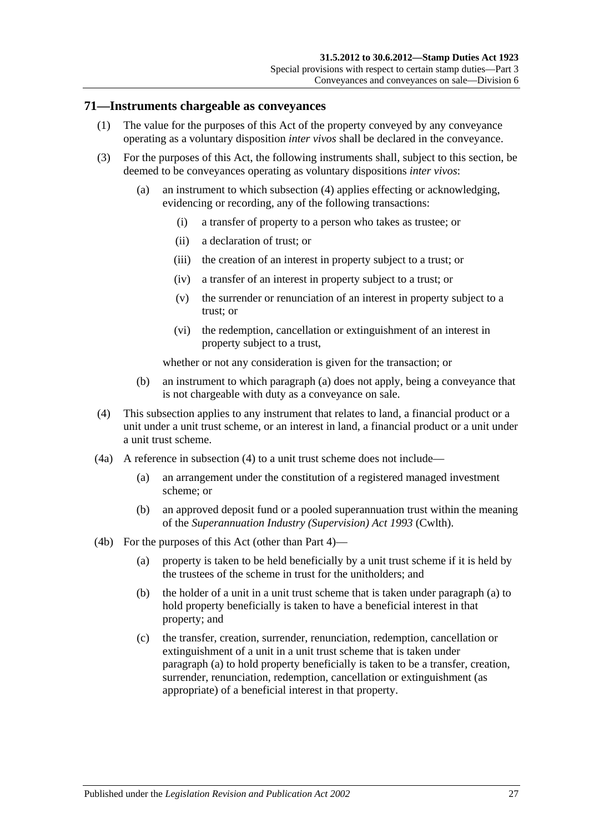#### **71—Instruments chargeable as conveyances**

- (1) The value for the purposes of this Act of the property conveyed by any conveyance operating as a voluntary disposition *inter vivos* shall be declared in the conveyance.
- <span id="page-44-1"></span>(3) For the purposes of this Act, the following instruments shall, subject to this section, be deemed to be conveyances operating as voluntary dispositions *inter vivos*:
	- (a) an instrument to which [subsection](#page-44-0) (4) applies effecting or acknowledging, evidencing or recording, any of the following transactions:
		- (i) a transfer of property to a person who takes as trustee; or
		- (ii) a declaration of trust; or
		- (iii) the creation of an interest in property subject to a trust; or
		- (iv) a transfer of an interest in property subject to a trust; or
		- (v) the surrender or renunciation of an interest in property subject to a trust; or
		- (vi) the redemption, cancellation or extinguishment of an interest in property subject to a trust,

whether or not any consideration is given for the transaction; or

- (b) an instrument to which [paragraph](#page-44-1) (a) does not apply, being a conveyance that is not chargeable with duty as a conveyance on sale.
- <span id="page-44-0"></span>(4) This subsection applies to any instrument that relates to land, a financial product or a unit under a unit trust scheme, or an interest in land, a financial product or a unit under a unit trust scheme.
- (4a) A reference in [subsection](#page-44-0) (4) to a unit trust scheme does not include—
	- (a) an arrangement under the constitution of a registered managed investment scheme; or
	- (b) an approved deposit fund or a pooled superannuation trust within the meaning of the *Superannuation Industry (Supervision) Act 1993* (Cwlth).
- <span id="page-44-2"></span>(4b) For the purposes of this Act (other than Part 4)—
	- (a) property is taken to be held beneficially by a unit trust scheme if it is held by the trustees of the scheme in trust for the unitholders; and
	- (b) the holder of a unit in a unit trust scheme that is taken under [paragraph](#page-44-2) (a) to hold property beneficially is taken to have a beneficial interest in that property; and
	- (c) the transfer, creation, surrender, renunciation, redemption, cancellation or extinguishment of a unit in a unit trust scheme that is taken under [paragraph](#page-44-2) (a) to hold property beneficially is taken to be a transfer, creation, surrender, renunciation, redemption, cancellation or extinguishment (as appropriate) of a beneficial interest in that property.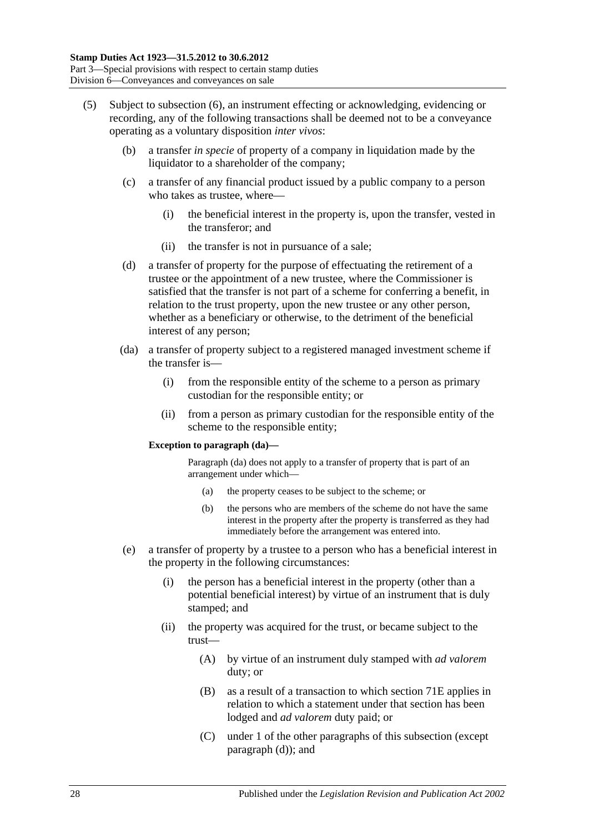- <span id="page-45-1"></span><span id="page-45-0"></span>(5) Subject to [subsection](#page-47-0) (6), an instrument effecting or acknowledging, evidencing or recording, any of the following transactions shall be deemed not to be a conveyance operating as a voluntary disposition *inter vivos*:
	- (b) a transfer *in specie* of property of a company in liquidation made by the liquidator to a shareholder of the company;
	- (c) a transfer of any financial product issued by a public company to a person who takes as trustee, where—
		- (i) the beneficial interest in the property is, upon the transfer, vested in the transferor; and
		- (ii) the transfer is not in pursuance of a sale;
	- (d) a transfer of property for the purpose of effectuating the retirement of a trustee or the appointment of a new trustee, where the Commissioner is satisfied that the transfer is not part of a scheme for conferring a benefit, in relation to the trust property, upon the new trustee or any other person, whether as a beneficiary or otherwise, to the detriment of the beneficial interest of any person;
	- (da) a transfer of property subject to a registered managed investment scheme if the transfer is—
		- (i) from the responsible entity of the scheme to a person as primary custodian for the responsible entity; or
		- (ii) from a person as primary custodian for the responsible entity of the scheme to the responsible entity;

#### **Exception to paragraph (da)—**

Paragraph (da) does not apply to a transfer of property that is part of an arrangement under which—

- (a) the property ceases to be subject to the scheme; or
- (b) the persons who are members of the scheme do not have the same interest in the property after the property is transferred as they had immediately before the arrangement was entered into.
- <span id="page-45-2"></span>(e) a transfer of property by a trustee to a person who has a beneficial interest in the property in the following circumstances:
	- (i) the person has a beneficial interest in the property (other than a potential beneficial interest) by virtue of an instrument that is duly stamped; and
	- (ii) the property was acquired for the trust, or became subject to the trust—
		- (A) by virtue of an instrument duly stamped with *ad valorem* duty; or
		- (B) as a result of a transaction to which section 71E applies in relation to which a statement under that section has been lodged and *ad valorem* duty paid; or
		- (C) under 1 of the other paragraphs of this subsection (except [paragraph](#page-45-0) (d)); and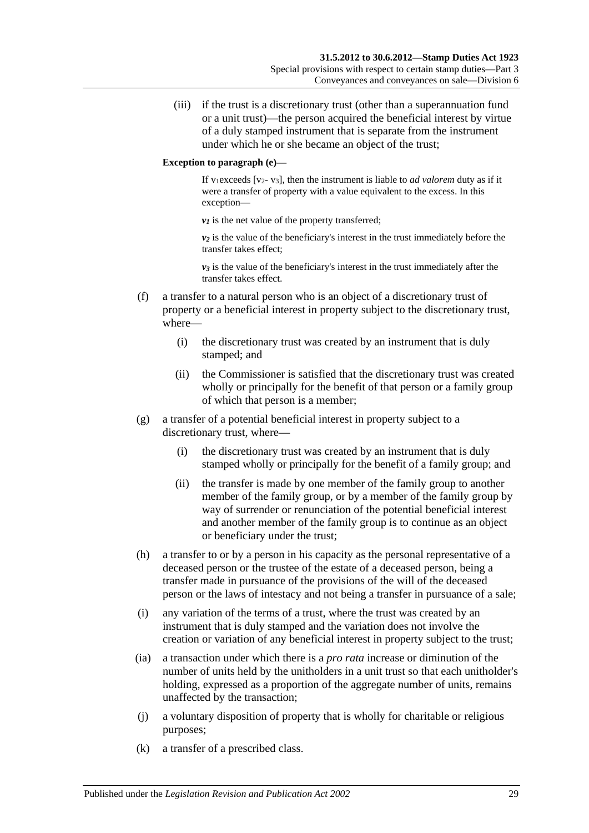(iii) if the trust is a discretionary trust (other than a superannuation fund or a unit trust)—the person acquired the beneficial interest by virtue of a duly stamped instrument that is separate from the instrument under which he or she became an object of the trust;

#### **Exception to paragraph (e)—**

If v<sub>1</sub>exceeds [v<sub>2</sub>- v<sub>3</sub>], then the instrument is liable to *ad valorem* duty as if it were a transfer of property with a value equivalent to the excess. In this exception—

 $v_1$  is the net value of the property transferred;

*v2* is the value of the beneficiary's interest in the trust immediately before the transfer takes effect;

 $v_3$  is the value of the beneficiary's interest in the trust immediately after the transfer takes effect.

- (f) a transfer to a natural person who is an object of a discretionary trust of property or a beneficial interest in property subject to the discretionary trust, where—
	- (i) the discretionary trust was created by an instrument that is duly stamped; and
	- (ii) the Commissioner is satisfied that the discretionary trust was created wholly or principally for the benefit of that person or a family group of which that person is a member;
- (g) a transfer of a potential beneficial interest in property subject to a discretionary trust, where—
	- (i) the discretionary trust was created by an instrument that is duly stamped wholly or principally for the benefit of a family group; and
	- (ii) the transfer is made by one member of the family group to another member of the family group, or by a member of the family group by way of surrender or renunciation of the potential beneficial interest and another member of the family group is to continue as an object or beneficiary under the trust;
- (h) a transfer to or by a person in his capacity as the personal representative of a deceased person or the trustee of the estate of a deceased person, being a transfer made in pursuance of the provisions of the will of the deceased person or the laws of intestacy and not being a transfer in pursuance of a sale;
- (i) any variation of the terms of a trust, where the trust was created by an instrument that is duly stamped and the variation does not involve the creation or variation of any beneficial interest in property subject to the trust;
- (ia) a transaction under which there is a *pro rata* increase or diminution of the number of units held by the unitholders in a unit trust so that each unitholder's holding, expressed as a proportion of the aggregate number of units, remains unaffected by the transaction;
- (j) a voluntary disposition of property that is wholly for charitable or religious purposes;
- (k) a transfer of a prescribed class.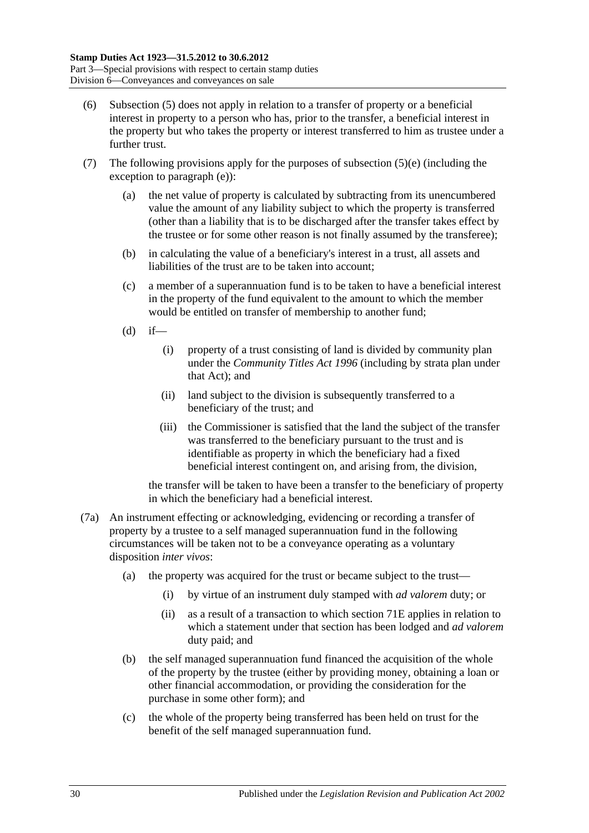- <span id="page-47-0"></span>(6) [Subsection](#page-45-1) (5) does not apply in relation to a transfer of property or a beneficial interest in property to a person who has, prior to the transfer, a beneficial interest in the property but who takes the property or interest transferred to him as trustee under a further trust.
- (7) The following provisions apply for the purposes of [subsection](#page-45-2)  $(5)(e)$  (including the exception to [paragraph](#page-45-2) (e)):
	- (a) the net value of property is calculated by subtracting from its unencumbered value the amount of any liability subject to which the property is transferred (other than a liability that is to be discharged after the transfer takes effect by the trustee or for some other reason is not finally assumed by the transferee);
	- (b) in calculating the value of a beneficiary's interest in a trust, all assets and liabilities of the trust are to be taken into account;
	- (c) a member of a superannuation fund is to be taken to have a beneficial interest in the property of the fund equivalent to the amount to which the member would be entitled on transfer of membership to another fund;
	- $(d)$  if—
		- (i) property of a trust consisting of land is divided by community plan under the *[Community Titles Act](http://www.legislation.sa.gov.au/index.aspx?action=legref&type=act&legtitle=Community%20Titles%20Act%201996) 1996* (including by strata plan under that Act); and
		- (ii) land subject to the division is subsequently transferred to a beneficiary of the trust; and
		- (iii) the Commissioner is satisfied that the land the subject of the transfer was transferred to the beneficiary pursuant to the trust and is identifiable as property in which the beneficiary had a fixed beneficial interest contingent on, and arising from, the division,

the transfer will be taken to have been a transfer to the beneficiary of property in which the beneficiary had a beneficial interest.

- (7a) An instrument effecting or acknowledging, evidencing or recording a transfer of property by a trustee to a self managed superannuation fund in the following circumstances will be taken not to be a conveyance operating as a voluntary disposition *inter vivos*:
	- (a) the property was acquired for the trust or became subject to the trust—
		- (i) by virtue of an instrument duly stamped with *ad valorem* duty; or
		- (ii) as a result of a transaction to which [section](#page-72-0) 71E applies in relation to which a statement under that section has been lodged and *ad valorem* duty paid; and
	- (b) the self managed superannuation fund financed the acquisition of the whole of the property by the trustee (either by providing money, obtaining a loan or other financial accommodation, or providing the consideration for the purchase in some other form); and
	- (c) the whole of the property being transferred has been held on trust for the benefit of the self managed superannuation fund.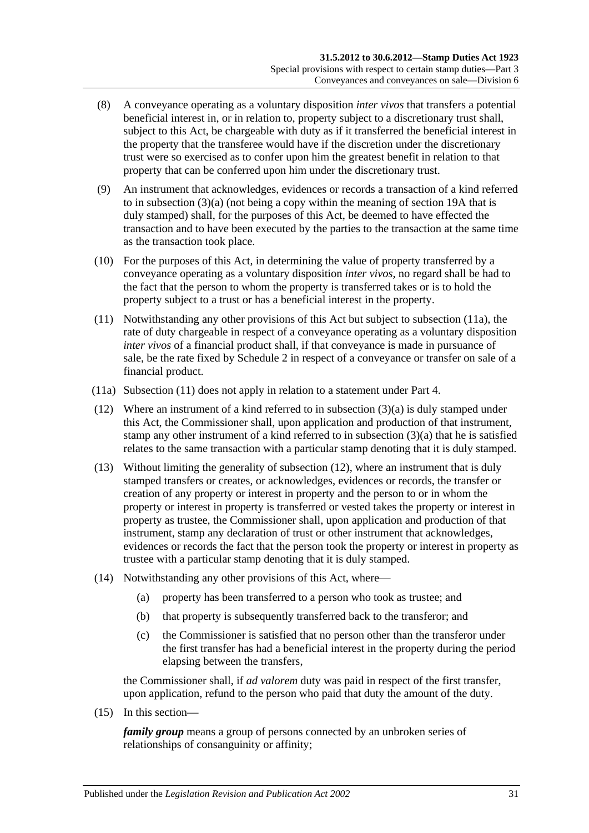- (8) A conveyance operating as a voluntary disposition *inter vivos* that transfers a potential beneficial interest in, or in relation to, property subject to a discretionary trust shall, subject to this Act, be chargeable with duty as if it transferred the beneficial interest in the property that the transferee would have if the discretion under the discretionary trust were so exercised as to confer upon him the greatest benefit in relation to that property that can be conferred upon him under the discretionary trust.
- (9) An instrument that acknowledges, evidences or records a transaction of a kind referred to in [subsection](#page-44-1) (3)(a) (not being a copy within the meaning of [section](#page-14-0) 19A that is duly stamped) shall, for the purposes of this Act, be deemed to have effected the transaction and to have been executed by the parties to the transaction at the same time as the transaction took place.
- (10) For the purposes of this Act, in determining the value of property transferred by a conveyance operating as a voluntary disposition *inter vivos*, no regard shall be had to the fact that the person to whom the property is transferred takes or is to hold the property subject to a trust or has a beneficial interest in the property.
- <span id="page-48-1"></span>(11) Notwithstanding any other provisions of this Act but subject to [subsection](#page-48-0) (11a), the rate of duty chargeable in respect of a conveyance operating as a voluntary disposition *inter vivos* of a financial product shall, if that conveyance is made in pursuance of sale, be the rate fixed by [Schedule 2](#page-106-0) in respect of a conveyance or transfer on sale of a financial product.
- <span id="page-48-0"></span>(11a) [Subsection](#page-48-1) (11) does not apply in relation to a statement under Part 4.
- <span id="page-48-2"></span>(12) Where an instrument of a kind referred to in [subsection](#page-44-1) (3)(a) is duly stamped under this Act, the Commissioner shall, upon application and production of that instrument, stamp any other instrument of a kind referred to in [subsection](#page-44-1) (3)(a) that he is satisfied relates to the same transaction with a particular stamp denoting that it is duly stamped.
- (13) Without limiting the generality of [subsection](#page-48-2) (12), where an instrument that is duly stamped transfers or creates, or acknowledges, evidences or records, the transfer or creation of any property or interest in property and the person to or in whom the property or interest in property is transferred or vested takes the property or interest in property as trustee, the Commissioner shall, upon application and production of that instrument, stamp any declaration of trust or other instrument that acknowledges, evidences or records the fact that the person took the property or interest in property as trustee with a particular stamp denoting that it is duly stamped.
- (14) Notwithstanding any other provisions of this Act, where—
	- (a) property has been transferred to a person who took as trustee; and
	- (b) that property is subsequently transferred back to the transferor; and
	- (c) the Commissioner is satisfied that no person other than the transferor under the first transfer has had a beneficial interest in the property during the period elapsing between the transfers,

the Commissioner shall, if *ad valorem* duty was paid in respect of the first transfer, upon application, refund to the person who paid that duty the amount of the duty.

<span id="page-48-3"></span>(15) In this section—

*family group* means a group of persons connected by an unbroken series of relationships of consanguinity or affinity;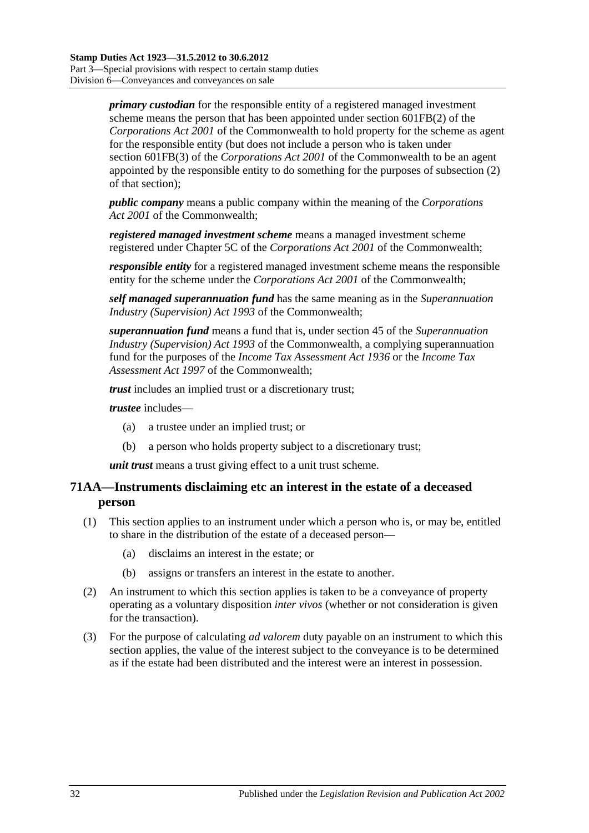*primary custodian* for the responsible entity of a registered managed investment scheme means the person that has been appointed under section 601FB(2) of the *Corporations Act 2001* of the Commonwealth to hold property for the scheme as agent for the responsible entity (but does not include a person who is taken under section 601FB(3) of the *Corporations Act 2001* of the Commonwealth to be an agent appointed by the responsible entity to do something for the purposes of subsection (2) of that section);

*public company* means a public company within the meaning of the *Corporations Act 2001* of the Commonwealth;

*registered managed investment scheme* means a managed investment scheme registered under Chapter 5C of the *Corporations Act 2001* of the Commonwealth;

*responsible entity* for a registered managed investment scheme means the responsible entity for the scheme under the *Corporations Act 2001* of the Commonwealth;

*self managed superannuation fund* has the same meaning as in the *Superannuation Industry (Supervision) Act 1993* of the Commonwealth;

*superannuation fund* means a fund that is, under section 45 of the *Superannuation Industry (Supervision) Act 1993* of the Commonwealth, a complying superannuation fund for the purposes of the *Income Tax Assessment Act 1936* or the *Income Tax Assessment Act 1997* of the Commonwealth;

*trust* includes an implied trust or a discretionary trust;

*trustee* includes—

- (a) a trustee under an implied trust; or
- (b) a person who holds property subject to a discretionary trust;

*unit trust* means a trust giving effect to a unit trust scheme.

## **71AA—Instruments disclaiming etc an interest in the estate of a deceased person**

- (1) This section applies to an instrument under which a person who is, or may be, entitled to share in the distribution of the estate of a deceased person—
	- (a) disclaims an interest in the estate; or
	- (b) assigns or transfers an interest in the estate to another.
- (2) An instrument to which this section applies is taken to be a conveyance of property operating as a voluntary disposition *inter vivos* (whether or not consideration is given for the transaction).
- (3) For the purpose of calculating *ad valorem* duty payable on an instrument to which this section applies, the value of the interest subject to the conveyance is to be determined as if the estate had been distributed and the interest were an interest in possession.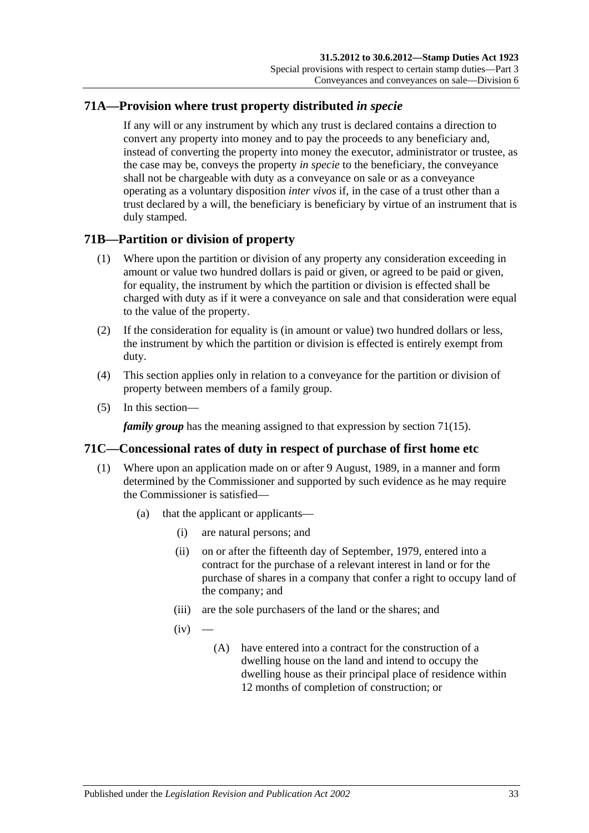## **71A—Provision where trust property distributed** *in specie*

If any will or any instrument by which any trust is declared contains a direction to convert any property into money and to pay the proceeds to any beneficiary and, instead of converting the property into money the executor, administrator or trustee, as the case may be, conveys the property *in specie* to the beneficiary, the conveyance shall not be chargeable with duty as a conveyance on sale or as a conveyance operating as a voluntary disposition *inter vivos* if, in the case of a trust other than a trust declared by a will, the beneficiary is beneficiary by virtue of an instrument that is duly stamped.

## **71B—Partition or division of property**

- (1) Where upon the partition or division of any property any consideration exceeding in amount or value two hundred dollars is paid or given, or agreed to be paid or given, for equality, the instrument by which the partition or division is effected shall be charged with duty as if it were a conveyance on sale and that consideration were equal to the value of the property.
- (2) If the consideration for equality is (in amount or value) two hundred dollars or less, the instrument by which the partition or division is effected is entirely exempt from duty.
- (4) This section applies only in relation to a conveyance for the partition or division of property between members of a family group.
- (5) In this section—

*family group* has the meaning assigned to that expression by [section](#page-48-3) 71(15).

### **71C—Concessional rates of duty in respect of purchase of first home etc**

- <span id="page-50-2"></span><span id="page-50-1"></span><span id="page-50-0"></span>(1) Where upon an application made on or after 9 August, 1989, in a manner and form determined by the Commissioner and supported by such evidence as he may require the Commissioner is satisfied—
	- (a) that the applicant or applicants—
		- (i) are natural persons; and
		- (ii) on or after the fifteenth day of September, 1979, entered into a contract for the purchase of a relevant interest in land or for the purchase of shares in a company that confer a right to occupy land of the company; and
		- (iii) are the sole purchasers of the land or the shares; and
		- $(iv)$ 
			- (A) have entered into a contract for the construction of a dwelling house on the land and intend to occupy the dwelling house as their principal place of residence within 12 months of completion of construction; or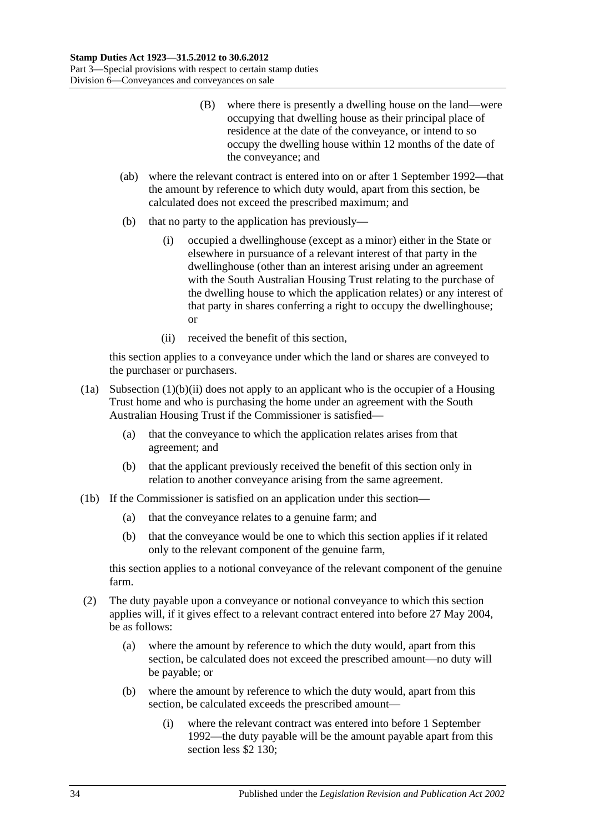- (B) where there is presently a dwelling house on the land—were occupying that dwelling house as their principal place of residence at the date of the conveyance, or intend to so occupy the dwelling house within 12 months of the date of the conveyance; and
- (ab) where the relevant contract is entered into on or after 1 September 1992—that the amount by reference to which duty would, apart from this section, be calculated does not exceed the prescribed maximum; and
- (b) that no party to the application has previously—
	- (i) occupied a dwellinghouse (except as a minor) either in the State or elsewhere in pursuance of a relevant interest of that party in the dwellinghouse (other than an interest arising under an agreement with the South Australian Housing Trust relating to the purchase of the dwelling house to which the application relates) or any interest of that party in shares conferring a right to occupy the dwellinghouse; or
	- (ii) received the benefit of this section,

<span id="page-51-0"></span>this section applies to a conveyance under which the land or shares are conveyed to the purchaser or purchasers.

- (1a) [Subsection](#page-51-0) (1)(b)(ii) does not apply to an applicant who is the occupier of a Housing Trust home and who is purchasing the home under an agreement with the South Australian Housing Trust if the Commissioner is satisfied—
	- (a) that the conveyance to which the application relates arises from that agreement; and
	- (b) that the applicant previously received the benefit of this section only in relation to another conveyance arising from the same agreement.
- (1b) If the Commissioner is satisfied on an application under this section—
	- (a) that the conveyance relates to a genuine farm; and
	- (b) that the conveyance would be one to which this section applies if it related only to the relevant component of the genuine farm,

this section applies to a notional conveyance of the relevant component of the genuine farm.

- (2) The duty payable upon a conveyance or notional conveyance to which this section applies will, if it gives effect to a relevant contract entered into before 27 May 2004, be as follows:
	- (a) where the amount by reference to which the duty would, apart from this section, be calculated does not exceed the prescribed amount—no duty will be payable; or
	- (b) where the amount by reference to which the duty would, apart from this section, be calculated exceeds the prescribed amount—
		- (i) where the relevant contract was entered into before 1 September 1992—the duty payable will be the amount payable apart from this section less \$2 130;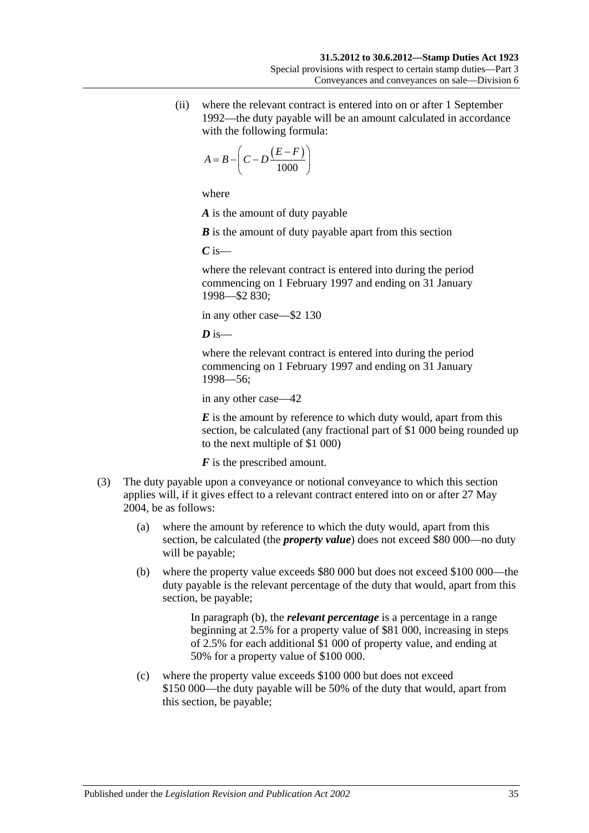(ii) where the relevant contract is entered into on or after 1 September 1992—the duty payable will be an amount calculated in accordance with the following formula:

$$
A = B - \left(C - D \frac{(E - F)}{1000}\right)
$$

where

*A* is the amount of duty payable

*B* is the amount of duty payable apart from this section

*C* is—

where the relevant contract is entered into during the period commencing on 1 February 1997 and ending on 31 January 1998—\$2 830;

in any other case—\$2 130

 $\overline{D}$  is—

where the relevant contract is entered into during the period commencing on 1 February 1997 and ending on 31 January 1998—56;

in any other case—42

*E* is the amount by reference to which duty would, apart from this section, be calculated (any fractional part of \$1 000 being rounded up to the next multiple of \$1 000)

*F* is the prescribed amount.

- <span id="page-52-1"></span><span id="page-52-0"></span>(3) The duty payable upon a conveyance or notional conveyance to which this section applies will, if it gives effect to a relevant contract entered into on or after 27 May 2004, be as follows:
	- (a) where the amount by reference to which the duty would, apart from this section, be calculated (the *property value*) does not exceed \$80 000—no duty will be payable;
	- (b) where the property value exceeds \$80 000 but does not exceed \$100 000—the duty payable is the relevant percentage of the duty that would, apart from this section, be payable;

In [paragraph](#page-52-0) (b), the *relevant percentage* is a percentage in a range beginning at 2.5% for a property value of \$81 000, increasing in steps of 2.5% for each additional \$1 000 of property value, and ending at 50% for a property value of \$100 000.

(c) where the property value exceeds \$100 000 but does not exceed \$150 000—the duty payable will be 50% of the duty that would, apart from this section, be payable;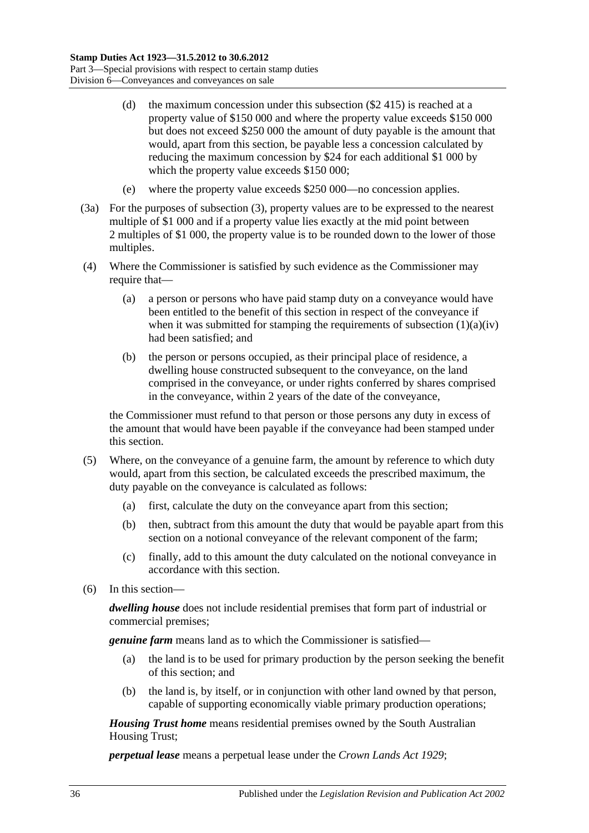- (d) the maximum concession under this subsection (\$2 415) is reached at a property value of \$150 000 and where the property value exceeds \$150 000 but does not exceed \$250 000 the amount of duty payable is the amount that would, apart from this section, be payable less a concession calculated by reducing the maximum concession by \$24 for each additional \$1 000 by which the property value exceeds \$150 000;
- (e) where the property value exceeds \$250 000—no concession applies.
- (3a) For the purposes of [subsection](#page-52-1) (3), property values are to be expressed to the nearest multiple of \$1 000 and if a property value lies exactly at the mid point between 2 multiples of \$1 000, the property value is to be rounded down to the lower of those multiples.
- (4) Where the Commissioner is satisfied by such evidence as the Commissioner may require that—
	- (a) a person or persons who have paid stamp duty on a conveyance would have been entitled to the benefit of this section in respect of the conveyance if when it was submitted for stamping the requirements of [subsection](#page-50-0)  $(1)(a)(iv)$ had been satisfied; and
	- (b) the person or persons occupied, as their principal place of residence, a dwelling house constructed subsequent to the conveyance, on the land comprised in the conveyance, or under rights conferred by shares comprised in the conveyance, within 2 years of the date of the conveyance,

the Commissioner must refund to that person or those persons any duty in excess of the amount that would have been payable if the conveyance had been stamped under this section.

- (5) Where, on the conveyance of a genuine farm, the amount by reference to which duty would, apart from this section, be calculated exceeds the prescribed maximum, the duty payable on the conveyance is calculated as follows:
	- (a) first, calculate the duty on the conveyance apart from this section;
	- (b) then, subtract from this amount the duty that would be payable apart from this section on a notional conveyance of the relevant component of the farm;
	- (c) finally, add to this amount the duty calculated on the notional conveyance in accordance with this section.
- (6) In this section—

*dwelling house* does not include residential premises that form part of industrial or commercial premises;

*genuine farm* means land as to which the Commissioner is satisfied—

- (a) the land is to be used for primary production by the person seeking the benefit of this section; and
- (b) the land is, by itself, or in conjunction with other land owned by that person, capable of supporting economically viable primary production operations;

*Housing Trust home* means residential premises owned by the South Australian Housing Trust;

*perpetual lease* means a perpetual lease under the *[Crown Lands Act](http://www.legislation.sa.gov.au/index.aspx?action=legref&type=act&legtitle=Crown%20Lands%20Act%201929) 1929*;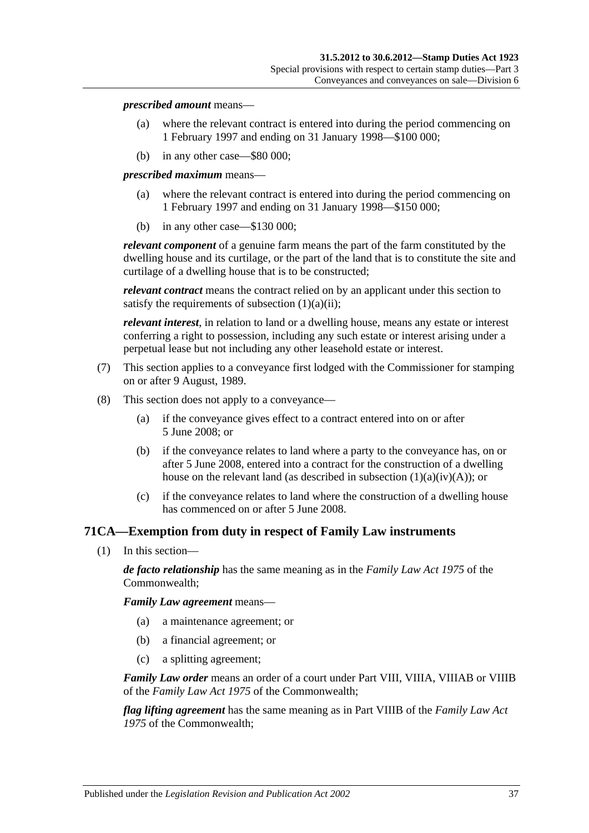#### *prescribed amount* means—

- (a) where the relevant contract is entered into during the period commencing on 1 February 1997 and ending on 31 January 1998—\$100 000;
- (b) in any other case—\$80 000;

*prescribed maximum* means—

- (a) where the relevant contract is entered into during the period commencing on 1 February 1997 and ending on 31 January 1998—\$150 000;
- (b) in any other case—\$130 000;

*relevant component* of a genuine farm means the part of the farm constituted by the dwelling house and its curtilage, or the part of the land that is to constitute the site and curtilage of a dwelling house that is to be constructed;

*relevant contract* means the contract relied on by an applicant under this section to satisfy the requirements of [subsection](#page-50-1)  $(1)(a)(ii)$ ;

*relevant interest*, in relation to land or a dwelling house, means any estate or interest conferring a right to possession, including any such estate or interest arising under a perpetual lease but not including any other leasehold estate or interest.

- (7) This section applies to a conveyance first lodged with the Commissioner for stamping on or after 9 August, 1989.
- (8) This section does not apply to a conveyance—
	- (a) if the conveyance gives effect to a contract entered into on or after 5 June 2008; or
	- (b) if the conveyance relates to land where a party to the conveyance has, on or after 5 June 2008, entered into a contract for the construction of a dwelling house on the relevant land (as described in subsection  $(1)(a)(iv)(A)$ ); or
	- (c) if the conveyance relates to land where the construction of a dwelling house has commenced on or after 5 June 2008.

### **71CA—Exemption from duty in respect of Family Law instruments**

(1) In this section—

*de facto relationship* has the same meaning as in the *Family Law Act 1975* of the Commonwealth;

*Family Law agreement* means—

- (a) a maintenance agreement; or
- (b) a financial agreement; or
- (c) a splitting agreement;

*Family Law order* means an order of a court under Part VIII, VIIIA, VIIIAB or VIIIB of the *Family Law Act 1975* of the Commonwealth;

*flag lifting agreement* has the same meaning as in Part VIIIB of the *Family Law Act 1975* of the Commonwealth;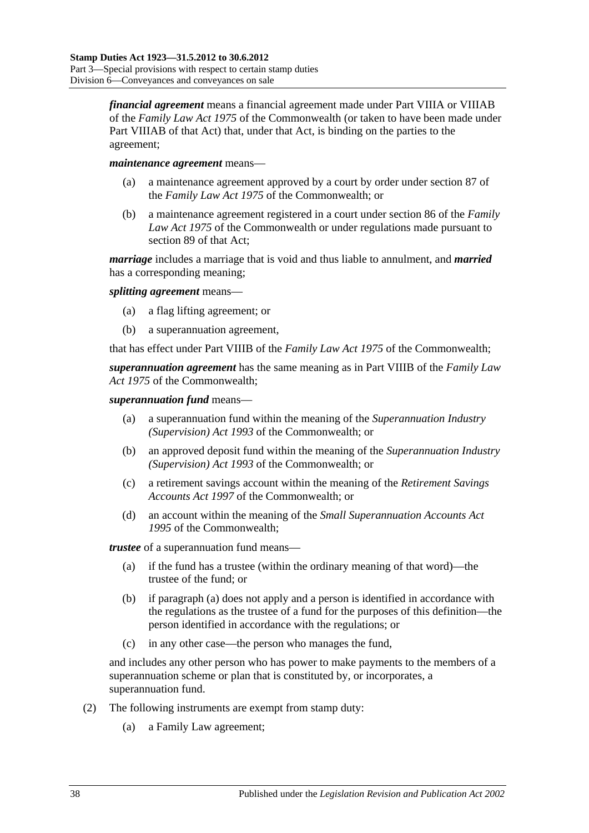*financial agreement* means a financial agreement made under Part VIIIA or VIIIAB of the *Family Law Act 1975* of the Commonwealth (or taken to have been made under Part VIIIAB of that Act) that, under that Act, is binding on the parties to the agreement;

#### *maintenance agreement* means—

- (a) a maintenance agreement approved by a court by order under section 87 of the *Family Law Act 1975* of the Commonwealth; or
- (b) a maintenance agreement registered in a court under section 86 of the *Family Law Act 1975* of the Commonwealth or under regulations made pursuant to section 89 of that Act;

*marriage* includes a marriage that is void and thus liable to annulment, and *married* has a corresponding meaning;

*splitting agreement* means—

- (a) a flag lifting agreement; or
- (b) a superannuation agreement,

that has effect under Part VIIIB of the *Family Law Act 1975* of the Commonwealth;

*superannuation agreement* has the same meaning as in Part VIIIB of the *Family Law Act 1975* of the Commonwealth;

#### *superannuation fund* means—

- (a) a superannuation fund within the meaning of the *Superannuation Industry (Supervision) Act 1993* of the Commonwealth; or
- (b) an approved deposit fund within the meaning of the *Superannuation Industry (Supervision) Act 1993* of the Commonwealth; or
- (c) a retirement savings account within the meaning of the *Retirement Savings Accounts Act 1997* of the Commonwealth; or
- (d) an account within the meaning of the *Small Superannuation Accounts Act 1995* of the Commonwealth;

<span id="page-55-0"></span>*trustee* of a superannuation fund means—

- (a) if the fund has a trustee (within the ordinary meaning of that word)—the trustee of the fund; or
- (b) if [paragraph](#page-55-0) (a) does not apply and a person is identified in accordance with the regulations as the trustee of a fund for the purposes of this definition—the person identified in accordance with the regulations; or
- (c) in any other case—the person who manages the fund,

and includes any other person who has power to make payments to the members of a superannuation scheme or plan that is constituted by, or incorporates, a superannuation fund.

- (2) The following instruments are exempt from stamp duty:
	- (a) a Family Law agreement;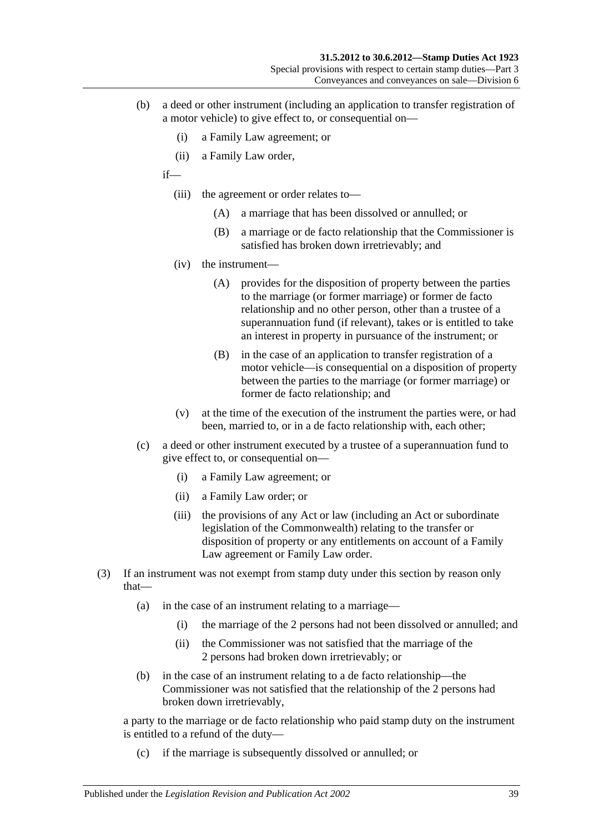- (b) a deed or other instrument (including an application to transfer registration of a motor vehicle) to give effect to, or consequential on—
	- (i) a Family Law agreement; or
	- (ii) a Family Law order,

if—

- (iii) the agreement or order relates to—
	- (A) a marriage that has been dissolved or annulled; or
	- (B) a marriage or de facto relationship that the Commissioner is satisfied has broken down irretrievably; and
- (iv) the instrument—
	- (A) provides for the disposition of property between the parties to the marriage (or former marriage) or former de facto relationship and no other person, other than a trustee of a superannuation fund (if relevant), takes or is entitled to take an interest in property in pursuance of the instrument; or
	- (B) in the case of an application to transfer registration of a motor vehicle—is consequential on a disposition of property between the parties to the marriage (or former marriage) or former de facto relationship; and
- (v) at the time of the execution of the instrument the parties were, or had been, married to, or in a de facto relationship with, each other;
- (c) a deed or other instrument executed by a trustee of a superannuation fund to give effect to, or consequential on—
	- (i) a Family Law agreement; or
	- (ii) a Family Law order; or
	- (iii) the provisions of any Act or law (including an Act or subordinate legislation of the Commonwealth) relating to the transfer or disposition of property or any entitlements on account of a Family Law agreement or Family Law order.
- (3) If an instrument was not exempt from stamp duty under this section by reason only that—
	- (a) in the case of an instrument relating to a marriage—
		- (i) the marriage of the 2 persons had not been dissolved or annulled; and
		- (ii) the Commissioner was not satisfied that the marriage of the 2 persons had broken down irretrievably; or
	- (b) in the case of an instrument relating to a de facto relationship—the Commissioner was not satisfied that the relationship of the 2 persons had broken down irretrievably,

a party to the marriage or de facto relationship who paid stamp duty on the instrument is entitled to a refund of the duty—

(c) if the marriage is subsequently dissolved or annulled; or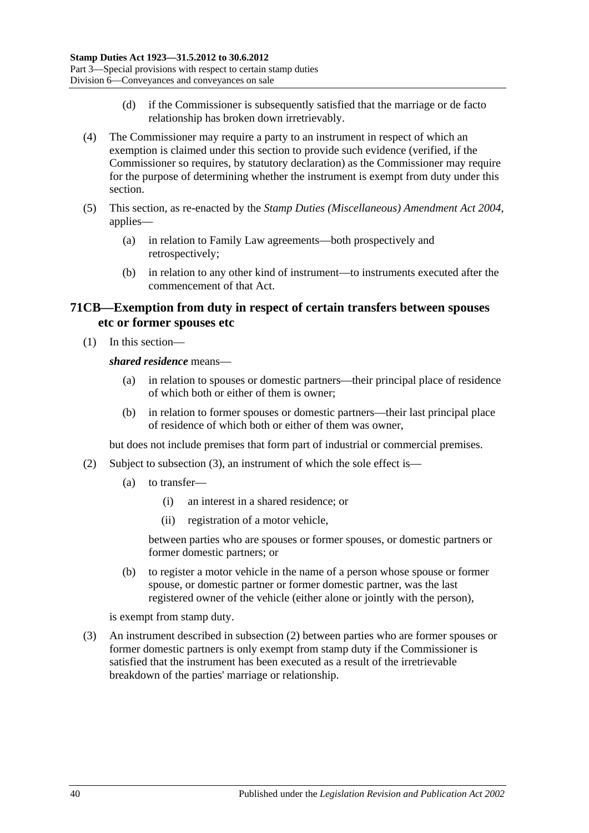- (d) if the Commissioner is subsequently satisfied that the marriage or de facto relationship has broken down irretrievably.
- (4) The Commissioner may require a party to an instrument in respect of which an exemption is claimed under this section to provide such evidence (verified, if the Commissioner so requires, by statutory declaration) as the Commissioner may require for the purpose of determining whether the instrument is exempt from duty under this section.
- (5) This section, as re-enacted by the *[Stamp Duties \(Miscellaneous\) Amendment Act 2004](http://www.legislation.sa.gov.au/index.aspx?action=legref&type=act&legtitle=Stamp%20Duties%20(Miscellaneous)%20Amendment%20Act%202004)*, applies—
	- (a) in relation to Family Law agreements—both prospectively and retrospectively;
	- (b) in relation to any other kind of instrument—to instruments executed after the commencement of that Act.

### **71CB—Exemption from duty in respect of certain transfers between spouses etc or former spouses etc**

(1) In this section—

*shared residence* means—

- (a) in relation to spouses or domestic partners—their principal place of residence of which both or either of them is owner;
- (b) in relation to former spouses or domestic partners—their last principal place of residence of which both or either of them was owner,

but does not include premises that form part of industrial or commercial premises.

- <span id="page-57-1"></span>(2) Subject to [subsection](#page-57-0) (3), an instrument of which the sole effect is—
	- (a) to transfer—
		- (i) an interest in a shared residence; or
		- (ii) registration of a motor vehicle,

between parties who are spouses or former spouses, or domestic partners or former domestic partners; or

(b) to register a motor vehicle in the name of a person whose spouse or former spouse, or domestic partner or former domestic partner, was the last registered owner of the vehicle (either alone or jointly with the person),

is exempt from stamp duty.

<span id="page-57-0"></span>(3) An instrument described in [subsection](#page-57-1) (2) between parties who are former spouses or former domestic partners is only exempt from stamp duty if the Commissioner is satisfied that the instrument has been executed as a result of the irretrievable breakdown of the parties' marriage or relationship.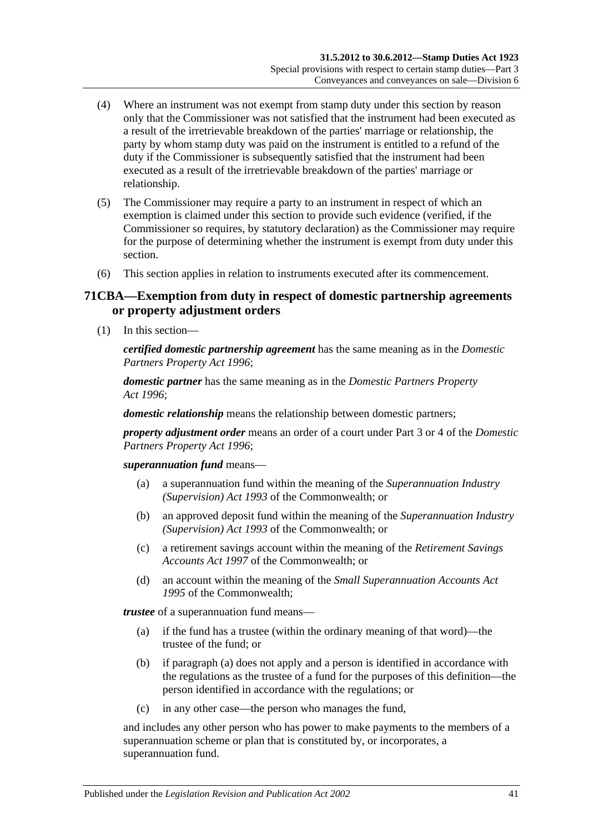- (4) Where an instrument was not exempt from stamp duty under this section by reason only that the Commissioner was not satisfied that the instrument had been executed as a result of the irretrievable breakdown of the parties' marriage or relationship, the party by whom stamp duty was paid on the instrument is entitled to a refund of the duty if the Commissioner is subsequently satisfied that the instrument had been executed as a result of the irretrievable breakdown of the parties' marriage or relationship.
- (5) The Commissioner may require a party to an instrument in respect of which an exemption is claimed under this section to provide such evidence (verified, if the Commissioner so requires, by statutory declaration) as the Commissioner may require for the purpose of determining whether the instrument is exempt from duty under this section.
- (6) This section applies in relation to instruments executed after its commencement.

### **71CBA—Exemption from duty in respect of domestic partnership agreements or property adjustment orders**

(1) In this section—

*certified domestic partnership agreement* has the same meaning as in the *[Domestic](http://www.legislation.sa.gov.au/index.aspx?action=legref&type=act&legtitle=Domestic%20Partners%20Property%20Act%201996)  [Partners Property Act](http://www.legislation.sa.gov.au/index.aspx?action=legref&type=act&legtitle=Domestic%20Partners%20Property%20Act%201996) 1996*;

*domestic partner* has the same meaning as in the *[Domestic Partners Property](http://www.legislation.sa.gov.au/index.aspx?action=legref&type=act&legtitle=Domestic%20Partners%20Property%20Act%201996)  Act [1996](http://www.legislation.sa.gov.au/index.aspx?action=legref&type=act&legtitle=Domestic%20Partners%20Property%20Act%201996)*;

*domestic relationship* means the relationship between domestic partners;

*property adjustment order* means an order of a court under Part 3 or 4 of the *[Domestic](http://www.legislation.sa.gov.au/index.aspx?action=legref&type=act&legtitle=Domestic%20Partners%20Property%20Act%201996)  [Partners Property Act](http://www.legislation.sa.gov.au/index.aspx?action=legref&type=act&legtitle=Domestic%20Partners%20Property%20Act%201996) 1996*;

*superannuation fund* means—

- (a) a superannuation fund within the meaning of the *Superannuation Industry (Supervision) Act 1993* of the Commonwealth; or
- (b) an approved deposit fund within the meaning of the *Superannuation Industry (Supervision) Act 1993* of the Commonwealth; or
- (c) a retirement savings account within the meaning of the *Retirement Savings Accounts Act 1997* of the Commonwealth; or
- (d) an account within the meaning of the *Small Superannuation Accounts Act 1995* of the Commonwealth;

<span id="page-58-0"></span>*trustee* of a superannuation fund means—

- (a) if the fund has a trustee (within the ordinary meaning of that word)—the trustee of the fund; or
- (b) if [paragraph](#page-58-0) (a) does not apply and a person is identified in accordance with the regulations as the trustee of a fund for the purposes of this definition—the person identified in accordance with the regulations; or
- (c) in any other case—the person who manages the fund,

and includes any other person who has power to make payments to the members of a superannuation scheme or plan that is constituted by, or incorporates, a superannuation fund.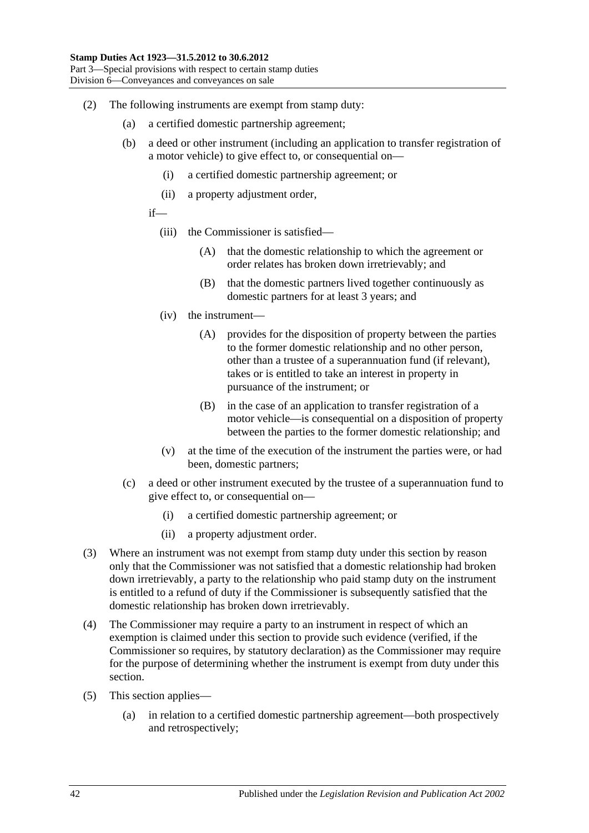- (2) The following instruments are exempt from stamp duty:
	- (a) a certified domestic partnership agreement;
	- (b) a deed or other instrument (including an application to transfer registration of a motor vehicle) to give effect to, or consequential on—
		- (i) a certified domestic partnership agreement; or
		- (ii) a property adjustment order,
		- if—
			- (iii) the Commissioner is satisfied—
				- (A) that the domestic relationship to which the agreement or order relates has broken down irretrievably; and
				- (B) that the domestic partners lived together continuously as domestic partners for at least 3 years; and
			- (iv) the instrument—
				- (A) provides for the disposition of property between the parties to the former domestic relationship and no other person, other than a trustee of a superannuation fund (if relevant), takes or is entitled to take an interest in property in pursuance of the instrument; or
				- (B) in the case of an application to transfer registration of a motor vehicle—is consequential on a disposition of property between the parties to the former domestic relationship; and
			- (v) at the time of the execution of the instrument the parties were, or had been, domestic partners;
	- (c) a deed or other instrument executed by the trustee of a superannuation fund to give effect to, or consequential on—
		- (i) a certified domestic partnership agreement; or
		- (ii) a property adjustment order.
- (3) Where an instrument was not exempt from stamp duty under this section by reason only that the Commissioner was not satisfied that a domestic relationship had broken down irretrievably, a party to the relationship who paid stamp duty on the instrument is entitled to a refund of duty if the Commissioner is subsequently satisfied that the domestic relationship has broken down irretrievably.
- (4) The Commissioner may require a party to an instrument in respect of which an exemption is claimed under this section to provide such evidence (verified, if the Commissioner so requires, by statutory declaration) as the Commissioner may require for the purpose of determining whether the instrument is exempt from duty under this section.
- (5) This section applies—
	- (a) in relation to a certified domestic partnership agreement—both prospectively and retrospectively;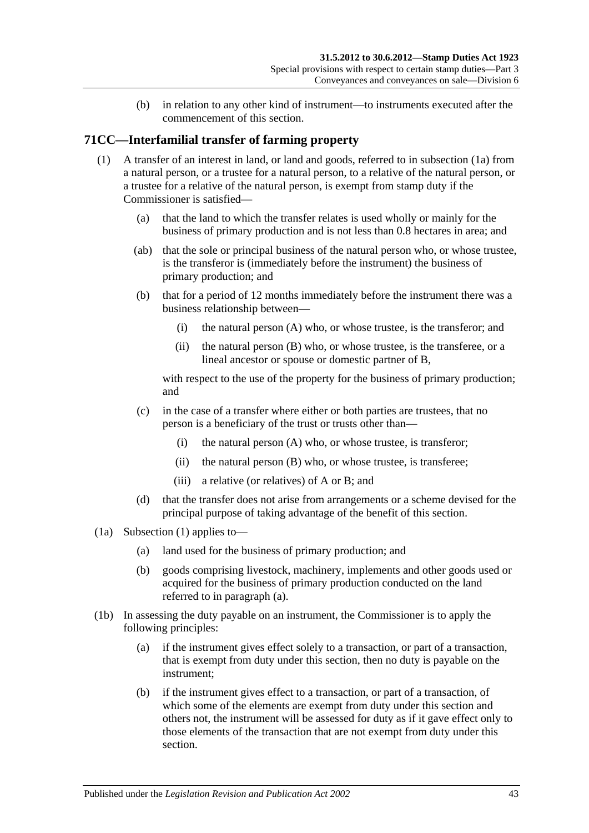(b) in relation to any other kind of instrument—to instruments executed after the commencement of this section.

## <span id="page-60-1"></span>**71CC—Interfamilial transfer of farming property**

- (1) A transfer of an interest in land, or land and goods, referred to in [subsection](#page-60-0) (1a) from a natural person, or a trustee for a natural person, to a relative of the natural person, or a trustee for a relative of the natural person, is exempt from stamp duty if the Commissioner is satisfied—
	- (a) that the land to which the transfer relates is used wholly or mainly for the business of primary production and is not less than 0.8 hectares in area; and
	- (ab) that the sole or principal business of the natural person who, or whose trustee, is the transferor is (immediately before the instrument) the business of primary production; and
	- (b) that for a period of 12 months immediately before the instrument there was a business relationship between—
		- (i) the natural person (A) who, or whose trustee, is the transferor; and
		- (ii) the natural person (B) who, or whose trustee, is the transferee, or a lineal ancestor or spouse or domestic partner of B,

<span id="page-60-3"></span>with respect to the use of the property for the business of primary production; and

- (c) in the case of a transfer where either or both parties are trustees, that no person is a beneficiary of the trust or trusts other than—
	- (i) the natural person (A) who, or whose trustee, is transferor;
	- (ii) the natural person (B) who, or whose trustee, is transferee;
	- (iii) a relative (or relatives) of A or B; and
- (d) that the transfer does not arise from arrangements or a scheme devised for the principal purpose of taking advantage of the benefit of this section.
- <span id="page-60-2"></span><span id="page-60-0"></span>(1a) [Subsection](#page-60-1) (1) applies to—
	- (a) land used for the business of primary production; and
	- (b) goods comprising livestock, machinery, implements and other goods used or acquired for the business of primary production conducted on the land referred to in [paragraph](#page-60-2) (a).
- (1b) In assessing the duty payable on an instrument, the Commissioner is to apply the following principles:
	- (a) if the instrument gives effect solely to a transaction, or part of a transaction, that is exempt from duty under this section, then no duty is payable on the instrument;
	- (b) if the instrument gives effect to a transaction, or part of a transaction, of which some of the elements are exempt from duty under this section and others not, the instrument will be assessed for duty as if it gave effect only to those elements of the transaction that are not exempt from duty under this section.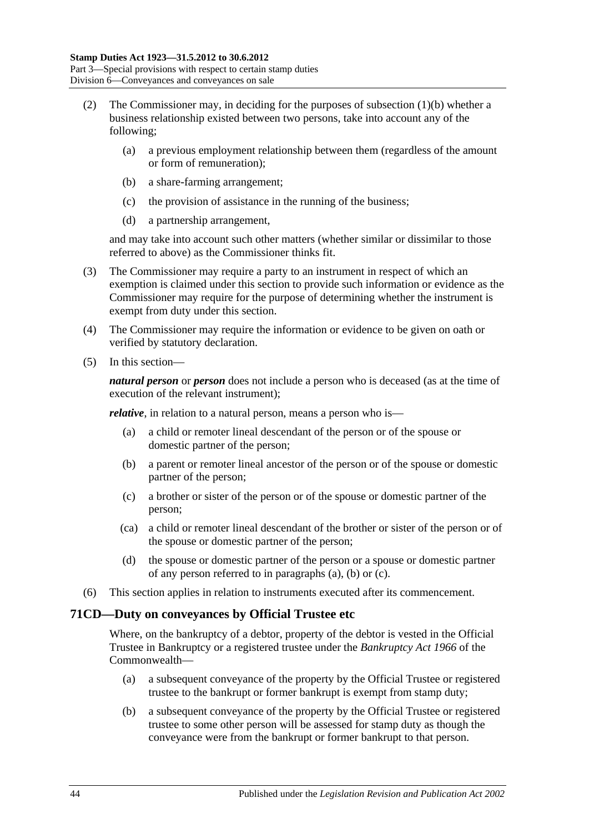- (2) The Commissioner may, in deciding for the purposes of [subsection](#page-60-3) (1)(b) whether a business relationship existed between two persons, take into account any of the following;
	- (a) a previous employment relationship between them (regardless of the amount or form of remuneration);
	- (b) a share-farming arrangement;
	- (c) the provision of assistance in the running of the business;
	- (d) a partnership arrangement,

and may take into account such other matters (whether similar or dissimilar to those referred to above) as the Commissioner thinks fit.

- (3) The Commissioner may require a party to an instrument in respect of which an exemption is claimed under this section to provide such information or evidence as the Commissioner may require for the purpose of determining whether the instrument is exempt from duty under this section.
- (4) The Commissioner may require the information or evidence to be given on oath or verified by statutory declaration.
- (5) In this section—

*natural person* or *person* does not include a person who is deceased (as at the time of execution of the relevant instrument);

<span id="page-61-0"></span>*relative*, in relation to a natural person, means a person who is—

- (a) a child or remoter lineal descendant of the person or of the spouse or domestic partner of the person;
- <span id="page-61-1"></span>(b) a parent or remoter lineal ancestor of the person or of the spouse or domestic partner of the person;
- <span id="page-61-2"></span>(c) a brother or sister of the person or of the spouse or domestic partner of the person;
- (ca) a child or remoter lineal descendant of the brother or sister of the person or of the spouse or domestic partner of the person;
- (d) the spouse or domestic partner of the person or a spouse or domestic partner of any person referred to in [paragraphs](#page-61-0) (a), [\(b\)](#page-61-1) or [\(c\).](#page-61-2)
- (6) This section applies in relation to instruments executed after its commencement.

### **71CD—Duty on conveyances by Official Trustee etc**

Where, on the bankruptcy of a debtor, property of the debtor is vested in the Official Trustee in Bankruptcy or a registered trustee under the *Bankruptcy Act 1966* of the Commonwealth—

- (a) a subsequent conveyance of the property by the Official Trustee or registered trustee to the bankrupt or former bankrupt is exempt from stamp duty;
- (b) a subsequent conveyance of the property by the Official Trustee or registered trustee to some other person will be assessed for stamp duty as though the conveyance were from the bankrupt or former bankrupt to that person.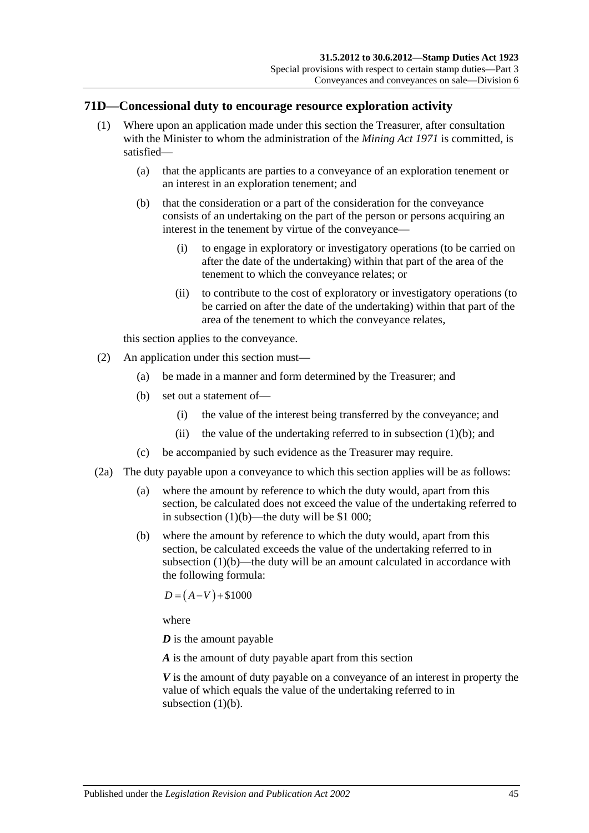### **71D—Concessional duty to encourage resource exploration activity**

- <span id="page-62-0"></span>(1) Where upon an application made under this section the Treasurer, after consultation with the Minister to whom the administration of the *[Mining Act](http://www.legislation.sa.gov.au/index.aspx?action=legref&type=act&legtitle=Mining%20Act%201971) 1971* is committed, is satisfied—
	- (a) that the applicants are parties to a conveyance of an exploration tenement or an interest in an exploration tenement; and
	- (b) that the consideration or a part of the consideration for the conveyance consists of an undertaking on the part of the person or persons acquiring an interest in the tenement by virtue of the conveyance—
		- (i) to engage in exploratory or investigatory operations (to be carried on after the date of the undertaking) within that part of the area of the tenement to which the conveyance relates; or
		- (ii) to contribute to the cost of exploratory or investigatory operations (to be carried on after the date of the undertaking) within that part of the area of the tenement to which the conveyance relates,

this section applies to the conveyance.

- (2) An application under this section must—
	- (a) be made in a manner and form determined by the Treasurer; and
	- (b) set out a statement of—
		- (i) the value of the interest being transferred by the conveyance; and
		- (ii) the value of the undertaking referred to in [subsection](#page-62-0)  $(1)(b)$ ; and
	- (c) be accompanied by such evidence as the Treasurer may require.
- (2a) The duty payable upon a conveyance to which this section applies will be as follows:
	- (a) where the amount by reference to which the duty would, apart from this section, be calculated does not exceed the value of the undertaking referred to in [subsection](#page-62-0)  $(1)(b)$ —the duty will be \$1 000;
	- (b) where the amount by reference to which the duty would, apart from this section, be calculated exceeds the value of the undertaking referred to in [subsection](#page-62-0)  $(1)(b)$ —the duty will be an amount calculated in accordance with the following formula:

 $D = (A-V) + $1000$ 

where

*D* is the amount payable

*A* is the amount of duty payable apart from this section

*V* is the amount of duty payable on a conveyance of an interest in property the value of which equals the value of the undertaking referred to in [subsection](#page-62-0)  $(1)(b)$ .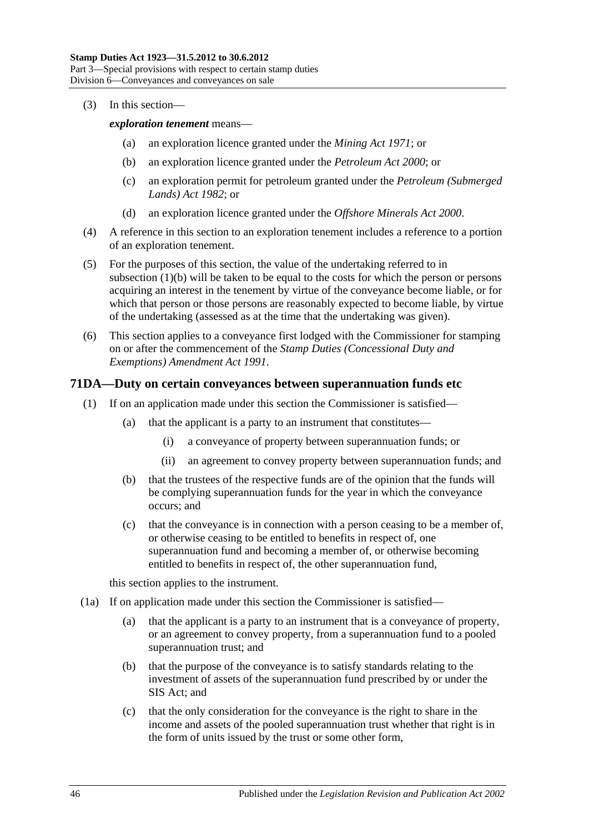#### (3) In this section—

*exploration tenement* means—

- (a) an exploration licence granted under the *[Mining Act](http://www.legislation.sa.gov.au/index.aspx?action=legref&type=act&legtitle=Mining%20Act%201971) 1971*; or
- (b) an exploration licence granted under the *[Petroleum Act](http://www.legislation.sa.gov.au/index.aspx?action=legref&type=act&legtitle=Petroleum%20Act%202000) 2000*; or
- (c) an exploration permit for petroleum granted under the *[Petroleum \(Submerged](http://www.legislation.sa.gov.au/index.aspx?action=legref&type=act&legtitle=Petroleum%20(Submerged%20Lands)%20Act%201982)  [Lands\) Act](http://www.legislation.sa.gov.au/index.aspx?action=legref&type=act&legtitle=Petroleum%20(Submerged%20Lands)%20Act%201982) 1982*; or
- (d) an exploration licence granted under the *[Offshore Minerals Act](http://www.legislation.sa.gov.au/index.aspx?action=legref&type=act&legtitle=Offshore%20Minerals%20Act%202000) 2000*.
- (4) A reference in this section to an exploration tenement includes a reference to a portion of an exploration tenement.
- (5) For the purposes of this section, the value of the undertaking referred to in [subsection](#page-62-0) (1)(b) will be taken to be equal to the costs for which the person or persons acquiring an interest in the tenement by virtue of the conveyance become liable, or for which that person or those persons are reasonably expected to become liable, by virtue of the undertaking (assessed as at the time that the undertaking was given).
- (6) This section applies to a conveyance first lodged with the Commissioner for stamping on or after the commencement of the *[Stamp Duties \(Concessional Duty and](http://www.legislation.sa.gov.au/index.aspx?action=legref&type=act&legtitle=Stamp%20Duties%20(Concessional%20Duty%20and%20Exemptions)%20Amendment%20Act%201991)  [Exemptions\) Amendment Act](http://www.legislation.sa.gov.au/index.aspx?action=legref&type=act&legtitle=Stamp%20Duties%20(Concessional%20Duty%20and%20Exemptions)%20Amendment%20Act%201991) 1991*.

#### <span id="page-63-0"></span>**71DA—Duty on certain conveyances between superannuation funds etc**

- (1) If on an application made under this section the Commissioner is satisfied—
	- (a) that the applicant is a party to an instrument that constitutes—
		- (i) a conveyance of property between superannuation funds; or
		- (ii) an agreement to convey property between superannuation funds; and
	- (b) that the trustees of the respective funds are of the opinion that the funds will be complying superannuation funds for the year in which the conveyance occurs; and
	- (c) that the conveyance is in connection with a person ceasing to be a member of, or otherwise ceasing to be entitled to benefits in respect of, one superannuation fund and becoming a member of, or otherwise becoming entitled to benefits in respect of, the other superannuation fund,

this section applies to the instrument.

- <span id="page-63-1"></span>(1a) If on application made under this section the Commissioner is satisfied—
	- (a) that the applicant is a party to an instrument that is a conveyance of property, or an agreement to convey property, from a superannuation fund to a pooled superannuation trust; and
	- (b) that the purpose of the conveyance is to satisfy standards relating to the investment of assets of the superannuation fund prescribed by or under the SIS Act; and
	- (c) that the only consideration for the conveyance is the right to share in the income and assets of the pooled superannuation trust whether that right is in the form of units issued by the trust or some other form,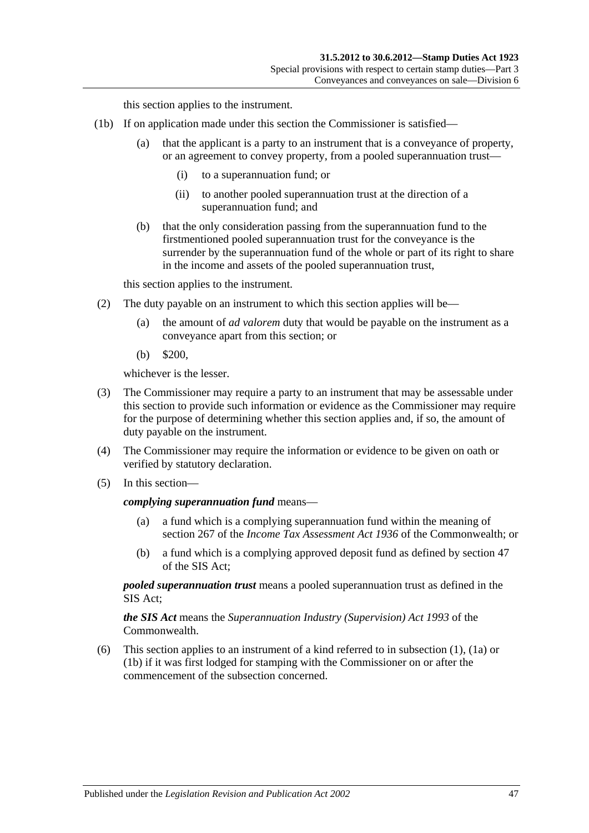this section applies to the instrument.

- <span id="page-64-0"></span>(1b) If on application made under this section the Commissioner is satisfied—
	- (a) that the applicant is a party to an instrument that is a conveyance of property, or an agreement to convey property, from a pooled superannuation trust—
		- (i) to a superannuation fund; or
		- (ii) to another pooled superannuation trust at the direction of a superannuation fund; and
	- (b) that the only consideration passing from the superannuation fund to the firstmentioned pooled superannuation trust for the conveyance is the surrender by the superannuation fund of the whole or part of its right to share in the income and assets of the pooled superannuation trust,

this section applies to the instrument.

- (2) The duty payable on an instrument to which this section applies will be—
	- (a) the amount of *ad valorem* duty that would be payable on the instrument as a conveyance apart from this section; or
	- (b) \$200,

whichever is the lesser.

- (3) The Commissioner may require a party to an instrument that may be assessable under this section to provide such information or evidence as the Commissioner may require for the purpose of determining whether this section applies and, if so, the amount of duty payable on the instrument.
- (4) The Commissioner may require the information or evidence to be given on oath or verified by statutory declaration.
- (5) In this section—

#### *complying superannuation fund* means—

- (a) a fund which is a complying superannuation fund within the meaning of section 267 of the *Income Tax Assessment Act 1936* of the Commonwealth; or
- (b) a fund which is a complying approved deposit fund as defined by section 47 of the SIS Act;

*pooled superannuation trust* means a pooled superannuation trust as defined in the SIS Act;

*the SIS Act* means the *Superannuation Industry (Supervision) Act 1993* of the Commonwealth.

(6) This section applies to an instrument of a kind referred to in [subsection](#page-63-0) (1), [\(1a\)](#page-63-1) or [\(1b\)](#page-64-0) if it was first lodged for stamping with the Commissioner on or after the commencement of the subsection concerned.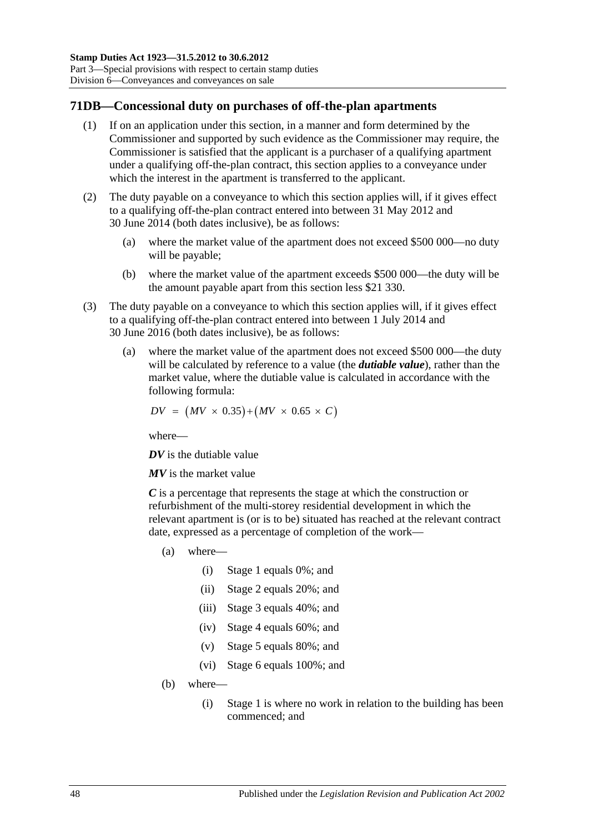### **71DB—Concessional duty on purchases of off-the-plan apartments**

- (1) If on an application under this section, in a manner and form determined by the Commissioner and supported by such evidence as the Commissioner may require, the Commissioner is satisfied that the applicant is a purchaser of a qualifying apartment under a qualifying off-the-plan contract, this section applies to a conveyance under which the interest in the apartment is transferred to the applicant.
- (2) The duty payable on a conveyance to which this section applies will, if it gives effect to a qualifying off-the-plan contract entered into between 31 May 2012 and 30 June 2014 (both dates inclusive), be as follows:
	- (a) where the market value of the apartment does not exceed \$500 000—no duty will be payable;
	- (b) where the market value of the apartment exceeds \$500 000—the duty will be the amount payable apart from this section less \$21 330.
- <span id="page-65-0"></span>(3) The duty payable on a conveyance to which this section applies will, if it gives effect to a qualifying off-the-plan contract entered into between 1 July 2014 and 30 June 2016 (both dates inclusive), be as follows:
	- (a) where the market value of the apartment does not exceed \$500 000—the duty will be calculated by reference to a value (the *dutiable value*), rather than the market value, where the dutiable value is calculated in accordance with the following formula:

$$
DV = (MV \times 0.35) + (MV \times 0.65 \times C)
$$

where—

*DV* is the dutiable value

*MV* is the market value

*C* is a percentage that represents the stage at which the construction or refurbishment of the multi-storey residential development in which the relevant apartment is (or is to be) situated has reached at the relevant contract date, expressed as a percentage of completion of the work—

- (a) where—
	- (i) Stage 1 equals 0%; and
	- (ii) Stage 2 equals 20%; and
	- (iii) Stage 3 equals 40%; and
	- (iv) Stage 4 equals 60%; and
	- (v) Stage 5 equals 80%; and
	- (vi) Stage 6 equals 100%; and
- (b) where—
	- (i) Stage 1 is where no work in relation to the building has been commenced; and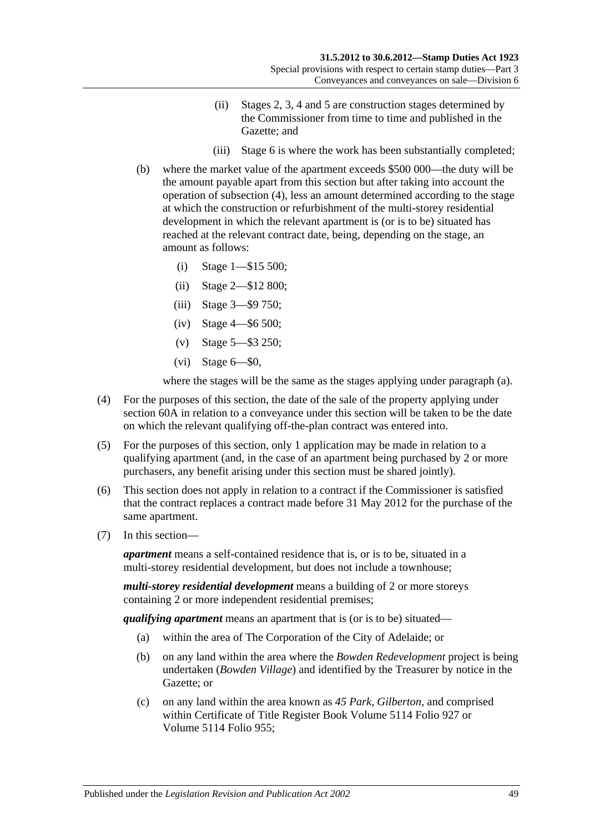- (ii) Stages 2, 3, 4 and 5 are construction stages determined by the Commissioner from time to time and published in the Gazette; and
- (iii) Stage 6 is where the work has been substantially completed;
- (b) where the market value of the apartment exceeds \$500 000—the duty will be the amount payable apart from this section but after taking into account the operation of [subsection](#page-66-0) (4), less an amount determined according to the stage at which the construction or refurbishment of the multi-storey residential development in which the relevant apartment is (or is to be) situated has reached at the relevant contract date, being, depending on the stage, an amount as follows:
	- (i) Stage 1—\$15 500;
	- (ii) Stage 2—\$12 800;
	- (iii) Stage 3—\$9 750;
	- (iv) Stage 4—\$6 500;
	- (v) Stage 5—\$3 250;
	- $(vi)$  Stage  $6$ — $\$0$ ,

where the stages will be the same as the stages applying under [paragraph](#page-65-0) (a).

- <span id="page-66-0"></span>(4) For the purposes of this section, the date of the sale of the property applying under [section](#page-38-1) 60A in relation to a conveyance under this section will be taken to be the date on which the relevant qualifying off-the-plan contract was entered into.
- (5) For the purposes of this section, only 1 application may be made in relation to a qualifying apartment (and, in the case of an apartment being purchased by 2 or more purchasers, any benefit arising under this section must be shared jointly).
- (6) This section does not apply in relation to a contract if the Commissioner is satisfied that the contract replaces a contract made before 31 May 2012 for the purchase of the same apartment.
- (7) In this section—

*apartment* means a self-contained residence that is, or is to be, situated in a multi-storey residential development, but does not include a townhouse;

*multi-storey residential development* means a building of 2 or more storeys containing 2 or more independent residential premises;

*qualifying apartment* means an apartment that is (or is to be) situated—

- (a) within the area of The Corporation of the City of Adelaide; or
- (b) on any land within the area where the *Bowden Redevelopment* project is being undertaken (*Bowden Village*) and identified by the Treasurer by notice in the Gazette; or
- (c) on any land within the area known as *45 Park*, *Gilberton*, and comprised within Certificate of Title Register Book Volume 5114 Folio 927 or Volume 5114 Folio 955;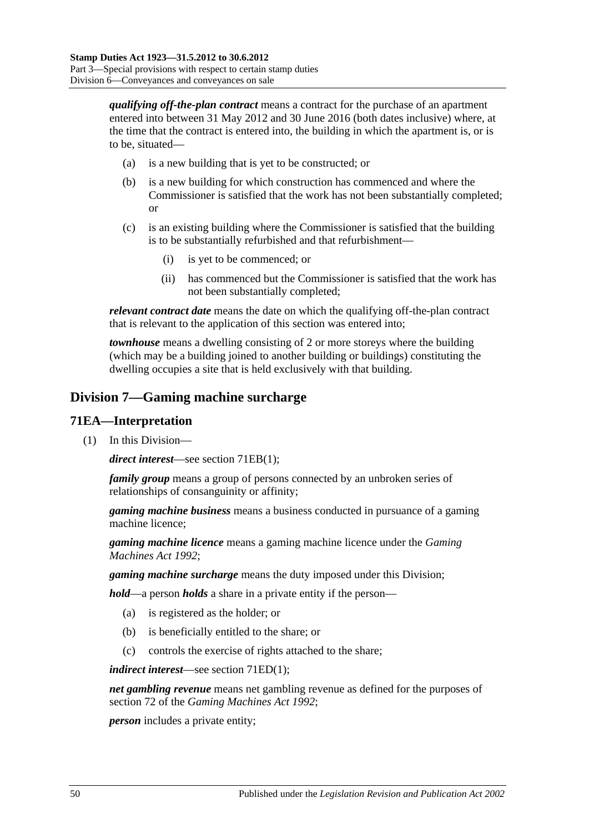*qualifying off-the-plan contract* means a contract for the purchase of an apartment entered into between 31 May 2012 and 30 June 2016 (both dates inclusive) where, at the time that the contract is entered into, the building in which the apartment is, or is to be, situated—

- (a) is a new building that is yet to be constructed; or
- (b) is a new building for which construction has commenced and where the Commissioner is satisfied that the work has not been substantially completed; or
- (c) is an existing building where the Commissioner is satisfied that the building is to be substantially refurbished and that refurbishment—
	- (i) is yet to be commenced; or
	- (ii) has commenced but the Commissioner is satisfied that the work has not been substantially completed;

*relevant contract date* means the date on which the qualifying off-the-plan contract that is relevant to the application of this section was entered into;

*townhouse* means a dwelling consisting of 2 or more storeys where the building (which may be a building joined to another building or buildings) constituting the dwelling occupies a site that is held exclusively with that building.

## **Division 7—Gaming machine surcharge**

#### **71EA—Interpretation**

(1) In this Division—

*direct interest*—see section [71EB\(1\);](#page-68-0)

*family group* means a group of persons connected by an unbroken series of relationships of consanguinity or affinity;

*gaming machine business* means a business conducted in pursuance of a gaming machine licence;

*gaming machine licence* means a gaming machine licence under the *[Gaming](http://www.legislation.sa.gov.au/index.aspx?action=legref&type=act&legtitle=Gaming%20Machines%20Act%201992)  [Machines Act](http://www.legislation.sa.gov.au/index.aspx?action=legref&type=act&legtitle=Gaming%20Machines%20Act%201992) 1992*;

*gaming machine surcharge* means the duty imposed under this Division;

*hold*—a person *holds* a share in a private entity if the person—

- (a) is registered as the holder; or
- (b) is beneficially entitled to the share; or
- (c) controls the exercise of rights attached to the share;

*indirect interest*—see section [71ED\(1\);](#page-69-0)

*net gambling revenue* means net gambling revenue as defined for the purposes of section 72 of the *[Gaming Machines Act](http://www.legislation.sa.gov.au/index.aspx?action=legref&type=act&legtitle=Gaming%20Machines%20Act%201992) 1992*;

*person* includes a private entity;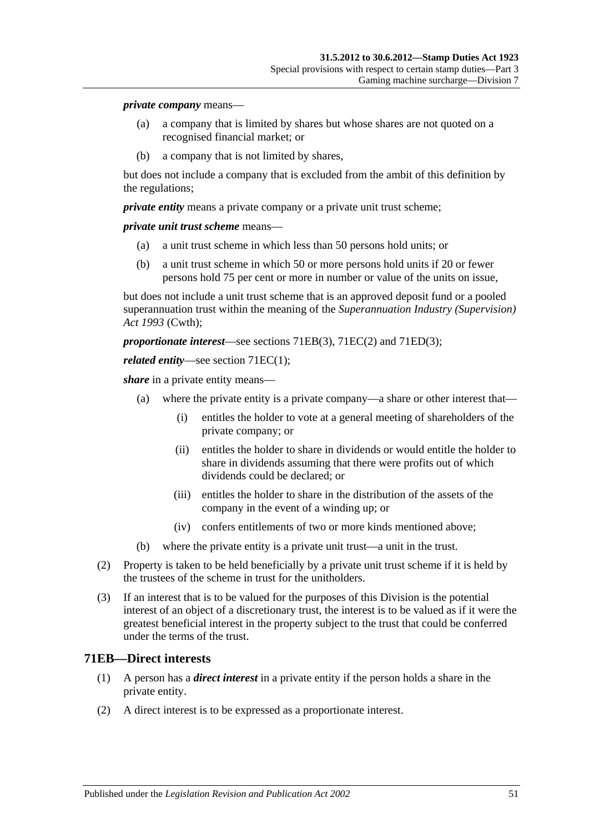#### *private company* means—

- (a) a company that is limited by shares but whose shares are not quoted on a recognised financial market; or
- (b) a company that is not limited by shares,

but does not include a company that is excluded from the ambit of this definition by the regulations;

*private entity* means a private company or a private unit trust scheme;

*private unit trust scheme* means—

- (a) a unit trust scheme in which less than 50 persons hold units; or
- (b) a unit trust scheme in which 50 or more persons hold units if 20 or fewer persons hold 75 per cent or more in number or value of the units on issue,

but does not include a unit trust scheme that is an approved deposit fund or a pooled superannuation trust within the meaning of the *Superannuation Industry (Supervision) Act 1993* (Cwth);

*proportionate interest*—see sections [71EB\(3\),](#page-69-1) [71EC\(2\)](#page-69-2) and [71ED\(3\);](#page-69-3)

#### *related entity*—see section [71EC\(1\);](#page-69-4)

*share* in a private entity means—

- (a) where the private entity is a private company—a share or other interest that—
	- (i) entitles the holder to vote at a general meeting of shareholders of the private company; or
	- (ii) entitles the holder to share in dividends or would entitle the holder to share in dividends assuming that there were profits out of which dividends could be declared; or
	- (iii) entitles the holder to share in the distribution of the assets of the company in the event of a winding up; or
	- (iv) confers entitlements of two or more kinds mentioned above;
- (b) where the private entity is a private unit trust—a unit in the trust.
- (2) Property is taken to be held beneficially by a private unit trust scheme if it is held by the trustees of the scheme in trust for the unitholders.
- (3) If an interest that is to be valued for the purposes of this Division is the potential interest of an object of a discretionary trust, the interest is to be valued as if it were the greatest beneficial interest in the property subject to the trust that could be conferred under the terms of the trust.

#### <span id="page-68-0"></span>**71EB—Direct interests**

- (1) A person has a *direct interest* in a private entity if the person holds a share in the private entity.
- (2) A direct interest is to be expressed as a proportionate interest.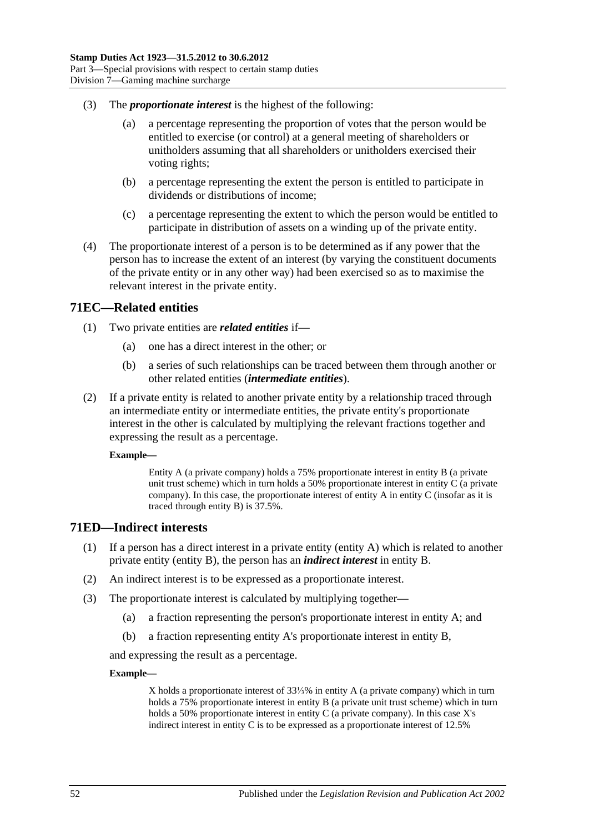- <span id="page-69-1"></span>(3) The *proportionate interest* is the highest of the following:
	- (a) a percentage representing the proportion of votes that the person would be entitled to exercise (or control) at a general meeting of shareholders or unitholders assuming that all shareholders or unitholders exercised their voting rights;
	- (b) a percentage representing the extent the person is entitled to participate in dividends or distributions of income;
	- (c) a percentage representing the extent to which the person would be entitled to participate in distribution of assets on a winding up of the private entity.
- (4) The proportionate interest of a person is to be determined as if any power that the person has to increase the extent of an interest (by varying the constituent documents of the private entity or in any other way) had been exercised so as to maximise the relevant interest in the private entity.

#### <span id="page-69-4"></span>**71EC—Related entities**

- (1) Two private entities are *related entities* if—
	- (a) one has a direct interest in the other; or
	- (b) a series of such relationships can be traced between them through another or other related entities (*intermediate entities*).
- <span id="page-69-2"></span>(2) If a private entity is related to another private entity by a relationship traced through an intermediate entity or intermediate entities, the private entity's proportionate interest in the other is calculated by multiplying the relevant fractions together and expressing the result as a percentage.

#### **Example—**

Entity A (a private company) holds a 75% proportionate interest in entity B (a private unit trust scheme) which in turn holds a 50% proportionate interest in entity C (a private company). In this case, the proportionate interest of entity A in entity C (insofar as it is traced through entity B) is 37.5%.

#### <span id="page-69-0"></span>**71ED—Indirect interests**

- (1) If a person has a direct interest in a private entity (entity A) which is related to another private entity (entity B), the person has an *indirect interest* in entity B.
- (2) An indirect interest is to be expressed as a proportionate interest.
- <span id="page-69-3"></span>(3) The proportionate interest is calculated by multiplying together—
	- (a) a fraction representing the person's proportionate interest in entity A; and
	- (b) a fraction representing entity A's proportionate interest in entity B,

and expressing the result as a percentage.

#### **Example—**

X holds a proportionate interest of 33⅓% in entity A (a private company) which in turn holds a 75% proportionate interest in entity B (a private unit trust scheme) which in turn holds a 50% proportionate interest in entity C (a private company). In this case X's indirect interest in entity C is to be expressed as a proportionate interest of 12.5%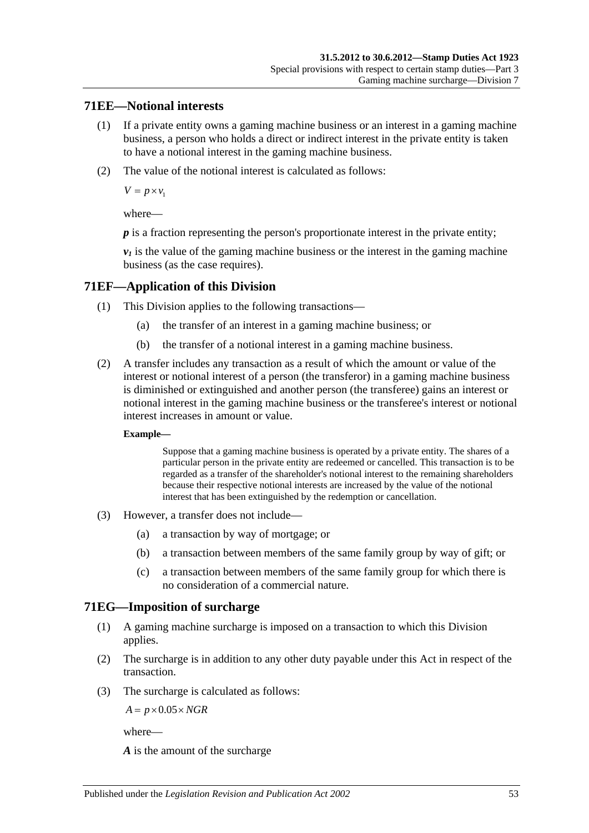### **71EE—Notional interests**

- (1) If a private entity owns a gaming machine business or an interest in a gaming machine business, a person who holds a direct or indirect interest in the private entity is taken to have a notional interest in the gaming machine business.
- (2) The value of the notional interest is calculated as follows:

 $V = p \times v_1$ 

where—

*p* is a fraction representing the person's proportionate interest in the private entity;

 $v_1$  is the value of the gaming machine business or the interest in the gaming machine business (as the case requires).

### **71EF—Application of this Division**

- (1) This Division applies to the following transactions—
	- (a) the transfer of an interest in a gaming machine business; or
	- (b) the transfer of a notional interest in a gaming machine business.
- (2) A transfer includes any transaction as a result of which the amount or value of the interest or notional interest of a person (the transferor) in a gaming machine business is diminished or extinguished and another person (the transferee) gains an interest or notional interest in the gaming machine business or the transferee's interest or notional interest increases in amount or value.

#### **Example—**

Suppose that a gaming machine business is operated by a private entity. The shares of a particular person in the private entity are redeemed or cancelled. This transaction is to be regarded as a transfer of the shareholder's notional interest to the remaining shareholders because their respective notional interests are increased by the value of the notional interest that has been extinguished by the redemption or cancellation.

- (3) However, a transfer does not include—
	- (a) a transaction by way of mortgage; or
	- (b) a transaction between members of the same family group by way of gift; or
	- (c) a transaction between members of the same family group for which there is no consideration of a commercial nature.

### **71EG—Imposition of surcharge**

- (1) A gaming machine surcharge is imposed on a transaction to which this Division applies.
- (2) The surcharge is in addition to any other duty payable under this Act in respect of the transaction.
- (3) The surcharge is calculated as follows:

 $A = p \times 0.05 \times NGR$ 

where—

*A* is the amount of the surcharge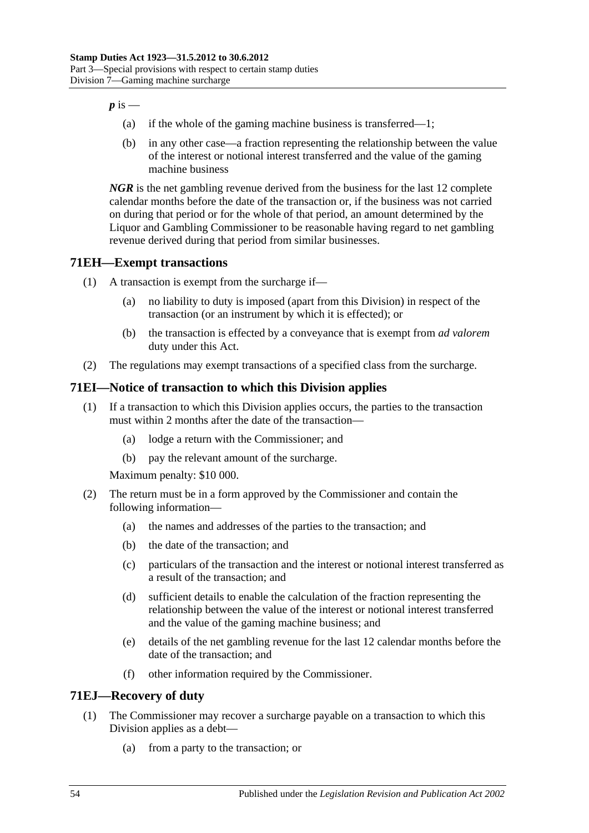$p$  is  $-$ 

- (a) if the whole of the gaming machine business is transferred—1;
- (b) in any other case—a fraction representing the relationship between the value of the interest or notional interest transferred and the value of the gaming machine business

*NGR* is the net gambling revenue derived from the business for the last 12 complete calendar months before the date of the transaction or, if the business was not carried on during that period or for the whole of that period, an amount determined by the Liquor and Gambling Commissioner to be reasonable having regard to net gambling revenue derived during that period from similar businesses.

# **71EH—Exempt transactions**

- (1) A transaction is exempt from the surcharge if—
	- (a) no liability to duty is imposed (apart from this Division) in respect of the transaction (or an instrument by which it is effected); or
	- (b) the transaction is effected by a conveyance that is exempt from *ad valorem* duty under this Act.
- (2) The regulations may exempt transactions of a specified class from the surcharge.

## **71EI—Notice of transaction to which this Division applies**

- (1) If a transaction to which this Division applies occurs, the parties to the transaction must within 2 months after the date of the transaction—
	- (a) lodge a return with the Commissioner; and
	- (b) pay the relevant amount of the surcharge.

Maximum penalty: \$10 000.

- (2) The return must be in a form approved by the Commissioner and contain the following information—
	- (a) the names and addresses of the parties to the transaction; and
	- (b) the date of the transaction; and
	- (c) particulars of the transaction and the interest or notional interest transferred as a result of the transaction; and
	- (d) sufficient details to enable the calculation of the fraction representing the relationship between the value of the interest or notional interest transferred and the value of the gaming machine business; and
	- (e) details of the net gambling revenue for the last 12 calendar months before the date of the transaction; and
	- (f) other information required by the Commissioner.

### **71EJ—Recovery of duty**

- (1) The Commissioner may recover a surcharge payable on a transaction to which this Division applies as a debt—
	- (a) from a party to the transaction; or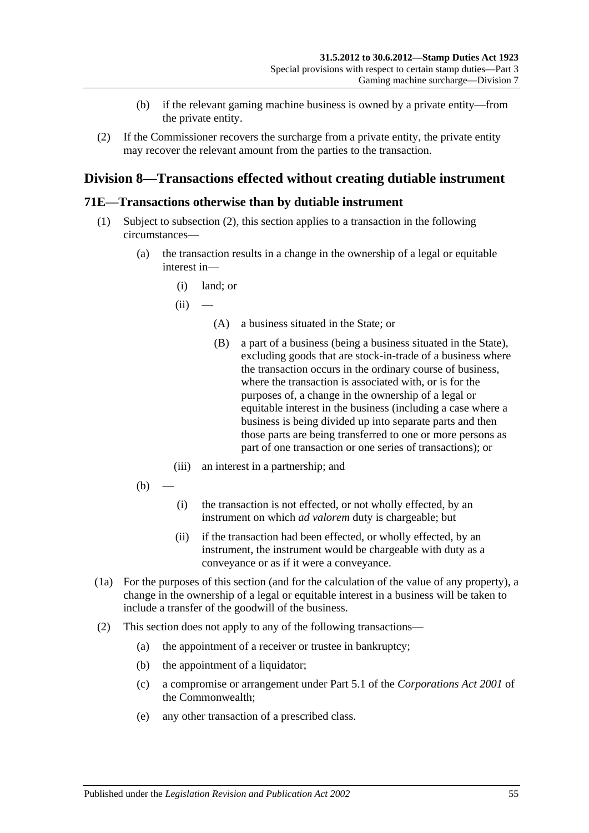- (b) if the relevant gaming machine business is owned by a private entity—from the private entity.
- (2) If the Commissioner recovers the surcharge from a private entity, the private entity may recover the relevant amount from the parties to the transaction.

## **Division 8—Transactions effected without creating dutiable instrument**

#### **71E—Transactions otherwise than by dutiable instrument**

- (1) Subject to [subsection](#page-72-0) (2), this section applies to a transaction in the following circumstances—
	- (a) the transaction results in a change in the ownership of a legal or equitable interest in—
		- (i) land; or
		- $(ii)$ 
			- (A) a business situated in the State; or
			- (B) a part of a business (being a business situated in the State), excluding goods that are stock-in-trade of a business where the transaction occurs in the ordinary course of business, where the transaction is associated with, or is for the purposes of, a change in the ownership of a legal or equitable interest in the business (including a case where a business is being divided up into separate parts and then those parts are being transferred to one or more persons as part of one transaction or one series of transactions); or
		- (iii) an interest in a partnership; and
	- $(b)$
- (i) the transaction is not effected, or not wholly effected, by an instrument on which *ad valorem* duty is chargeable; but
- (ii) if the transaction had been effected, or wholly effected, by an instrument, the instrument would be chargeable with duty as a conveyance or as if it were a conveyance.
- (1a) For the purposes of this section (and for the calculation of the value of any property), a change in the ownership of a legal or equitable interest in a business will be taken to include a transfer of the goodwill of the business.
- <span id="page-72-0"></span>(2) This section does not apply to any of the following transactions—
	- (a) the appointment of a receiver or trustee in bankruptcy;
	- (b) the appointment of a liquidator;
	- (c) a compromise or arrangement under Part 5.1 of the *Corporations Act 2001* of the Commonwealth;
	- (e) any other transaction of a prescribed class.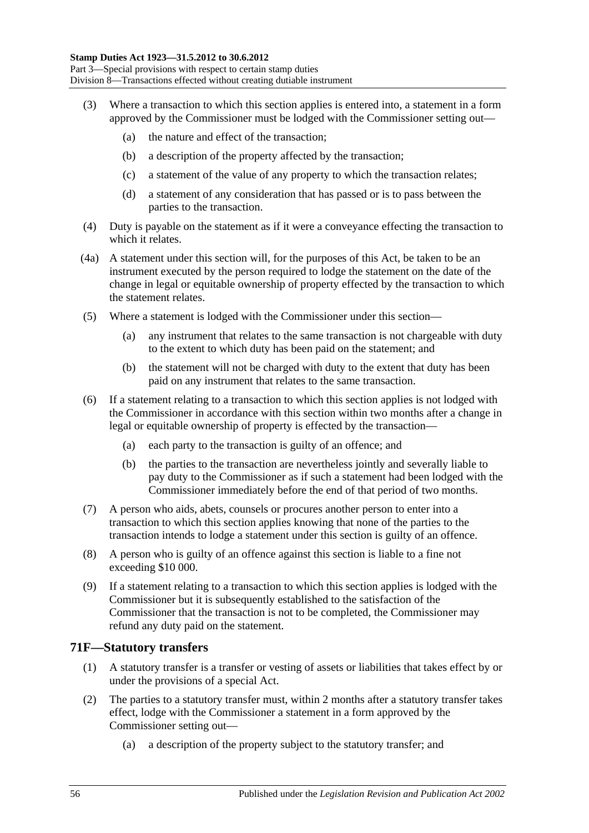- (3) Where a transaction to which this section applies is entered into, a statement in a form approved by the Commissioner must be lodged with the Commissioner setting out—
	- (a) the nature and effect of the transaction;
	- (b) a description of the property affected by the transaction;
	- (c) a statement of the value of any property to which the transaction relates;
	- (d) a statement of any consideration that has passed or is to pass between the parties to the transaction.
- (4) Duty is payable on the statement as if it were a conveyance effecting the transaction to which it relates.
- (4a) A statement under this section will, for the purposes of this Act, be taken to be an instrument executed by the person required to lodge the statement on the date of the change in legal or equitable ownership of property effected by the transaction to which the statement relates.
- (5) Where a statement is lodged with the Commissioner under this section—
	- (a) any instrument that relates to the same transaction is not chargeable with duty to the extent to which duty has been paid on the statement; and
	- (b) the statement will not be charged with duty to the extent that duty has been paid on any instrument that relates to the same transaction.
- (6) If a statement relating to a transaction to which this section applies is not lodged with the Commissioner in accordance with this section within two months after a change in legal or equitable ownership of property is effected by the transaction—
	- (a) each party to the transaction is guilty of an offence; and
	- (b) the parties to the transaction are nevertheless jointly and severally liable to pay duty to the Commissioner as if such a statement had been lodged with the Commissioner immediately before the end of that period of two months.
- (7) A person who aids, abets, counsels or procures another person to enter into a transaction to which this section applies knowing that none of the parties to the transaction intends to lodge a statement under this section is guilty of an offence.
- (8) A person who is guilty of an offence against this section is liable to a fine not exceeding \$10 000.
- (9) If a statement relating to a transaction to which this section applies is lodged with the Commissioner but it is subsequently established to the satisfaction of the Commissioner that the transaction is not to be completed, the Commissioner may refund any duty paid on the statement.

#### **71F—Statutory transfers**

- (1) A statutory transfer is a transfer or vesting of assets or liabilities that takes effect by or under the provisions of a special Act.
- (2) The parties to a statutory transfer must, within 2 months after a statutory transfer takes effect, lodge with the Commissioner a statement in a form approved by the Commissioner setting out—
	- (a) a description of the property subject to the statutory transfer; and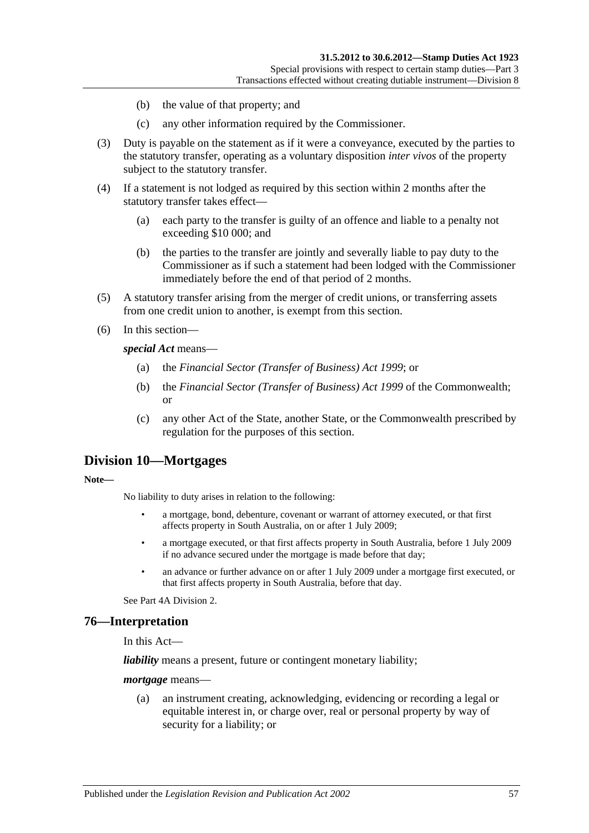- (b) the value of that property; and
- (c) any other information required by the Commissioner.
- (3) Duty is payable on the statement as if it were a conveyance, executed by the parties to the statutory transfer, operating as a voluntary disposition *inter vivos* of the property subject to the statutory transfer.
- (4) If a statement is not lodged as required by this section within 2 months after the statutory transfer takes effect—
	- (a) each party to the transfer is guilty of an offence and liable to a penalty not exceeding \$10 000; and
	- (b) the parties to the transfer are jointly and severally liable to pay duty to the Commissioner as if such a statement had been lodged with the Commissioner immediately before the end of that period of 2 months.
- (5) A statutory transfer arising from the merger of credit unions, or transferring assets from one credit union to another, is exempt from this section.
- (6) In this section—

*special Act* means—

- (a) the *[Financial Sector \(Transfer of Business\) Act](http://www.legislation.sa.gov.au/index.aspx?action=legref&type=act&legtitle=Financial%20Sector%20(Transfer%20of%20Business)%20Act%201999) 1999*; or
- (b) the *Financial Sector (Transfer of Business) Act 1999* of the Commonwealth; or
- (c) any other Act of the State, another State, or the Commonwealth prescribed by regulation for the purposes of this section.

### **Division 10—Mortgages**

**Note—**

No liability to duty arises in relation to the following:

- a mortgage, bond, debenture, covenant or warrant of attorney executed, or that first affects property in South Australia, on or after 1 July 2009;
- a mortgage executed, or that first affects property in South Australia, before 1 July 2009 if no advance secured under the mortgage is made before that day;
- an advance or further advance on or after 1 July 2009 under a mortgage first executed, or that first affects property in South Australia, before that day.

Se[e Part 4A Division 2.](#page-100-0)

#### **76—Interpretation**

In this Act—

*liability* means a present, future or contingent monetary liability;

*mortgage* means—

(a) an instrument creating, acknowledging, evidencing or recording a legal or equitable interest in, or charge over, real or personal property by way of security for a liability; or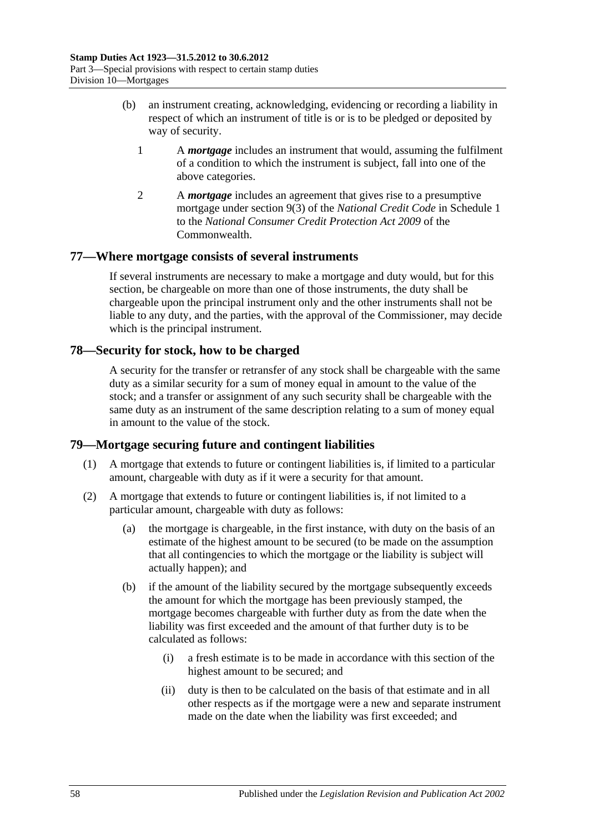- (b) an instrument creating, acknowledging, evidencing or recording a liability in respect of which an instrument of title is or is to be pledged or deposited by way of security.
	- 1 A *mortgage* includes an instrument that would, assuming the fulfilment of a condition to which the instrument is subject, fall into one of the above categories.
	- 2 A *mortgage* includes an agreement that gives rise to a presumptive mortgage under section 9(3) of the *National Credit Code* in Schedule 1 to the *National Consumer Credit Protection Act 2009* of the Commonwealth.

### **77—Where mortgage consists of several instruments**

If several instruments are necessary to make a mortgage and duty would, but for this section, be chargeable on more than one of those instruments, the duty shall be chargeable upon the principal instrument only and the other instruments shall not be liable to any duty, and the parties, with the approval of the Commissioner, may decide which is the principal instrument.

## **78—Security for stock, how to be charged**

A security for the transfer or retransfer of any stock shall be chargeable with the same duty as a similar security for a sum of money equal in amount to the value of the stock; and a transfer or assignment of any such security shall be chargeable with the same duty as an instrument of the same description relating to a sum of money equal in amount to the value of the stock.

## **79—Mortgage securing future and contingent liabilities**

- (1) A mortgage that extends to future or contingent liabilities is, if limited to a particular amount, chargeable with duty as if it were a security for that amount.
- <span id="page-75-2"></span><span id="page-75-1"></span><span id="page-75-0"></span>(2) A mortgage that extends to future or contingent liabilities is, if not limited to a particular amount, chargeable with duty as follows:
	- (a) the mortgage is chargeable, in the first instance, with duty on the basis of an estimate of the highest amount to be secured (to be made on the assumption that all contingencies to which the mortgage or the liability is subject will actually happen); and
	- (b) if the amount of the liability secured by the mortgage subsequently exceeds the amount for which the mortgage has been previously stamped, the mortgage becomes chargeable with further duty as from the date when the liability was first exceeded and the amount of that further duty is to be calculated as follows:
		- (i) a fresh estimate is to be made in accordance with this section of the highest amount to be secured; and
		- (ii) duty is then to be calculated on the basis of that estimate and in all other respects as if the mortgage were a new and separate instrument made on the date when the liability was first exceeded; and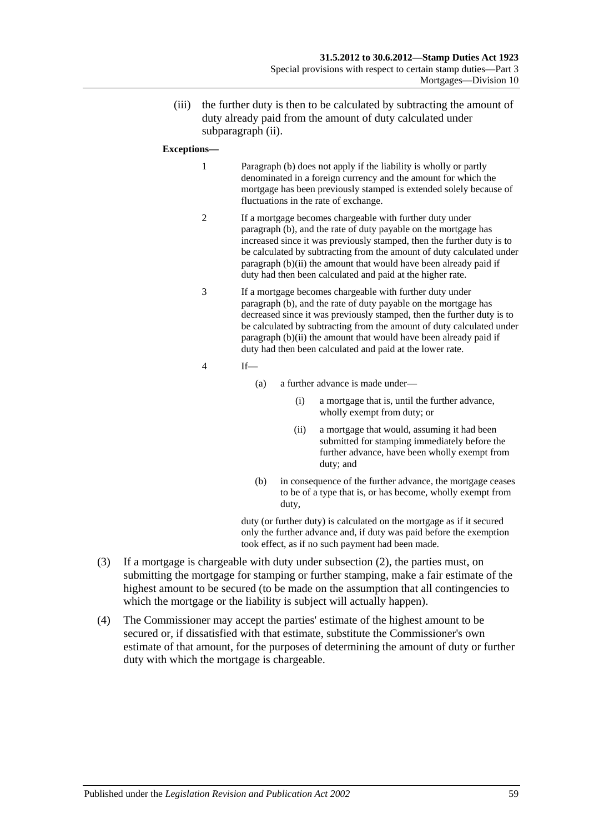(iii) the further duty is then to be calculated by subtracting the amount of duty already paid from the amount of duty calculated under [subparagraph](#page-75-0) (ii).

#### **Exceptions—**

- 1 [Paragraph](#page-75-1) (b) does not apply if the liability is wholly or partly denominated in a foreign currency and the amount for which the mortgage has been previously stamped is extended solely because of fluctuations in the rate of exchange.
- 2 If a mortgage becomes chargeable with further duty under [paragraph](#page-75-1) (b), and the rate of duty payable on the mortgage has increased since it was previously stamped, then the further duty is to be calculated by subtracting from the amount of duty calculated under [paragraph](#page-75-0) (b)(ii) the amount that would have been already paid if duty had then been calculated and paid at the higher rate.
- 3 If a mortgage becomes chargeable with further duty under [paragraph](#page-75-1) (b), and the rate of duty payable on the mortgage has decreased since it was previously stamped, then the further duty is to be calculated by subtracting from the amount of duty calculated under [paragraph](#page-75-0) (b)(ii) the amount that would have been already paid if duty had then been calculated and paid at the lower rate.
- 4 If—
	- (a) a further advance is made under—
		- (i) a mortgage that is, until the further advance, wholly exempt from duty; or
		- (ii) a mortgage that would, assuming it had been submitted for stamping immediately before the further advance, have been wholly exempt from duty; and
	- (b) in consequence of the further advance, the mortgage ceases to be of a type that is, or has become, wholly exempt from duty,

duty (or further duty) is calculated on the mortgage as if it secured only the further advance and, if duty was paid before the exemption took effect, as if no such payment had been made.

- (3) If a mortgage is chargeable with duty under [subsection](#page-75-2) (2), the parties must, on submitting the mortgage for stamping or further stamping, make a fair estimate of the highest amount to be secured (to be made on the assumption that all contingencies to which the mortgage or the liability is subject will actually happen).
- (4) The Commissioner may accept the parties' estimate of the highest amount to be secured or, if dissatisfied with that estimate, substitute the Commissioner's own estimate of that amount, for the purposes of determining the amount of duty or further duty with which the mortgage is chargeable.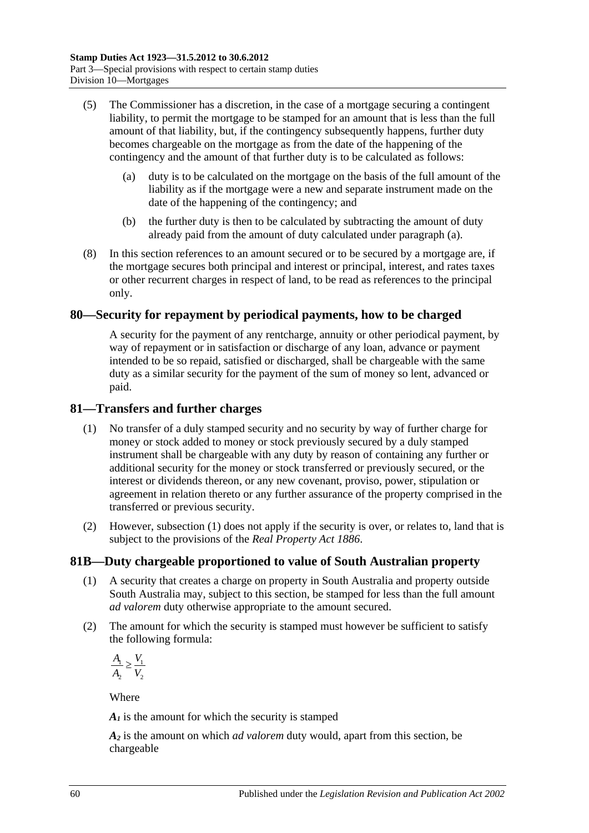- <span id="page-77-0"></span>(5) The Commissioner has a discretion, in the case of a mortgage securing a contingent liability, to permit the mortgage to be stamped for an amount that is less than the full amount of that liability, but, if the contingency subsequently happens, further duty becomes chargeable on the mortgage as from the date of the happening of the contingency and the amount of that further duty is to be calculated as follows:
	- (a) duty is to be calculated on the mortgage on the basis of the full amount of the liability as if the mortgage were a new and separate instrument made on the date of the happening of the contingency; and
	- (b) the further duty is then to be calculated by subtracting the amount of duty already paid from the amount of duty calculated under [paragraph](#page-77-0) (a).
- (8) In this section references to an amount secured or to be secured by a mortgage are, if the mortgage secures both principal and interest or principal, interest, and rates taxes or other recurrent charges in respect of land, to be read as references to the principal only.

### **80—Security for repayment by periodical payments, how to be charged**

A security for the payment of any rentcharge, annuity or other periodical payment, by way of repayment or in satisfaction or discharge of any loan, advance or payment intended to be so repaid, satisfied or discharged, shall be chargeable with the same duty as a similar security for the payment of the sum of money so lent, advanced or paid.

#### <span id="page-77-1"></span>**81—Transfers and further charges**

- (1) No transfer of a duly stamped security and no security by way of further charge for money or stock added to money or stock previously secured by a duly stamped instrument shall be chargeable with any duty by reason of containing any further or additional security for the money or stock transferred or previously secured, or the interest or dividends thereon, or any new covenant, proviso, power, stipulation or agreement in relation thereto or any further assurance of the property comprised in the transferred or previous security.
- (2) However, [subsection](#page-77-1) (1) does not apply if the security is over, or relates to, land that is subject to the provisions of the *[Real Property Act](http://www.legislation.sa.gov.au/index.aspx?action=legref&type=act&legtitle=Real%20Property%20Act%201886) 1886*.

### **81B—Duty chargeable proportioned to value of South Australian property**

- (1) A security that creates a charge on property in South Australia and property outside South Australia may, subject to this section, be stamped for less than the full amount *ad valorem* duty otherwise appropriate to the amount secured.
- (2) The amount for which the security is stamped must however be sufficient to satisfy the following formula:

 $\frac{1}{1} > \frac{1}{1}$ 2 2  $A_{\!\scriptscriptstyle 1} \supset V$  $A_2$  V ≥

Where

 $A<sub>I</sub>$  is the amount for which the security is stamped

*A2* is the amount on which *ad valorem* duty would, apart from this section, be chargeable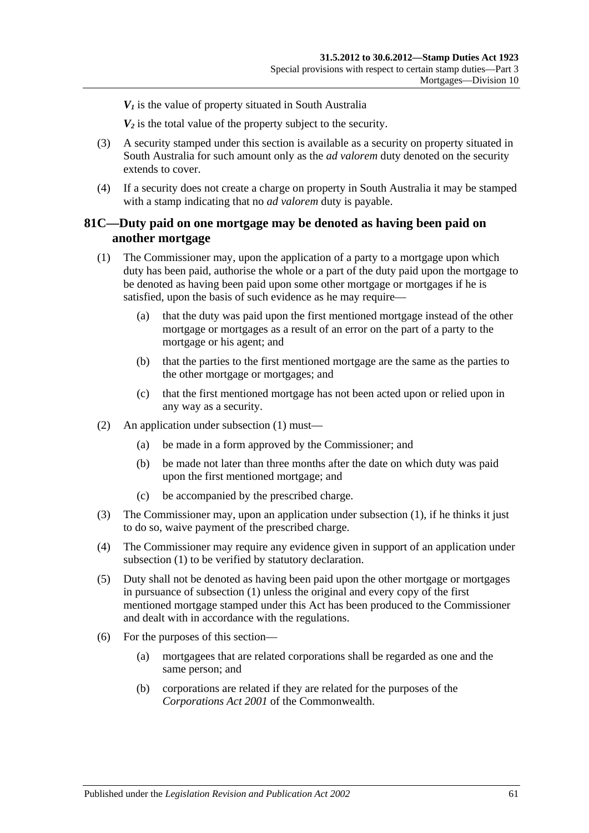$V_1$  is the value of property situated in South Australia

*V2* is the total value of the property subject to the security.

- (3) A security stamped under this section is available as a security on property situated in South Australia for such amount only as the *ad valorem* duty denoted on the security extends to cover.
- (4) If a security does not create a charge on property in South Australia it may be stamped with a stamp indicating that no *ad valorem* duty is payable.

### **81C—Duty paid on one mortgage may be denoted as having been paid on another mortgage**

- <span id="page-78-0"></span>(1) The Commissioner may, upon the application of a party to a mortgage upon which duty has been paid, authorise the whole or a part of the duty paid upon the mortgage to be denoted as having been paid upon some other mortgage or mortgages if he is satisfied, upon the basis of such evidence as he may require—
	- (a) that the duty was paid upon the first mentioned mortgage instead of the other mortgage or mortgages as a result of an error on the part of a party to the mortgage or his agent; and
	- (b) that the parties to the first mentioned mortgage are the same as the parties to the other mortgage or mortgages; and
	- (c) that the first mentioned mortgage has not been acted upon or relied upon in any way as a security.
- (2) An application under [subsection](#page-78-0) (1) must—
	- (a) be made in a form approved by the Commissioner; and
	- (b) be made not later than three months after the date on which duty was paid upon the first mentioned mortgage; and
	- (c) be accompanied by the prescribed charge.
- (3) The Commissioner may, upon an application under [subsection](#page-78-0) (1), if he thinks it just to do so, waive payment of the prescribed charge.
- (4) The Commissioner may require any evidence given in support of an application under [subsection](#page-78-0) (1) to be verified by statutory declaration.
- (5) Duty shall not be denoted as having been paid upon the other mortgage or mortgages in pursuance of [subsection](#page-78-0) (1) unless the original and every copy of the first mentioned mortgage stamped under this Act has been produced to the Commissioner and dealt with in accordance with the regulations.
- (6) For the purposes of this section—
	- (a) mortgagees that are related corporations shall be regarded as one and the same person; and
	- (b) corporations are related if they are related for the purposes of the *Corporations Act 2001* of the Commonwealth.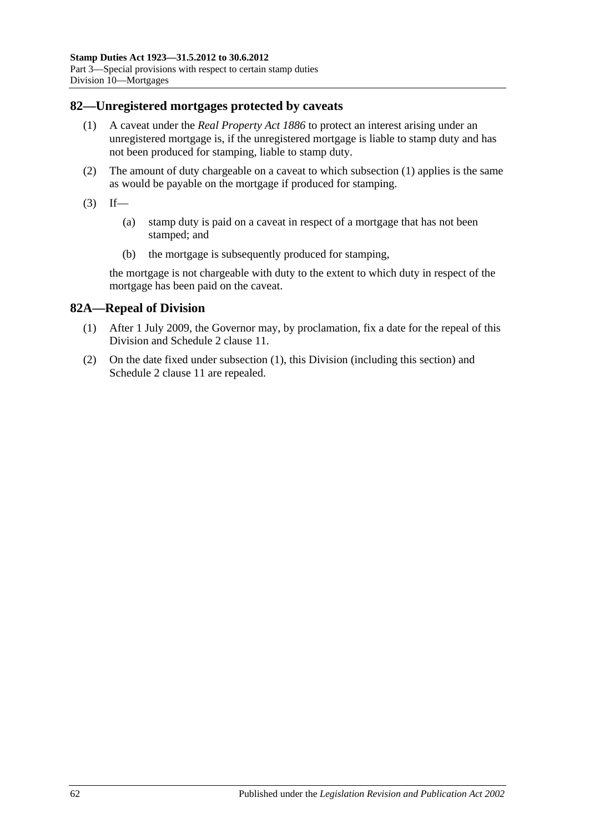#### <span id="page-79-0"></span>**82—Unregistered mortgages protected by caveats**

- (1) A caveat under the *[Real Property Act](http://www.legislation.sa.gov.au/index.aspx?action=legref&type=act&legtitle=Real%20Property%20Act%201886) 1886* to protect an interest arising under an unregistered mortgage is, if the unregistered mortgage is liable to stamp duty and has not been produced for stamping, liable to stamp duty.
- (2) The amount of duty chargeable on a caveat to which [subsection](#page-79-0) (1) applies is the same as would be payable on the mortgage if produced for stamping.
- $(3)$  If—
	- (a) stamp duty is paid on a caveat in respect of a mortgage that has not been stamped; and
	- (b) the mortgage is subsequently produced for stamping,

the mortgage is not chargeable with duty to the extent to which duty in respect of the mortgage has been paid on the caveat.

### <span id="page-79-1"></span>**82A—Repeal of Division**

- (1) After 1 July 2009, the Governor may, by proclamation, fix a date for the repeal of this Division and Schedule 2 clause 11.
- (2) On the date fixed under [subsection](#page-79-1) (1), this Division (including this section) and Schedule 2 clause 11 are repealed.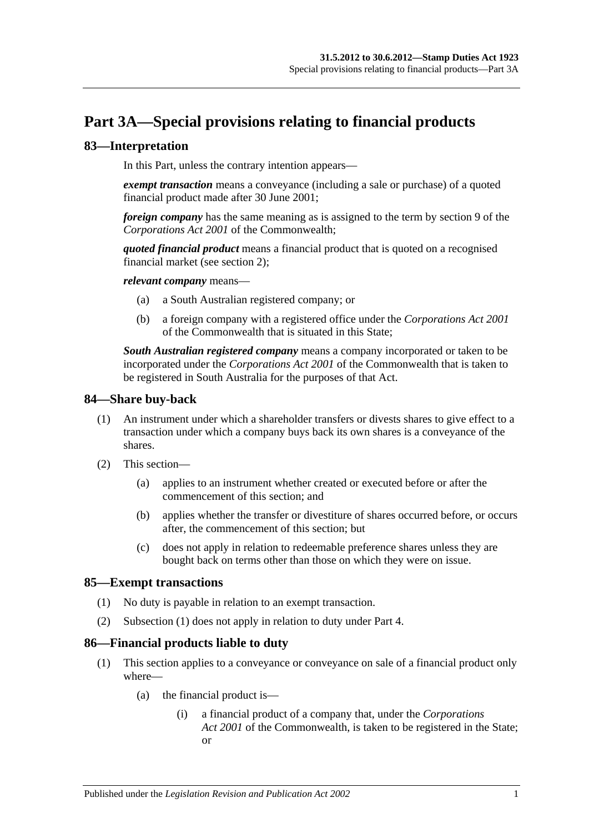# **Part 3A—Special provisions relating to financial products**

## **83—Interpretation**

In this Part, unless the contrary intention appears—

*exempt transaction* means a conveyance (including a sale or purchase) of a quoted financial product made after 30 June 2001;

*foreign company* has the same meaning as is assigned to the term by section 9 of the *Corporations Act 2001* of the Commonwealth;

*quoted financial product* means a financial product that is quoted on a recognised financial market (see [section](#page-6-0) 2);

*relevant company* means—

- (a) a South Australian registered company; or
- (b) a foreign company with a registered office under the *Corporations Act 2001* of the Commonwealth that is situated in this State;

*South Australian registered company* means a company incorporated or taken to be incorporated under the *Corporations Act 2001* of the Commonwealth that is taken to be registered in South Australia for the purposes of that Act.

#### **84—Share buy-back**

- (1) An instrument under which a shareholder transfers or divests shares to give effect to a transaction under which a company buys back its own shares is a conveyance of the shares.
- (2) This section—
	- (a) applies to an instrument whether created or executed before or after the commencement of this section; and
	- (b) applies whether the transfer or divestiture of shares occurred before, or occurs after, the commencement of this section; but
	- (c) does not apply in relation to redeemable preference shares unless they are bought back on terms other than those on which they were on issue.

### <span id="page-80-0"></span>**85—Exempt transactions**

- (1) No duty is payable in relation to an exempt transaction.
- (2) [Subsection](#page-80-0) (1) does not apply in relation to duty under Part 4.

### <span id="page-80-1"></span>**86—Financial products liable to duty**

- (1) This section applies to a conveyance or conveyance on sale of a financial product only where—
	- (a) the financial product is—
		- (i) a financial product of a company that, under the *Corporations Act 2001* of the Commonwealth, is taken to be registered in the State; or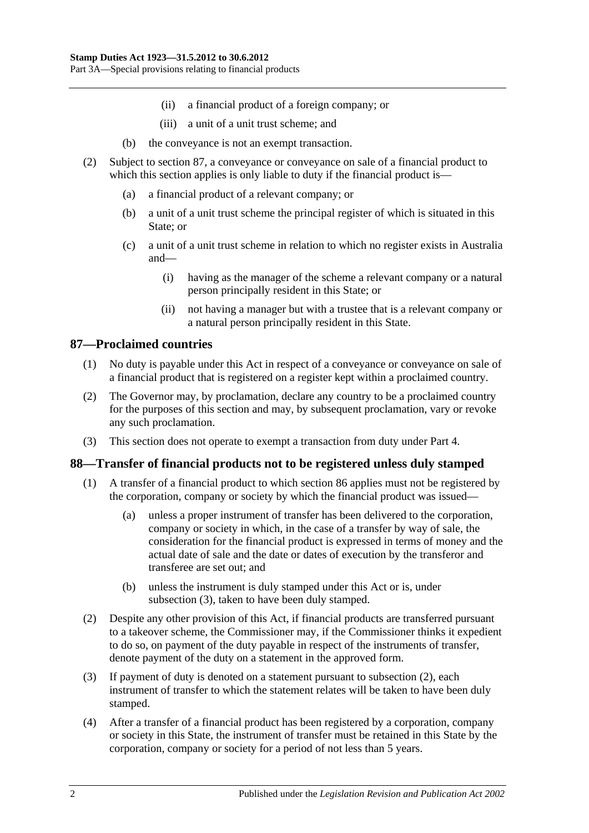- (ii) a financial product of a foreign company; or
- (iii) a unit of a unit trust scheme; and
- (b) the conveyance is not an exempt transaction.
- (2) Subject to [section](#page-81-0) 87, a conveyance or conveyance on sale of a financial product to which this section applies is only liable to duty if the financial product is—
	- (a) a financial product of a relevant company; or
	- (b) a unit of a unit trust scheme the principal register of which is situated in this State; or
	- (c) a unit of a unit trust scheme in relation to which no register exists in Australia and—
		- (i) having as the manager of the scheme a relevant company or a natural person principally resident in this State; or
		- (ii) not having a manager but with a trustee that is a relevant company or a natural person principally resident in this State.

## <span id="page-81-0"></span>**87—Proclaimed countries**

- (1) No duty is payable under this Act in respect of a conveyance or conveyance on sale of a financial product that is registered on a register kept within a proclaimed country.
- (2) The Governor may, by proclamation, declare any country to be a proclaimed country for the purposes of this section and may, by subsequent proclamation, vary or revoke any such proclamation.
- (3) This section does not operate to exempt a transaction from duty under Part 4.

## **88—Transfer of financial products not to be registered unless duly stamped**

- (1) A transfer of a financial product to which [section](#page-80-1) 86 applies must not be registered by the corporation, company or society by which the financial product was issued—
	- (a) unless a proper instrument of transfer has been delivered to the corporation, company or society in which, in the case of a transfer by way of sale, the consideration for the financial product is expressed in terms of money and the actual date of sale and the date or dates of execution by the transferor and transferee are set out; and
	- (b) unless the instrument is duly stamped under this Act or is, under [subsection](#page-81-1) (3), taken to have been duly stamped.
- <span id="page-81-2"></span>(2) Despite any other provision of this Act, if financial products are transferred pursuant to a takeover scheme, the Commissioner may, if the Commissioner thinks it expedient to do so, on payment of the duty payable in respect of the instruments of transfer, denote payment of the duty on a statement in the approved form.
- <span id="page-81-1"></span>(3) If payment of duty is denoted on a statement pursuant to [subsection](#page-81-2) (2), each instrument of transfer to which the statement relates will be taken to have been duly stamped.
- (4) After a transfer of a financial product has been registered by a corporation, company or society in this State, the instrument of transfer must be retained in this State by the corporation, company or society for a period of not less than 5 years.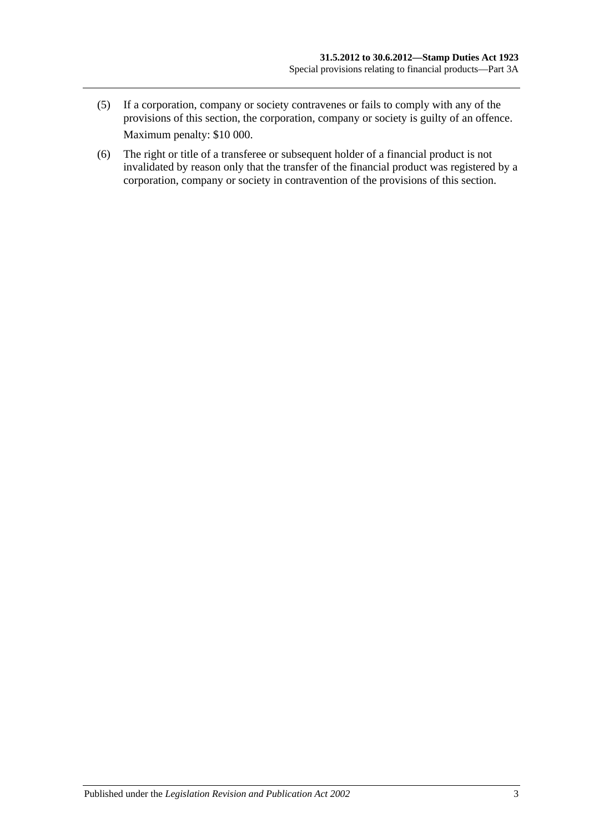- (5) If a corporation, company or society contravenes or fails to comply with any of the provisions of this section, the corporation, company or society is guilty of an offence. Maximum penalty: \$10 000.
- (6) The right or title of a transferee or subsequent holder of a financial product is not invalidated by reason only that the transfer of the financial product was registered by a corporation, company or society in contravention of the provisions of this section.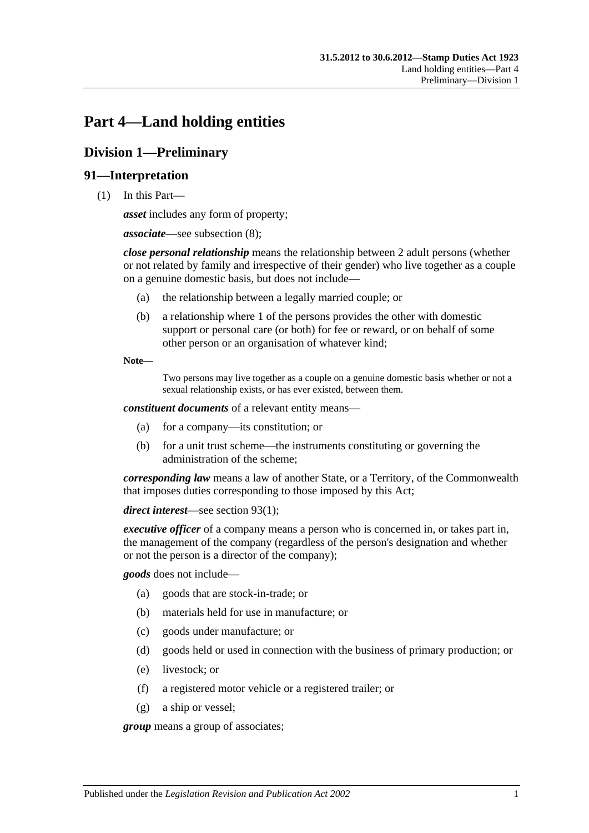# **Part 4—Land holding entities**

## **Division 1—Preliminary**

## **91—Interpretation**

(1) In this Part—

*asset* includes any form of property;

*associate*—see [subsection](#page-87-0) (8);

*close personal relationship* means the relationship between 2 adult persons (whether or not related by family and irrespective of their gender) who live together as a couple on a genuine domestic basis, but does not include—

- (a) the relationship between a legally married couple; or
- (b) a relationship where 1 of the persons provides the other with domestic support or personal care (or both) for fee or reward, or on behalf of some other person or an organisation of whatever kind;

**Note—**

Two persons may live together as a couple on a genuine domestic basis whether or not a sexual relationship exists, or has ever existed, between them.

*constituent documents* of a relevant entity means—

- (a) for a company—its constitution; or
- (b) for a unit trust scheme—the instruments constituting or governing the administration of the scheme;

*corresponding law* means a law of another State, or a Territory, of the Commonwealth that imposes duties corresponding to those imposed by this Act;

*direct interest*—see [section](#page-89-0) 93(1);

*executive officer* of a company means a person who is concerned in, or takes part in, the management of the company (regardless of the person's designation and whether or not the person is a director of the company);

*goods* does not include—

- (a) goods that are stock-in-trade; or
- (b) materials held for use in manufacture; or
- (c) goods under manufacture; or
- (d) goods held or used in connection with the business of primary production; or
- (e) livestock; or
- (f) a registered motor vehicle or a registered trailer; or
- (g) a ship or vessel;

*group* means a group of associates;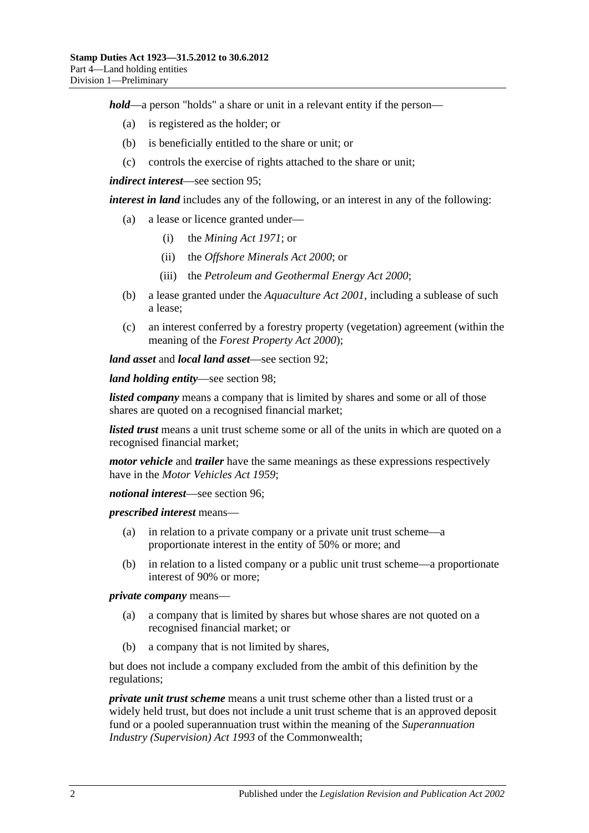*hold*—a person "holds" a share or unit in a relevant entity if the person—

- (a) is registered as the holder; or
- (b) is beneficially entitled to the share or unit; or
- (c) controls the exercise of rights attached to the share or unit;

*indirect interest*—see [section](#page-89-1) 95;

*interest in land* includes any of the following, or an interest in any of the following:

- (a) a lease or licence granted under—
	- (i) the *[Mining Act](http://www.legislation.sa.gov.au/index.aspx?action=legref&type=act&legtitle=Mining%20Act%201971) 1971*; or
	- (ii) the *[Offshore Minerals Act](http://www.legislation.sa.gov.au/index.aspx?action=legref&type=act&legtitle=Offshore%20Minerals%20Act%202000) 2000*; or
	- (iii) the *[Petroleum and Geothermal Energy Act](http://www.legislation.sa.gov.au/index.aspx?action=legref&type=act&legtitle=Petroleum%20and%20Geothermal%20Energy%20Act%202000) 2000*;
- (b) a lease granted under the *[Aquaculture Act](http://www.legislation.sa.gov.au/index.aspx?action=legref&type=act&legtitle=Aquaculture%20Act%202001) 2001*, including a sublease of such a lease;
- (c) an interest conferred by a forestry property (vegetation) agreement (within the meaning of the *[Forest Property Act](http://www.legislation.sa.gov.au/index.aspx?action=legref&type=act&legtitle=Forest%20Property%20Act%202000) 2000*);

*land asset* and *local land asset*—see [section](#page-88-0) 92;

*land holding entity*—see [section](#page-91-0) 98;

*listed company* means a company that is limited by shares and some or all of those shares are quoted on a recognised financial market;

*listed trust* means a unit trust scheme some or all of the units in which are quoted on a recognised financial market;

*motor vehicle* and *trailer* have the same meanings as these expressions respectively have in the *[Motor Vehicles Act](http://www.legislation.sa.gov.au/index.aspx?action=legref&type=act&legtitle=Motor%20Vehicles%20Act%201959) 1959*;

*notional interest*—see [section](#page-90-0) 96;

*prescribed interest* means—

- (a) in relation to a private company or a private unit trust scheme—a proportionate interest in the entity of 50% or more; and
- (b) in relation to a listed company or a public unit trust scheme—a proportionate interest of 90% or more;

*private company* means—

- (a) a company that is limited by shares but whose shares are not quoted on a recognised financial market; or
- (b) a company that is not limited by shares,

but does not include a company excluded from the ambit of this definition by the regulations;

*private unit trust scheme* means a unit trust scheme other than a listed trust or a widely held trust, but does not include a unit trust scheme that is an approved deposit fund or a pooled superannuation trust within the meaning of the *Superannuation Industry (Supervision) Act 1993* of the Commonwealth;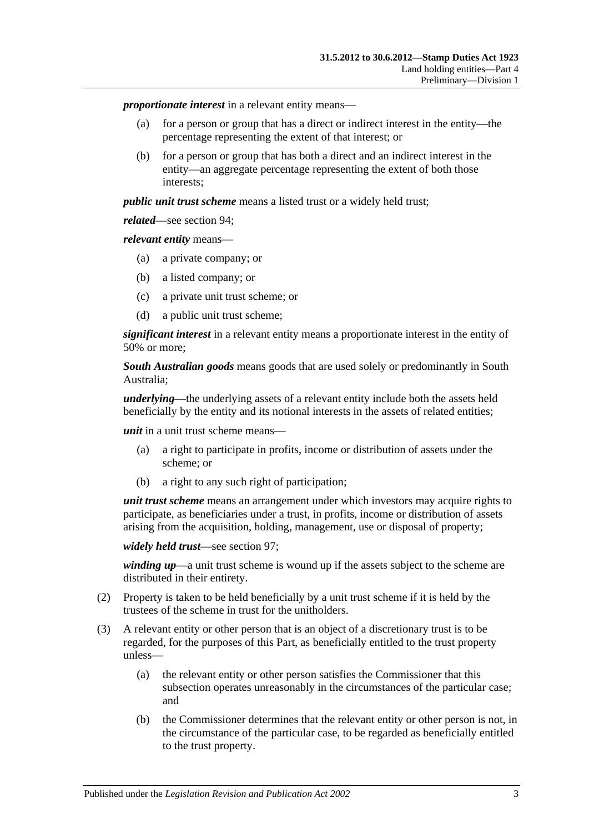*proportionate interest* in a relevant entity means—

- (a) for a person or group that has a direct or indirect interest in the entity—the percentage representing the extent of that interest; or
- (b) for a person or group that has both a direct and an indirect interest in the entity—an aggregate percentage representing the extent of both those interests;

*public unit trust scheme* means a listed trust or a widely held trust;

*related*—see [section](#page-89-2) 94;

*relevant entity* means—

- (a) a private company; or
- (b) a listed company; or
- (c) a private unit trust scheme; or
- (d) a public unit trust scheme;

*significant interest* in a relevant entity means a proportionate interest in the entity of 50% or more;

*South Australian goods* means goods that are used solely or predominantly in South Australia;

*underlying*—the underlying assets of a relevant entity include both the assets held beneficially by the entity and its notional interests in the assets of related entities;

*unit* in a unit trust scheme means—

- (a) a right to participate in profits, income or distribution of assets under the scheme; or
- (b) a right to any such right of participation;

*unit trust scheme* means an arrangement under which investors may acquire rights to participate, as beneficiaries under a trust, in profits, income or distribution of assets arising from the acquisition, holding, management, use or disposal of property;

```
widely held trust—see section 97;
```
*winding up*—a unit trust scheme is wound up if the assets subject to the scheme are distributed in their entirety.

- (2) Property is taken to be held beneficially by a unit trust scheme if it is held by the trustees of the scheme in trust for the unitholders.
- (3) A relevant entity or other person that is an object of a discretionary trust is to be regarded, for the purposes of this Part, as beneficially entitled to the trust property unless—
	- (a) the relevant entity or other person satisfies the Commissioner that this subsection operates unreasonably in the circumstances of the particular case; and
	- (b) the Commissioner determines that the relevant entity or other person is not, in the circumstance of the particular case, to be regarded as beneficially entitled to the trust property.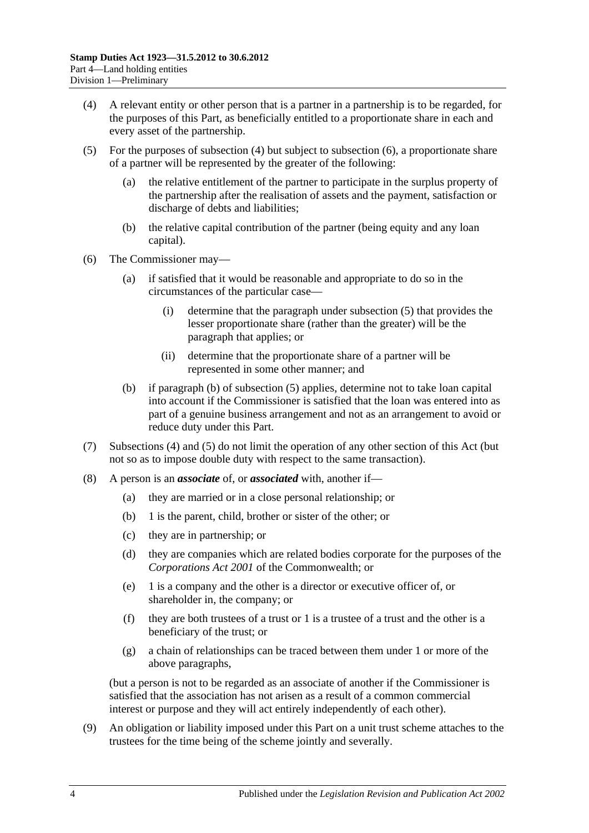- <span id="page-87-1"></span>(4) A relevant entity or other person that is a partner in a partnership is to be regarded, for the purposes of this Part, as beneficially entitled to a proportionate share in each and every asset of the partnership.
- <span id="page-87-3"></span>(5) For the purposes of [subsection](#page-87-1) (4) but subject to [subsection](#page-87-2) (6), a proportionate share of a partner will be represented by the greater of the following:
	- (a) the relative entitlement of the partner to participate in the surplus property of the partnership after the realisation of assets and the payment, satisfaction or discharge of debts and liabilities;
	- (b) the relative capital contribution of the partner (being equity and any loan capital).
- <span id="page-87-4"></span><span id="page-87-2"></span>(6) The Commissioner may—
	- (a) if satisfied that it would be reasonable and appropriate to do so in the circumstances of the particular case—
		- (i) determine that the paragraph under [subsection](#page-87-3) (5) that provides the lesser proportionate share (rather than the greater) will be the paragraph that applies; or
		- (ii) determine that the proportionate share of a partner will be represented in some other manner; and
	- (b) if [paragraph](#page-87-4) (b) of [subsection](#page-87-3) (5) applies, determine not to take loan capital into account if the Commissioner is satisfied that the loan was entered into as part of a genuine business arrangement and not as an arrangement to avoid or reduce duty under this Part.
- (7) [Subsections](#page-87-1) (4) and [\(5\)](#page-87-3) do not limit the operation of any other section of this Act (but not so as to impose double duty with respect to the same transaction).
- <span id="page-87-0"></span>(8) A person is an *associate* of, or *associated* with, another if—
	- (a) they are married or in a close personal relationship; or
	- (b) 1 is the parent, child, brother or sister of the other; or
	- (c) they are in partnership; or
	- (d) they are companies which are related bodies corporate for the purposes of the *Corporations Act 2001* of the Commonwealth; or
	- (e) 1 is a company and the other is a director or executive officer of, or shareholder in, the company; or
	- (f) they are both trustees of a trust or 1 is a trustee of a trust and the other is a beneficiary of the trust; or
	- (g) a chain of relationships can be traced between them under 1 or more of the above paragraphs,

(but a person is not to be regarded as an associate of another if the Commissioner is satisfied that the association has not arisen as a result of a common commercial interest or purpose and they will act entirely independently of each other).

(9) An obligation or liability imposed under this Part on a unit trust scheme attaches to the trustees for the time being of the scheme jointly and severally.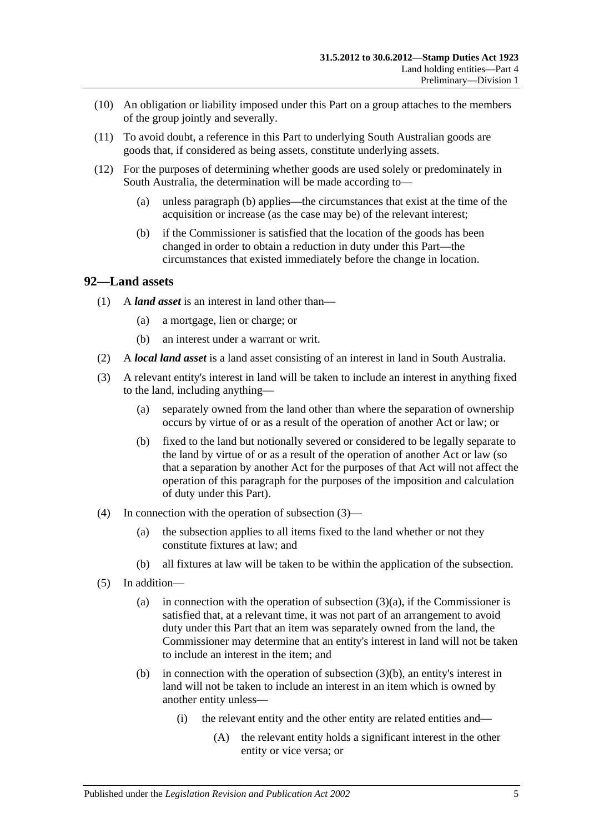- (10) An obligation or liability imposed under this Part on a group attaches to the members of the group jointly and severally.
- (11) To avoid doubt, a reference in this Part to underlying South Australian goods are goods that, if considered as being assets, constitute underlying assets.
- (12) For the purposes of determining whether goods are used solely or predominately in South Australia, the determination will be made according to—
	- (a) unless [paragraph](#page-88-1) (b) applies—the circumstances that exist at the time of the acquisition or increase (as the case may be) of the relevant interest;
	- (b) if the Commissioner is satisfied that the location of the goods has been changed in order to obtain a reduction in duty under this Part—the circumstances that existed immediately before the change in location.

#### <span id="page-88-1"></span><span id="page-88-0"></span>**92—Land assets**

- (1) A *land asset* is an interest in land other than—
	- (a) a mortgage, lien or charge; or
	- (b) an interest under a warrant or writ.
- (2) A *local land asset* is a land asset consisting of an interest in land in South Australia.
- <span id="page-88-4"></span><span id="page-88-3"></span><span id="page-88-2"></span>(3) A relevant entity's interest in land will be taken to include an interest in anything fixed to the land, including anything—
	- (a) separately owned from the land other than where the separation of ownership occurs by virtue of or as a result of the operation of another Act or law; or
	- (b) fixed to the land but notionally severed or considered to be legally separate to the land by virtue of or as a result of the operation of another Act or law (so that a separation by another Act for the purposes of that Act will not affect the operation of this paragraph for the purposes of the imposition and calculation of duty under this Part).
- (4) In connection with the operation of [subsection](#page-88-2) (3)—
	- (a) the subsection applies to all items fixed to the land whether or not they constitute fixtures at law; and
	- (b) all fixtures at law will be taken to be within the application of the subsection.
- (5) In addition
	- (a) in connection with the operation of [subsection](#page-88-3)  $(3)(a)$ , if the Commissioner is satisfied that, at a relevant time, it was not part of an arrangement to avoid duty under this Part that an item was separately owned from the land, the Commissioner may determine that an entity's interest in land will not be taken to include an interest in the item; and
	- (b) in connection with the operation of [subsection](#page-88-4) (3)(b), an entity's interest in land will not be taken to include an interest in an item which is owned by another entity unless—
		- (i) the relevant entity and the other entity are related entities and—
			- (A) the relevant entity holds a significant interest in the other entity or vice versa; or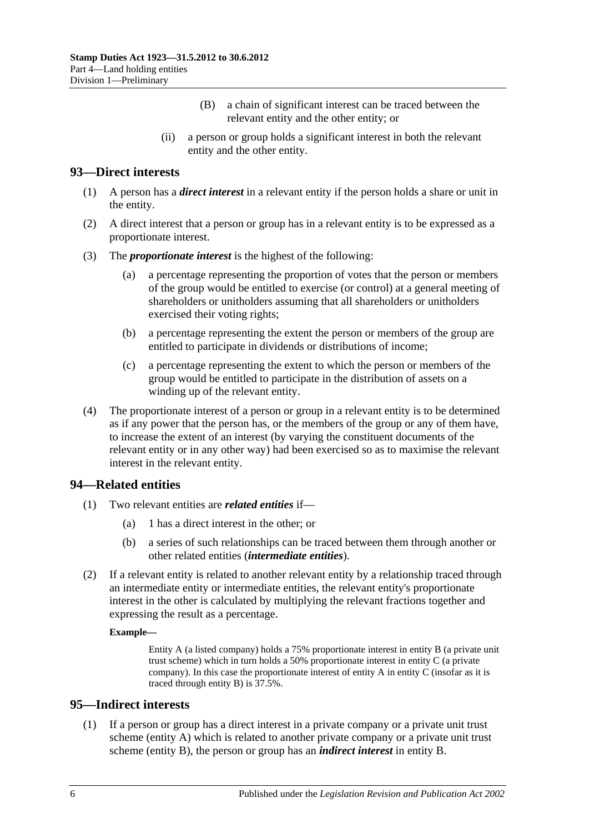- (B) a chain of significant interest can be traced between the relevant entity and the other entity; or
- (ii) a person or group holds a significant interest in both the relevant entity and the other entity.

## <span id="page-89-0"></span>**93—Direct interests**

- (1) A person has a *direct interest* in a relevant entity if the person holds a share or unit in the entity.
- (2) A direct interest that a person or group has in a relevant entity is to be expressed as a proportionate interest.
- (3) The *proportionate interest* is the highest of the following:
	- (a) a percentage representing the proportion of votes that the person or members of the group would be entitled to exercise (or control) at a general meeting of shareholders or unitholders assuming that all shareholders or unitholders exercised their voting rights;
	- (b) a percentage representing the extent the person or members of the group are entitled to participate in dividends or distributions of income;
	- (c) a percentage representing the extent to which the person or members of the group would be entitled to participate in the distribution of assets on a winding up of the relevant entity.
- (4) The proportionate interest of a person or group in a relevant entity is to be determined as if any power that the person has, or the members of the group or any of them have, to increase the extent of an interest (by varying the constituent documents of the relevant entity or in any other way) had been exercised so as to maximise the relevant interest in the relevant entity.

### <span id="page-89-2"></span>**94—Related entities**

- (1) Two relevant entities are *related entities* if—
	- (a) 1 has a direct interest in the other; or
	- (b) a series of such relationships can be traced between them through another or other related entities (*intermediate entities*).
- (2) If a relevant entity is related to another relevant entity by a relationship traced through an intermediate entity or intermediate entities, the relevant entity's proportionate interest in the other is calculated by multiplying the relevant fractions together and expressing the result as a percentage.

#### **Example—**

Entity A (a listed company) holds a 75% proportionate interest in entity B (a private unit trust scheme) which in turn holds a 50% proportionate interest in entity C (a private company). In this case the proportionate interest of entity A in entity C (insofar as it is traced through entity B) is 37.5%.

### <span id="page-89-1"></span>**95—Indirect interests**

(1) If a person or group has a direct interest in a private company or a private unit trust scheme (entity A) which is related to another private company or a private unit trust scheme (entity B), the person or group has an *indirect interest* in entity B.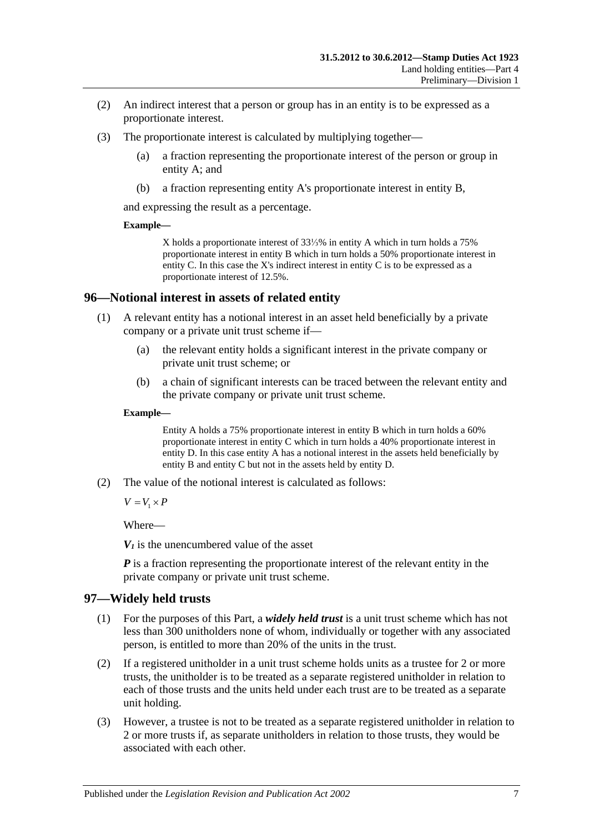- (2) An indirect interest that a person or group has in an entity is to be expressed as a proportionate interest.
- (3) The proportionate interest is calculated by multiplying together—
	- (a) a fraction representing the proportionate interest of the person or group in entity A; and
	- (b) a fraction representing entity A's proportionate interest in entity B,

and expressing the result as a percentage.

#### **Example—**

X holds a proportionate interest of 33⅓% in entity A which in turn holds a 75% proportionate interest in entity B which in turn holds a 50% proportionate interest in entity C. In this case the X's indirect interest in entity C is to be expressed as a proportionate interest of 12.5%.

#### <span id="page-90-0"></span>**96—Notional interest in assets of related entity**

- (1) A relevant entity has a notional interest in an asset held beneficially by a private company or a private unit trust scheme if—
	- (a) the relevant entity holds a significant interest in the private company or private unit trust scheme; or
	- (b) a chain of significant interests can be traced between the relevant entity and the private company or private unit trust scheme.

#### **Example—**

Entity A holds a 75% proportionate interest in entity B which in turn holds a 60% proportionate interest in entity C which in turn holds a 40% proportionate interest in entity D. In this case entity A has a notional interest in the assets held beneficially by entity B and entity C but not in the assets held by entity D.

(2) The value of the notional interest is calculated as follows:

 $V = V_1 \times P$ 

Where—

 $V_1$  is the unencumbered value of the asset

*P* is a fraction representing the proportionate interest of the relevant entity in the private company or private unit trust scheme.

#### <span id="page-90-1"></span>**97—Widely held trusts**

- (1) For the purposes of this Part, a *widely held trust* is a unit trust scheme which has not less than 300 unitholders none of whom, individually or together with any associated person, is entitled to more than 20% of the units in the trust.
- (2) If a registered unitholder in a unit trust scheme holds units as a trustee for 2 or more trusts, the unitholder is to be treated as a separate registered unitholder in relation to each of those trusts and the units held under each trust are to be treated as a separate unit holding.
- (3) However, a trustee is not to be treated as a separate registered unitholder in relation to 2 or more trusts if, as separate unitholders in relation to those trusts, they would be associated with each other.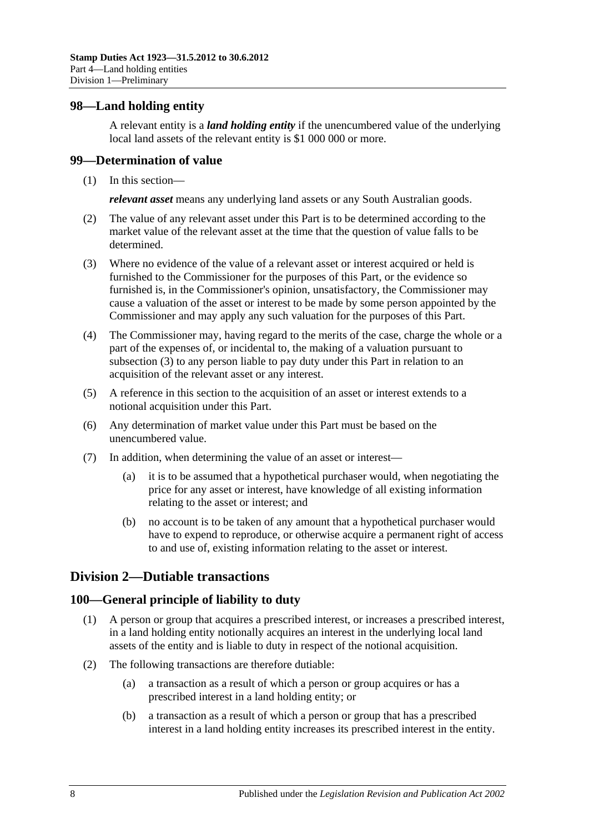### <span id="page-91-0"></span>**98—Land holding entity**

A relevant entity is a *land holding entity* if the unencumbered value of the underlying local land assets of the relevant entity is \$1 000 000 or more.

#### **99—Determination of value**

(1) In this section—

*relevant asset* means any underlying land assets or any South Australian goods.

- (2) The value of any relevant asset under this Part is to be determined according to the market value of the relevant asset at the time that the question of value falls to be determined.
- <span id="page-91-1"></span>(3) Where no evidence of the value of a relevant asset or interest acquired or held is furnished to the Commissioner for the purposes of this Part, or the evidence so furnished is, in the Commissioner's opinion, unsatisfactory, the Commissioner may cause a valuation of the asset or interest to be made by some person appointed by the Commissioner and may apply any such valuation for the purposes of this Part.
- (4) The Commissioner may, having regard to the merits of the case, charge the whole or a part of the expenses of, or incidental to, the making of a valuation pursuant to [subsection](#page-91-1) (3) to any person liable to pay duty under this Part in relation to an acquisition of the relevant asset or any interest.
- (5) A reference in this section to the acquisition of an asset or interest extends to a notional acquisition under this Part.
- (6) Any determination of market value under this Part must be based on the unencumbered value.
- (7) In addition, when determining the value of an asset or interest—
	- (a) it is to be assumed that a hypothetical purchaser would, when negotiating the price for any asset or interest, have knowledge of all existing information relating to the asset or interest; and
	- (b) no account is to be taken of any amount that a hypothetical purchaser would have to expend to reproduce, or otherwise acquire a permanent right of access to and use of, existing information relating to the asset or interest.

## **Division 2—Dutiable transactions**

### **100—General principle of liability to duty**

- (1) A person or group that acquires a prescribed interest, or increases a prescribed interest, in a land holding entity notionally acquires an interest in the underlying local land assets of the entity and is liable to duty in respect of the notional acquisition.
- (2) The following transactions are therefore dutiable:
	- (a) a transaction as a result of which a person or group acquires or has a prescribed interest in a land holding entity; or
	- (b) a transaction as a result of which a person or group that has a prescribed interest in a land holding entity increases its prescribed interest in the entity.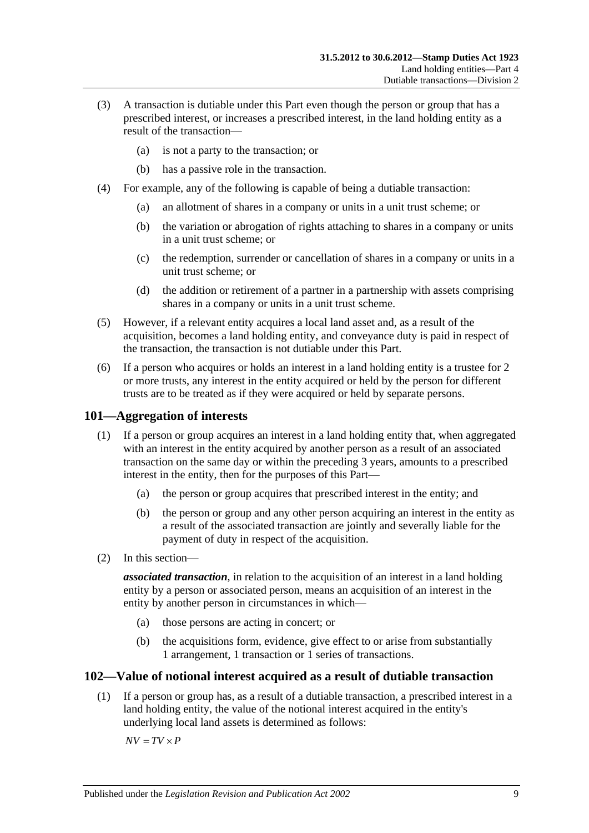- (3) A transaction is dutiable under this Part even though the person or group that has a prescribed interest, or increases a prescribed interest, in the land holding entity as a result of the transaction—
	- (a) is not a party to the transaction; or
	- (b) has a passive role in the transaction.
- (4) For example, any of the following is capable of being a dutiable transaction:
	- (a) an allotment of shares in a company or units in a unit trust scheme; or
	- (b) the variation or abrogation of rights attaching to shares in a company or units in a unit trust scheme; or
	- (c) the redemption, surrender or cancellation of shares in a company or units in a unit trust scheme; or
	- (d) the addition or retirement of a partner in a partnership with assets comprising shares in a company or units in a unit trust scheme.
- (5) However, if a relevant entity acquires a local land asset and, as a result of the acquisition, becomes a land holding entity, and conveyance duty is paid in respect of the transaction, the transaction is not dutiable under this Part.
- (6) If a person who acquires or holds an interest in a land holding entity is a trustee for 2 or more trusts, any interest in the entity acquired or held by the person for different trusts are to be treated as if they were acquired or held by separate persons.

## **101—Aggregation of interests**

- (1) If a person or group acquires an interest in a land holding entity that, when aggregated with an interest in the entity acquired by another person as a result of an associated transaction on the same day or within the preceding 3 years, amounts to a prescribed interest in the entity, then for the purposes of this Part—
	- (a) the person or group acquires that prescribed interest in the entity; and
	- (b) the person or group and any other person acquiring an interest in the entity as a result of the associated transaction are jointly and severally liable for the payment of duty in respect of the acquisition.
- (2) In this section—

*associated transaction*, in relation to the acquisition of an interest in a land holding entity by a person or associated person, means an acquisition of an interest in the entity by another person in circumstances in which—

- (a) those persons are acting in concert; or
- (b) the acquisitions form, evidence, give effect to or arise from substantially 1 arrangement, 1 transaction or 1 series of transactions.

### **102—Value of notional interest acquired as a result of dutiable transaction**

(1) If a person or group has, as a result of a dutiable transaction, a prescribed interest in a land holding entity, the value of the notional interest acquired in the entity's underlying local land assets is determined as follows:

 $\overline{AV}$  =  $\overline{TV}$   $\times$  *P*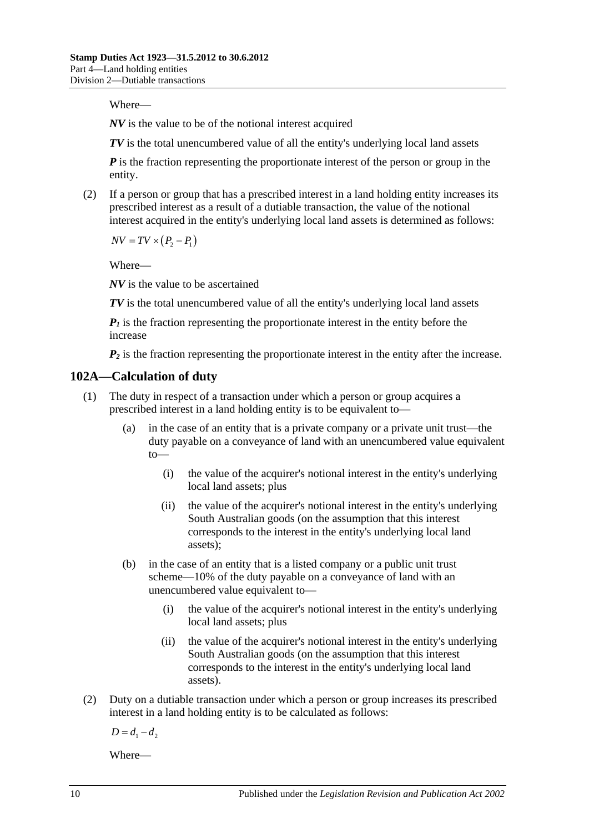Where—

*NV* is the value to be of the notional interest acquired

*TV* is the total unencumbered value of all the entity's underlying local land assets

*P* is the fraction representing the proportionate interest of the person or group in the entity.

(2) If a person or group that has a prescribed interest in a land holding entity increases its prescribed interest as a result of a dutiable transaction, the value of the notional interest acquired in the entity's underlying local land assets is determined as follows:

 $\overline{NV} = \overline{TV} \times (P_2 - P_1)$ 

Where—

*NV* is the value to be ascertained

*TV* is the total unencumbered value of all the entity's underlying local land assets

*P1* is the fraction representing the proportionate interest in the entity before the increase

 $P_2$  is the fraction representing the proportionate interest in the entity after the increase.

### <span id="page-93-1"></span>**102A—Calculation of duty**

- (1) The duty in respect of a transaction under which a person or group acquires a prescribed interest in a land holding entity is to be equivalent to—
	- (a) in the case of an entity that is a private company or a private unit trust—the duty payable on a conveyance of land with an unencumbered value equivalent to—
		- (i) the value of the acquirer's notional interest in the entity's underlying local land assets; plus
		- (ii) the value of the acquirer's notional interest in the entity's underlying South Australian goods (on the assumption that this interest corresponds to the interest in the entity's underlying local land assets);
	- (b) in the case of an entity that is a listed company or a public unit trust scheme—10% of the duty payable on a conveyance of land with an unencumbered value equivalent to—
		- (i) the value of the acquirer's notional interest in the entity's underlying local land assets; plus
		- (ii) the value of the acquirer's notional interest in the entity's underlying South Australian goods (on the assumption that this interest corresponds to the interest in the entity's underlying local land assets).
- <span id="page-93-0"></span>(2) Duty on a dutiable transaction under which a person or group increases its prescribed interest in a land holding entity is to be calculated as follows:

 $D = d_1 - d_2$ 

Where—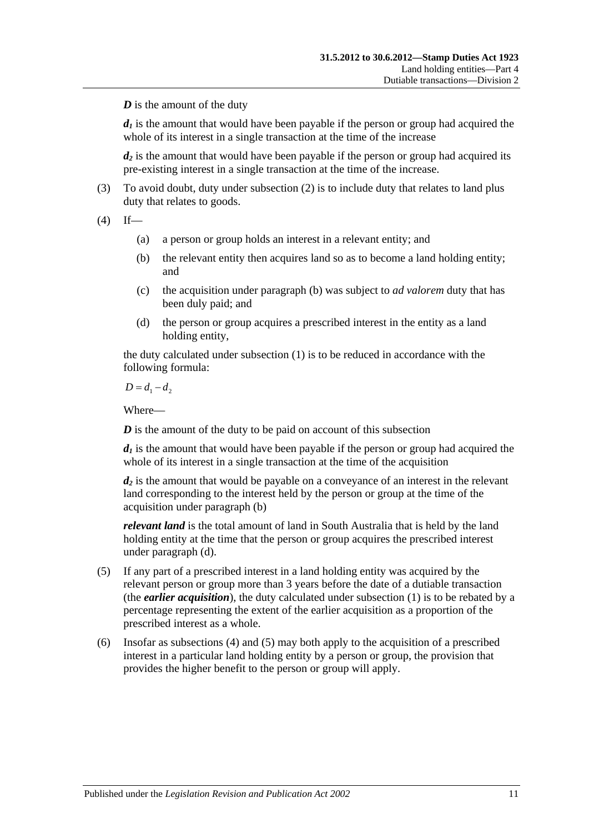*D* is the amount of the duty

 $d_1$  is the amount that would have been payable if the person or group had acquired the whole of its interest in a single transaction at the time of the increase

*d2* is the amount that would have been payable if the person or group had acquired its pre-existing interest in a single transaction at the time of the increase.

(3) To avoid doubt, duty under [subsection](#page-93-0) (2) is to include duty that relates to land plus duty that relates to goods.

<span id="page-94-0"></span> $(4)$  If—

- (a) a person or group holds an interest in a relevant entity; and
- (b) the relevant entity then acquires land so as to become a land holding entity; and
- (c) the acquisition under [paragraph](#page-94-0) (b) was subject to *ad valorem* duty that has been duly paid; and
- (d) the person or group acquires a prescribed interest in the entity as a land holding entity,

the duty calculated under [subsection](#page-93-1) (1) is to be reduced in accordance with the following formula:

 $D = d_1 - d_2$ 

Where—

*D* is the amount of the duty to be paid on account of this subsection

 $d_1$  is the amount that would have been payable if the person or group had acquired the whole of its interest in a single transaction at the time of the acquisition

*d2* is the amount that would be payable on a conveyance of an interest in the relevant land corresponding to the interest held by the person or group at the time of the acquisition under [paragraph](#page-94-0) (b)

*relevant land* is the total amount of land in South Australia that is held by the land holding entity at the time that the person or group acquires the prescribed interest under paragraph (d).

- (5) If any part of a prescribed interest in a land holding entity was acquired by the relevant person or group more than 3 years before the date of a dutiable transaction (the *earlier acquisition*), the duty calculated under [subsection](#page-93-1) (1) is to be rebated by a percentage representing the extent of the earlier acquisition as a proportion of the prescribed interest as a whole.
- (6) Insofar as subsections (4) and (5) may both apply to the acquisition of a prescribed interest in a particular land holding entity by a person or group, the provision that provides the higher benefit to the person or group will apply.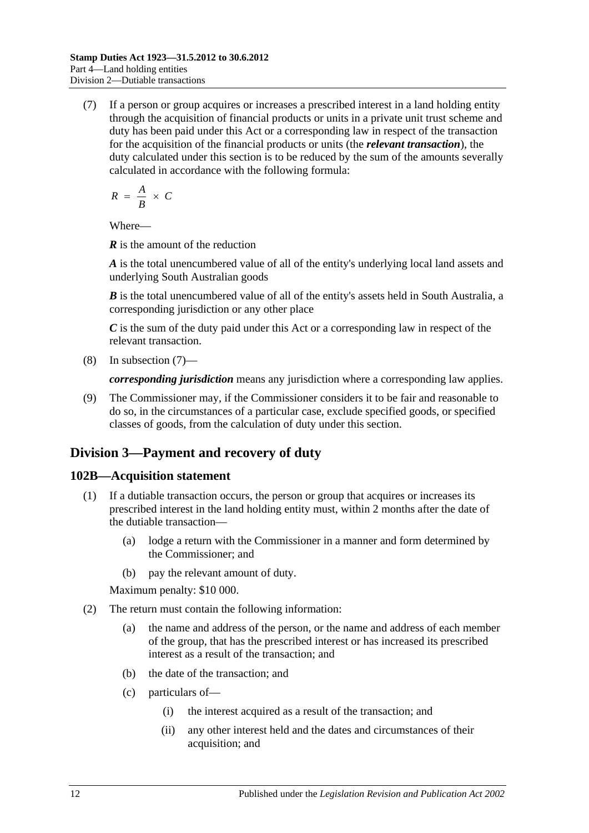<span id="page-95-0"></span>(7) If a person or group acquires or increases a prescribed interest in a land holding entity through the acquisition of financial products or units in a private unit trust scheme and duty has been paid under this Act or a corresponding law in respect of the transaction for the acquisition of the financial products or units (the *relevant transaction*), the duty calculated under this section is to be reduced by the sum of the amounts severally calculated in accordance with the following formula:

$$
R = \frac{A}{B} \times C
$$

Where—

*R* is the amount of the reduction

*A* is the total unencumbered value of all of the entity's underlying local land assets and underlying South Australian goods

*B* is the total unencumbered value of all of the entity's assets held in South Australia, a corresponding jurisdiction or any other place

*C* is the sum of the duty paid under this Act or a corresponding law in respect of the relevant transaction.

(8) In [subsection](#page-95-0) (7)—

*corresponding jurisdiction* means any jurisdiction where a corresponding law applies.

(9) The Commissioner may, if the Commissioner considers it to be fair and reasonable to do so, in the circumstances of a particular case, exclude specified goods, or specified classes of goods, from the calculation of duty under this section.

## **Division 3—Payment and recovery of duty**

## **102B—Acquisition statement**

- (1) If a dutiable transaction occurs, the person or group that acquires or increases its prescribed interest in the land holding entity must, within 2 months after the date of the dutiable transaction—
	- (a) lodge a return with the Commissioner in a manner and form determined by the Commissioner; and
	- (b) pay the relevant amount of duty.

Maximum penalty: \$10 000.

- (2) The return must contain the following information:
	- (a) the name and address of the person, or the name and address of each member of the group, that has the prescribed interest or has increased its prescribed interest as a result of the transaction; and
	- (b) the date of the transaction; and
	- (c) particulars of—
		- (i) the interest acquired as a result of the transaction; and
		- (ii) any other interest held and the dates and circumstances of their acquisition; and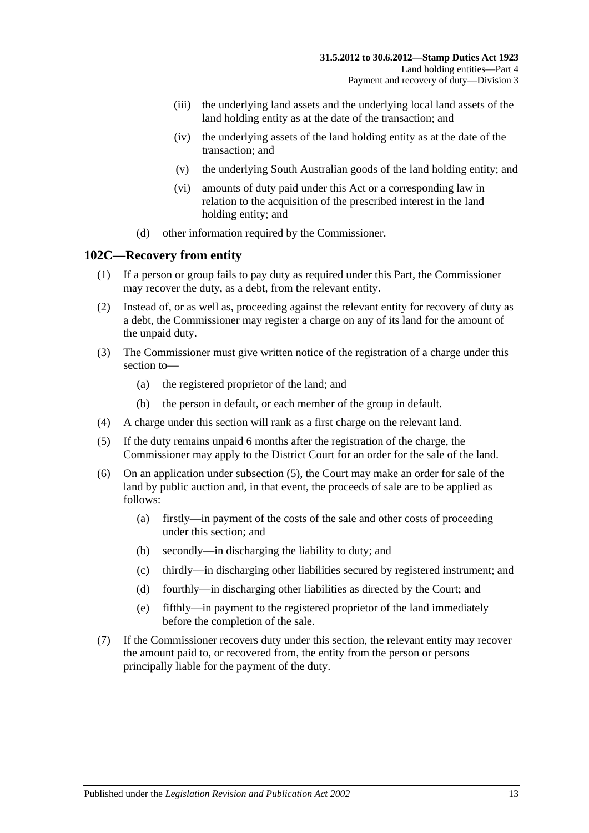- (iii) the underlying land assets and the underlying local land assets of the land holding entity as at the date of the transaction; and
- (iv) the underlying assets of the land holding entity as at the date of the transaction; and
- (v) the underlying South Australian goods of the land holding entity; and
- (vi) amounts of duty paid under this Act or a corresponding law in relation to the acquisition of the prescribed interest in the land holding entity; and
- (d) other information required by the Commissioner.

### **102C—Recovery from entity**

- (1) If a person or group fails to pay duty as required under this Part, the Commissioner may recover the duty, as a debt, from the relevant entity.
- (2) Instead of, or as well as, proceeding against the relevant entity for recovery of duty as a debt, the Commissioner may register a charge on any of its land for the amount of the unpaid duty.
- (3) The Commissioner must give written notice of the registration of a charge under this section to—
	- (a) the registered proprietor of the land; and
	- (b) the person in default, or each member of the group in default.
- (4) A charge under this section will rank as a first charge on the relevant land.
- <span id="page-96-0"></span>(5) If the duty remains unpaid 6 months after the registration of the charge, the Commissioner may apply to the District Court for an order for the sale of the land.
- (6) On an application under [subsection](#page-96-0) (5), the Court may make an order for sale of the land by public auction and, in that event, the proceeds of sale are to be applied as follows:
	- (a) firstly—in payment of the costs of the sale and other costs of proceeding under this section; and
	- (b) secondly—in discharging the liability to duty; and
	- (c) thirdly—in discharging other liabilities secured by registered instrument; and
	- (d) fourthly—in discharging other liabilities as directed by the Court; and
	- (e) fifthly—in payment to the registered proprietor of the land immediately before the completion of the sale.
- (7) If the Commissioner recovers duty under this section, the relevant entity may recover the amount paid to, or recovered from, the entity from the person or persons principally liable for the payment of the duty.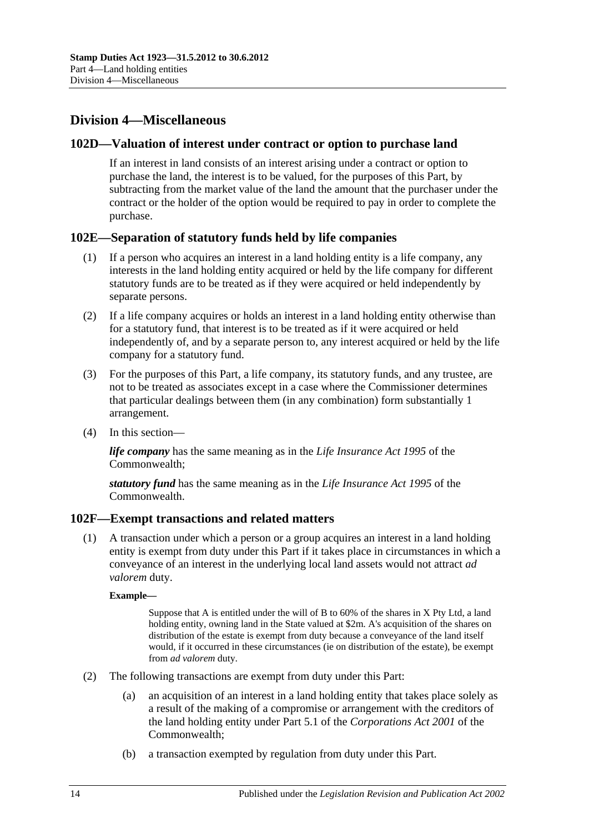## **Division 4—Miscellaneous**

### **102D—Valuation of interest under contract or option to purchase land**

If an interest in land consists of an interest arising under a contract or option to purchase the land, the interest is to be valued, for the purposes of this Part, by subtracting from the market value of the land the amount that the purchaser under the contract or the holder of the option would be required to pay in order to complete the purchase.

### **102E—Separation of statutory funds held by life companies**

- (1) If a person who acquires an interest in a land holding entity is a life company, any interests in the land holding entity acquired or held by the life company for different statutory funds are to be treated as if they were acquired or held independently by separate persons.
- (2) If a life company acquires or holds an interest in a land holding entity otherwise than for a statutory fund, that interest is to be treated as if it were acquired or held independently of, and by a separate person to, any interest acquired or held by the life company for a statutory fund.
- (3) For the purposes of this Part, a life company, its statutory funds, and any trustee, are not to be treated as associates except in a case where the Commissioner determines that particular dealings between them (in any combination) form substantially 1 arrangement.
- (4) In this section—

*life company* has the same meaning as in the *Life Insurance Act 1995* of the Commonwealth;

*statutory fund* has the same meaning as in the *Life Insurance Act 1995* of the Commonwealth.

### **102F—Exempt transactions and related matters**

(1) A transaction under which a person or a group acquires an interest in a land holding entity is exempt from duty under this Part if it takes place in circumstances in which a conveyance of an interest in the underlying local land assets would not attract *ad valorem* duty.

#### **Example—**

Suppose that A is entitled under the will of B to 60% of the shares in X Pty Ltd, a land holding entity, owning land in the State valued at \$2m. A's acquisition of the shares on distribution of the estate is exempt from duty because a conveyance of the land itself would, if it occurred in these circumstances (ie on distribution of the estate), be exempt from *ad valorem* duty.

- (2) The following transactions are exempt from duty under this Part:
	- (a) an acquisition of an interest in a land holding entity that takes place solely as a result of the making of a compromise or arrangement with the creditors of the land holding entity under Part 5.1 of the *Corporations Act 2001* of the Commonwealth;
	- (b) a transaction exempted by regulation from duty under this Part.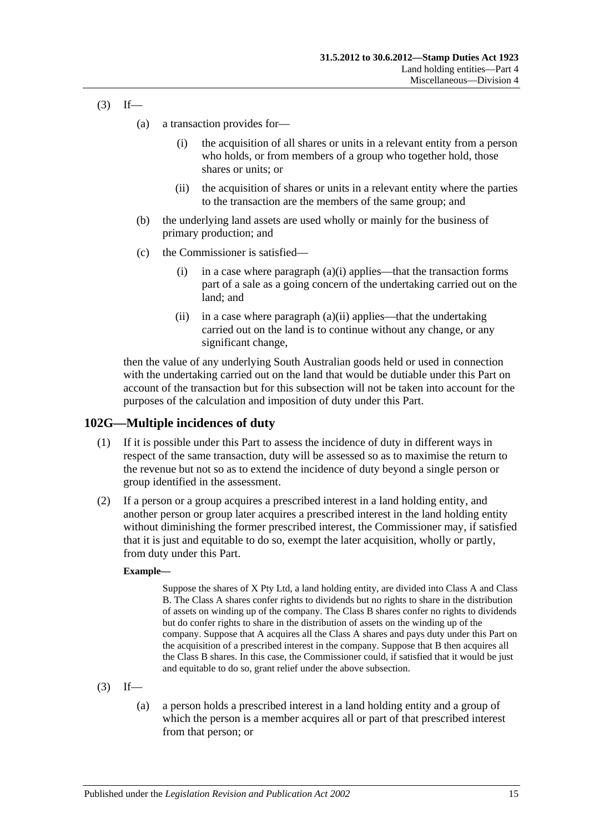- <span id="page-98-1"></span><span id="page-98-0"></span> $(3)$  If—
	- (a) a transaction provides for—
		- (i) the acquisition of all shares or units in a relevant entity from a person who holds, or from members of a group who together hold, those shares or units; or
		- (ii) the acquisition of shares or units in a relevant entity where the parties to the transaction are the members of the same group; and
	- (b) the underlying land assets are used wholly or mainly for the business of primary production; and
	- (c) the Commissioner is satisfied
		- (i) in a case where [paragraph](#page-98-0)  $(a)(i)$  applies—that the transaction forms part of a sale as a going concern of the undertaking carried out on the land; and
		- (ii) in a case where [paragraph](#page-98-1)  $(a)(ii)$  applies—that the undertaking carried out on the land is to continue without any change, or any significant change,

then the value of any underlying South Australian goods held or used in connection with the undertaking carried out on the land that would be dutiable under this Part on account of the transaction but for this subsection will not be taken into account for the purposes of the calculation and imposition of duty under this Part.

### **102G—Multiple incidences of duty**

- (1) If it is possible under this Part to assess the incidence of duty in different ways in respect of the same transaction, duty will be assessed so as to maximise the return to the revenue but not so as to extend the incidence of duty beyond a single person or group identified in the assessment.
- (2) If a person or a group acquires a prescribed interest in a land holding entity, and another person or group later acquires a prescribed interest in the land holding entity without diminishing the former prescribed interest, the Commissioner may, if satisfied that it is just and equitable to do so, exempt the later acquisition, wholly or partly, from duty under this Part.

#### **Example—**

Suppose the shares of X Pty Ltd, a land holding entity, are divided into Class A and Class B. The Class A shares confer rights to dividends but no rights to share in the distribution of assets on winding up of the company. The Class B shares confer no rights to dividends but do confer rights to share in the distribution of assets on the winding up of the company. Suppose that A acquires all the Class A shares and pays duty under this Part on the acquisition of a prescribed interest in the company. Suppose that B then acquires all the Class B shares. In this case, the Commissioner could, if satisfied that it would be just and equitable to do so, grant relief under the above subsection.

- $(3)$  If—
	- (a) a person holds a prescribed interest in a land holding entity and a group of which the person is a member acquires all or part of that prescribed interest from that person; or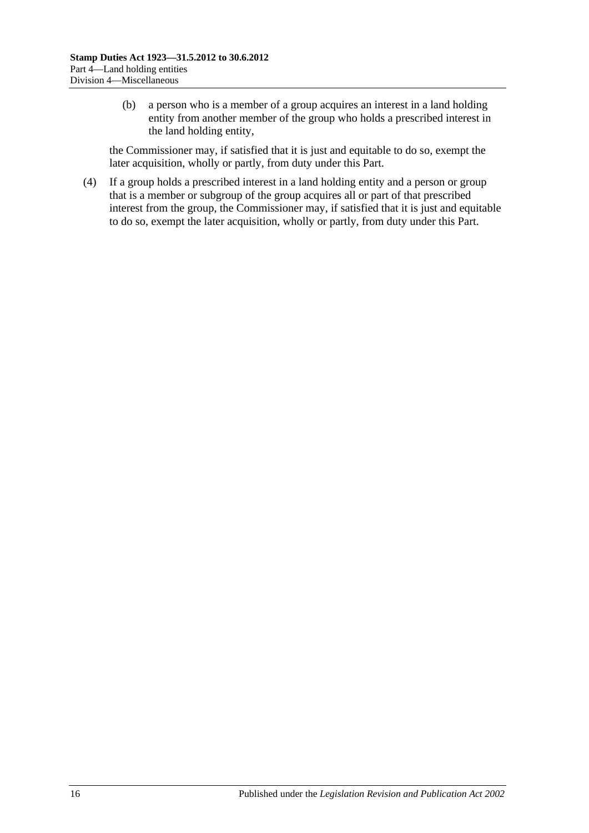(b) a person who is a member of a group acquires an interest in a land holding entity from another member of the group who holds a prescribed interest in the land holding entity,

the Commissioner may, if satisfied that it is just and equitable to do so, exempt the later acquisition, wholly or partly, from duty under this Part.

(4) If a group holds a prescribed interest in a land holding entity and a person or group that is a member or subgroup of the group acquires all or part of that prescribed interest from the group, the Commissioner may, if satisfied that it is just and equitable to do so, exempt the later acquisition, wholly or partly, from duty under this Part.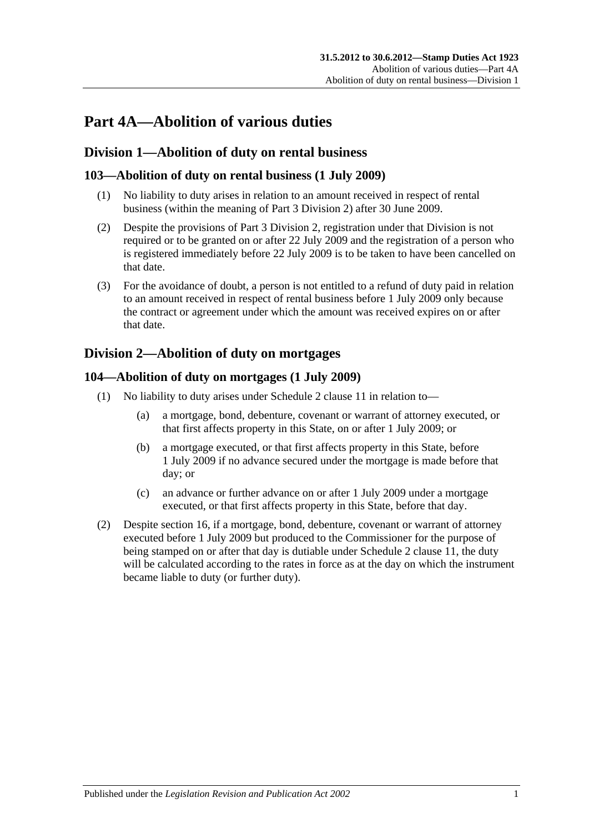# **Part 4A—Abolition of various duties**

## **Division 1—Abolition of duty on rental business**

## **103—Abolition of duty on rental business (1 July 2009)**

- (1) No liability to duty arises in relation to an amount received in respect of rental business (within the meaning of [Part 3 Division 2\)](#page-19-0) after 30 June 2009.
- (2) Despite the provisions of [Part 3 Division 2,](#page-19-0) registration under that Division is not required or to be granted on or after 22 July 2009 and the registration of a person who is registered immediately before 22 July 2009 is to be taken to have been cancelled on that date.
- (3) For the avoidance of doubt, a person is not entitled to a refund of duty paid in relation to an amount received in respect of rental business before 1 July 2009 only because the contract or agreement under which the amount was received expires on or after that date.

## <span id="page-100-0"></span>**Division 2—Abolition of duty on mortgages**

### **104—Abolition of duty on mortgages (1 July 2009)**

- (1) No liability to duty arises under Schedule 2 clause 11 in relation to—
	- (a) a mortgage, bond, debenture, covenant or warrant of attorney executed, or that first affects property in this State, on or after 1 July 2009; or
	- (b) a mortgage executed, or that first affects property in this State, before 1 July 2009 if no advance secured under the mortgage is made before that day; or
	- (c) an advance or further advance on or after 1 July 2009 under a mortgage executed, or that first affects property in this State, before that day.
- (2) Despite [section](#page-13-0) 16, if a mortgage, bond, debenture, covenant or warrant of attorney executed before 1 July 2009 but produced to the Commissioner for the purpose of being stamped on or after that day is dutiable under Schedule 2 clause 11, the duty will be calculated according to the rates in force as at the day on which the instrument became liable to duty (or further duty).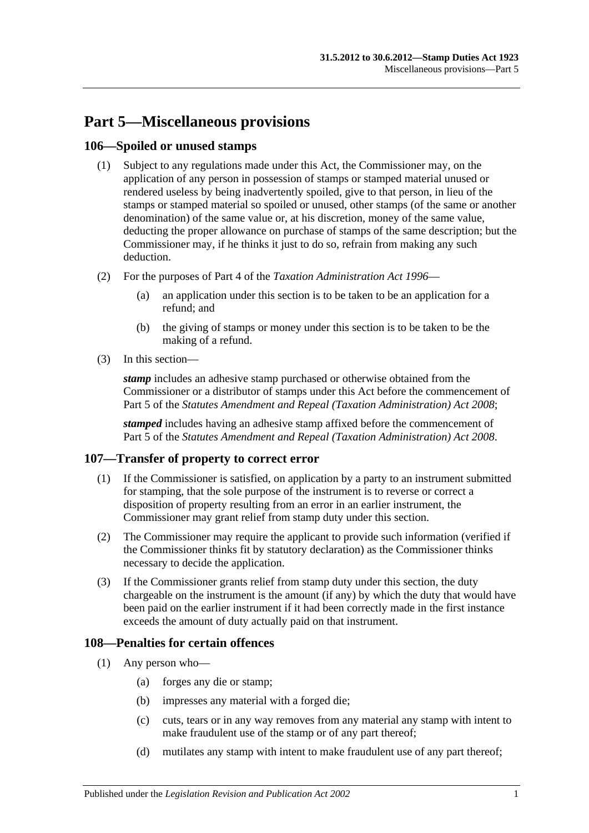# **Part 5—Miscellaneous provisions**

### **106—Spoiled or unused stamps**

- (1) Subject to any regulations made under this Act, the Commissioner may, on the application of any person in possession of stamps or stamped material unused or rendered useless by being inadvertently spoiled, give to that person, in lieu of the stamps or stamped material so spoiled or unused, other stamps (of the same or another denomination) of the same value or, at his discretion, money of the same value, deducting the proper allowance on purchase of stamps of the same description; but the Commissioner may, if he thinks it just to do so, refrain from making any such deduction.
- (2) For the purposes of Part 4 of the *[Taxation Administration Act](http://www.legislation.sa.gov.au/index.aspx?action=legref&type=act&legtitle=Taxation%20Administration%20Act%201996) 1996*
	- (a) an application under this section is to be taken to be an application for a refund; and
	- (b) the giving of stamps or money under this section is to be taken to be the making of a refund.
- (3) In this section—

*stamp* includes an adhesive stamp purchased or otherwise obtained from the Commissioner or a distributor of stamps under this Act before the commencement of Part 5 of the *[Statutes Amendment and Repeal \(Taxation Administration\) Act 2008](http://www.legislation.sa.gov.au/index.aspx?action=legref&type=act&legtitle=Statutes%20Amendment%20and%20Repeal%20(Taxation%20Administration)%20Act%202008)*;

*stamped* includes having an adhesive stamp affixed before the commencement of Part 5 of the *[Statutes Amendment and Repeal \(Taxation Administration\) Act 2008](http://www.legislation.sa.gov.au/index.aspx?action=legref&type=act&legtitle=Statutes%20Amendment%20and%20Repeal%20(Taxation%20Administration)%20Act%202008)*.

## **107—Transfer of property to correct error**

- (1) If the Commissioner is satisfied, on application by a party to an instrument submitted for stamping, that the sole purpose of the instrument is to reverse or correct a disposition of property resulting from an error in an earlier instrument, the Commissioner may grant relief from stamp duty under this section.
- (2) The Commissioner may require the applicant to provide such information (verified if the Commissioner thinks fit by statutory declaration) as the Commissioner thinks necessary to decide the application.
- (3) If the Commissioner grants relief from stamp duty under this section, the duty chargeable on the instrument is the amount (if any) by which the duty that would have been paid on the earlier instrument if it had been correctly made in the first instance exceeds the amount of duty actually paid on that instrument.

### **108—Penalties for certain offences**

- <span id="page-102-0"></span>(1) Any person who—
	- (a) forges any die or stamp;
	- (b) impresses any material with a forged die;
	- (c) cuts, tears or in any way removes from any material any stamp with intent to make fraudulent use of the stamp or of any part thereof;
	- (d) mutilates any stamp with intent to make fraudulent use of any part thereof;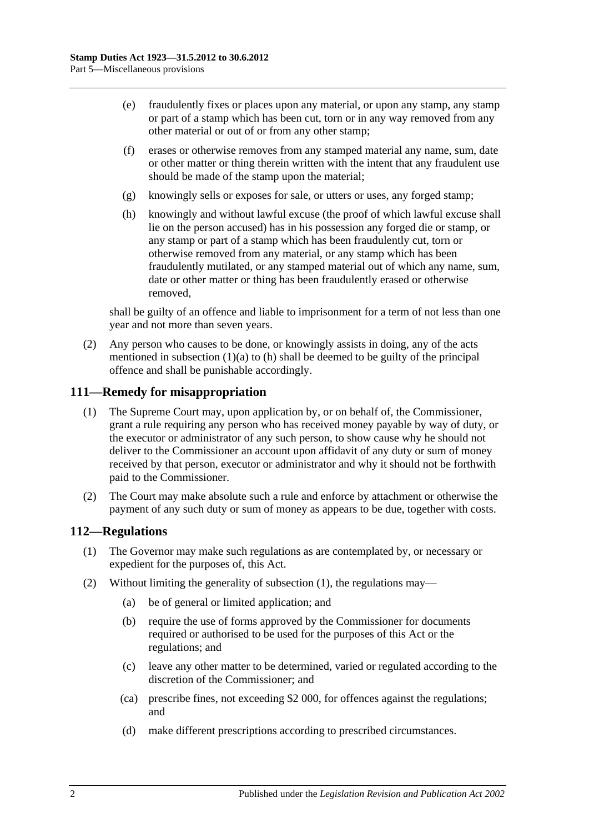- (e) fraudulently fixes or places upon any material, or upon any stamp, any stamp or part of a stamp which has been cut, torn or in any way removed from any other material or out of or from any other stamp;
- (f) erases or otherwise removes from any stamped material any name, sum, date or other matter or thing therein written with the intent that any fraudulent use should be made of the stamp upon the material;
- (g) knowingly sells or exposes for sale, or utters or uses, any forged stamp;
- <span id="page-103-0"></span>(h) knowingly and without lawful excuse (the proof of which lawful excuse shall lie on the person accused) has in his possession any forged die or stamp, or any stamp or part of a stamp which has been fraudulently cut, torn or otherwise removed from any material, or any stamp which has been fraudulently mutilated, or any stamped material out of which any name, sum, date or other matter or thing has been fraudulently erased or otherwise removed,

shall be guilty of an offence and liable to imprisonment for a term of not less than one year and not more than seven years.

(2) Any person who causes to be done, or knowingly assists in doing, any of the acts mentioned in [subsection](#page-102-0)  $(1)(a)$  to  $(h)$  shall be deemed to be guilty of the principal offence and shall be punishable accordingly.

#### **111—Remedy for misappropriation**

- (1) The Supreme Court may, upon application by, or on behalf of, the Commissioner, grant a rule requiring any person who has received money payable by way of duty, or the executor or administrator of any such person, to show cause why he should not deliver to the Commissioner an account upon affidavit of any duty or sum of money received by that person, executor or administrator and why it should not be forthwith paid to the Commissioner.
- (2) The Court may make absolute such a rule and enforce by attachment or otherwise the payment of any such duty or sum of money as appears to be due, together with costs.

#### <span id="page-103-1"></span>**112—Regulations**

- (1) The Governor may make such regulations as are contemplated by, or necessary or expedient for the purposes of, this Act.
- (2) Without limiting the generality of [subsection](#page-103-1) (1), the regulations may—
	- (a) be of general or limited application; and
	- (b) require the use of forms approved by the Commissioner for documents required or authorised to be used for the purposes of this Act or the regulations; and
	- (c) leave any other matter to be determined, varied or regulated according to the discretion of the Commissioner; and
	- (ca) prescribe fines, not exceeding \$2 000, for offences against the regulations; and
	- (d) make different prescriptions according to prescribed circumstances.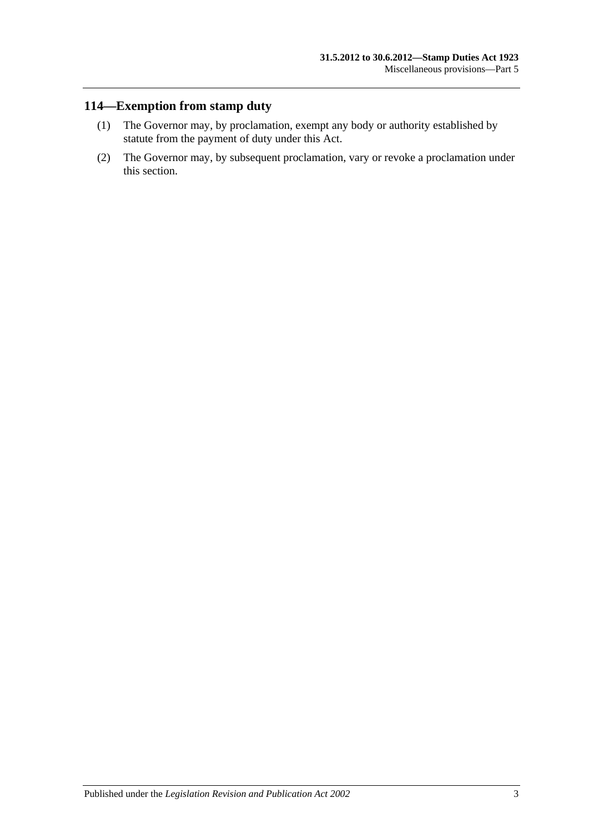## **114—Exemption from stamp duty**

- (1) The Governor may, by proclamation, exempt any body or authority established by statute from the payment of duty under this Act.
- (2) The Governor may, by subsequent proclamation, vary or revoke a proclamation under this section.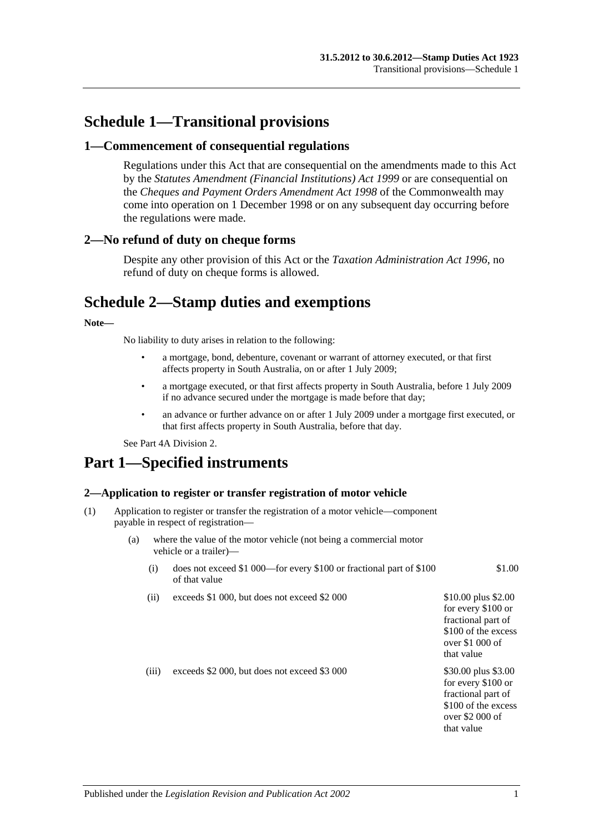## **Schedule 1—Transitional provisions**

#### **1—Commencement of consequential regulations**

Regulations under this Act that are consequential on the amendments made to this Act by the *[Statutes Amendment \(Financial Institutions\) Act](http://www.legislation.sa.gov.au/index.aspx?action=legref&type=act&legtitle=Statutes%20Amendment%20(Financial%20Institutions)%20Act%201999) 1999* or are consequential on the *Cheques and Payment Orders Amendment Act 1998* of the Commonwealth may come into operation on 1 December 1998 or on any subsequent day occurring before the regulations were made.

#### **2—No refund of duty on cheque forms**

Despite any other provision of this Act or the *[Taxation Administration Act](http://www.legislation.sa.gov.au/index.aspx?action=legref&type=act&legtitle=Taxation%20Administration%20Act%201996) 1996*, no refund of duty on cheque forms is allowed.

## **Schedule 2—Stamp duties and exemptions**

#### **Note—**

No liability to duty arises in relation to the following:

- a mortgage, bond, debenture, covenant or warrant of attorney executed, or that first affects property in South Australia, on or after 1 July 2009;
- a mortgage executed, or that first affects property in South Australia, before 1 July 2009 if no advance secured under the mortgage is made before that day;
- an advance or further advance on or after 1 July 2009 under a mortgage first executed, or that first affects property in South Australia, before that day.

Se[e Part 4A Division 2.](#page-100-0)

# **Part 1—Specified instruments**

#### **2—Application to register or transfer registration of motor vehicle**

- (1) Application to register or transfer the registration of a motor vehicle—component payable in respect of registration—
	- (a) where the value of the motor vehicle (not being a commercial motor vehicle or a trailer)—
		- (i) does not exceed \$1 000—for every \$100 or fractional part of \$100 of that value
		- (ii) exceeds  $$1\,000$ , but does not exceed  $$2\,000$   $$10.00$  plus  $$2.00$

(iii) exceeds  $$2,000$ , but does not exceed  $$3,000$  \$30.00 plus \$3.00

for every \$100 or fractional part of \$100 of the excess over \$2 000 of that value

for every \$100 or fractional part of \$100 of the excess over \$1 000 of that value

\$1.00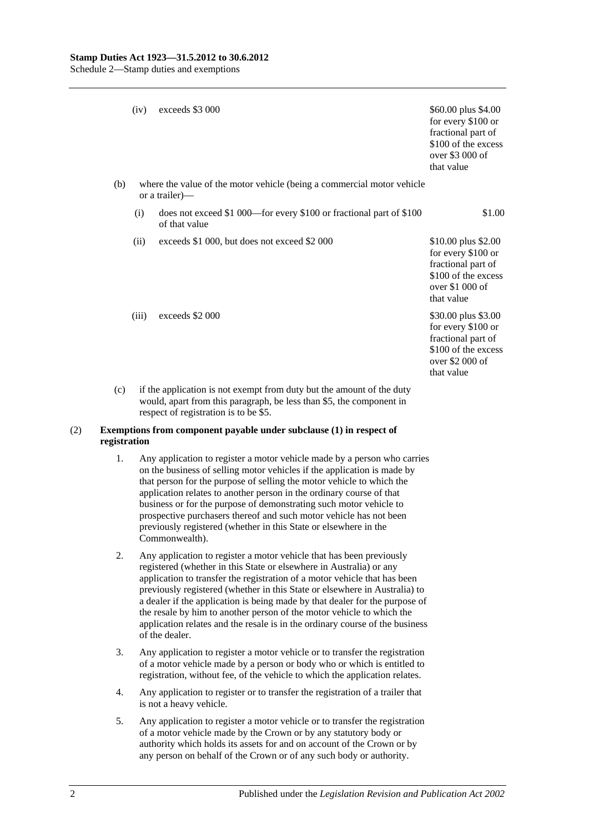|     | (iv)                                                                                     | exceeds \$3 000                                                                      | \$60.00 plus \$4.00<br>for every \$100 or<br>fractional part of<br>\$100 of the excess<br>over \$3 000 of<br>that value  |  |
|-----|------------------------------------------------------------------------------------------|--------------------------------------------------------------------------------------|--------------------------------------------------------------------------------------------------------------------------|--|
| (b) | where the value of the motor vehicle (being a commercial motor vehicle<br>or a trailer)— |                                                                                      |                                                                                                                          |  |
|     | (i)                                                                                      | does not exceed \$1 000—for every \$100 or fractional part of \$100<br>of that value | \$1.00                                                                                                                   |  |
|     | (ii)                                                                                     | exceeds \$1 000, but does not exceed \$2 000                                         | \$10.00 plus \$2.00<br>for every \$100 or<br>fractional part of<br>\$100 of the excess<br>over $$1,000$ of<br>that value |  |
|     | (iii)                                                                                    | exceeds \$2 000                                                                      | \$30.00 plus \$3.00<br>for every \$100 or<br>fractional part of<br>\$100 of the excess<br>over \$2 000 of<br>that value  |  |
| (c) | if the application is not exempt from duty but the amount of the duty                    |                                                                                      |                                                                                                                          |  |

#### (2) **Exemptions from component payable under subclause (1) in respect of registration**

respect of registration is to be \$5.

1. Any application to register a motor vehicle made by a person who carries on the business of selling motor vehicles if the application is made by that person for the purpose of selling the motor vehicle to which the application relates to another person in the ordinary course of that business or for the purpose of demonstrating such motor vehicle to prospective purchasers thereof and such motor vehicle has not been previously registered (whether in this State or elsewhere in the Commonwealth).

would, apart from this paragraph, be less than \$5, the component in

- 2. Any application to register a motor vehicle that has been previously registered (whether in this State or elsewhere in Australia) or any application to transfer the registration of a motor vehicle that has been previously registered (whether in this State or elsewhere in Australia) to a dealer if the application is being made by that dealer for the purpose of the resale by him to another person of the motor vehicle to which the application relates and the resale is in the ordinary course of the business of the dealer.
- 3. Any application to register a motor vehicle or to transfer the registration of a motor vehicle made by a person or body who or which is entitled to registration, without fee, of the vehicle to which the application relates.
- 4. Any application to register or to transfer the registration of a trailer that is not a heavy vehicle.
- 5. Any application to register a motor vehicle or to transfer the registration of a motor vehicle made by the Crown or by any statutory body or authority which holds its assets for and on account of the Crown or by any person on behalf of the Crown or of any such body or authority.

2 Published under the *Legislation Revision and Publication Act 2002*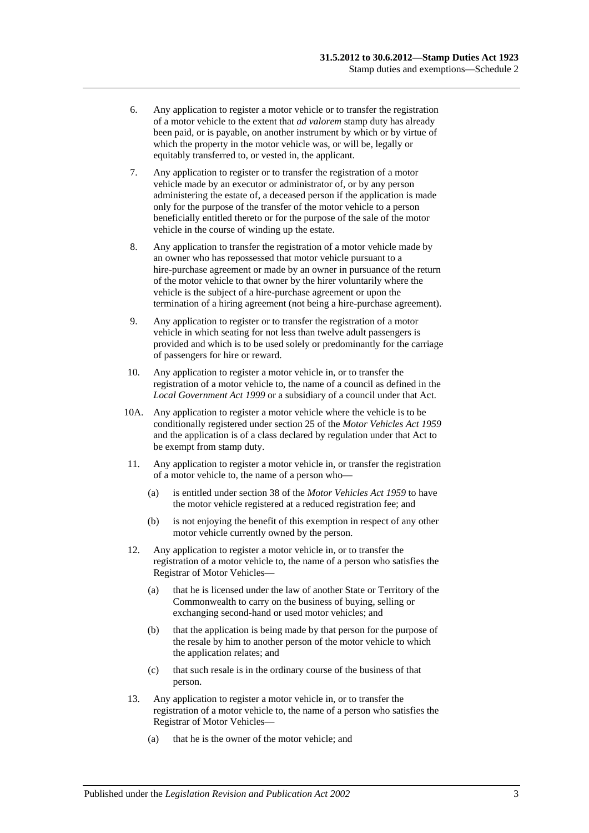- 6. Any application to register a motor vehicle or to transfer the registration of a motor vehicle to the extent that *ad valorem* stamp duty has already been paid, or is payable, on another instrument by which or by virtue of which the property in the motor vehicle was, or will be, legally or equitably transferred to, or vested in, the applicant.
- 7. Any application to register or to transfer the registration of a motor vehicle made by an executor or administrator of, or by any person administering the estate of, a deceased person if the application is made only for the purpose of the transfer of the motor vehicle to a person beneficially entitled thereto or for the purpose of the sale of the motor vehicle in the course of winding up the estate.
- 8. Any application to transfer the registration of a motor vehicle made by an owner who has repossessed that motor vehicle pursuant to a hire-purchase agreement or made by an owner in pursuance of the return of the motor vehicle to that owner by the hirer voluntarily where the vehicle is the subject of a hire-purchase agreement or upon the termination of a hiring agreement (not being a hire-purchase agreement).
- 9. Any application to register or to transfer the registration of a motor vehicle in which seating for not less than twelve adult passengers is provided and which is to be used solely or predominantly for the carriage of passengers for hire or reward.
- 10. Any application to register a motor vehicle in, or to transfer the registration of a motor vehicle to, the name of a council as defined in the *[Local Government Act](http://www.legislation.sa.gov.au/index.aspx?action=legref&type=act&legtitle=Local%20Government%20Act%201999) 1999* or a subsidiary of a council under that Act.
- 10A. Any application to register a motor vehicle where the vehicle is to be conditionally registered under section 25 of the *[Motor Vehicles Act](http://www.legislation.sa.gov.au/index.aspx?action=legref&type=act&legtitle=Motor%20Vehicles%20Act%201959) 1959* and the application is of a class declared by regulation under that Act to be exempt from stamp duty.
- 11. Any application to register a motor vehicle in, or transfer the registration of a motor vehicle to, the name of a person who—
	- (a) is entitled under section 38 of the *[Motor Vehicles Act](http://www.legislation.sa.gov.au/index.aspx?action=legref&type=act&legtitle=Motor%20Vehicles%20Act%201959) 1959* to have the motor vehicle registered at a reduced registration fee; and
	- (b) is not enjoying the benefit of this exemption in respect of any other motor vehicle currently owned by the person.
- 12. Any application to register a motor vehicle in, or to transfer the registration of a motor vehicle to, the name of a person who satisfies the Registrar of Motor Vehicles—
	- (a) that he is licensed under the law of another State or Territory of the Commonwealth to carry on the business of buying, selling or exchanging second-hand or used motor vehicles; and
	- (b) that the application is being made by that person for the purpose of the resale by him to another person of the motor vehicle to which the application relates; and
	- (c) that such resale is in the ordinary course of the business of that person.
- 13. Any application to register a motor vehicle in, or to transfer the registration of a motor vehicle to, the name of a person who satisfies the Registrar of Motor Vehicles—
	- (a) that he is the owner of the motor vehicle; and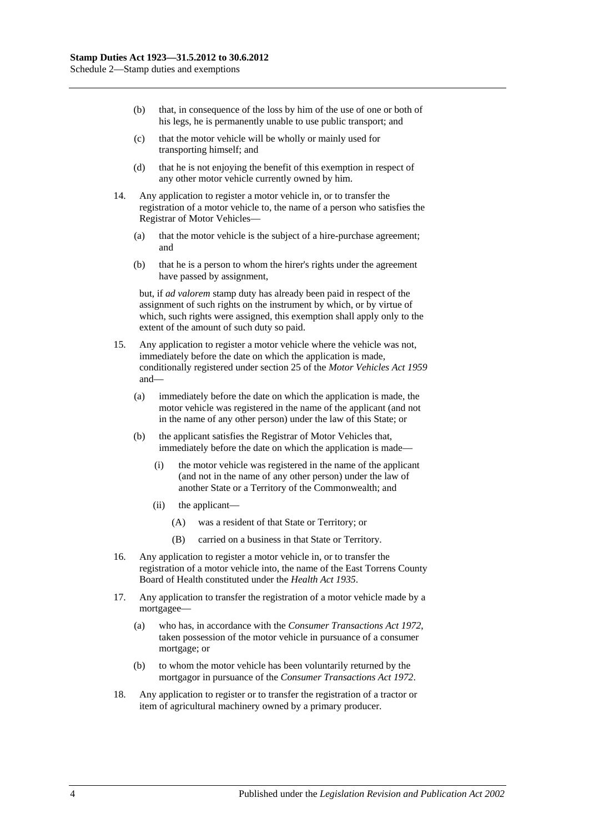- (b) that, in consequence of the loss by him of the use of one or both of his legs, he is permanently unable to use public transport; and
- (c) that the motor vehicle will be wholly or mainly used for transporting himself; and
- (d) that he is not enjoying the benefit of this exemption in respect of any other motor vehicle currently owned by him.
- 14. Any application to register a motor vehicle in, or to transfer the registration of a motor vehicle to, the name of a person who satisfies the Registrar of Motor Vehicles—
	- (a) that the motor vehicle is the subject of a hire-purchase agreement; and
	- (b) that he is a person to whom the hirer's rights under the agreement have passed by assignment,

but, if *ad valorem* stamp duty has already been paid in respect of the assignment of such rights on the instrument by which, or by virtue of which, such rights were assigned, this exemption shall apply only to the extent of the amount of such duty so paid.

- 15. Any application to register a motor vehicle where the vehicle was not, immediately before the date on which the application is made, conditionally registered under section 25 of the *[Motor Vehicles](http://www.legislation.sa.gov.au/index.aspx?action=legref&type=act&legtitle=Motor%20Vehicles%20Act%201959) Act 1959* and—
	- (a) immediately before the date on which the application is made, the motor vehicle was registered in the name of the applicant (and not in the name of any other person) under the law of this State; or
	- (b) the applicant satisfies the Registrar of Motor Vehicles that, immediately before the date on which the application is made—
		- (i) the motor vehicle was registered in the name of the applicant (and not in the name of any other person) under the law of another State or a Territory of the Commonwealth; and
		- (ii) the applicant—
			- (A) was a resident of that State or Territory; or
			- (B) carried on a business in that State or Territory.
- 16. Any application to register a motor vehicle in, or to transfer the registration of a motor vehicle into, the name of the East Torrens County Board of Health constituted under the *[Health Act](http://www.legislation.sa.gov.au/index.aspx?action=legref&type=act&legtitle=Health%20Act%201935) 1935*.
- 17. Any application to transfer the registration of a motor vehicle made by a mortgagee—
	- (a) who has, in accordance with the *[Consumer Transactions Act](http://www.legislation.sa.gov.au/index.aspx?action=legref&type=act&legtitle=Consumer%20Transactions%20Act%201972) 1972*, taken possession of the motor vehicle in pursuance of a consumer mortgage; or
	- (b) to whom the motor vehicle has been voluntarily returned by the mortgagor in pursuance of the *[Consumer Transactions Act](http://www.legislation.sa.gov.au/index.aspx?action=legref&type=act&legtitle=Consumer%20Transactions%20Act%201972) 1972*.
- 18. Any application to register or to transfer the registration of a tractor or item of agricultural machinery owned by a primary producer.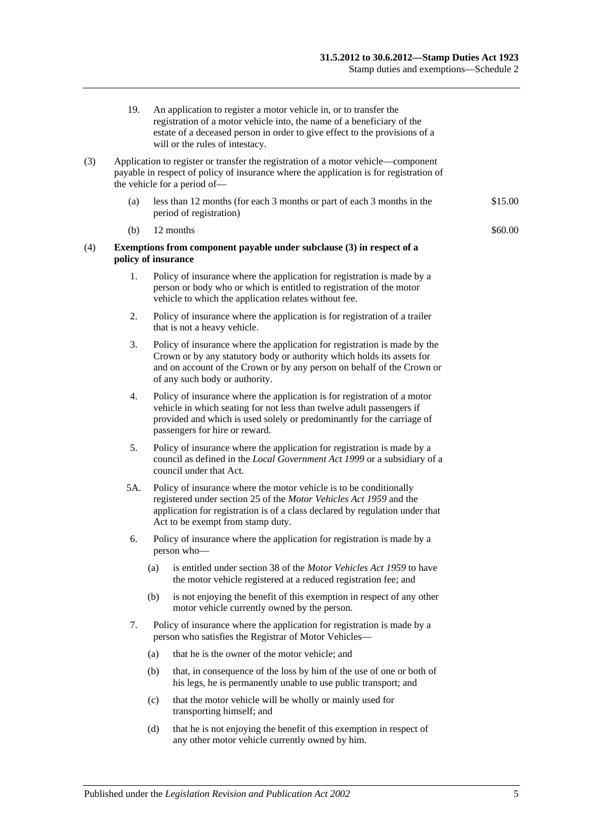- 19. An application to register a motor vehicle in, or to transfer the registration of a motor vehicle into, the name of a beneficiary of the estate of a deceased person in order to give effect to the provisions of a will or the rules of intestacy.
- (3) Application to register or transfer the registration of a motor vehicle—component payable in respect of policy of insurance where the application is for registration of the vehicle for a period of—
	- (a) less than 12 months (for each 3 months or part of each 3 months in the period of registration) \$15.00
	- (b)  $12$  months  $\$60.00$
- (4) **Exemptions from component payable under subclause (3) in respect of a policy of insurance**
	- 1. Policy of insurance where the application for registration is made by a person or body who or which is entitled to registration of the motor vehicle to which the application relates without fee.
	- 2. Policy of insurance where the application is for registration of a trailer that is not a heavy vehicle.
	- 3. Policy of insurance where the application for registration is made by the Crown or by any statutory body or authority which holds its assets for and on account of the Crown or by any person on behalf of the Crown or of any such body or authority.
	- 4. Policy of insurance where the application is for registration of a motor vehicle in which seating for not less than twelve adult passengers if provided and which is used solely or predominantly for the carriage of passengers for hire or reward.
	- 5. Policy of insurance where the application for registration is made by a council as defined in the *[Local Government Act](http://www.legislation.sa.gov.au/index.aspx?action=legref&type=act&legtitle=Local%20Government%20Act%201999) 1999* or a subsidiary of a council under that Act.
	- 5A. Policy of insurance where the motor vehicle is to be conditionally registered under section 25 of the *[Motor Vehicles Act](http://www.legislation.sa.gov.au/index.aspx?action=legref&type=act&legtitle=Motor%20Vehicles%20Act%201959) 1959* and the application for registration is of a class declared by regulation under that Act to be exempt from stamp duty.
	- 6. Policy of insurance where the application for registration is made by a person who—
		- (a) is entitled under section 38 of the *[Motor Vehicles Act](http://www.legislation.sa.gov.au/index.aspx?action=legref&type=act&legtitle=Motor%20Vehicles%20Act%201959) 1959* to have the motor vehicle registered at a reduced registration fee; and
		- (b) is not enjoying the benefit of this exemption in respect of any other motor vehicle currently owned by the person.
	- 7. Policy of insurance where the application for registration is made by a person who satisfies the Registrar of Motor Vehicles—
		- (a) that he is the owner of the motor vehicle; and
		- (b) that, in consequence of the loss by him of the use of one or both of his legs, he is permanently unable to use public transport; and
		- (c) that the motor vehicle will be wholly or mainly used for transporting himself; and
		- (d) that he is not enjoying the benefit of this exemption in respect of any other motor vehicle currently owned by him.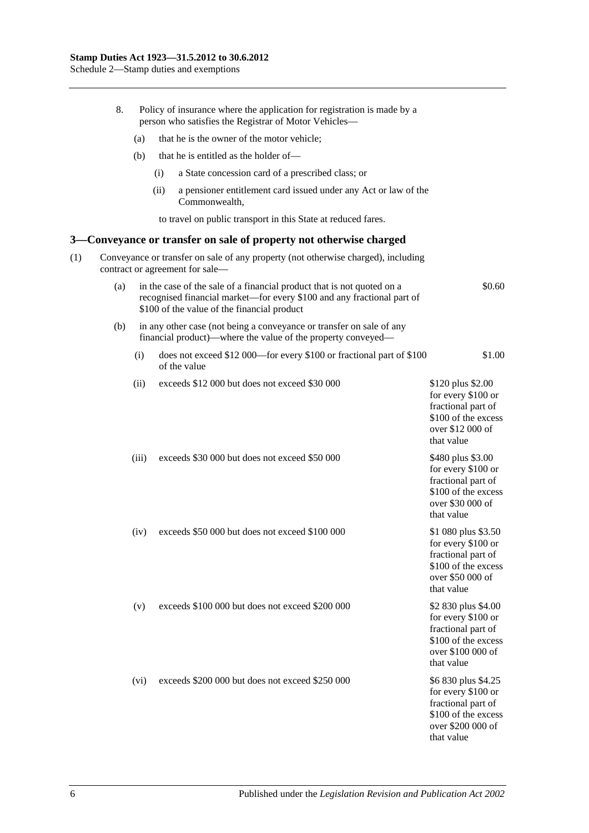|     | 8.  |       |      | Policy of insurance where the application for registration is made by a<br>person who satisfies the Registrar of Motor Vehicles-                                                                |                                                                                                                           |
|-----|-----|-------|------|-------------------------------------------------------------------------------------------------------------------------------------------------------------------------------------------------|---------------------------------------------------------------------------------------------------------------------------|
|     |     | (a)   |      | that he is the owner of the motor vehicle;                                                                                                                                                      |                                                                                                                           |
|     |     | (b)   |      | that he is entitled as the holder of—                                                                                                                                                           |                                                                                                                           |
|     |     |       | (i)  | a State concession card of a prescribed class; or                                                                                                                                               |                                                                                                                           |
|     |     |       | (ii) | a pensioner entitlement card issued under any Act or law of the<br>Commonwealth,                                                                                                                |                                                                                                                           |
|     |     |       |      | to travel on public transport in this State at reduced fares.                                                                                                                                   |                                                                                                                           |
| 3—  |     |       |      | Conveyance or transfer on sale of property not otherwise charged                                                                                                                                |                                                                                                                           |
| (1) |     |       |      | Conveyance or transfer on sale of any property (not otherwise charged), including<br>contract or agreement for sale-                                                                            |                                                                                                                           |
|     | (a) |       |      | in the case of the sale of a financial product that is not quoted on a<br>recognised financial market—for every \$100 and any fractional part of<br>\$100 of the value of the financial product | \$0.60                                                                                                                    |
|     | (b) |       |      | in any other case (not being a conveyance or transfer on sale of any<br>financial product)—where the value of the property conveyed—                                                            |                                                                                                                           |
|     |     | (i)   |      | does not exceed \$12 000—for every \$100 or fractional part of \$100<br>of the value                                                                                                            | \$1.00                                                                                                                    |
|     |     | (ii)  |      | exceeds \$12 000 but does not exceed \$30 000                                                                                                                                                   | \$120 plus \$2.00<br>for every \$100 or<br>fractional part of<br>\$100 of the excess<br>over \$12 000 of<br>that value    |
|     |     | (iii) |      | exceeds \$30 000 but does not exceed \$50 000                                                                                                                                                   | \$480 plus \$3.00<br>for every \$100 or<br>fractional part of<br>\$100 of the excess<br>over \$30 000 of<br>that value    |
|     |     | (iv)  |      | exceeds \$50 000 but does not exceed \$100 000                                                                                                                                                  | \$1 080 plus \$3.50<br>for every \$100 or<br>fractional part of<br>\$100 of the excess<br>over \$50 000 of<br>that value  |
|     |     | (v)   |      | exceeds \$100 000 but does not exceed \$200 000                                                                                                                                                 | \$2 830 plus \$4.00<br>for every \$100 or<br>fractional part of<br>\$100 of the excess<br>over \$100 000 of<br>that value |
|     |     | (vi)  |      | exceeds \$200 000 but does not exceed \$250 000                                                                                                                                                 | \$6 830 plus \$4.25<br>for every \$100 or<br>fractional part of<br>\$100 of the excess<br>over \$200 000 of<br>that value |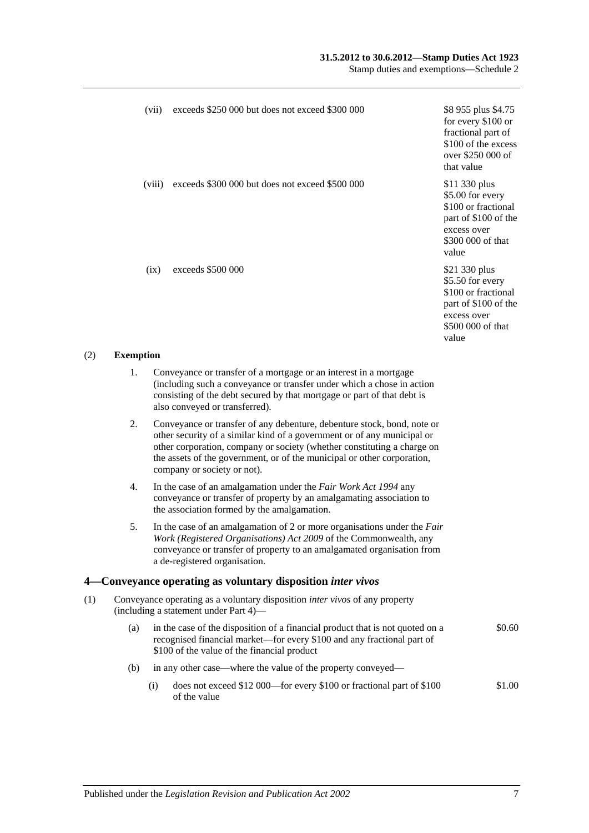#### **31.5.2012 to 30.6.2012—Stamp Duties Act 1923**

Stamp duties and exemptions—Schedule 2

|     |                  | (vii)  | exceeds \$250 000 but does not exceed \$300 000                                                                                                                                                                                                                                                                                         | \$8 955 plus \$4.75<br>for every \$100 or<br>fractional part of<br>\$100 of the excess<br>over \$250 000 of<br>that value     |
|-----|------------------|--------|-----------------------------------------------------------------------------------------------------------------------------------------------------------------------------------------------------------------------------------------------------------------------------------------------------------------------------------------|-------------------------------------------------------------------------------------------------------------------------------|
|     |                  | (viii) | exceeds \$300 000 but does not exceed \$500 000                                                                                                                                                                                                                                                                                         | \$11 330 plus<br>\$5.00 for every<br>\$100 or fractional<br>part of \$100 of the<br>excess over<br>\$300 000 of that<br>value |
|     |                  | (ix)   | exceeds \$500 000                                                                                                                                                                                                                                                                                                                       | \$21 330 plus<br>\$5.50 for every<br>\$100 or fractional<br>part of \$100 of the<br>excess over<br>\$500 000 of that<br>value |
| (2) | <b>Exemption</b> |        |                                                                                                                                                                                                                                                                                                                                         |                                                                                                                               |
|     | 1.               |        | Conveyance or transfer of a mortgage or an interest in a mortgage<br>(including such a conveyance or transfer under which a chose in action<br>consisting of the debt secured by that mortgage or part of that debt is<br>also conveyed or transferred).                                                                                |                                                                                                                               |
|     | 2.               |        | Conveyance or transfer of any debenture, debenture stock, bond, note or<br>other security of a similar kind of a government or of any municipal or<br>other corporation, company or society (whether constituting a charge on<br>the assets of the government, or of the municipal or other corporation,<br>company or society or not). |                                                                                                                               |
|     | 4.               |        | In the case of an amalgamation under the Fair Work Act 1994 any<br>conveyance or transfer of property by an amalgamating association to<br>the association formed by the amalgamation.                                                                                                                                                  |                                                                                                                               |
|     | 5.               |        | In the case of an amalgamation of 2 or more organisations under the Fair<br>Work (Registered Organisations) Act 2009 of the Commonwealth, any<br>conveyance or transfer of property to an amalgamated organisation from<br>a de-registered organisation.                                                                                |                                                                                                                               |
| 4–  |                  |        | Conveyance operating as voluntary disposition <i>inter vivos</i>                                                                                                                                                                                                                                                                        |                                                                                                                               |
| (1) |                  |        | Conveyance operating as a voluntary disposition <i>inter vivos</i> of any property<br>(including a statement under Part 4)—                                                                                                                                                                                                             |                                                                                                                               |
|     | (a)              |        | in the case of the disposition of a financial product that is not quoted on a<br>recognised financial market—for every \$100 and any fractional part of<br>\$100 of the value of the financial product                                                                                                                                  | \$0.60                                                                                                                        |
|     | (b)              |        | in any other case—where the value of the property conveyed—                                                                                                                                                                                                                                                                             |                                                                                                                               |
|     |                  | (i)    | does not exceed \$12 000—for every \$100 or fractional part of \$100<br>of the value                                                                                                                                                                                                                                                    | \$1.00                                                                                                                        |
|     |                  |        |                                                                                                                                                                                                                                                                                                                                         |                                                                                                                               |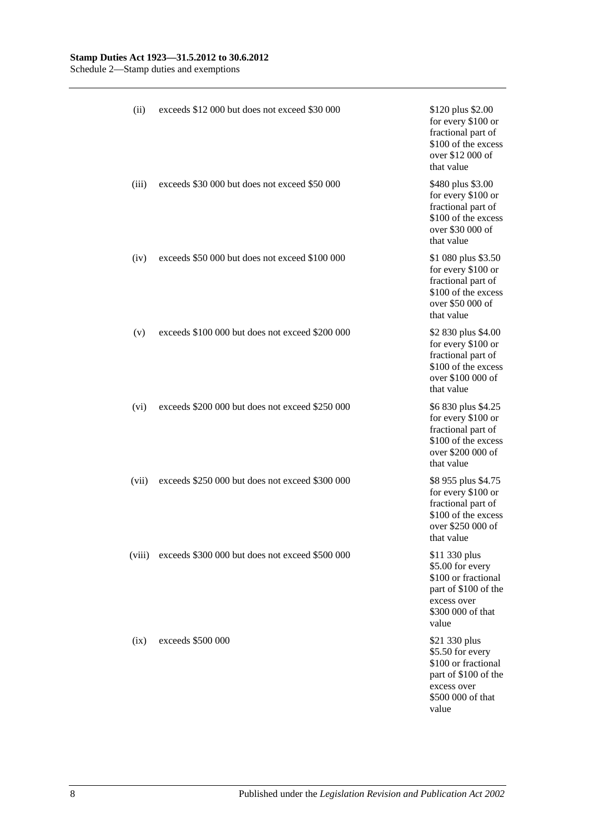#### **Stamp Duties Act 1923—31.5.2012 to 30.6.2012**

Schedule 2—Stamp duties and exemptions

| (ii)   | exceeds \$12 000 but does not exceed \$30 000   | \$120 plus \$2.00<br>for every \$100 or<br>fractional part of<br>\$100 of the excess<br>over \$12 000 of<br>that value        |
|--------|-------------------------------------------------|-------------------------------------------------------------------------------------------------------------------------------|
| (iii)  | exceeds \$30,000 but does not exceed \$50,000   | \$480 plus \$3.00<br>for every \$100 or<br>fractional part of<br>\$100 of the excess<br>over \$30 000 of<br>that value        |
| (iv)   | exceeds \$50 000 but does not exceed \$100 000  | \$1 080 plus \$3.50<br>for every \$100 or<br>fractional part of<br>\$100 of the excess<br>over \$50 000 of<br>that value      |
| (v)    | exceeds \$100 000 but does not exceed \$200 000 | \$2 830 plus \$4.00<br>for every \$100 or<br>fractional part of<br>\$100 of the excess<br>over \$100 000 of<br>that value     |
| (vi)   | exceeds \$200 000 but does not exceed \$250 000 | \$6 830 plus \$4.25<br>for every \$100 or<br>fractional part of<br>\$100 of the excess<br>over \$200 000 of<br>that value     |
| (vii)  | exceeds \$250 000 but does not exceed \$300 000 | \$8 955 plus \$4.75<br>for every \$100 or<br>fractional part of<br>\$100 of the excess<br>over \$250 000 of<br>that value     |
| (viii) | exceeds \$300 000 but does not exceed \$500 000 | \$11 330 plus<br>\$5.00 for every<br>\$100 or fractional<br>part of \$100 of the<br>excess over<br>\$300 000 of that<br>value |
| (ix)   | exceeds \$500 000                               | \$21 330 plus<br>\$5.50 for every<br>\$100 or fractional<br>part of \$100 of the<br>excess over<br>\$500 000 of that<br>value |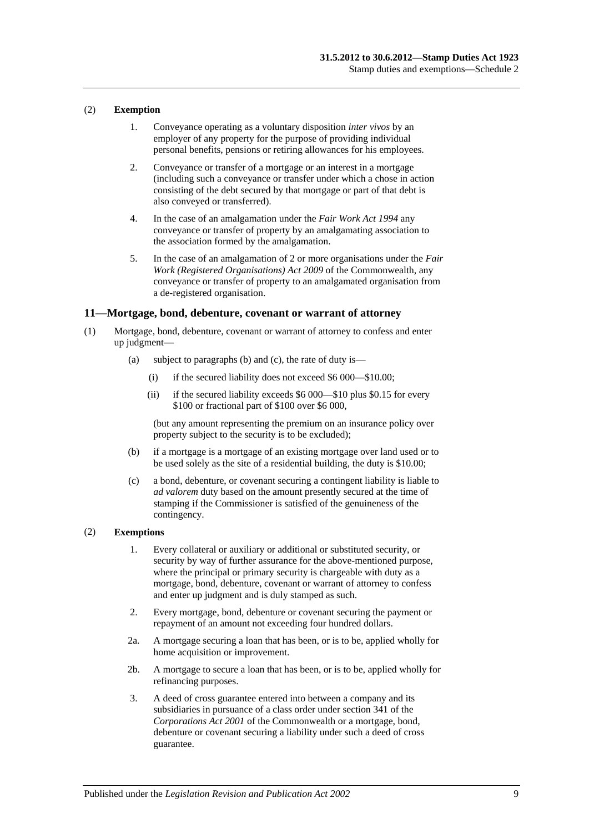#### (2) **Exemption**

- 1. Conveyance operating as a voluntary disposition *inter vivos* by an employer of any property for the purpose of providing individual personal benefits, pensions or retiring allowances for his employees.
- 2. Conveyance or transfer of a mortgage or an interest in a mortgage (including such a conveyance or transfer under which a chose in action consisting of the debt secured by that mortgage or part of that debt is also conveyed or transferred).
- 4. In the case of an amalgamation under the *[Fair Work Act](http://www.legislation.sa.gov.au/index.aspx?action=legref&type=act&legtitle=Fair%20Work%20Act%201994) 1994* any conveyance or transfer of property by an amalgamating association to the association formed by the amalgamation.
- 5. In the case of an amalgamation of 2 or more organisations under the *[Fair](http://www.legislation.sa.gov.au/index.aspx?action=legref&type=act&legtitle=Fair%20Work%20(Registered%20Organisations)%20Act%202009)  [Work \(Registered Organisations\) Act](http://www.legislation.sa.gov.au/index.aspx?action=legref&type=act&legtitle=Fair%20Work%20(Registered%20Organisations)%20Act%202009) 2009* of the Commonwealth, any conveyance or transfer of property to an amalgamated organisation from a de-registered organisation.

#### **11—Mortgage, bond, debenture, covenant or warrant of attorney**

- (1) Mortgage, bond, debenture, covenant or warrant of attorney to confess and enter up judgment—
	- (a) subject to paragraphs (b) and (c), the rate of duty is—
		- (i) if the secured liability does not exceed \$6 000—\$10.00;
		- (ii) if the secured liability exceeds \$6 000—\$10 plus \$0.15 for every \$100 or fractional part of \$100 over \$6 000,

(but any amount representing the premium on an insurance policy over property subject to the security is to be excluded);

- (b) if a mortgage is a mortgage of an existing mortgage over land used or to be used solely as the site of a residential building, the duty is \$10.00;
- (c) a bond, debenture, or covenant securing a contingent liability is liable to *ad valorem* duty based on the amount presently secured at the time of stamping if the Commissioner is satisfied of the genuineness of the contingency.

#### (2) **Exemptions**

- 1. Every collateral or auxiliary or additional or substituted security, or security by way of further assurance for the above-mentioned purpose, where the principal or primary security is chargeable with duty as a mortgage, bond, debenture, covenant or warrant of attorney to confess and enter up judgment and is duly stamped as such.
- 2. Every mortgage, bond, debenture or covenant securing the payment or repayment of an amount not exceeding four hundred dollars.
- 2a. A mortgage securing a loan that has been, or is to be, applied wholly for home acquisition or improvement.
- 2b. A mortgage to secure a loan that has been, or is to be, applied wholly for refinancing purposes.
- 3. A deed of cross guarantee entered into between a company and its subsidiaries in pursuance of a class order under section 341 of the *Corporations Act 2001* of the Commonwealth or a mortgage, bond, debenture or covenant securing a liability under such a deed of cross guarantee.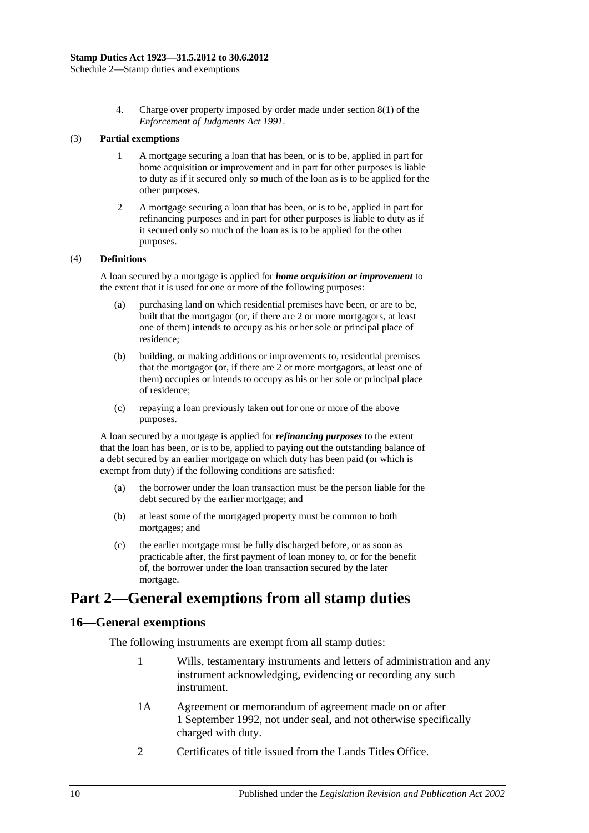4. Charge over property imposed by order made under section 8(1) of the *[Enforcement of Judgments Act](http://www.legislation.sa.gov.au/index.aspx?action=legref&type=act&legtitle=Enforcement%20of%20Judgments%20Act%201991) 1991*.

#### (3) **Partial exemptions**

- 1 A mortgage securing a loan that has been, or is to be, applied in part for home acquisition or improvement and in part for other purposes is liable to duty as if it secured only so much of the loan as is to be applied for the other purposes.
- 2 A mortgage securing a loan that has been, or is to be, applied in part for refinancing purposes and in part for other purposes is liable to duty as if it secured only so much of the loan as is to be applied for the other purposes.

#### (4) **Definitions**

A loan secured by a mortgage is applied for *home acquisition or improvement* to the extent that it is used for one or more of the following purposes:

- (a) purchasing land on which residential premises have been, or are to be, built that the mortgagor (or, if there are 2 or more mortgagors, at least one of them) intends to occupy as his or her sole or principal place of residence;
- (b) building, or making additions or improvements to, residential premises that the mortgagor (or, if there are 2 or more mortgagors, at least one of them) occupies or intends to occupy as his or her sole or principal place of residence;
- (c) repaying a loan previously taken out for one or more of the above purposes.

A loan secured by a mortgage is applied for *refinancing purposes* to the extent that the loan has been, or is to be, applied to paying out the outstanding balance of a debt secured by an earlier mortgage on which duty has been paid (or which is exempt from duty) if the following conditions are satisfied:

- (a) the borrower under the loan transaction must be the person liable for the debt secured by the earlier mortgage; and
- (b) at least some of the mortgaged property must be common to both mortgages; and
- (c) the earlier mortgage must be fully discharged before, or as soon as practicable after, the first payment of loan money to, or for the benefit of, the borrower under the loan transaction secured by the later mortgage.

# **Part 2—General exemptions from all stamp duties**

### **16—General exemptions**

The following instruments are exempt from all stamp duties:

- 1 Wills, testamentary instruments and letters of administration and any instrument acknowledging, evidencing or recording any such instrument.
- 1A Agreement or memorandum of agreement made on or after 1 September 1992, not under seal, and not otherwise specifically charged with duty.
- 2 Certificates of title issued from the Lands Titles Office.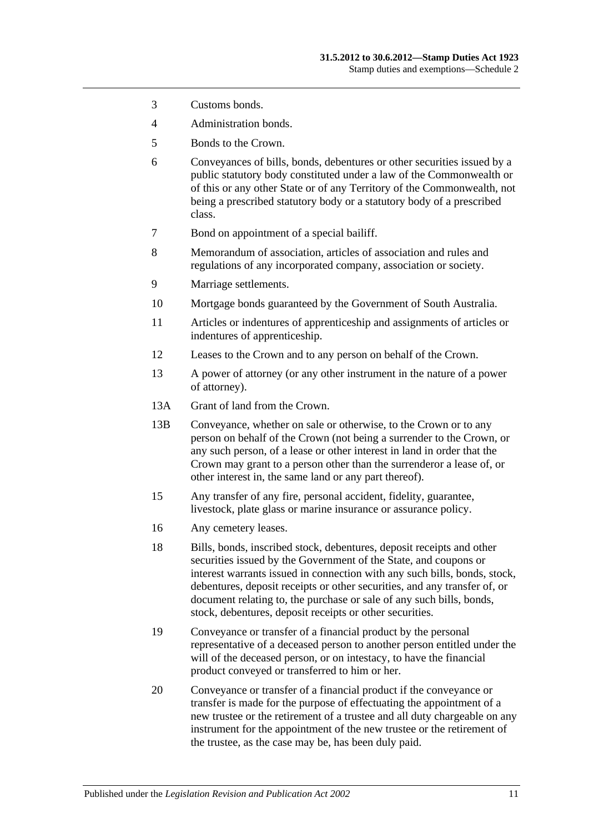- 3 Customs bonds.
- 4 Administration bonds.
- 5 Bonds to the Crown.
- 6 Conveyances of bills, bonds, debentures or other securities issued by a public statutory body constituted under a law of the Commonwealth or of this or any other State or of any Territory of the Commonwealth, not being a prescribed statutory body or a statutory body of a prescribed class.
- 7 Bond on appointment of a special bailiff.
- 8 Memorandum of association, articles of association and rules and regulations of any incorporated company, association or society.
- 9 Marriage settlements.
- 10 Mortgage bonds guaranteed by the Government of South Australia.
- 11 Articles or indentures of apprenticeship and assignments of articles or indentures of apprenticeship.
- 12 Leases to the Crown and to any person on behalf of the Crown.
- 13 A power of attorney (or any other instrument in the nature of a power of attorney).
- 13A Grant of land from the Crown.
- 13B Conveyance, whether on sale or otherwise, to the Crown or to any person on behalf of the Crown (not being a surrender to the Crown, or any such person, of a lease or other interest in land in order that the Crown may grant to a person other than the surrenderor a lease of, or other interest in, the same land or any part thereof).
- 15 Any transfer of any fire, personal accident, fidelity, guarantee, livestock, plate glass or marine insurance or assurance policy.
- 16 Any cemetery leases.
- 18 Bills, bonds, inscribed stock, debentures, deposit receipts and other securities issued by the Government of the State, and coupons or interest warrants issued in connection with any such bills, bonds, stock, debentures, deposit receipts or other securities, and any transfer of, or document relating to, the purchase or sale of any such bills, bonds, stock, debentures, deposit receipts or other securities.
- 19 Conveyance or transfer of a financial product by the personal representative of a deceased person to another person entitled under the will of the deceased person, or on intestacy, to have the financial product conveyed or transferred to him or her.
- 20 Conveyance or transfer of a financial product if the conveyance or transfer is made for the purpose of effectuating the appointment of a new trustee or the retirement of a trustee and all duty chargeable on any instrument for the appointment of the new trustee or the retirement of the trustee, as the case may be, has been duly paid.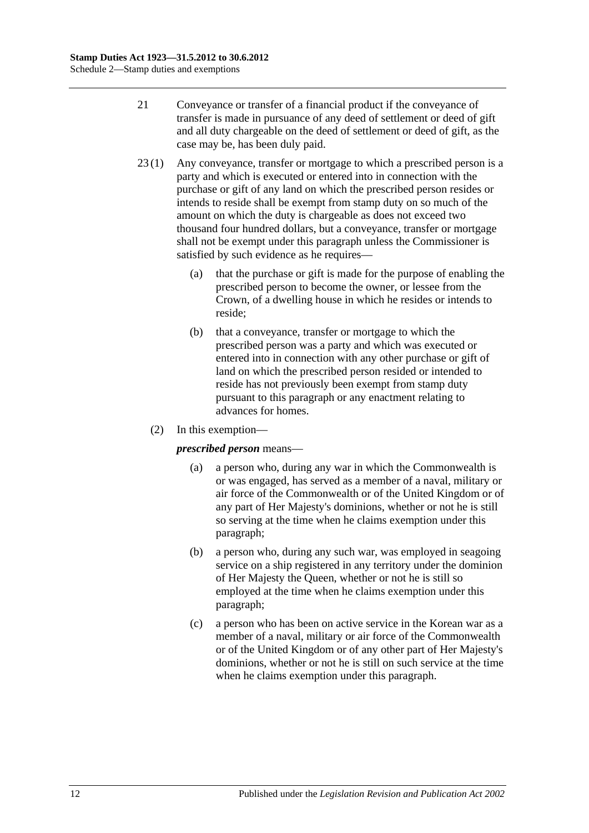- 21 Conveyance or transfer of a financial product if the conveyance of transfer is made in pursuance of any deed of settlement or deed of gift and all duty chargeable on the deed of settlement or deed of gift, as the case may be, has been duly paid.
- 23 (1) Any conveyance, transfer or mortgage to which a prescribed person is a party and which is executed or entered into in connection with the purchase or gift of any land on which the prescribed person resides or intends to reside shall be exempt from stamp duty on so much of the amount on which the duty is chargeable as does not exceed two thousand four hundred dollars, but a conveyance, transfer or mortgage shall not be exempt under this paragraph unless the Commissioner is satisfied by such evidence as he requires—
	- (a) that the purchase or gift is made for the purpose of enabling the prescribed person to become the owner, or lessee from the Crown, of a dwelling house in which he resides or intends to reside;
	- (b) that a conveyance, transfer or mortgage to which the prescribed person was a party and which was executed or entered into in connection with any other purchase or gift of land on which the prescribed person resided or intended to reside has not previously been exempt from stamp duty pursuant to this paragraph or any enactment relating to advances for homes.
	- (2) In this exemption—

### <span id="page-117-0"></span>*prescribed person* means—

- (a) a person who, during any war in which the Commonwealth is or was engaged, has served as a member of a naval, military or air force of the Commonwealth or of the United Kingdom or of any part of Her Majesty's dominions, whether or not he is still so serving at the time when he claims exemption under this paragraph;
- <span id="page-117-1"></span>(b) a person who, during any such war, was employed in seagoing service on a ship registered in any territory under the dominion of Her Majesty the Queen, whether or not he is still so employed at the time when he claims exemption under this paragraph;
- <span id="page-117-2"></span>(c) a person who has been on active service in the Korean war as a member of a naval, military or air force of the Commonwealth or of the United Kingdom or of any other part of Her Majesty's dominions, whether or not he is still on such service at the time when he claims exemption under this paragraph.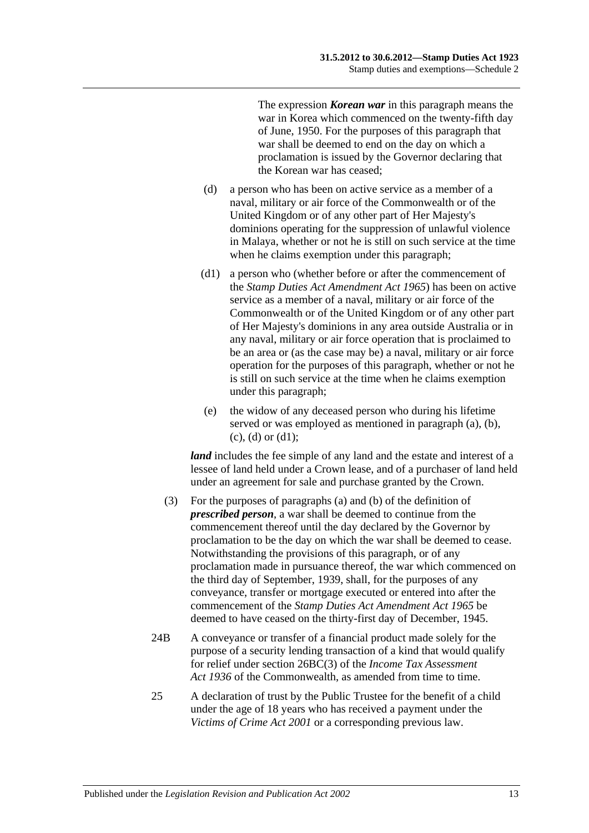The expression *Korean war* in this paragraph means the war in Korea which commenced on the twenty-fifth day of June, 1950. For the purposes of this paragraph that war shall be deemed to end on the day on which a proclamation is issued by the Governor declaring that the Korean war has ceased;

- <span id="page-118-0"></span>(d) a person who has been on active service as a member of a naval, military or air force of the Commonwealth or of the United Kingdom or of any other part of Her Majesty's dominions operating for the suppression of unlawful violence in Malaya, whether or not he is still on such service at the time when he claims exemption under this paragraph;
- <span id="page-118-1"></span>(d1) a person who (whether before or after the commencement of the *[Stamp Duties Act Amendment Act](http://www.legislation.sa.gov.au/index.aspx?action=legref&type=act&legtitle=Stamp%20Duties%20Act%20Amendment%20Act%201965) 1965*) has been on active service as a member of a naval, military or air force of the Commonwealth or of the United Kingdom or of any other part of Her Majesty's dominions in any area outside Australia or in any naval, military or air force operation that is proclaimed to be an area or (as the case may be) a naval, military or air force operation for the purposes of this paragraph, whether or not he is still on such service at the time when he claims exemption under this paragraph;
- (e) the widow of any deceased person who during his lifetime served or was employed as mentioned in [paragraph](#page-117-0) (a), [\(b\),](#page-117-1)  $(c)$ ,  $(d)$  or  $(d1)$ ;

*land* includes the fee simple of any land and the estate and interest of a lessee of land held under a Crown lease, and of a purchaser of land held under an agreement for sale and purchase granted by the Crown.

- (3) For the purposes of [paragraphs](#page-117-0) (a) and [\(b\)](#page-117-1) of the definition of *prescribed person*, a war shall be deemed to continue from the commencement thereof until the day declared by the Governor by proclamation to be the day on which the war shall be deemed to cease. Notwithstanding the provisions of this paragraph, or of any proclamation made in pursuance thereof, the war which commenced on the third day of September, 1939, shall, for the purposes of any conveyance, transfer or mortgage executed or entered into after the commencement of the *[Stamp Duties Act Amendment Act](http://www.legislation.sa.gov.au/index.aspx?action=legref&type=act&legtitle=Stamp%20Duties%20Act%20Amendment%20Act%201965) 1965* be deemed to have ceased on the thirty-first day of December, 1945.
- 24B A conveyance or transfer of a financial product made solely for the purpose of a security lending transaction of a kind that would qualify for relief under section 26BC(3) of the *Income Tax Assessment*  Act 1936 of the Commonwealth, as amended from time to time.
- 25 A declaration of trust by the Public Trustee for the benefit of a child under the age of 18 years who has received a payment under the *[Victims of Crime Act](http://www.legislation.sa.gov.au/index.aspx?action=legref&type=act&legtitle=Victims%20of%20Crime%20Act%202001) 2001* or a corresponding previous law.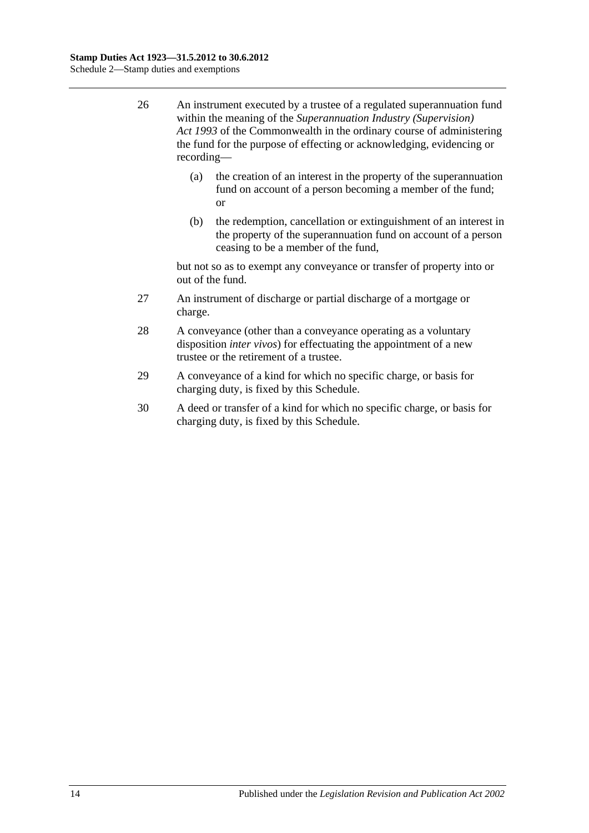- 26 An instrument executed by a trustee of a regulated superannuation fund within the meaning of the *Superannuation Industry (Supervision) Act 1993* of the Commonwealth in the ordinary course of administering the fund for the purpose of effecting or acknowledging, evidencing or recording—
	- (a) the creation of an interest in the property of the superannuation fund on account of a person becoming a member of the fund; or
	- (b) the redemption, cancellation or extinguishment of an interest in the property of the superannuation fund on account of a person ceasing to be a member of the fund,

but not so as to exempt any conveyance or transfer of property into or out of the fund.

- 27 An instrument of discharge or partial discharge of a mortgage or charge.
- 28 A conveyance (other than a conveyance operating as a voluntary disposition *inter vivos*) for effectuating the appointment of a new trustee or the retirement of a trustee.
- 29 A conveyance of a kind for which no specific charge, or basis for charging duty, is fixed by this Schedule.
- 30 A deed or transfer of a kind for which no specific charge, or basis for charging duty, is fixed by this Schedule.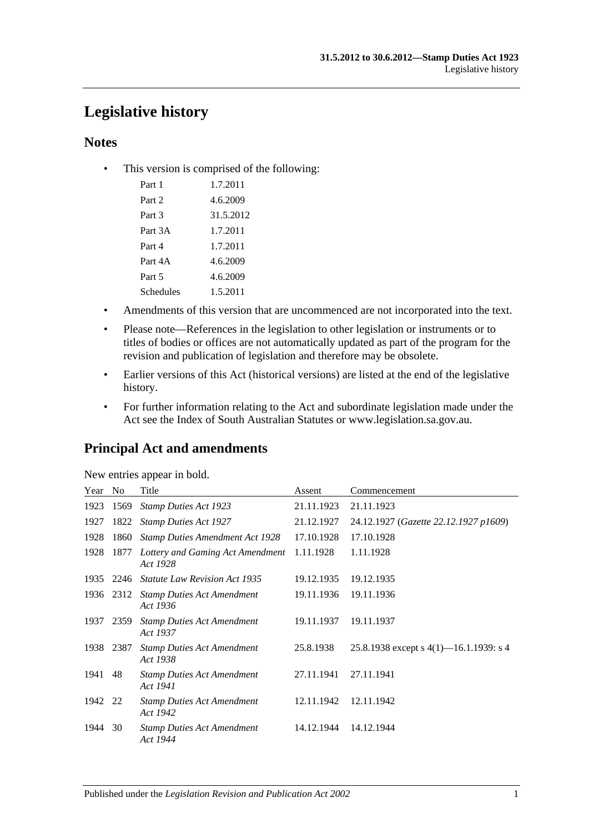# **Legislative history**

## **Notes**

• This version is comprised of the following:

| Part 1           | 1.7.2011  |
|------------------|-----------|
| Part 2           | 4.6.2009  |
| Part 3           | 31.5.2012 |
| Part 3A          | 1.7.2011  |
| Part 4           | 1.7.2011  |
| Part 4A          | 4.6.2009  |
| Part 5           | 4.6.2009  |
| <b>Schedules</b> | 1.5.2011  |

- Amendments of this version that are uncommenced are not incorporated into the text.
- Please note—References in the legislation to other legislation or instruments or to titles of bodies or offices are not automatically updated as part of the program for the revision and publication of legislation and therefore may be obsolete.
- Earlier versions of this Act (historical versions) are listed at the end of the legislative history.
- For further information relating to the Act and subordinate legislation made under the Act see the Index of South Australian Statutes or www.legislation.sa.gov.au.

## **Principal Act and amendments**

| Year | N <sub>0</sub> | Title                                         | Assent     | Commencement                              |
|------|----------------|-----------------------------------------------|------------|-------------------------------------------|
| 1923 | 1569           | <b>Stamp Duties Act 1923</b>                  | 21.11.1923 | 21.11.1923                                |
| 1927 | 1822           | <b>Stamp Duties Act 1927</b>                  | 21.12.1927 | 24.12.1927 (Gazette 22.12.1927 p1609)     |
| 1928 | 1860           | <b>Stamp Duties Amendment Act 1928</b>        | 17.10.1928 | 17.10.1928                                |
| 1928 | 1877           | Lottery and Gaming Act Amendment<br>Act 1928  | 1.11.1928  | 1.11.1928                                 |
| 1935 | 2246           | <b>Statute Law Revision Act 1935</b>          | 19.12.1935 | 19.12.1935                                |
| 1936 | 2312           | <b>Stamp Duties Act Amendment</b><br>Act 1936 | 19.11.1936 | 19.11.1936                                |
| 1937 | 2359           | <b>Stamp Duties Act Amendment</b><br>Act 1937 | 19.11.1937 | 19.11.1937                                |
| 1938 | 2387           | <b>Stamp Duties Act Amendment</b><br>Act 1938 | 25.8.1938  | 25.8.1938 except s $4(1)$ —16.1.1939: s 4 |
| 1941 | 48             | <b>Stamp Duties Act Amendment</b><br>Act 1941 | 27.11.1941 | 27.11.1941                                |
| 1942 | 22             | <b>Stamp Duties Act Amendment</b><br>Act 1942 | 12.11.1942 | 12.11.1942                                |
| 1944 | 30             | <b>Stamp Duties Act Amendment</b><br>Act 1944 | 14.12.1944 | 14.12.1944                                |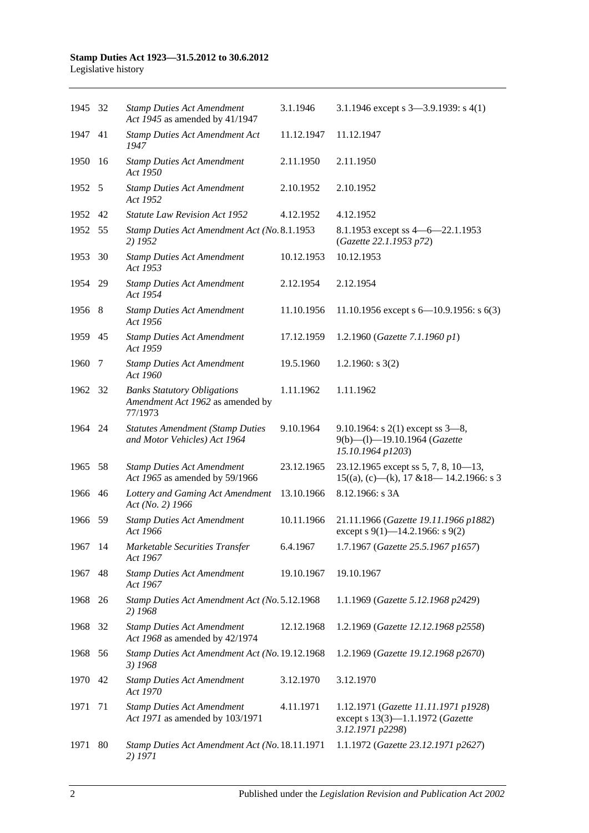| 1945 32 |     | <b>Stamp Duties Act Amendment</b><br>Act 1945 as amended by 41/1947               | 3.1.1946   | 3.1.1946 except s $3-3.9.1939$ : s $4(1)$                                                    |
|---------|-----|-----------------------------------------------------------------------------------|------------|----------------------------------------------------------------------------------------------|
| 1947 41 |     | <b>Stamp Duties Act Amendment Act</b><br>1947                                     | 11.12.1947 | 11.12.1947                                                                                   |
| 1950    | -16 | <b>Stamp Duties Act Amendment</b><br>Act 1950                                     | 2.11.1950  | 2.11.1950                                                                                    |
| 1952 5  |     | <b>Stamp Duties Act Amendment</b><br>Act 1952                                     | 2.10.1952  | 2.10.1952                                                                                    |
| 1952    | 42  | <b>Statute Law Revision Act 1952</b>                                              | 4.12.1952  | 4.12.1952                                                                                    |
| 1952    | 55  | Stamp Duties Act Amendment Act (No. 8.1.1953<br>2) 1952                           |            | 8.1.1953 except ss 4 - 6 - 22.1.1953<br>(Gazette 22.1.1953 p72)                              |
| 1953    | 30  | <b>Stamp Duties Act Amendment</b><br>Act 1953                                     | 10.12.1953 | 10.12.1953                                                                                   |
| 1954    | -29 | <b>Stamp Duties Act Amendment</b><br>Act 1954                                     | 2.12.1954  | 2.12.1954                                                                                    |
| 1956 8  |     | <b>Stamp Duties Act Amendment</b><br>Act 1956                                     | 11.10.1956 | 11.10.1956 except s $6-10.9.1956$ : s $6(3)$                                                 |
| 1959    | 45  | <b>Stamp Duties Act Amendment</b><br>Act 1959                                     | 17.12.1959 | 1.2.1960 (Gazette 7.1.1960 p1)                                                               |
| 1960    | 7   | <b>Stamp Duties Act Amendment</b><br>Act 1960                                     | 19.5.1960  | 1.2.1960: $s$ 3(2)                                                                           |
| 1962    | -32 | <b>Banks Statutory Obligations</b><br>Amendment Act 1962 as amended by<br>77/1973 | 1.11.1962  | 1.11.1962                                                                                    |
| 1964 24 |     | <b>Statutes Amendment (Stamp Duties</b><br>and Motor Vehicles) Act 1964           | 9.10.1964  | 9.10.1964: s $2(1)$ except ss $3-8$ ,<br>9(b)-(l)-19.10.1964 (Gazette<br>15.10.1964 p1203)   |
| 1965    | 58  | <b>Stamp Duties Act Amendment</b><br>Act 1965 as amended by 59/1966               | 23.12.1965 | 23.12.1965 except ss 5, 7, 8, 10-13,<br>$15((a), (c)$ —(k), 17 & 18—14.2.1966: s 3           |
| 1966    | 46  | Lottery and Gaming Act Amendment<br>Act (No. 2) 1966                              | 13.10.1966 | 8.12.1966: s 3A                                                                              |
| 1966 59 |     | <b>Stamp Duties Act Amendment</b><br>Act 1966                                     | 10.11.1966 | 21.11.1966 (Gazette 19.11.1966 p1882)<br>except s 9(1)–14.2.1966: s 9(2)                     |
| 1967 14 |     | Marketable Securities Transfer<br>Act 1967                                        | 6.4.1967   | 1.7.1967 (Gazette 25.5.1967 p1657)                                                           |
| 1967    | 48  | <b>Stamp Duties Act Amendment</b><br>Act 1967                                     | 19.10.1967 | 19.10.1967                                                                                   |
| 1968    | 26  | Stamp Duties Act Amendment Act (No. 5.12.1968<br>2) 1968                          |            | 1.1.1969 (Gazette 5.12.1968 p2429)                                                           |
| 1968    | 32  | <b>Stamp Duties Act Amendment</b><br>Act 1968 as amended by 42/1974               | 12.12.1968 | 1.2.1969 (Gazette 12.12.1968 p2558)                                                          |
| 1968    | 56  | Stamp Duties Act Amendment Act (No. 19.12.1968<br>3) 1968                         |            | 1.2.1969 (Gazette 19.12.1968 p2670)                                                          |
| 1970    | 42  | <b>Stamp Duties Act Amendment</b><br>Act 1970                                     | 3.12.1970  | 3.12.1970                                                                                    |
| 1971    | 71  | <b>Stamp Duties Act Amendment</b><br>Act 1971 as amended by 103/1971              | 4.11.1971  | 1.12.1971 (Gazette 11.11.1971 p1928)<br>except s 13(3)-1.1.1972 (Gazette<br>3.12.1971 p2298) |
| 1971    | 80  | Stamp Duties Act Amendment Act (No. 18.11.1971<br>2) 1971                         |            | 1.1.1972 (Gazette 23.12.1971 p2627)                                                          |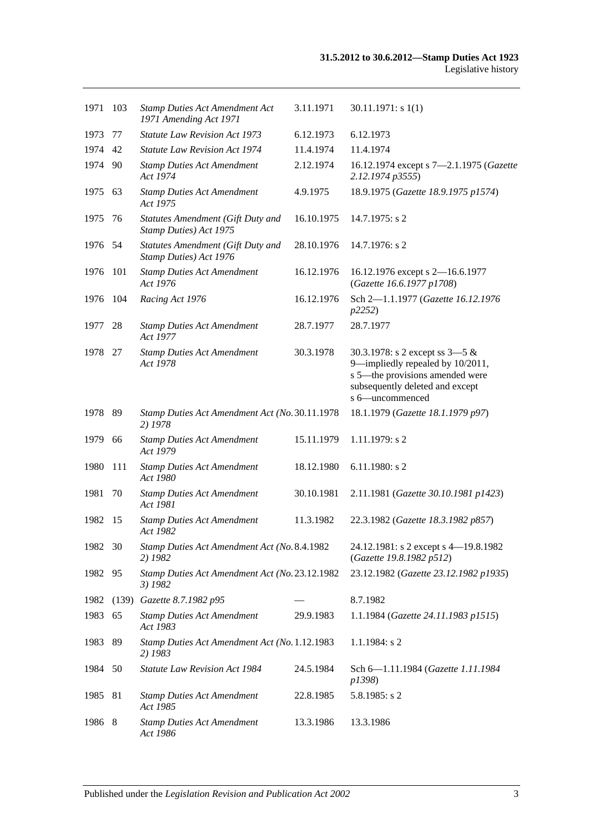| 1971    | 103   | <b>Stamp Duties Act Amendment Act</b><br>1971 Amending Act 1971 | 3.11.1971  | 30.11.1971: s1(1)                                                                                                                                             |
|---------|-------|-----------------------------------------------------------------|------------|---------------------------------------------------------------------------------------------------------------------------------------------------------------|
| 1973    | 77    | <b>Statute Law Revision Act 1973</b>                            | 6.12.1973  | 6.12.1973                                                                                                                                                     |
| 1974    | 42    | <b>Statute Law Revision Act 1974</b>                            | 11.4.1974  | 11.4.1974                                                                                                                                                     |
| 1974 90 |       | <b>Stamp Duties Act Amendment</b><br>Act 1974                   | 2.12.1974  | 16.12.1974 except s 7-2.1.1975 (Gazette<br>2.12.1974 p3555)                                                                                                   |
| 1975 63 |       | <b>Stamp Duties Act Amendment</b><br>Act 1975                   | 4.9.1975   | 18.9.1975 (Gazette 18.9.1975 p1574)                                                                                                                           |
| 1975    | 76    | Statutes Amendment (Gift Duty and<br>Stamp Duties) Act 1975     | 16.10.1975 | $14.7.1975$ : s 2                                                                                                                                             |
| 1976 54 |       | Statutes Amendment (Gift Duty and<br>Stamp Duties) Act 1976     | 28.10.1976 | 14.7.1976: s 2                                                                                                                                                |
| 1976    | 101   | <b>Stamp Duties Act Amendment</b><br>Act 1976                   | 16.12.1976 | 16.12.1976 except s 2-16.6.1977<br>(Gazette 16.6.1977 p1708)                                                                                                  |
| 1976    | 104   | Racing Act 1976                                                 | 16.12.1976 | Sch 2-1.1.1977 (Gazette 16.12.1976<br>p2252)                                                                                                                  |
| 1977    | 28    | <b>Stamp Duties Act Amendment</b><br>Act 1977                   | 28.7.1977  | 28.7.1977                                                                                                                                                     |
| 1978    | -27   | <b>Stamp Duties Act Amendment</b><br>Act 1978                   | 30.3.1978  | 30.3.1978: s 2 except ss $3-5$ &<br>9-impliedly repealed by 10/2011,<br>s 5—the provisions amended were<br>subsequently deleted and except<br>s 6-uncommenced |
| 1978    | - 89  | Stamp Duties Act Amendment Act (No. 30.11.1978)<br>2) 1978      |            | 18.1.1979 (Gazette 18.1.1979 p97)                                                                                                                             |
| 1979    | 66    | <b>Stamp Duties Act Amendment</b><br>Act 1979                   | 15.11.1979 | $1.11.1979$ : s 2                                                                                                                                             |
| 1980    | 111   | <b>Stamp Duties Act Amendment</b><br>Act 1980                   | 18.12.1980 | $6.11.1980$ : s 2                                                                                                                                             |
| 1981    | 70    | <b>Stamp Duties Act Amendment</b><br>Act 1981                   | 30.10.1981 | 2.11.1981 (Gazette 30.10.1981 p1423)                                                                                                                          |
| 1982    | -15   | <b>Stamp Duties Act Amendment</b><br>Act 1982                   | 11.3.1982  | 22.3.1982 (Gazette 18.3.1982 p857)                                                                                                                            |
| 1982 30 |       | Stamp Duties Act Amendment Act (No. 8.4.1982<br>2) 1982         |            | 24.12.1981: s 2 except s 4-19.8.1982<br>(Gazette 19.8.1982 p512)                                                                                              |
| 1982 95 |       | Stamp Duties Act Amendment Act (No. 23.12.1982<br>3) 1982       |            | 23.12.1982 (Gazette 23.12.1982 p1935)                                                                                                                         |
| 1982    | (139) | Gazette 8.7.1982 p95                                            |            | 8.7.1982                                                                                                                                                      |
| 1983    | 65    | <b>Stamp Duties Act Amendment</b><br>Act 1983                   | 29.9.1983  | 1.1.1984 (Gazette 24.11.1983 p1515)                                                                                                                           |
| 1983    | 89    | Stamp Duties Act Amendment Act (No. 1.12.1983<br>2) 1983        |            | $1.1.1984$ : s 2                                                                                                                                              |
| 1984    | 50    | Statute Law Revision Act 1984                                   | 24.5.1984  | Sch 6-1.11.1984 (Gazette 1.11.1984<br>p1398)                                                                                                                  |
| 1985    | 81    | <b>Stamp Duties Act Amendment</b><br>Act 1985                   | 22.8.1985  | $5.8.1985$ : s 2                                                                                                                                              |
| 1986    | 8     | <b>Stamp Duties Act Amendment</b><br>Act 1986                   | 13.3.1986  | 13.3.1986                                                                                                                                                     |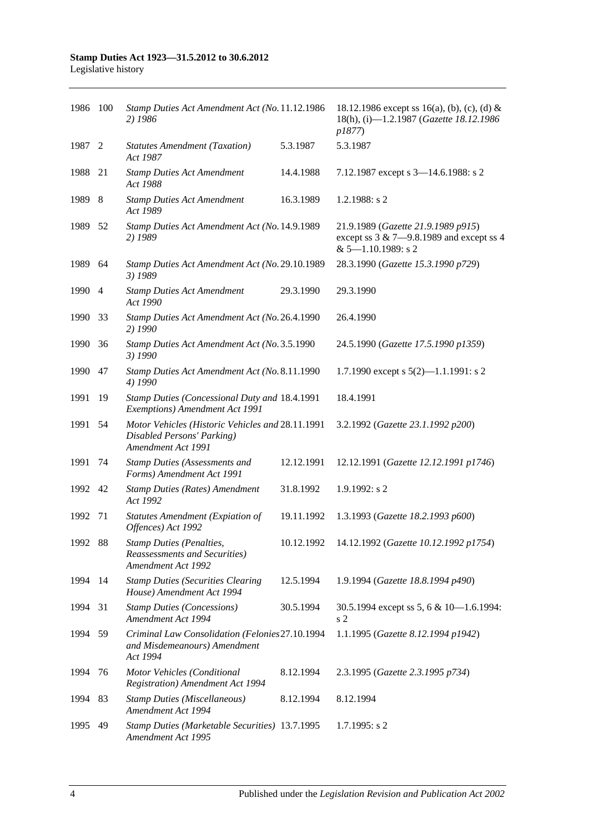| 1986 100 |      | Stamp Duties Act Amendment Act (No. 11.12.1986<br>2) 1986                                            |            | 18.12.1986 except ss 16(a), (b), (c), (d) &<br>18(h), (i)-1.2.1987 (Gazette 18.12.1986<br>p1877)              |
|----------|------|------------------------------------------------------------------------------------------------------|------------|---------------------------------------------------------------------------------------------------------------|
| 1987 2   |      | <b>Statutes Amendment (Taxation)</b><br>Act 1987                                                     | 5.3.1987   | 5.3.1987                                                                                                      |
| 1988     | 21   | <b>Stamp Duties Act Amendment</b><br>Act 1988                                                        | 14.4.1988  | 7.12.1987 except s 3-14.6.1988: s 2                                                                           |
| 1989     | -8   | <b>Stamp Duties Act Amendment</b><br>Act 1989                                                        | 16.3.1989  | 1.2.1988: s 2                                                                                                 |
| 1989     | - 52 | Stamp Duties Act Amendment Act (No. 14.9.1989<br>2) 1989                                             |            | 21.9.1989 (Gazette 21.9.1989 p915)<br>except ss $3 & 7 - 9.8.1989$ and except ss 4<br>$& 5 - 1.10.1989$ : s 2 |
| 1989     | 64   | Stamp Duties Act Amendment Act (No. 29.10.1989<br>3) 1989                                            |            | 28.3.1990 (Gazette 15.3.1990 p729)                                                                            |
| 1990 4   |      | <b>Stamp Duties Act Amendment</b><br>Act 1990                                                        | 29.3.1990  | 29.3.1990                                                                                                     |
| 1990     | 33   | Stamp Duties Act Amendment Act (No. 26.4.1990<br>2) 1990                                             |            | 26.4.1990                                                                                                     |
| 1990     | 36   | Stamp Duties Act Amendment Act (No. 3.5.1990<br>3) 1990                                              |            | 24.5.1990 (Gazette 17.5.1990 p1359)                                                                           |
| 1990     | 47   | Stamp Duties Act Amendment Act (No. 8.11.1990<br>4) 1990                                             |            | 1.7.1990 except s $5(2)$ —1.1.1991: s 2                                                                       |
| 1991     | 19   | Stamp Duties (Concessional Duty and 18.4.1991<br>Exemptions) Amendment Act 1991                      |            | 18.4.1991                                                                                                     |
| 1991     | 54   | Motor Vehicles (Historic Vehicles and 28.11.1991<br>Disabled Persons' Parking)<br>Amendment Act 1991 |            | 3.2.1992 (Gazette 23.1.1992 p200)                                                                             |
| 1991     | 74   | <b>Stamp Duties (Assessments and</b><br>Forms) Amendment Act 1991                                    | 12.12.1991 | 12.12.1991 (Gazette 12.12.1991 p1746)                                                                         |
| 1992 42  |      | <b>Stamp Duties (Rates) Amendment</b><br>Act 1992                                                    | 31.8.1992  | 1.9.1992: s2                                                                                                  |
| 1992     | 71   | Statutes Amendment (Expiation of<br>Offences) Act 1992                                               | 19.11.1992 | 1.3.1993 (Gazette 18.2.1993 p600)                                                                             |
| 1992 88  |      | <b>Stamp Duties (Penalties,</b><br><b>Reassessments and Securities</b> )<br>Amendment Act 1992       | 10.12.1992 | 14.12.1992 (Gazette 10.12.1992 p1754)                                                                         |
| 1994 14  |      | <b>Stamp Duties (Securities Clearing</b><br>House) Amendment Act 1994                                | 12.5.1994  | 1.9.1994 (Gazette 18.8.1994 p490)                                                                             |
| 1994     | 31   | <b>Stamp Duties (Concessions)</b><br>Amendment Act 1994                                              | 30.5.1994  | 30.5.1994 except ss 5, 6 & 10-1.6.1994:<br>s <sub>2</sub>                                                     |
| 1994     | -59  | Criminal Law Consolidation (Felonies27.10.1994<br>and Misdemeanours) Amendment<br>Act 1994           |            | 1.1.1995 (Gazette 8.12.1994 p1942)                                                                            |
| 1994     | 76   | Motor Vehicles (Conditional<br><b>Registration</b> ) Amendment Act 1994                              | 8.12.1994  | 2.3.1995 (Gazette 2.3.1995 p734)                                                                              |
| 1994     | 83   | <b>Stamp Duties (Miscellaneous)</b><br>Amendment Act 1994                                            | 8.12.1994  | 8.12.1994                                                                                                     |
| 1995     | 49   | Stamp Duties (Marketable Securities) 13.7.1995<br>Amendment Act 1995                                 |            | 1.7.1995: s2                                                                                                  |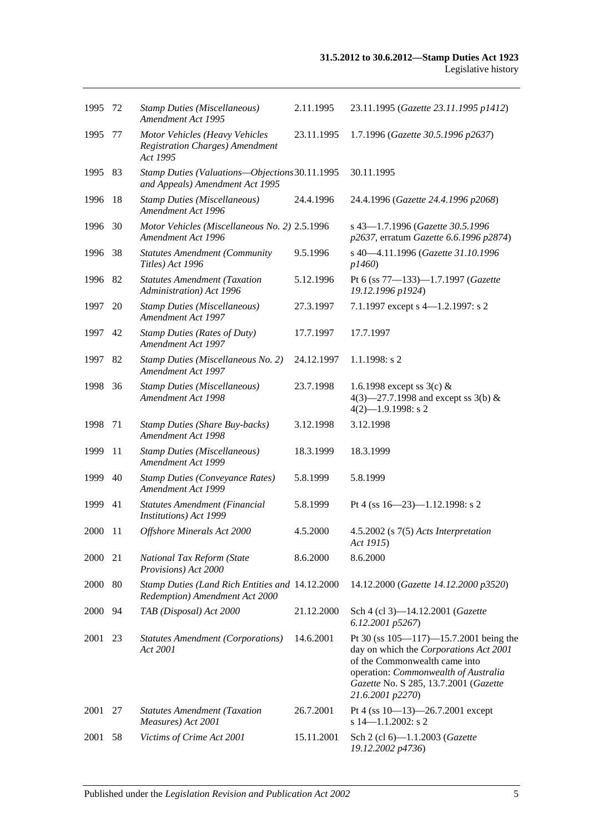| 1995    | -72 | <b>Stamp Duties (Miscellaneous)</b><br>Amendment Act 1995                            | 2.11.1995  | 23.11.1995 (Gazette 23.11.1995 p1412)                                                                                                                                                                                        |
|---------|-----|--------------------------------------------------------------------------------------|------------|------------------------------------------------------------------------------------------------------------------------------------------------------------------------------------------------------------------------------|
| 1995    | 77  | Motor Vehicles (Heavy Vehicles<br><b>Registration Charges)</b> Amendment<br>Act 1995 | 23.11.1995 | 1.7.1996 (Gazette 30.5.1996 p2637)                                                                                                                                                                                           |
| 1995    | 83  | Stamp Duties (Valuations-Objections 30.11.1995<br>and Appeals) Amendment Act 1995    |            | 30.11.1995                                                                                                                                                                                                                   |
| 1996    | 18  | <b>Stamp Duties (Miscellaneous)</b><br>Amendment Act 1996                            | 24.4.1996  | 24.4.1996 (Gazette 24.4.1996 p2068)                                                                                                                                                                                          |
| 1996    | 30  | Motor Vehicles (Miscellaneous No. 2) 2.5.1996<br>Amendment Act 1996                  |            | s 43-1.7.1996 (Gazette 30.5.1996<br>p2637, erratum Gazette 6.6.1996 p2874)                                                                                                                                                   |
| 1996    | 38  | <b>Statutes Amendment (Community</b><br>Titles) Act 1996                             | 9.5.1996   | s 40-4.11.1996 (Gazette 31.10.1996<br>p1460                                                                                                                                                                                  |
| 1996    | 82  | <b>Statutes Amendment (Taxation</b><br>Administration) Act 1996                      | 5.12.1996  | Pt 6 (ss 77-133)-1.7.1997 (Gazette<br>19.12.1996 p1924)                                                                                                                                                                      |
| 1997    | 20  | <b>Stamp Duties (Miscellaneous)</b><br>Amendment Act 1997                            | 27.3.1997  | 7.1.1997 except s 4-1.2.1997: s 2                                                                                                                                                                                            |
| 1997    | 42  | <b>Stamp Duties (Rates of Duty)</b><br>Amendment Act 1997                            | 17.7.1997  | 17.7.1997                                                                                                                                                                                                                    |
| 1997    | 82  | Stamp Duties (Miscellaneous No. 2)<br>Amendment Act 1997                             | 24.12.1997 | 1.1.1998: s2                                                                                                                                                                                                                 |
| 1998    | 36  | <b>Stamp Duties (Miscellaneous)</b><br>Amendment Act 1998                            | 23.7.1998  | 1.6.1998 except ss $3(c)$ &<br>4(3)–27.7.1998 and except ss 3(b) $&$<br>$4(2)$ -1.9.1998: s 2                                                                                                                                |
| 1998    | 71  | <b>Stamp Duties (Share Buy-backs)</b><br>Amendment Act 1998                          | 3.12.1998  | 3.12.1998                                                                                                                                                                                                                    |
| 1999    | 11  | <b>Stamp Duties (Miscellaneous)</b><br>Amendment Act 1999                            | 18.3.1999  | 18.3.1999                                                                                                                                                                                                                    |
| 1999    | 40  | <b>Stamp Duties (Conveyance Rates)</b><br>Amendment Act 1999                         | 5.8.1999   | 5.8.1999                                                                                                                                                                                                                     |
| 1999    | 41  | Statutes Amendment (Financial<br><b>Institutions</b> ) Act 1999                      | 5.8.1999   | Pt 4 (ss 16-23)-1.12.1998: s 2                                                                                                                                                                                               |
| 2000    | -11 | Offshore Minerals Act 2000                                                           | 4.5.2000   | $4.5.2002$ (s $7(5)$ Acts Interpretation<br>Act 1915)                                                                                                                                                                        |
| 2000 21 |     | National Tax Reform (State<br>Provisions) Act 2000                                   | 8.6.2000   | 8.6.2000                                                                                                                                                                                                                     |
| 2000    | 80  | Stamp Duties (Land Rich Entities and 14.12.2000<br>Redemption) Amendment Act 2000    |            | 14.12.2000 (Gazette 14.12.2000 p3520)                                                                                                                                                                                        |
| 2000    | 94  | TAB (Disposal) Act 2000                                                              | 21.12.2000 | Sch 4 (cl 3)-14.12.2001 (Gazette<br>6.12.2001 p5267)                                                                                                                                                                         |
| 2001    | 23  | <b>Statutes Amendment (Corporations)</b><br>Act 2001                                 | 14.6.2001  | Pt 30 (ss $105 - 117$ ) -15.7.2001 being the<br>day on which the Corporations Act 2001<br>of the Commonwealth came into<br>operation: Commonwealth of Australia<br>Gazette No. S 285, 13.7.2001 (Gazette<br>21.6.2001 p2270) |
| 2001    | 27  | <b>Statutes Amendment (Taxation</b><br>Measures) Act 2001                            | 26.7.2001  | Pt 4 (ss $10-13$ )-26.7.2001 except<br>s $14 - 1.1.2002$ : s 2                                                                                                                                                               |
| 2001    | 58  | Victims of Crime Act 2001                                                            | 15.11.2001 | Sch 2 (cl 6)-1.1.2003 (Gazette<br>19.12.2002 p4736)                                                                                                                                                                          |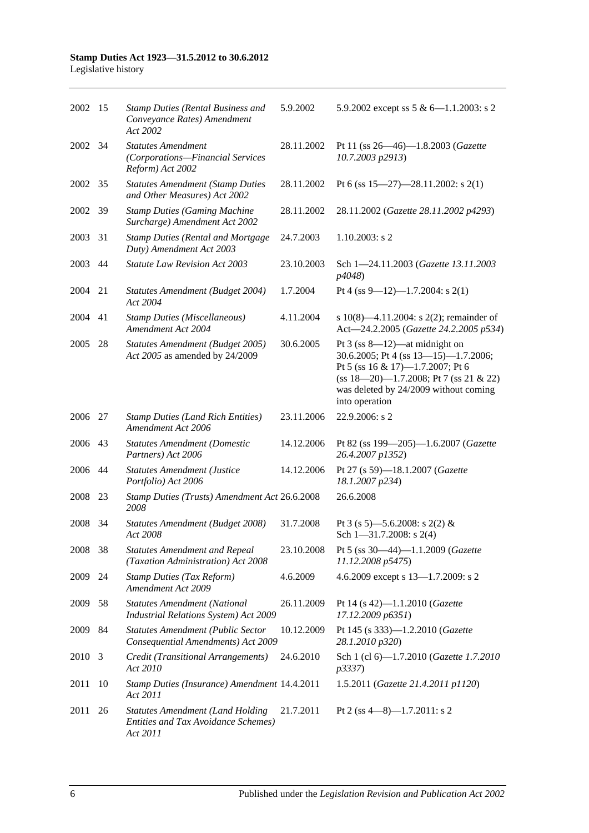| 2002 15 |                         | <b>Stamp Duties (Rental Business and</b><br>Conveyance Rates) Amendment<br>Act 2002               | 5.9.2002   | 5.9.2002 except ss $5 & 6 - 1.1.2003$ : s 2                                                                                                                                                                         |
|---------|-------------------------|---------------------------------------------------------------------------------------------------|------------|---------------------------------------------------------------------------------------------------------------------------------------------------------------------------------------------------------------------|
| 2002    | 34                      | <b>Statutes Amendment</b><br>(Corporations-Financial Services<br>Reform) Act 2002                 | 28.11.2002 | Pt 11 (ss 26-46)-1.8.2003 (Gazette<br>10.7.2003 p2913)                                                                                                                                                              |
| 2002    | 35                      | <b>Statutes Amendment (Stamp Duties</b><br>and Other Measures) Act 2002                           | 28.11.2002 | Pt 6 (ss $15-27$ )-28.11.2002: s 2(1)                                                                                                                                                                               |
| 2002    | 39                      | <b>Stamp Duties (Gaming Machine</b><br>Surcharge) Amendment Act 2002                              | 28.11.2002 | 28.11.2002 (Gazette 28.11.2002 p4293)                                                                                                                                                                               |
| 2003    | 31                      | <b>Stamp Duties (Rental and Mortgage</b><br>Duty) Amendment Act 2003                              | 24.7.2003  | $1.10.2003$ : s 2                                                                                                                                                                                                   |
| 2003    | 44                      | <b>Statute Law Revision Act 2003</b>                                                              | 23.10.2003 | Sch 1-24.11.2003 (Gazette 13.11.2003<br>p4048)                                                                                                                                                                      |
| 2004    | 21                      | Statutes Amendment (Budget 2004)<br>Act 2004                                                      | 1.7.2004   | Pt 4 (ss 9-12)-1.7.2004: s 2(1)                                                                                                                                                                                     |
| 2004    | 41                      | <b>Stamp Duties (Miscellaneous)</b><br>Amendment Act 2004                                         | 4.11.2004  | s 10(8)—4.11.2004: s 2(2); remainder of<br>Act-24.2.2005 (Gazette 24.2.2005 p534)                                                                                                                                   |
| 2005    | 28                      | Statutes Amendment (Budget 2005)<br>Act 2005 as amended by 24/2009                                | 30.6.2005  | Pt $3$ (ss 8—12)—at midnight on<br>30.6.2005; Pt 4 (ss 13-15)-1.7.2006;<br>Pt 5 (ss 16 & 17)-1.7.2007; Pt 6<br>$(ss 18-20)$ -1.7.2008; Pt 7 (ss 21 & 22)<br>was deleted by 24/2009 without coming<br>into operation |
| 2006    | 27                      | <b>Stamp Duties (Land Rich Entities)</b><br>Amendment Act 2006                                    | 23.11.2006 | 22.9.2006: s 2                                                                                                                                                                                                      |
| 2006    | 43                      | <b>Statutes Amendment (Domestic</b><br>Partners) Act 2006                                         | 14.12.2006 | Pt 82 (ss 199-205)-1.6.2007 (Gazette<br>26.4.2007 p1352)                                                                                                                                                            |
| 2006    | 44                      | <b>Statutes Amendment (Justice</b><br>Portfolio) Act 2006                                         | 14.12.2006 | Pt 27 (s 59)-18.1.2007 (Gazette<br>18.1.2007 p234)                                                                                                                                                                  |
| 2008    | 23                      | Stamp Duties (Trusts) Amendment Act 26.6.2008<br>2008                                             |            | 26.6.2008                                                                                                                                                                                                           |
| 2008    | 34                      | Statutes Amendment (Budget 2008)<br>Act 2008                                                      | 31.7.2008  | Pt 3 (s 5)—5.6.2008: s 2(2) &<br>Sch $1 - 31.7.2008$ : s 2(4)                                                                                                                                                       |
| 2008    | 38                      | <b>Statutes Amendment and Repeal</b><br>(Taxation Administration) Act 2008                        | 23.10.2008 | Pt 5 (ss 30-44)-1.1.2009 (Gazette<br>11.12.2008 p5475)                                                                                                                                                              |
| 2009    | 24                      | <b>Stamp Duties (Tax Reform)</b><br>Amendment Act 2009                                            | 4.6.2009   | 4.6.2009 except s 13-1.7.2009: s 2                                                                                                                                                                                  |
| 2009    | 58                      | <b>Statutes Amendment (National</b><br>Industrial Relations System) Act 2009                      | 26.11.2009 | Pt 14 (s 42)-1.1.2010 (Gazette<br>17.12.2009 p6351)                                                                                                                                                                 |
| 2009    | 84                      | <b>Statutes Amendment (Public Sector</b><br>Consequential Amendments) Act 2009                    | 10.12.2009 | Pt 145 (s 333)-1.2.2010 (Gazette<br>28.1.2010 p320)                                                                                                                                                                 |
| 2010    | $\overline{\mathbf{3}}$ | Credit (Transitional Arrangements)<br>Act 2010                                                    | 24.6.2010  | Sch 1 (cl 6)-1.7.2010 (Gazette 1.7.2010<br>p3337)                                                                                                                                                                   |
| 2011    | 10                      | Stamp Duties (Insurance) Amendment 14.4.2011<br>Act 2011                                          |            | 1.5.2011 (Gazette 21.4.2011 p1120)                                                                                                                                                                                  |
| 2011    | 26                      | <b>Statutes Amendment (Land Holding</b><br><b>Entities and Tax Avoidance Schemes)</b><br>Act 2011 | 21.7.2011  | Pt 2 (ss 4-8)-1.7.2011: s 2                                                                                                                                                                                         |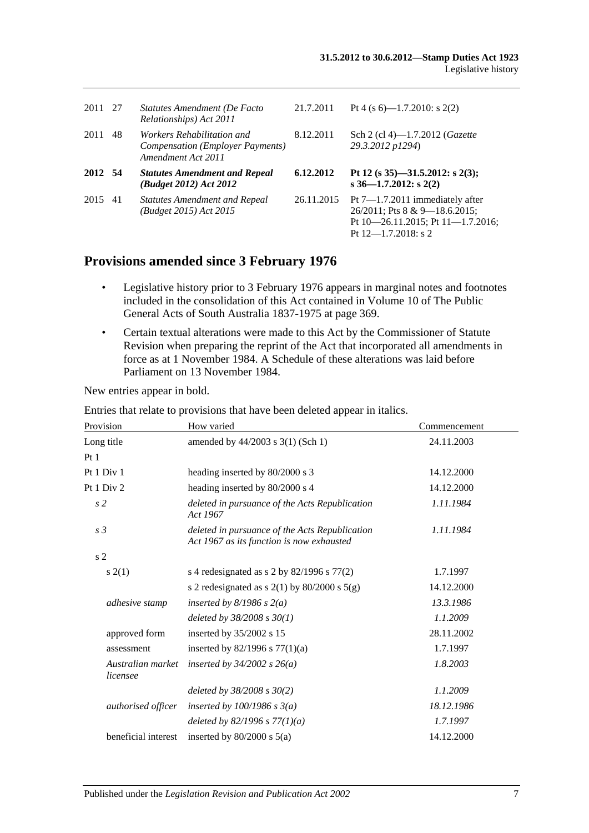| 2011 27 |    | Statutes Amendment (De Facto<br>Relationships) Act 2011                                            | 21.7.2011  | Pt 4 (s 6)—1.7.2010: s 2(2)                                                                                                             |
|---------|----|----------------------------------------------------------------------------------------------------|------------|-----------------------------------------------------------------------------------------------------------------------------------------|
| 2011    | 48 | <i>Workers Rehabilitation and</i><br><b>Compensation (Employer Payments)</b><br>Amendment Act 2011 | 8.12.2011  | Sch 2 (cl 4)—1.7.2012 ( <i>Gazette</i><br>29.3.2012 p1294)                                                                              |
| 2012 54 |    | <b>Statutes Amendment and Repeal</b><br>(Budget 2012) Act 2012                                     | 6.12.2012  | Pt 12 (s $35$ )-31.5.2012: s 2(3);<br>s $36-1.7.2012$ : s $2(2)$                                                                        |
| 2015    | 41 | <b>Statutes Amendment and Repeal</b><br>(Budget 2015) Act 2015                                     | 26.11.2015 | Pt $7-1.7.2011$ immediately after<br>26/2011; Pts 8 & 9-18.6.2015;<br>Pt $10-26.11.2015$ ; Pt $11-1.7.2016$ ;<br>Pt $12$ —1.7.2018: s 2 |

## **Provisions amended since 3 February 1976**

- Legislative history prior to 3 February 1976 appears in marginal notes and footnotes included in the consolidation of this Act contained in Volume 10 of The Public General Acts of South Australia 1837-1975 at page 369.
- Certain textual alterations were made to this Act by the Commissioner of Statute Revision when preparing the reprint of the Act that incorporated all amendments in force as at 1 November 1984. A Schedule of these alterations was laid before Parliament on 13 November 1984.

New entries appear in bold.

| Provision                     | How varied                                                                                  | Commencement |
|-------------------------------|---------------------------------------------------------------------------------------------|--------------|
|                               |                                                                                             |              |
| Long title                    | amended by 44/2003 s 3(1) (Sch 1)                                                           | 24.11.2003   |
| Pt <sub>1</sub>               |                                                                                             |              |
| Pt 1 Div 1                    | heading inserted by 80/2000 s 3                                                             | 14.12.2000   |
| Pt 1 Div 2                    | heading inserted by 80/2000 s 4                                                             | 14.12.2000   |
| s <sub>2</sub>                | deleted in pursuance of the Acts Republication<br>Act 1967                                  | 1.11.1984    |
| s <sub>3</sub>                | deleted in pursuance of the Acts Republication<br>Act 1967 as its function is now exhausted | 1.11.1984    |
| s <sub>2</sub>                |                                                                                             |              |
| s(2(1))                       | s 4 redesignated as s 2 by $82/1996$ s $77(2)$                                              | 1.7.1997     |
|                               | s 2 redesignated as s $2(1)$ by $80/2000$ s $5(g)$                                          | 14.12.2000   |
| adhesive stamp                | inserted by $8/1986$ s $2(a)$                                                               | 13.3.1986    |
|                               | deleted by $38/2008 s 30(1)$                                                                | 1.1.2009     |
| approved form                 | inserted by 35/2002 s 15                                                                    | 28.11.2002   |
| assessment                    | inserted by $82/1996$ s $77(1)(a)$                                                          | 1.7.1997     |
| Australian market<br>licensee | inserted by $34/2002$ s $26(a)$                                                             | 1.8.2003     |
|                               | deleted by $38/2008 s 30(2)$                                                                | 1.1.2009     |
| authorised officer            | inserted by $100/1986$ s $3(a)$                                                             | 18.12.1986   |
|                               | deleted by 82/1996 s $77(1)(a)$                                                             | 1.7.1997     |
| beneficial interest           | inserted by $80/2000$ s $5(a)$                                                              | 14.12.2000   |

Entries that relate to provisions that have been deleted appear in italics.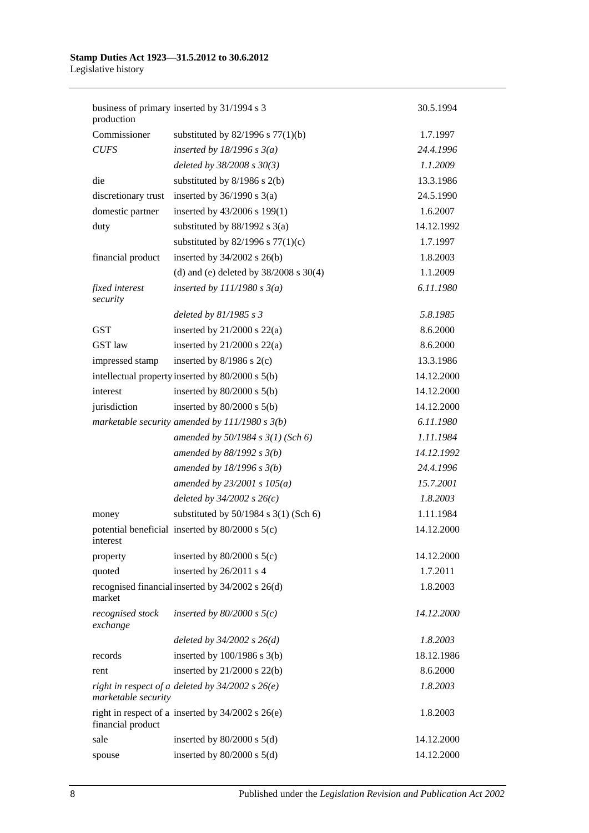| production                   | business of primary inserted by 31/1994 s 3           | 30.5.1994  |
|------------------------------|-------------------------------------------------------|------------|
| Commissioner                 | substituted by $82/1996$ s $77(1)(b)$                 | 1.7.1997   |
| <b>CUFS</b>                  | inserted by $18/1996$ s $3(a)$                        | 24.4.1996  |
|                              | deleted by 38/2008 s 30(3)                            | 1.1.2009   |
| die                          | substituted by $8/1986$ s $2(b)$                      | 13.3.1986  |
| discretionary trust          | inserted by $36/1990$ s $3(a)$                        | 24.5.1990  |
| domestic partner             | inserted by 43/2006 s 199(1)                          | 1.6.2007   |
| duty                         | substituted by $88/1992$ s 3(a)                       | 14.12.1992 |
|                              | substituted by $82/1996$ s $77(1)(c)$                 | 1.7.1997   |
| financial product            | inserted by $34/2002$ s $26(b)$                       | 1.8.2003   |
|                              | (d) and (e) deleted by $38/2008$ s $30(4)$            | 1.1.2009   |
| fixed interest<br>security   | inserted by $111/1980 s 3(a)$                         | 6.11.1980  |
|                              | deleted by $81/1985 s 3$                              | 5.8.1985   |
| <b>GST</b>                   | inserted by $21/2000$ s $22(a)$                       | 8.6.2000   |
| GST law                      | inserted by $21/2000$ s $22(a)$                       | 8.6.2000   |
| impressed stamp              | inserted by $8/1986$ s $2(c)$                         | 13.3.1986  |
|                              | intellectual property inserted by 80/2000 s 5(b)      | 14.12.2000 |
| interest                     | inserted by $80/2000$ s $5(b)$                        | 14.12.2000 |
| jurisdiction                 | inserted by $80/2000$ s $5(b)$                        | 14.12.2000 |
|                              | marketable security amended by $111/1980 s 3(b)$      | 6.11.1980  |
|                              | amended by $50/1984$ s $3(1)$ (Sch 6)                 | 1.11.1984  |
|                              | amended by $88/1992 s 3(b)$                           | 14.12.1992 |
|                              | amended by $18/1996 s 3(b)$                           | 24.4.1996  |
|                              | amended by $23/2001 s 105(a)$                         | 15.7.2001  |
|                              | deleted by $34/2002 s 26(c)$                          | 1.8.2003   |
| money                        | substituted by $50/1984$ s $3(1)$ (Sch 6)             | 1.11.1984  |
| interest                     | potential beneficial inserted by $80/2000$ s $5(c)$   | 14.12.2000 |
| property                     | inserted by $80/2000$ s $5(c)$                        | 14.12.2000 |
| quoted                       | inserted by 26/2011 s 4                               | 1.7.2011   |
| market                       | recognised financial inserted by 34/2002 s 26(d)      | 1.8.2003   |
| recognised stock<br>exchange | inserted by $80/2000$ s $5(c)$                        | 14.12.2000 |
|                              | deleted by $34/2002$ s $26(d)$                        | 1.8.2003   |
| records                      | inserted by $100/1986$ s $3(b)$                       | 18.12.1986 |
| rent                         | inserted by $21/2000$ s $22(b)$                       | 8.6.2000   |
| marketable security          | right in respect of a deleted by $34/2002$ s $26(e)$  | 1.8.2003   |
| financial product            | right in respect of a inserted by $34/2002$ s $26(e)$ | 1.8.2003   |
| sale                         | inserted by $80/2000$ s $5(d)$                        | 14.12.2000 |
| spouse                       | inserted by $80/2000$ s $5(d)$                        | 14.12.2000 |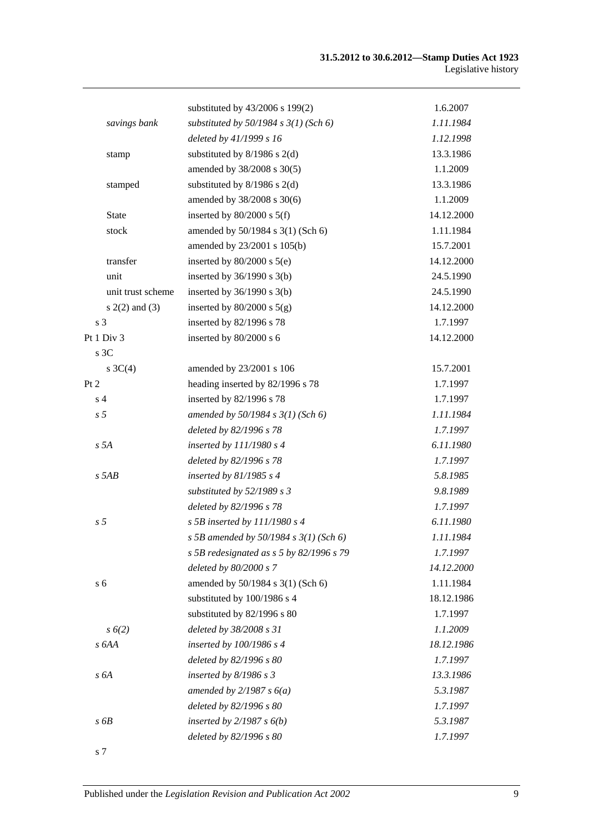|                    | substituted by 43/2006 s 199(2)            | 1.6.2007   |
|--------------------|--------------------------------------------|------------|
| savings bank       | substituted by $50/1984$ s $3(1)$ (Sch 6)  | 1.11.1984  |
|                    | deleted by 41/1999 s 16                    | 1.12.1998  |
| stamp              | substituted by $8/1986$ s $2(d)$           | 13.3.1986  |
|                    | amended by 38/2008 s 30(5)                 | 1.1.2009   |
| stamped            | substituted by $8/1986$ s $2(d)$           | 13.3.1986  |
|                    | amended by 38/2008 s 30(6)                 | 1.1.2009   |
| <b>State</b>       | inserted by $80/2000$ s $5(f)$             | 14.12.2000 |
| stock              | amended by 50/1984 s 3(1) (Sch 6)          | 1.11.1984  |
|                    | amended by 23/2001 s 105(b)                | 15.7.2001  |
| transfer           | inserted by $80/2000$ s $5(e)$             | 14.12.2000 |
| unit               | inserted by $36/1990$ s $3(b)$             | 24.5.1990  |
| unit trust scheme  | inserted by $36/1990$ s $3(b)$             | 24.5.1990  |
| $s(2(2)$ and $(3)$ | inserted by $80/2000$ s $5(g)$             | 14.12.2000 |
| s <sub>3</sub>     | inserted by 82/1996 s 78                   | 1.7.1997   |
| Pt 1 Div 3         | inserted by 80/2000 s 6                    | 14.12.2000 |
| s 3C               |                                            |            |
| s $3C(4)$          | amended by 23/2001 s 106                   | 15.7.2001  |
| Pt 2               | heading inserted by 82/1996 s 78           | 1.7.1997   |
| s <sub>4</sub>     | inserted by 82/1996 s 78                   | 1.7.1997   |
| s <sub>5</sub>     | amended by 50/1984 s 3(1) (Sch 6)          | 1.11.1984  |
|                    | deleted by 82/1996 s 78                    | 1.7.1997   |
| s 5A               | inserted by $111/1980 s 4$                 | 6.11.1980  |
|                    | deleted by 82/1996 s 78                    | 1.7.1997   |
| $s$ 5AB            | inserted by $81/1985$ s 4                  | 5.8.1985   |
|                    | substituted by $52/1989 s 3$               | 9.8.1989   |
|                    | deleted by 82/1996 s 78                    | 1.7.1997   |
| s <sub>5</sub>     | s 5B inserted by $111/1980$ s 4            | 6.11.1980  |
|                    | s 5B amended by 50/1984 s $3(1)$ (Sch 6)   | 1.11.1984  |
|                    | s 5B redesignated as $s$ 5 by 82/1996 s 79 | 1.7.1997   |
|                    | deleted by 80/2000 s 7                     | 14.12.2000 |
| s <sub>6</sub>     | amended by 50/1984 s 3(1) (Sch 6)          | 1.11.1984  |
|                    | substituted by 100/1986 s 4                | 18.12.1986 |
|                    | substituted by 82/1996 s 80                | 1.7.1997   |
| $s\ 6(2)$          | deleted by 38/2008 s 31                    | 1.1.2009   |
| s 6AA              | inserted by $100/1986$ s 4                 | 18.12.1986 |
|                    | deleted by 82/1996 s 80                    | 1.7.1997   |
| s6A                | inserted by $8/1986$ s 3                   | 13.3.1986  |
|                    | amended by $2/1987 s 6(a)$                 | 5.3.1987   |
|                    | deleted by 82/1996 s 80                    | 1.7.1997   |
| s6B                | inserted by $2/1987 s 6(b)$                | 5.3.1987   |
|                    | deleted by 82/1996 s 80                    | 1.7.1997   |
|                    |                                            |            |

s 7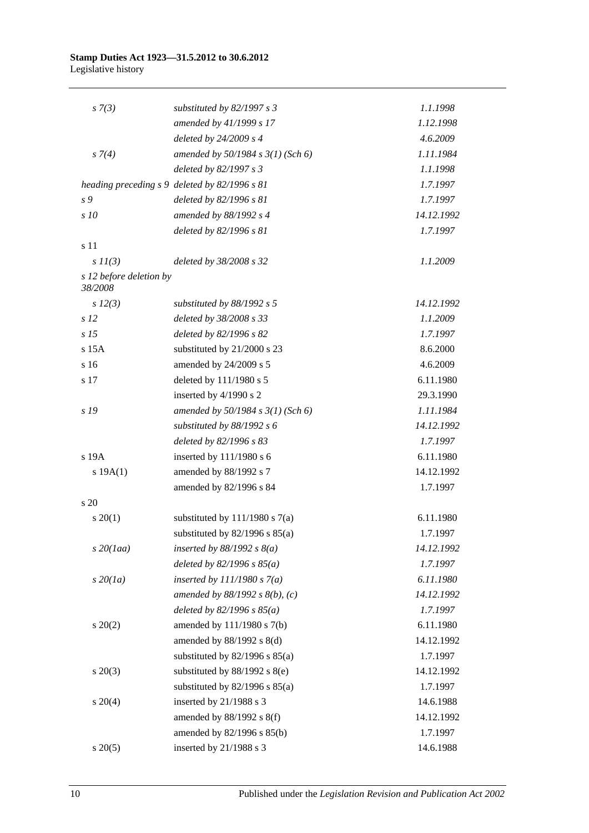| $s \, 7(3)$                        | substituted by $82/1997 s 3$                  | 1.1.1998   |
|------------------------------------|-----------------------------------------------|------------|
|                                    | amended by 41/1999 s 17                       | 1.12.1998  |
|                                    | deleted by 24/2009 s 4                        | 4.6.2009   |
| $s \, 7(4)$                        | amended by $50/1984$ s $3(1)$ (Sch 6)         | 1.11.1984  |
|                                    | deleted by 82/1997 s 3                        | 1.1.1998   |
|                                    | heading preceding s 9 deleted by 82/1996 s 81 | 1.7.1997   |
| s 9                                | deleted by 82/1996 s 81                       | 1.7.1997   |
| s10                                | amended by 88/1992 s 4                        | 14.12.1992 |
|                                    | deleted by 82/1996 s 81                       | 1.7.1997   |
| s 11                               |                                               |            |
| $s\ II(3)$                         | deleted by 38/2008 s 32                       | 1.1.2009   |
| s 12 before deletion by<br>38/2008 |                                               |            |
| $s\ 12(3)$                         | substituted by 88/1992 s 5                    | 14.12.1992 |
| s <sub>12</sub>                    | deleted by 38/2008 s 33                       | 1.1.2009   |
| s <sub>15</sub>                    | deleted by 82/1996 s 82                       | 1.7.1997   |
| $s$ 15 $A$                         | substituted by 21/2000 s 23                   | 8.6.2000   |
| s 16                               | amended by 24/2009 s 5                        | 4.6.2009   |
| s 17                               | deleted by 111/1980 s 5                       | 6.11.1980  |
|                                    | inserted by 4/1990 s 2                        | 29.3.1990  |
| s 19                               | amended by $50/1984$ s $3(1)$ (Sch 6)         | 1.11.1984  |
|                                    | substituted by $88/1992 s 6$                  | 14.12.1992 |
|                                    | deleted by 82/1996 s 83                       | 1.7.1997   |
| s 19A                              | inserted by 111/1980 s 6                      | 6.11.1980  |
| s 19A(1)                           | amended by 88/1992 s 7                        | 14.12.1992 |
|                                    | amended by 82/1996 s 84                       | 1.7.1997   |
| $\frac{1}{20}$                     |                                               |            |
| $s \ 20(1)$                        | substituted by $111/1980$ s $7(a)$            | 6.11.1980  |
|                                    | substituted by $82/1996$ s $85(a)$            | 1.7.1997   |
| $s$ 20(1aa)                        | inserted by $88/1992$ s $8(a)$                | 14.12.1992 |
|                                    | deleted by $82/1996 s 85(a)$                  | 1.7.1997   |
| $s\,20(1a)$                        | inserted by $111/1980 s 7(a)$                 | 6.11.1980  |
|                                    | amended by $88/1992 s 8(b)$ , (c)             | 14.12.1992 |
|                                    | deleted by $82/1996 s 85(a)$                  | 1.7.1997   |
| $s \ 20(2)$                        | amended by 111/1980 s 7(b)                    | 6.11.1980  |
|                                    | amended by $88/1992$ s $8(d)$                 | 14.12.1992 |
|                                    | substituted by $82/1996$ s $85(a)$            | 1.7.1997   |
| $s \ 20(3)$                        | substituted by $88/1992$ s $8(e)$             | 14.12.1992 |
|                                    | substituted by $82/1996$ s $85(a)$            | 1.7.1997   |
| $s \ 20(4)$                        | inserted by 21/1988 s 3                       | 14.6.1988  |
|                                    | amended by 88/1992 s 8(f)                     | 14.12.1992 |
|                                    | amended by 82/1996 s 85(b)                    | 1.7.1997   |
| $s \ 20(5)$                        | inserted by 21/1988 s 3                       | 14.6.1988  |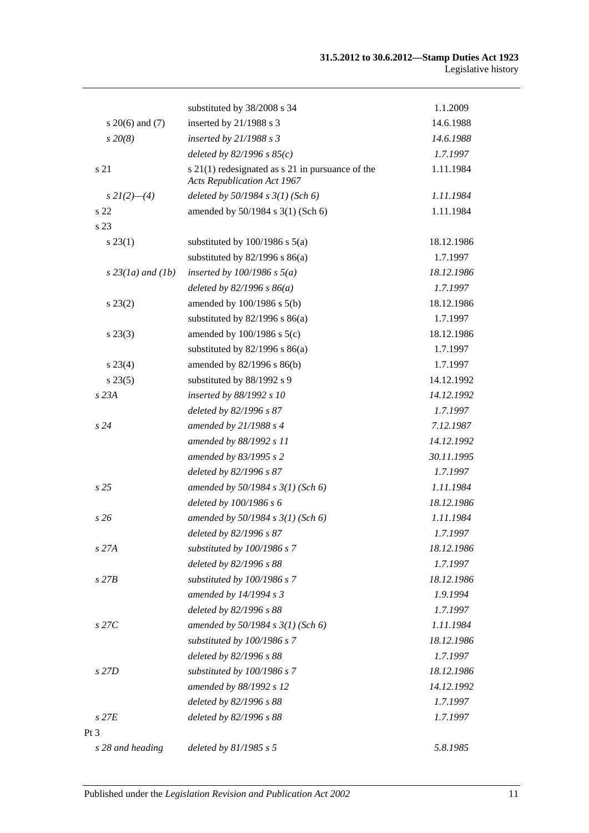|                     | substituted by 38/2008 s 34                                                            | 1.1.2009   |
|---------------------|----------------------------------------------------------------------------------------|------------|
| $s \ 20(6)$ and (7) | inserted by 21/1988 s 3                                                                | 14.6.1988  |
| $s\,20(8)$          | inserted by $21/1988 s 3$                                                              | 14.6.1988  |
|                     | deleted by $82/1996 s 85(c)$                                                           | 1.7.1997   |
| s 21                | s 21(1) redesignated as s 21 in pursuance of the<br><b>Acts Republication Act 1967</b> | 1.11.1984  |
| $s\,2I(2)$ —(4)     | deleted by $50/1984$ s $3(1)$ (Sch 6)                                                  | 1.11.1984  |
| s 22                | amended by 50/1984 s 3(1) (Sch 6)                                                      | 1.11.1984  |
| s 23                |                                                                                        |            |
| $s\,23(1)$          | substituted by $100/1986$ s $5(a)$                                                     | 18.12.1986 |
|                     | substituted by $82/1996$ s $86(a)$                                                     | 1.7.1997   |
| $s$ 23(1a) and (1b) | inserted by $100/1986$ s $5(a)$                                                        | 18.12.1986 |
|                     | deleted by $82/1996 s 86(a)$                                                           | 1.7.1997   |
| $s\,23(2)$          | amended by $100/1986$ s $5(b)$                                                         | 18.12.1986 |
|                     | substituted by $82/1996$ s $86(a)$                                                     | 1.7.1997   |
| $s\,23(3)$          | amended by $100/1986$ s $5(c)$                                                         | 18.12.1986 |
|                     | substituted by $82/1996$ s $86(a)$                                                     | 1.7.1997   |
| $s\,23(4)$          | amended by 82/1996 s 86(b)                                                             | 1.7.1997   |
| $s\,23(5)$          | substituted by 88/1992 s 9                                                             | 14.12.1992 |
| s 23A               | inserted by 88/1992 s 10                                                               | 14.12.1992 |
|                     | deleted by 82/1996 s 87                                                                | 1.7.1997   |
| s24                 | amended by $21/1988 s 4$                                                               | 7.12.1987  |
|                     | amended by 88/1992 s 11                                                                | 14.12.1992 |
|                     | amended by 83/1995 s 2                                                                 | 30.11.1995 |
|                     | deleted by 82/1996 s 87                                                                | 1.7.1997   |
| s <sub>25</sub>     | amended by $50/1984$ s $3(1)$ (Sch 6)                                                  | 1.11.1984  |
|                     | deleted by 100/1986 s 6                                                                | 18.12.1986 |
| s26                 | amended by $50/1984 s 3(1)$ (Sch 6)                                                    | 1.11.1984  |
|                     | deleted by 82/1996 s 87                                                                | 1.7.1997   |
| $s$ 27 $A$          | substituted by 100/1986 s 7                                                            | 18.12.1986 |
|                     | deleted by 82/1996 s 88                                                                | 1.7.1997   |
| $s$ 27 $B$          | substituted by 100/1986 s 7                                                            | 18.12.1986 |
|                     | amended by 14/1994 s 3                                                                 | 1.9.1994   |
|                     | deleted by 82/1996 s 88                                                                | 1.7.1997   |
| $s$ 27 $C$          | amended by $50/1984 s 3(1)$ (Sch 6)                                                    | 1.11.1984  |
|                     | substituted by 100/1986 s 7                                                            | 18.12.1986 |
|                     | deleted by 82/1996 s 88                                                                | 1.7.1997   |
| $s$ 27D             | substituted by 100/1986 s 7                                                            | 18.12.1986 |
|                     | amended by 88/1992 s 12                                                                | 14.12.1992 |
|                     | deleted by 82/1996 s 88                                                                | 1.7.1997   |
| $s$ 27 $E$          | deleted by 82/1996 s 88                                                                | 1.7.1997   |
| $Pt\,3$             |                                                                                        |            |
| s 28 and heading    | deleted by $81/1985 s 5$                                                               | 5.8.1985   |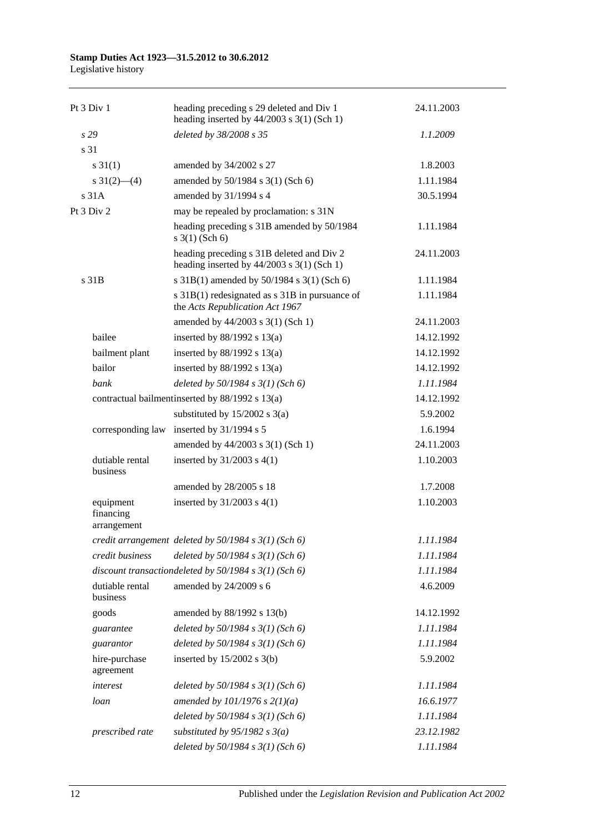### **Stamp Duties Act 1923—31.5.2012 to 30.6.2012**

Legislative history

| Pt 3 Div 1                            | heading preceding s 29 deleted and Div 1<br>heading inserted by $44/2003$ s 3(1) (Sch 1)  | 24.11.2003 |
|---------------------------------------|-------------------------------------------------------------------------------------------|------------|
| s29                                   | deleted by 38/2008 s 35                                                                   | 1.1.2009   |
| s 31                                  |                                                                                           |            |
| $s \, 31(1)$                          | amended by 34/2002 s 27                                                                   | 1.8.2003   |
| s $31(2)$ (4)                         | amended by 50/1984 s 3(1) (Sch 6)                                                         | 1.11.1984  |
| s 31A                                 | amended by 31/1994 s 4                                                                    | 30.5.1994  |
| Pt 3 Div 2                            | may be repealed by proclamation: s 31N                                                    |            |
|                                       | heading preceding s 31B amended by 50/1984<br>$s \; 3(1)$ (Sch 6)                         | 1.11.1984  |
|                                       | heading preceding s 31B deleted and Div 2<br>heading inserted by $44/2003$ s 3(1) (Sch 1) | 24.11.2003 |
| s 31B                                 | s 31B(1) amended by 50/1984 s 3(1) (Sch 6)                                                | 1.11.1984  |
|                                       | s 31B(1) redesignated as s 31B in pursuance of<br>the Acts Republication Act 1967         | 1.11.1984  |
|                                       | amended by 44/2003 s 3(1) (Sch 1)                                                         | 24.11.2003 |
| bailee                                | inserted by $88/1992$ s $13(a)$                                                           | 14.12.1992 |
| bailment plant                        | inserted by $88/1992$ s $13(a)$                                                           | 14.12.1992 |
| bailor                                | inserted by $88/1992$ s $13(a)$                                                           | 14.12.1992 |
| bank                                  | deleted by $50/1984$ s $3(1)$ (Sch 6)                                                     | 1.11.1984  |
|                                       | contractual bailment inserted by 88/1992 s 13(a)                                          | 14.12.1992 |
|                                       | substituted by $15/2002$ s 3(a)                                                           | 5.9.2002   |
| corresponding law                     | inserted by 31/1994 s 5                                                                   | 1.6.1994   |
|                                       | amended by 44/2003 s 3(1) (Sch 1)                                                         | 24.11.2003 |
| dutiable rental<br>business           | inserted by $31/2003$ s $4(1)$                                                            | 1.10.2003  |
|                                       | amended by 28/2005 s 18                                                                   | 1.7.2008   |
| equipment<br>financing<br>arrangement | inserted by $31/2003$ s $4(1)$                                                            | 1.10.2003  |
|                                       | credit arrangement deleted by $50/1984$ s $3(1)$ (Sch 6)                                  | 1.11.1984  |
| credit business                       | deleted by $50/1984$ s $3(1)$ (Sch 6)                                                     | 1.11.1984  |
|                                       | discount transactiondeleted by $50/1984$ s $3(1)$ (Sch 6)                                 | 1.11.1984  |
| dutiable rental<br>business           | amended by 24/2009 s 6                                                                    | 4.6.2009   |
| goods                                 | amended by 88/1992 s 13(b)                                                                | 14.12.1992 |
| guarantee                             | deleted by $50/1984$ s $3(1)$ (Sch 6)                                                     | 1.11.1984  |
| guarantor                             | deleted by $50/1984$ s $3(1)$ (Sch 6)                                                     | 1.11.1984  |
| hire-purchase<br>agreement            | inserted by $15/2002$ s 3(b)                                                              | 5.9.2002   |
| interest                              | deleted by $50/1984$ s $3(1)$ (Sch 6)                                                     | 1.11.1984  |
| loan                                  | amended by $101/1976$ s $2(1)(a)$                                                         | 16.6.1977  |
|                                       | deleted by $50/1984$ s $3(1)$ (Sch 6)                                                     | 1.11.1984  |
| prescribed rate                       | substituted by $95/1982$ s $3(a)$                                                         | 23.12.1982 |
|                                       | deleted by $50/1984$ s $3(1)$ (Sch 6)                                                     | 1.11.1984  |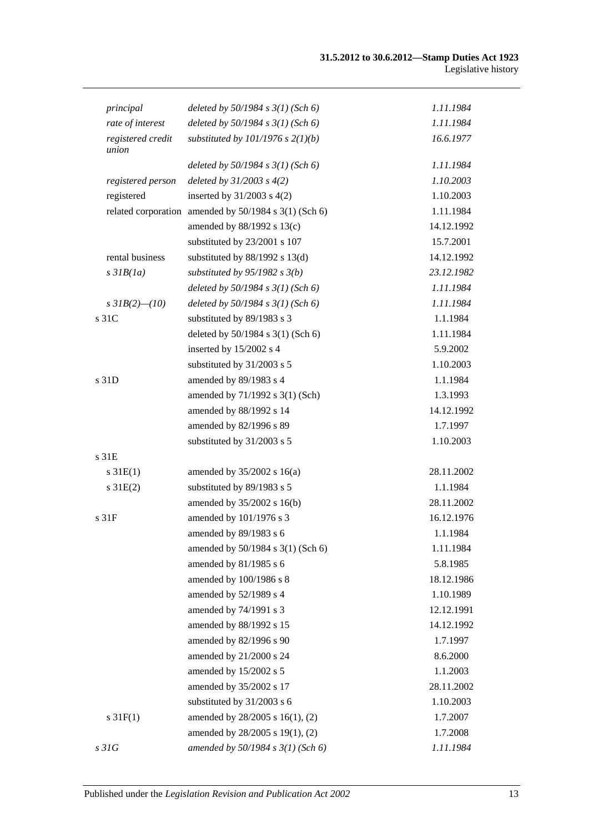| principal                  | deleted by $50/1984$ s $3(1)$ (Sch 6)                 | 1.11.1984  |
|----------------------------|-------------------------------------------------------|------------|
| rate of interest           | deleted by $50/1984$ s $3(1)$ (Sch 6)                 | 1.11.1984  |
| registered credit<br>union | substituted by $101/1976$ s $2(1)(b)$                 | 16.6.1977  |
|                            | deleted by $50/1984$ s $3(1)$ (Sch 6)                 | 1.11.1984  |
| registered person          | deleted by $31/2003$ s $4(2)$                         | 1.10.2003  |
| registered                 | inserted by $31/2003$ s $4(2)$                        | 1.10.2003  |
|                            | related corporation amended by 50/1984 s 3(1) (Sch 6) | 1.11.1984  |
|                            | amended by 88/1992 s 13(c)                            | 14.12.1992 |
|                            | substituted by 23/2001 s 107                          | 15.7.2001  |
| rental business            | substituted by $88/1992$ s $13(d)$                    | 14.12.1992 |
| $s$ 31 $B(1a)$             | substituted by $95/1982$ s $3(b)$                     | 23.12.1982 |
|                            | deleted by $50/1984$ s $3(1)$ (Sch 6)                 | 1.11.1984  |
| s $3IB(2)$ (10)            | deleted by $50/1984 s 3(1)$ (Sch 6)                   | 1.11.1984  |
| s 31C                      | substituted by 89/1983 s 3                            | 1.1.1984   |
|                            | deleted by 50/1984 s 3(1) (Sch 6)                     | 1.11.1984  |
|                            | inserted by 15/2002 s 4                               | 5.9.2002   |
|                            | substituted by 31/2003 s 5                            | 1.10.2003  |
| s 31D                      | amended by 89/1983 s 4                                | 1.1.1984   |
|                            | amended by 71/1992 s 3(1) (Sch)                       | 1.3.1993   |
|                            | amended by 88/1992 s 14                               | 14.12.1992 |
|                            | amended by 82/1996 s 89                               | 1.7.1997   |
|                            | substituted by 31/2003 s 5                            | 1.10.2003  |
| s 31E                      |                                                       |            |
| $s \, 31E(1)$              | amended by $35/2002$ s 16(a)                          | 28.11.2002 |
| $s \, 31E(2)$              | substituted by 89/1983 s 5                            | 1.1.1984   |
|                            | amended by 35/2002 s 16(b)                            | 28.11.2002 |
| s <sub>31F</sub>           | amended by 101/1976 s 3                               | 16.12.1976 |
|                            | amended by 89/1983 s 6                                | 1.1.1984   |
|                            | amended by 50/1984 s 3(1) (Sch 6)                     | 1.11.1984  |
|                            | amended by 81/1985 s 6                                | 5.8.1985   |
|                            | amended by 100/1986 s 8                               | 18.12.1986 |
|                            | amended by 52/1989 s 4                                | 1.10.1989  |
|                            | amended by 74/1991 s 3                                | 12.12.1991 |
|                            | amended by 88/1992 s 15                               | 14.12.1992 |
|                            | amended by 82/1996 s 90                               | 1.7.1997   |
|                            | amended by 21/2000 s 24                               | 8.6.2000   |
|                            | amended by 15/2002 s 5                                | 1.1.2003   |
|                            | amended by 35/2002 s 17                               | 28.11.2002 |
|                            | substituted by 31/2003 s 6                            | 1.10.2003  |
| $s \, 31F(1)$              | amended by 28/2005 s 16(1), (2)                       | 1.7.2007   |
|                            | amended by 28/2005 s 19(1), (2)                       | 1.7.2008   |
| s31G                       | amended by 50/1984 s 3(1) (Sch 6)                     | 1.11.1984  |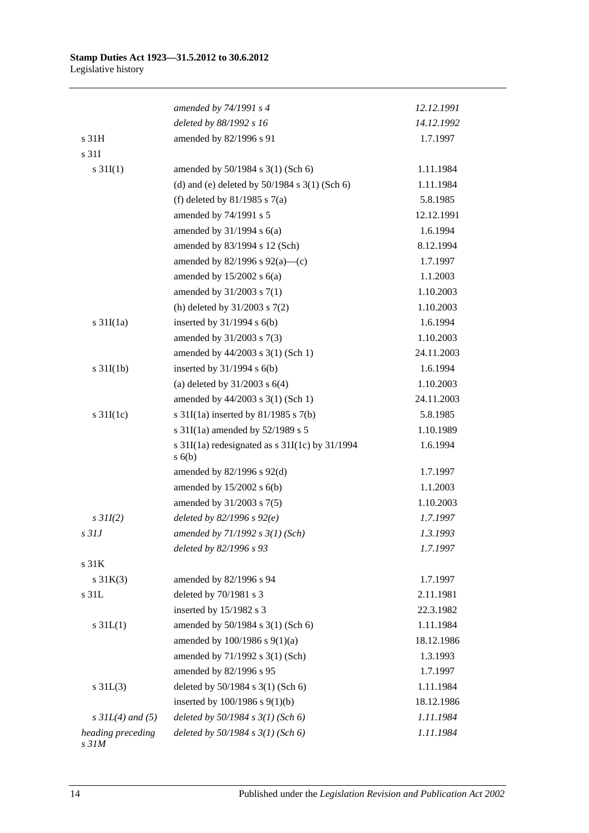|                                       | amended by 74/1991 s 4                                 | 12.12.1991 |
|---------------------------------------|--------------------------------------------------------|------------|
|                                       | deleted by 88/1992 s 16                                | 14.12.1992 |
| s 31H                                 | amended by 82/1996 s 91                                | 1.7.1997   |
| s 31I                                 |                                                        |            |
| $s \, 31I(1)$                         | amended by 50/1984 s 3(1) (Sch 6)                      | 1.11.1984  |
|                                       | (d) and (e) deleted by $50/1984$ s $3(1)$ (Sch 6)      | 1.11.1984  |
|                                       | (f) deleted by $81/1985$ s $7(a)$                      | 5.8.1985   |
|                                       | amended by 74/1991 s 5                                 | 12.12.1991 |
|                                       | amended by $31/1994$ s $6(a)$                          | 1.6.1994   |
|                                       | amended by 83/1994 s 12 (Sch)                          | 8.12.1994  |
|                                       | amended by $82/1996$ s $92(a)$ —(c)                    | 1.7.1997   |
|                                       | amended by $15/2002$ s $6(a)$                          | 1.1.2003   |
|                                       | amended by 31/2003 s 7(1)                              | 1.10.2003  |
|                                       | (h) deleted by $31/2003$ s $7(2)$                      | 1.10.2003  |
| s $31I(1a)$                           | inserted by $31/1994$ s $6(b)$                         | 1.6.1994   |
|                                       | amended by 31/2003 s 7(3)                              | 1.10.2003  |
|                                       | amended by 44/2003 s 3(1) (Sch 1)                      | 24.11.2003 |
| $s \frac{31I(1b)}{2}$                 | inserted by $31/1994$ s $6(b)$                         | 1.6.1994   |
|                                       | (a) deleted by $31/2003$ s $6(4)$                      | 1.10.2003  |
|                                       | amended by 44/2003 s 3(1) (Sch 1)                      | 24.11.2003 |
| $s \frac{31I(1c)}{2}$                 | s $31I(1a)$ inserted by $81/1985$ s $7(b)$             | 5.8.1985   |
|                                       | s 31I(1a) amended by 52/1989 s 5                       | 1.10.1989  |
|                                       | s 31I(1a) redesignated as s 31I(1c) by 31/1994<br>s(6) | 1.6.1994   |
|                                       | amended by $82/1996$ s $92(d)$                         | 1.7.1997   |
|                                       | amended by $15/2002$ s $6(b)$                          | 1.1.2003   |
|                                       | amended by 31/2003 s 7(5)                              | 1.10.2003  |
| $s$ 31I(2)                            | deleted by $82/1996 s 92(e)$                           | 1.7.1997   |
| $s$ 31J                               | amended by $71/1992 s 3(1) (Sch)$                      | 1.3.1993   |
|                                       | deleted by 82/1996 s 93                                | 1.7.1997   |
| s 31K                                 |                                                        |            |
| $s \, 31K(3)$                         | amended by 82/1996 s 94                                | 1.7.1997   |
| s 31L                                 | deleted by 70/1981 s 3                                 | 2.11.1981  |
|                                       | inserted by 15/1982 s 3                                | 22.3.1982  |
| $s \, 31L(1)$                         | amended by 50/1984 s 3(1) (Sch 6)                      | 1.11.1984  |
|                                       | amended by 100/1986 s 9(1)(a)                          | 18.12.1986 |
|                                       | amended by 71/1992 s 3(1) (Sch)                        | 1.3.1993   |
|                                       | amended by 82/1996 s 95                                | 1.7.1997   |
| $s \, 31L(3)$                         | deleted by 50/1984 s 3(1) (Sch 6)                      | 1.11.1984  |
|                                       | inserted by $100/1986$ s $9(1)(b)$                     | 18.12.1986 |
| $s \, 3IL(4)$ and (5)                 | deleted by $50/1984 s 3(1)$ (Sch 6)                    | 1.11.1984  |
| heading preceding<br>s <sub>31M</sub> | deleted by $50/1984$ s $3(1)$ (Sch 6)                  | 1.11.1984  |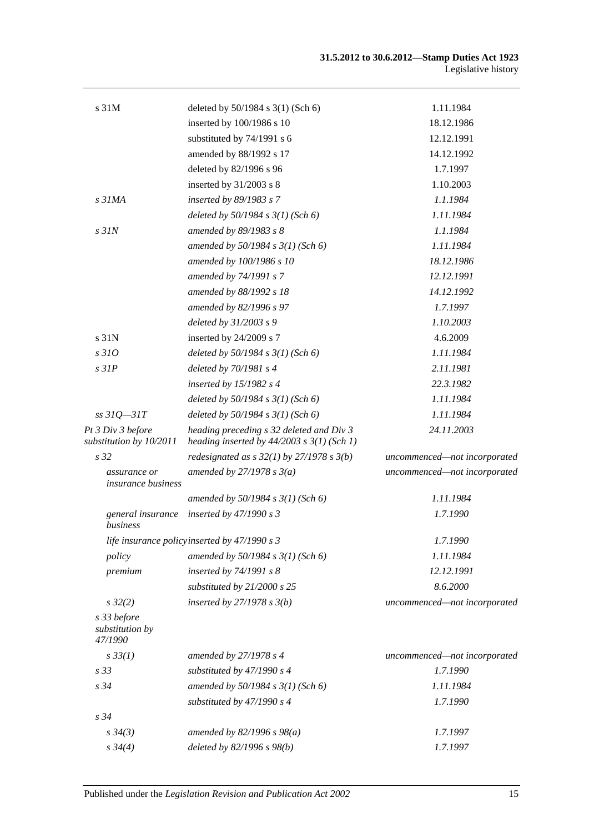| s 31M                                        | deleted by 50/1984 s 3(1) (Sch 6)                                                          | 1.11.1984                    |
|----------------------------------------------|--------------------------------------------------------------------------------------------|------------------------------|
|                                              | inserted by 100/1986 s 10                                                                  | 18.12.1986                   |
|                                              | substituted by 74/1991 s 6                                                                 | 12.12.1991                   |
|                                              | amended by 88/1992 s 17                                                                    | 14.12.1992                   |
|                                              | deleted by 82/1996 s 96                                                                    | 1.7.1997                     |
|                                              | inserted by $31/2003$ s 8                                                                  | 1.10.2003                    |
| s <sub>31MA</sub>                            | inserted by 89/1983 s 7                                                                    | 1.1.1984                     |
|                                              | deleted by $50/1984$ s $3(1)$ (Sch 6)                                                      | 1.11.1984                    |
| $s$ 31 $N$                                   | amended by 89/1983 s 8                                                                     | 1.1.1984                     |
|                                              | amended by $50/1984$ s $3(1)$ (Sch 6)                                                      | 1.11.1984                    |
|                                              | amended by 100/1986 s 10                                                                   | 18.12.1986                   |
|                                              | amended by 74/1991 s 7                                                                     | 12.12.1991                   |
|                                              | amended by 88/1992 s 18                                                                    | 14.12.1992                   |
|                                              | amended by 82/1996 s 97                                                                    | 1.7.1997                     |
|                                              | deleted by 31/2003 s 9                                                                     | 1.10.2003                    |
| s 31N                                        | inserted by 24/2009 s 7                                                                    | 4.6.2009                     |
| s310                                         | deleted by $50/1984$ s $3(1)$ (Sch 6)                                                      | 1.11.1984                    |
| $s$ 31 $P$                                   | deleted by $70/1981$ s 4                                                                   | 2.11.1981                    |
|                                              | inserted by $15/1982$ s 4                                                                  | 22.3.1982                    |
|                                              | deleted by $50/1984$ s $3(1)$ (Sch 6)                                                      | 1.11.1984                    |
| $ss31Q - 31T$                                | deleted by $50/1984$ s $3(1)$ (Sch 6)                                                      | 1.11.1984                    |
| Pt 3 Div 3 before<br>substitution by 10/2011 | heading preceding s 32 deleted and Div 3<br>heading inserted by $44/2003$ s $3(1)$ (Sch 1) | 24.11.2003                   |
| s <sub>32</sub>                              | redesignated as $s$ 32(1) by 27/1978 s 3(b)                                                | uncommenced-not incorporated |
| assurance or<br><i>insurance business</i>    | amended by $27/1978 s 3(a)$                                                                | uncommenced-not incorporated |
|                                              | amended by $50/1984$ s $3(1)$ (Sch 6)                                                      | 1.11.1984                    |
| general insurance<br>business                | inserted by 47/1990 s 3                                                                    | 1.7.1990                     |
|                                              | life insurance policyinserted by 47/1990 s 3                                               | 1.7.1990                     |
| policy                                       | amended by $50/1984$ s $3(1)$ (Sch 6)                                                      | 1.11.1984                    |
| premium                                      | inserted by $74/1991 s 8$                                                                  | 12.12.1991                   |
|                                              | substituted by 21/2000 s 25                                                                | 8.6.2000                     |
| $s\,32(2)$                                   | inserted by $27/1978 s 3(b)$                                                               | uncommenced-not incorporated |
| s 33 before<br>substitution by<br>47/1990    |                                                                                            |                              |
| $s \, 33(1)$                                 | amended by 27/1978 s 4                                                                     | uncommenced-not incorporated |
| s 33                                         | substituted by 47/1990 s 4                                                                 | 1.7.1990                     |
| s 34                                         | amended by $50/1984$ s $3(1)$ (Sch 6)                                                      | 1.11.1984                    |
|                                              | substituted by 47/1990 s 4                                                                 | 1.7.1990                     |
| s 34                                         |                                                                                            |                              |
| $s \, 34(3)$                                 | amended by $82/1996 s 98(a)$                                                               | 1.7.1997                     |
| $s \frac{34}{4}$                             | deleted by 82/1996 s 98(b)                                                                 | 1.7.1997                     |
|                                              |                                                                                            |                              |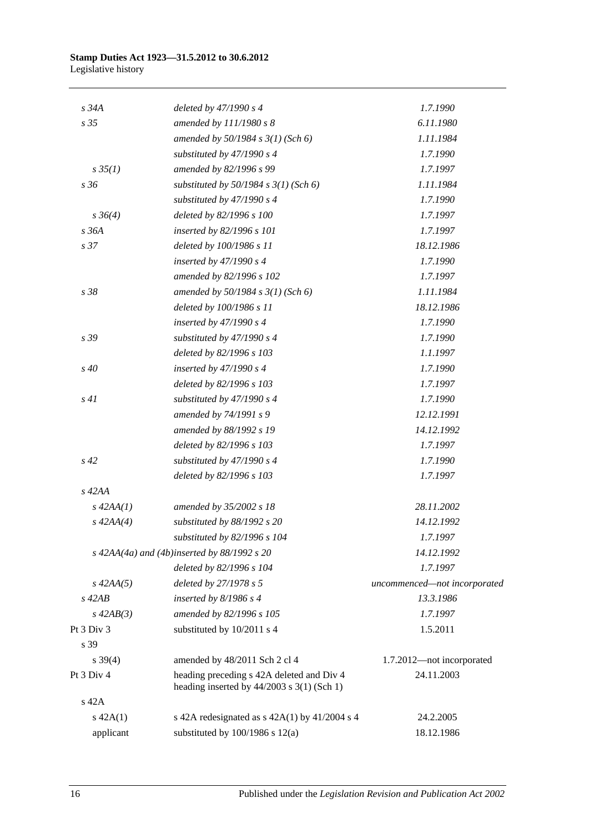| $s\,34A$       | deleted by 47/1990 s 4                                                                    | 1.7.1990                     |
|----------------|-------------------------------------------------------------------------------------------|------------------------------|
| s 35           | amended by 111/1980 s 8                                                                   | 6.11.1980                    |
|                | amended by 50/1984 s 3(1) (Sch 6)                                                         | 1.11.1984                    |
|                | substituted by $47/1990 s 4$                                                              | 1.7.1990                     |
| $s \, 35(1)$   | amended by 82/1996 s 99                                                                   | 1.7.1997                     |
| s 36           | substituted by $50/1984$ s $3(1)$ (Sch 6)                                                 | 1.11.1984                    |
|                | substituted by $47/1990 s 4$                                                              | 1.7.1990                     |
| $s \, 36(4)$   | deleted by 82/1996 s 100                                                                  | 1.7.1997                     |
| s 36A          | inserted by 82/1996 s 101                                                                 | 1.7.1997                     |
| s 37           | deleted by 100/1986 s 11                                                                  | 18.12.1986                   |
|                | inserted by $47/1990 s 4$                                                                 | 1.7.1990                     |
|                | amended by 82/1996 s 102                                                                  | 1.7.1997                     |
| s 38           | amended by $50/1984$ s $3(1)$ (Sch 6)                                                     | 1.11.1984                    |
|                | deleted by 100/1986 s 11                                                                  | 18.12.1986                   |
|                | inserted by $47/1990 s 4$                                                                 | 1.7.1990                     |
| s 39           | substituted by $47/1990 s 4$                                                              | 1.7.1990                     |
|                | deleted by 82/1996 s 103                                                                  | 1.1.1997                     |
| s 40           | inserted by $47/1990 s 4$                                                                 | 1.7.1990                     |
|                | deleted by 82/1996 s 103                                                                  | 1.7.1997                     |
| s41            | substituted by $47/1990 s 4$                                                              | 1.7.1990                     |
|                | amended by 74/1991 s 9                                                                    | 12.12.1991                   |
|                | amended by 88/1992 s 19                                                                   | 14.12.1992                   |
|                | deleted by 82/1996 s 103                                                                  | 1.7.1997                     |
| $s\,42$        | substituted by 47/1990 s 4                                                                | 1.7.1990                     |
|                | deleted by 82/1996 s 103                                                                  | 1.7.1997                     |
| $s$ 42AA       |                                                                                           |                              |
| $s$ 42AA $(1)$ | amended by 35/2002 s 18                                                                   | 28.11.2002                   |
| $s\,42AA(4)$   | substituted by 88/1992 s 20                                                               | 14.12.1992                   |
|                | substituted by 82/1996 s 104                                                              | 1.7.1997                     |
|                | s $42AA(4a)$ and $(4b)$ inserted by $88/1992$ s $20$                                      | 14.12.1992                   |
|                | deleted by 82/1996 s 104                                                                  | 1.7.1997                     |
| $s\,42AA(5)$   | deleted by 27/1978 s 5                                                                    | uncommenced-not incorporated |
| $s$ 42AB       | inserted by $8/1986$ s 4                                                                  | 13.3.1986                    |
| $s\,42AB(3)$   | amended by 82/1996 s 105                                                                  | 1.7.1997                     |
| Pt 3 Div 3     | substituted by 10/2011 s 4                                                                | 1.5.2011                     |
| s 39           |                                                                                           |                              |
| $s \, 39(4)$   | amended by 48/2011 Sch 2 cl 4                                                             | 1.7.2012-not incorporated    |
| Pt 3 Div 4     | heading preceding s 42A deleted and Div 4<br>heading inserted by $44/2003$ s 3(1) (Sch 1) | 24.11.2003                   |
| s 42A          |                                                                                           |                              |
| $s\ 42A(1)$    | s 42A redesignated as $s$ 42A(1) by 41/2004 s 4                                           | 24.2.2005                    |
| applicant      | substituted by $100/1986$ s $12(a)$                                                       | 18.12.1986                   |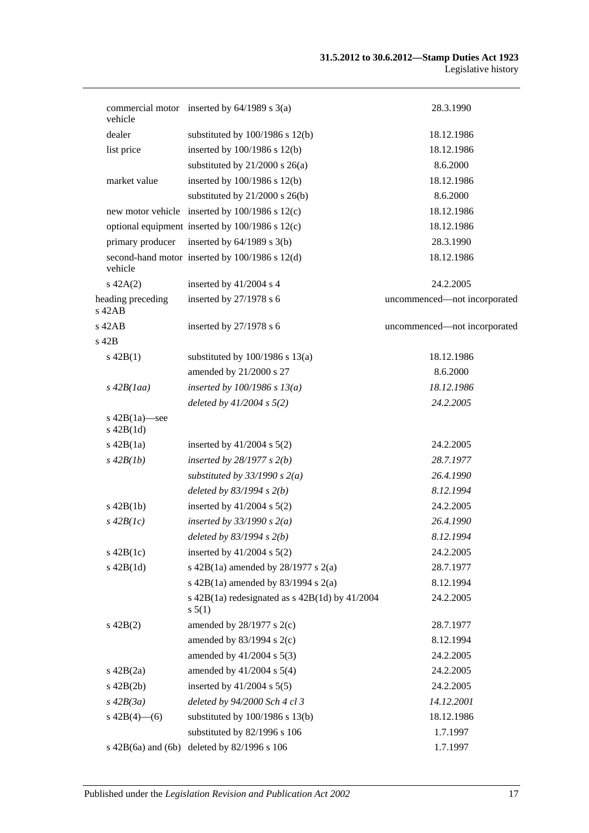| vehicle                            | commercial motor inserted by $64/1989$ s $3(a)$                | 28.3.1990                    |
|------------------------------------|----------------------------------------------------------------|------------------------------|
| dealer                             | substituted by $100/1986$ s $12(b)$                            | 18.12.1986                   |
| list price                         | inserted by 100/1986 s 12(b)                                   | 18.12.1986                   |
|                                    | substituted by $21/2000$ s $26(a)$                             | 8.6.2000                     |
| market value                       | inserted by 100/1986 s 12(b)                                   | 18.12.1986                   |
|                                    | substituted by $21/2000$ s $26(b)$                             | 8.6.2000                     |
|                                    | new motor vehicle inserted by 100/1986 s 12(c)                 | 18.12.1986                   |
|                                    | optional equipment inserted by 100/1986 s 12(c)                | 18.12.1986                   |
| primary producer                   | inserted by $64/1989$ s $3(b)$                                 | 28.3.1990                    |
| vehicle                            | second-hand motor inserted by 100/1986 s 12(d)                 | 18.12.1986                   |
| $s\ 42A(2)$                        | inserted by 41/2004 s 4                                        | 24.2.2005                    |
| heading preceding<br>$s$ 42 $AB$   | inserted by $27/1978$ s 6                                      | uncommenced-not incorporated |
| $s$ 42AB                           | inserted by $27/1978$ s 6                                      | uncommenced-not incorporated |
| s 42B                              |                                                                |                              |
| $s\ 42B(1)$                        | substituted by $100/1986$ s $13(a)$                            | 18.12.1986                   |
|                                    | amended by 21/2000 s 27                                        | 8.6.2000                     |
| $s\,42B(1aa)$                      | inserted by $100/1986$ s $13(a)$                               | 18.12.1986                   |
|                                    | deleted by $41/2004$ s $5(2)$                                  | 24.2.2005                    |
| s $42B(1a)$ —see<br>$s$ 42B $(1d)$ |                                                                |                              |
| $s$ 42B $(1a)$                     | inserted by $41/2004$ s $5(2)$                                 | 24.2.2005                    |
| $s\,42B(1b)$                       | inserted by $28/1977 s 2(b)$                                   | 28.7.1977                    |
|                                    | substituted by $33/1990 s 2(a)$                                | 26.4.1990                    |
|                                    | deleted by $83/1994 s 2(b)$                                    | 8.12.1994                    |
| $s$ 42B $(1b)$                     | inserted by $41/2004$ s $5(2)$                                 | 24.2.2005                    |
| $s\,42B(Ic)$                       | inserted by $33/1990 s 2(a)$                                   | 26.4.1990                    |
|                                    | deleted by $83/1994 s 2(b)$                                    | 8.12.1994                    |
| $s\ 42B(1c)$                       | inserted by $41/2004$ s $5(2)$                                 | 24.2.2005                    |
| $s$ 42B $(1d)$                     | s 42B(1a) amended by $28/1977$ s $2(a)$                        | 28.7.1977                    |
|                                    | s $42B(1a)$ amended by $83/1994$ s $2(a)$                      | 8.12.1994                    |
|                                    | s $42B(1a)$ redesignated as s $42B(1d)$ by $41/2004$<br>s 5(1) | 24.2.2005                    |
| $s\ 42B(2)$                        | amended by $28/1977$ s $2(c)$                                  | 28.7.1977                    |
|                                    | amended by $83/1994$ s 2(c)                                    | 8.12.1994                    |
|                                    | amended by 41/2004 s 5(3)                                      | 24.2.2005                    |
| $s\ 42B(2a)$                       | amended by $41/2004$ s $5(4)$                                  | 24.2.2005                    |
| $s\ 42B(2b)$                       | inserted by 41/2004 s 5(5)                                     | 24.2.2005                    |
| $s\,42B(3a)$                       | deleted by 94/2000 Sch 4 cl 3                                  | 14.12.2001                   |
| s $42B(4)$ - (6)                   | substituted by $100/1986$ s $13(b)$                            | 18.12.1986                   |
|                                    | substituted by 82/1996 s 106                                   | 1.7.1997                     |
| $s\ 42B(6a)$ and $(6b)$            | deleted by 82/1996 s 106                                       | 1.7.1997                     |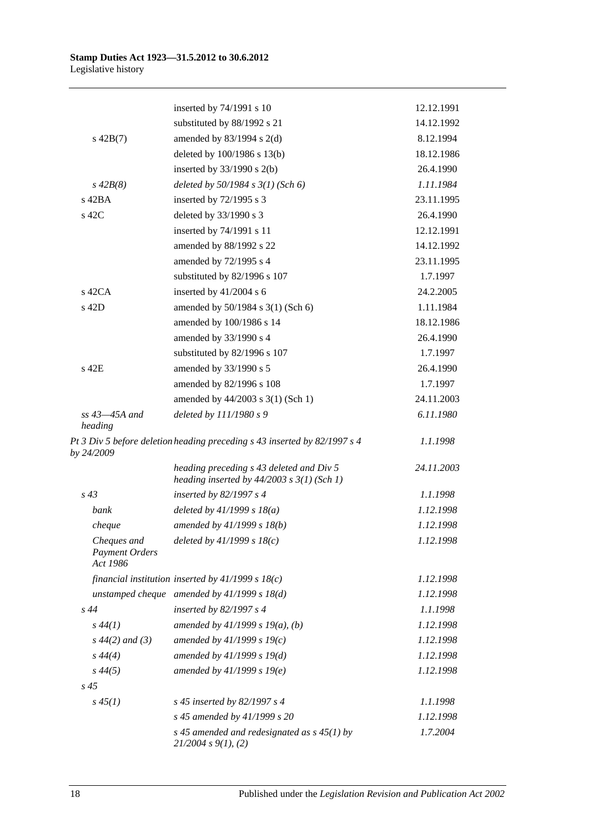|                                                  | inserted by 74/1991 s 10                                                                   | 12.12.1991 |
|--------------------------------------------------|--------------------------------------------------------------------------------------------|------------|
|                                                  | substituted by 88/1992 s 21                                                                | 14.12.1992 |
| $s\ 42B(7)$                                      | amended by $83/1994$ s 2(d)                                                                | 8.12.1994  |
|                                                  | deleted by 100/1986 s 13(b)                                                                | 18.12.1986 |
|                                                  | inserted by $33/1990$ s 2(b)                                                               | 26.4.1990  |
| $s\,42B(8)$                                      | deleted by $50/1984$ s $3(1)$ (Sch 6)                                                      | 1.11.1984  |
| s 42BA                                           | inserted by 72/1995 s 3                                                                    | 23.11.1995 |
| s 42C                                            | deleted by 33/1990 s 3                                                                     | 26.4.1990  |
|                                                  | inserted by 74/1991 s 11                                                                   | 12.12.1991 |
|                                                  | amended by 88/1992 s 22                                                                    | 14.12.1992 |
|                                                  | amended by 72/1995 s 4                                                                     | 23.11.1995 |
|                                                  | substituted by 82/1996 s 107                                                               | 1.7.1997   |
| $s$ 42CA                                         | inserted by $41/2004$ s 6                                                                  | 24.2.2005  |
| s 42D                                            | amended by 50/1984 s 3(1) (Sch 6)                                                          | 1.11.1984  |
|                                                  | amended by 100/1986 s 14                                                                   | 18.12.1986 |
|                                                  | amended by 33/1990 s 4                                                                     | 26.4.1990  |
|                                                  | substituted by 82/1996 s 107                                                               | 1.7.1997   |
| s 42E                                            | amended by 33/1990 s 5                                                                     | 26.4.1990  |
|                                                  | amended by 82/1996 s 108                                                                   | 1.7.1997   |
|                                                  | amended by 44/2003 s 3(1) (Sch 1)                                                          | 24.11.2003 |
| $ss$ 43 $-45A$ and<br>heading                    | deleted by 111/1980 s 9                                                                    | 6.11.1980  |
| by 24/2009                                       | Pt 3 Div 5 before deletion heading preceding s 43 inserted by 82/1997 s 4                  | 1.1.1998   |
|                                                  | heading preceding s 43 deleted and Div 5<br>heading inserted by $44/2003$ s $3(1)$ (Sch 1) | 24.11.2003 |
| $s\,43$                                          | inserted by $82/1997 s 4$                                                                  | 1.1.1998   |
| bank                                             | deleted by $41/1999 s 18(a)$                                                               | 1.12.1998  |
| cheque                                           | amended by $41/1999 s 18(b)$                                                               | 1.12.1998  |
| Cheques and<br><b>Payment Orders</b><br>Act 1986 | deleted by 41/1999 s 18(c)                                                                 | 1.12.1998  |
|                                                  | financial institution inserted by $41/1999 s 18(c)$                                        | 1.12.1998  |
|                                                  | unstamped cheque amended by $41/1999 s 18(d)$                                              | 1.12.1998  |
| s 44                                             | inserted by 82/1997 s 4                                                                    | 1.1.1998   |
| $s\,44(1)$                                       | amended by $41/1999 s 19(a)$ , (b)                                                         | 1.12.1998  |
| $s\,44(2)$ and (3)                               | amended by $41/1999 s 19(c)$                                                               | 1.12.1998  |
| $s\,44(4)$                                       | amended by $41/1999 s 19(d)$                                                               | 1.12.1998  |
| $s\,44(5)$                                       | amended by $41/1999 s 19(e)$                                                               | 1.12.1998  |
| $s\,45$                                          |                                                                                            |            |
| $s\,45(1)$                                       | s 45 inserted by 82/1997 s 4                                                               | 1.1.1998   |
|                                                  | s 45 amended by 41/1999 s 20                                                               | 1.12.1998  |
|                                                  | s 45 amended and redesignated as $s$ 45(1) by<br>$21/2004$ s $9(1)$ , (2)                  | 1.7.2004   |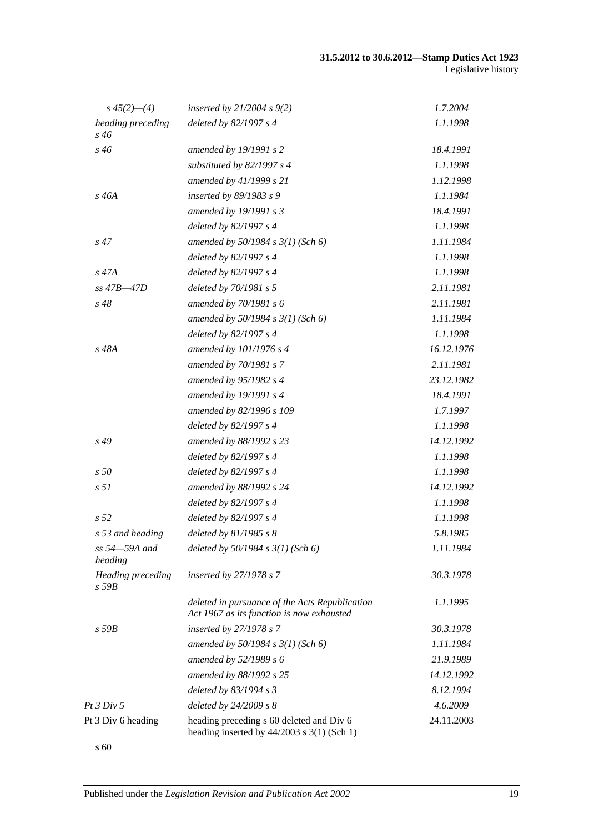| $s\,45(2)$ —(4)                 | inserted by $21/2004$ s $9(2)$                                                              | 1.7.2004   |
|---------------------------------|---------------------------------------------------------------------------------------------|------------|
| heading preceding<br>$s\,46$    | deleted by 82/1997 s 4                                                                      | 1.1.1998   |
| s 46                            | amended by 19/1991 s 2                                                                      | 18.4.1991  |
|                                 | substituted by 82/1997 s 4                                                                  | 1.1.1998   |
|                                 | amended by 41/1999 s 21                                                                     | 1.12.1998  |
| $s\,46A$                        | inserted by 89/1983 s 9                                                                     | 1.1.1984   |
|                                 | amended by 19/1991 s 3                                                                      | 18.4.1991  |
|                                 | deleted by 82/1997 s 4                                                                      | 1.1.1998   |
| $s\,47$                         | amended by $50/1984$ s $3(1)$ (Sch 6)                                                       | 1.11.1984  |
|                                 | deleted by 82/1997 s 4                                                                      | 1.1.1998   |
| $s\,47A$                        | deleted by 82/1997 s 4                                                                      | 1.1.1998   |
| $ss$ 47B $-47D$                 | deleted by 70/1981 s 5                                                                      | 2.11.1981  |
| $s\,48$                         | amended by 70/1981 s 6                                                                      | 2.11.1981  |
|                                 | amended by $50/1984$ s $3(1)$ (Sch 6)                                                       | 1.11.1984  |
|                                 | deleted by 82/1997 s 4                                                                      | 1.1.1998   |
| s 48A                           | amended by 101/1976 s 4                                                                     | 16.12.1976 |
|                                 | amended by 70/1981 s 7                                                                      | 2.11.1981  |
|                                 | amended by 95/1982 s 4                                                                      | 23.12.1982 |
|                                 | amended by 19/1991 s 4                                                                      | 18.4.1991  |
|                                 | amended by 82/1996 s 109                                                                    | 1.7.1997   |
|                                 | deleted by 82/1997 s 4                                                                      | 1.1.1998   |
| $s\,49$                         | amended by 88/1992 s 23                                                                     | 14.12.1992 |
|                                 | deleted by 82/1997 s 4                                                                      | 1.1.1998   |
| s50                             | deleted by 82/1997 s 4                                                                      | 1.1.1998   |
| s <sub>51</sub>                 | amended by 88/1992 s 24                                                                     | 14.12.1992 |
|                                 | deleted by 82/1997 s 4                                                                      | 1.1.1998   |
| s <sub>52</sub>                 | deleted by 82/1997 s 4                                                                      | 1.1.1998   |
| s 53 and heading                | deleted by 81/1985 s 8                                                                      | 5.8.1985   |
| ss 54–59A and<br>heading        | deleted by $50/1984$ s $3(1)$ (Sch 6)                                                       | 1.11.1984  |
| Heading preceding<br>$s$ 59 $B$ | inserted by 27/1978 s 7                                                                     | 30.3.1978  |
|                                 | deleted in pursuance of the Acts Republication<br>Act 1967 as its function is now exhausted | 1.1.1995   |
| $s$ 59 $B$                      | inserted by 27/1978 s 7                                                                     | 30.3.1978  |
|                                 | amended by 50/1984 s 3(1) (Sch 6)                                                           | 1.11.1984  |
|                                 | amended by 52/1989 s 6                                                                      | 21.9.1989  |
|                                 | amended by 88/1992 s 25                                                                     | 14.12.1992 |
|                                 | deleted by 83/1994 s 3                                                                      | 8.12.1994  |
| <i>Pt 3 Div 5</i>               | deleted by 24/2009 s 8                                                                      | 4.6.2009   |
| Pt 3 Div 6 heading              | heading preceding s 60 deleted and Div 6<br>heading inserted by $44/2003$ s 3(1) (Sch 1)    | 24.11.2003 |
|                                 |                                                                                             |            |

s 60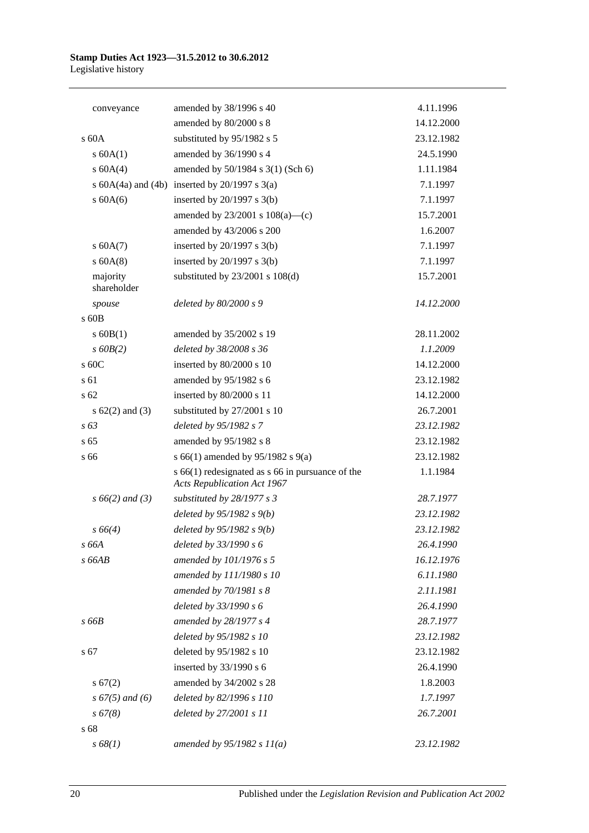| conveyance              | amended by 38/1996 s 40                                                                    | 4.11.1996  |
|-------------------------|--------------------------------------------------------------------------------------------|------------|
|                         | amended by 80/2000 s 8                                                                     | 14.12.2000 |
| $\rm s$ 60A             | substituted by 95/1982 s 5                                                                 | 23.12.1982 |
| s 60A(1)                | amended by 36/1990 s 4                                                                     | 24.5.1990  |
| s 60A(4)                | amended by 50/1984 s 3(1) (Sch 6)                                                          | 1.11.1984  |
|                         | s $60A(4a)$ and $(4b)$ inserted by $20/1997$ s $3(a)$                                      | 7.1.1997   |
| $s$ 60A(6)              | inserted by $20/1997$ s $3(b)$                                                             | 7.1.1997   |
|                         | amended by $23/2001$ s $108(a)$ —(c)                                                       | 15.7.2001  |
|                         | amended by 43/2006 s 200                                                                   | 1.6.2007   |
| s 60A(7)                | inserted by $20/1997$ s $3(b)$                                                             | 7.1.1997   |
| $s$ 60A(8)              | inserted by $20/1997$ s $3(b)$                                                             | 7.1.1997   |
| majority<br>shareholder | substituted by $23/2001$ s $108(d)$                                                        | 15.7.2001  |
| spouse                  | deleted by 80/2000 s 9                                                                     | 14.12.2000 |
| $s$ 60 $B$              |                                                                                            |            |
| $s$ 60B(1)              | amended by 35/2002 s 19                                                                    | 28.11.2002 |
| $s$ 60 $B(2)$           | deleted by 38/2008 s 36                                                                    | 1.1.2009   |
| s 60C                   | inserted by 80/2000 s 10                                                                   | 14.12.2000 |
| s <sub>61</sub>         | amended by 95/1982 s 6                                                                     | 23.12.1982 |
| s <sub>62</sub>         | inserted by 80/2000 s 11                                                                   | 14.12.2000 |
| s $62(2)$ and $(3)$     | substituted by 27/2001 s 10                                                                | 26.7.2001  |
| $s\,63$                 | deleted by 95/1982 s 7                                                                     | 23.12.1982 |
| s <sub>65</sub>         | amended by 95/1982 s 8                                                                     | 23.12.1982 |
| s 66                    | s 66(1) amended by 95/1982 s 9(a)                                                          | 23.12.1982 |
|                         | $s$ 66(1) redesignated as $s$ 66 in pursuance of the<br><b>Acts Republication Act 1967</b> | 1.1.1984   |
| $s\,66(2)$ and (3)      | substituted by 28/1977 s 3                                                                 | 28.7.1977  |
|                         | deleted by $95/1982 s(9)$                                                                  | 23.12.1982 |
| $s\,66(4)$              | deleted by $95/1982 s 9(b)$                                                                | 23.12.1982 |
| s 66A                   | deleted by 33/1990 s 6                                                                     | 26.4.1990  |
| $s$ 66AB                | amended by 101/1976 s 5                                                                    | 16.12.1976 |
|                         | amended by 111/1980 s 10                                                                   | 6.11.1980  |
|                         | amended by 70/1981 s 8                                                                     | 2.11.1981  |
|                         | deleted by 33/1990 s 6                                                                     | 26.4.1990  |
| s 66B                   | amended by 28/1977 s 4                                                                     | 28.7.1977  |
|                         | deleted by 95/1982 s 10                                                                    | 23.12.1982 |
| s 67                    | deleted by 95/1982 s 10                                                                    | 23.12.1982 |
|                         | inserted by 33/1990 s 6                                                                    | 26.4.1990  |
| s 67(2)                 | amended by 34/2002 s 28                                                                    | 1.8.2003   |
| $s\,67(5)$ and (6)      | deleted by 82/1996 s 110                                                                   | 1.7.1997   |
| $s\,67(8)$              | deleted by 27/2001 s 11                                                                    | 26.7.2001  |
| s 68                    |                                                                                            |            |
| s 68(1)                 | amended by $95/1982 s 11(a)$                                                               | 23.12.1982 |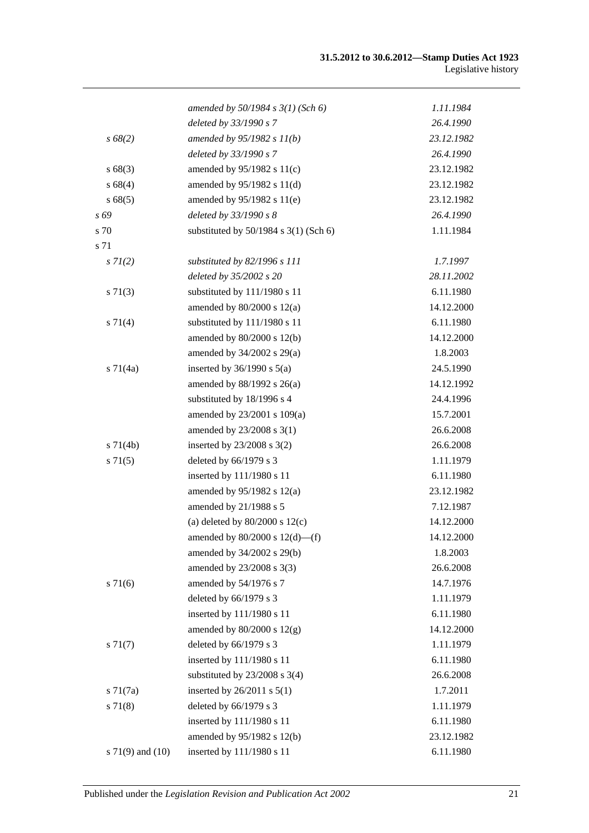|                      | amended by $50/1984$ s $3(1)$ (Sch 6)     | 1.11.1984  |
|----------------------|-------------------------------------------|------------|
|                      | deleted by 33/1990 s 7                    | 26.4.1990  |
| $s\,68(2)$           | amended by $95/1982 s 11(b)$              | 23.12.1982 |
|                      | deleted by 33/1990 s 7                    | 26.4.1990  |
| s68(3)               | amended by 95/1982 s 11(c)                | 23.12.1982 |
| s 68(4)              | amended by $95/1982$ s $11(d)$            | 23.12.1982 |
| s68(5)               | amended by 95/1982 s 11(e)                | 23.12.1982 |
| s 69                 | deleted by 33/1990 s 8                    | 26.4.1990  |
| s 70                 | substituted by $50/1984$ s $3(1)$ (Sch 6) | 1.11.1984  |
| s 71                 |                                           |            |
| $s \, 7l(2)$         | substituted by 82/1996 s 111              | 1.7.1997   |
|                      | deleted by 35/2002 s 20                   | 28.11.2002 |
| $s \, 71(3)$         | substituted by 111/1980 s 11              | 6.11.1980  |
|                      | amended by $80/2000$ s $12(a)$            | 14.12.2000 |
| s 71(4)              | substituted by 111/1980 s 11              | 6.11.1980  |
|                      | amended by 80/2000 s 12(b)                | 14.12.2000 |
|                      | amended by $34/2002$ s $29(a)$            | 1.8.2003   |
| $s \, 71(4a)$        | inserted by $36/1990$ s $5(a)$            | 24.5.1990  |
|                      | amended by 88/1992 s 26(a)                | 14.12.1992 |
|                      | substituted by 18/1996 s 4                | 24.4.1996  |
|                      | amended by 23/2001 s 109(a)               | 15.7.2001  |
|                      | amended by $23/2008$ s $3(1)$             | 26.6.2008  |
| $s \, 71(4b)$        | inserted by $23/2008$ s $3(2)$            | 26.6.2008  |
| $s \, 71(5)$         | deleted by 66/1979 s 3                    | 1.11.1979  |
|                      | inserted by 111/1980 s 11                 | 6.11.1980  |
|                      | amended by $95/1982$ s $12(a)$            | 23.12.1982 |
|                      | amended by 21/1988 s 5                    | 7.12.1987  |
|                      | (a) deleted by $80/2000$ s $12(c)$        | 14.12.2000 |
|                      | amended by $80/2000$ s $12(d)$ —(f)       | 14.12.2000 |
|                      | amended by 34/2002 s 29(b)                | 1.8.2003   |
|                      | amended by 23/2008 s 3(3)                 | 26.6.2008  |
| $s \, 71(6)$         | amended by 54/1976 s 7                    | 14.7.1976  |
|                      | deleted by 66/1979 s 3                    | 1.11.1979  |
|                      | inserted by 111/1980 s 11                 | 6.11.1980  |
|                      | amended by $80/2000$ s $12(g)$            | 14.12.2000 |
| s 71(7)              | deleted by 66/1979 s 3                    | 1.11.1979  |
|                      | inserted by 111/1980 s 11                 | 6.11.1980  |
|                      | substituted by $23/2008$ s $3(4)$         | 26.6.2008  |
| $s \, 71(7a)$        | inserted by $26/2011$ s $5(1)$            | 1.7.2011   |
| s71(8)               | deleted by 66/1979 s 3                    | 1.11.1979  |
|                      | inserted by 111/1980 s 11                 | 6.11.1980  |
|                      | amended by 95/1982 s 12(b)                | 23.12.1982 |
| s $71(9)$ and $(10)$ | inserted by 111/1980 s 11                 | 6.11.1980  |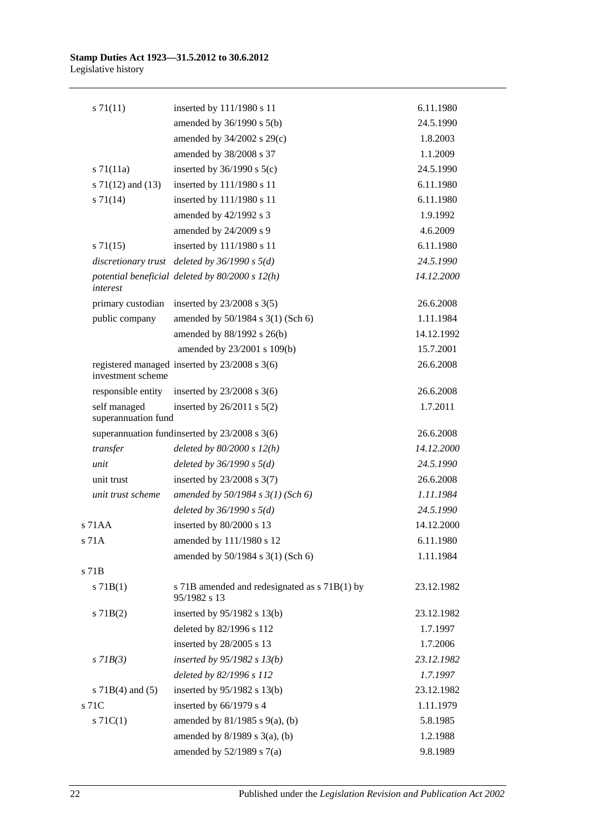| $s \, 71(11)$                       | inserted by 111/1980 s 11                                     | 6.11.1980  |
|-------------------------------------|---------------------------------------------------------------|------------|
|                                     | amended by $36/1990$ s $5(b)$                                 | 24.5.1990  |
|                                     | amended by 34/2002 s 29(c)                                    | 1.8.2003   |
|                                     | amended by 38/2008 s 37                                       | 1.1.2009   |
| $s \, 71(11a)$                      | inserted by $36/1990$ s $5(c)$                                | 24.5.1990  |
| s $71(12)$ and $(13)$               | inserted by 111/1980 s 11                                     | 6.11.1980  |
| $s \, 71(14)$                       | inserted by 111/1980 s 11                                     | 6.11.1980  |
|                                     | amended by 42/1992 s 3                                        | 1.9.1992   |
|                                     | amended by 24/2009 s 9                                        | 4.6.2009   |
| $s \, 71(15)$                       | inserted by 111/1980 s 11                                     | 6.11.1980  |
|                                     | discretionary trust deleted by $36/1990 s 5(d)$               | 24.5.1990  |
| interest                            | potential beneficial deleted by $80/2000 s 12(h)$             | 14.12.2000 |
| primary custodian                   | inserted by $23/2008$ s $3(5)$                                | 26.6.2008  |
| public company                      | amended by 50/1984 s 3(1) (Sch 6)                             | 1.11.1984  |
|                                     | amended by 88/1992 s 26(b)                                    | 14.12.1992 |
|                                     | amended by 23/2001 s 109(b)                                   | 15.7.2001  |
| investment scheme                   | registered managed inserted by 23/2008 s 3(6)                 | 26.6.2008  |
|                                     | responsible entity inserted by $23/2008$ s 3(6)               | 26.6.2008  |
| self managed<br>superannuation fund | inserted by $26/2011$ s $5(2)$                                | 1.7.2011   |
|                                     | superannuation fundinserted by $23/2008$ s $3(6)$             | 26.6.2008  |
| transfer                            | deleted by $80/2000 s 12(h)$                                  | 14.12.2000 |
| unit                                | deleted by $36/1990 s 5(d)$                                   | 24.5.1990  |
| unit trust                          | inserted by $23/2008$ s $3(7)$                                | 26.6.2008  |
| unit trust scheme                   | amended by $50/1984 s 3(1)$ (Sch 6)                           | 1.11.1984  |
|                                     | deleted by $36/1990 s 5(d)$                                   | 24.5.1990  |
| s 71AA                              | inserted by 80/2000 s 13                                      | 14.12.2000 |
| s 71A                               | amended by 111/1980 s 12                                      | 6.11.1980  |
|                                     | amended by 50/1984 s 3(1) (Sch 6)                             | 1.11.1984  |
| s 71B                               |                                                               |            |
| $s$ 71B(1)                          | s 71B amended and redesignated as s 71B(1) by<br>95/1982 s 13 | 23.12.1982 |
| $s$ 71B(2)                          | inserted by 95/1982 s 13(b)                                   | 23.12.1982 |
|                                     | deleted by 82/1996 s 112                                      | 1.7.1997   |
|                                     | inserted by 28/2005 s 13                                      | 1.7.2006   |
| $s$ 71 $B(3)$                       | inserted by $95/1982$ s $13(b)$                               | 23.12.1982 |
|                                     | deleted by 82/1996 s 112                                      | 1.7.1997   |
| s $71B(4)$ and $(5)$                | inserted by $95/1982$ s 13(b)                                 | 23.12.1982 |
| s 71C                               | inserted by 66/1979 s 4                                       | 1.11.1979  |
| $s \, 71C(1)$                       | amended by $81/1985$ s $9(a)$ , (b)                           | 5.8.1985   |
|                                     | amended by $8/1989$ s $3(a)$ , (b)                            | 1.2.1988   |
|                                     | amended by $52/1989$ s $7(a)$                                 | 9.8.1989   |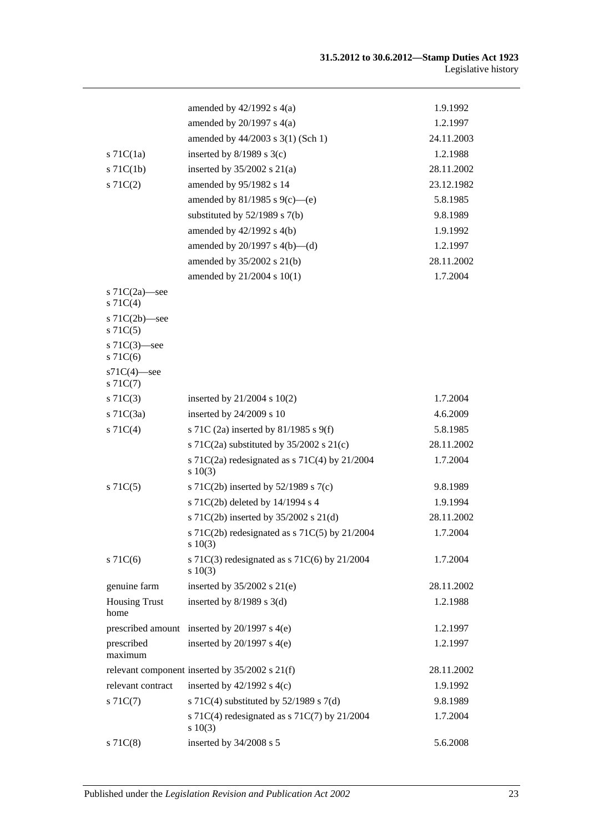|                                   | amended by $42/1992$ s $4(a)$                               | 1.9.1992   |
|-----------------------------------|-------------------------------------------------------------|------------|
|                                   | amended by $20/1997$ s $4(a)$                               | 1.2.1997   |
|                                   | amended by 44/2003 s 3(1) (Sch 1)                           | 24.11.2003 |
| $s$ 71 $C(1a)$                    | inserted by $8/1989$ s $3(c)$                               | 1.2.1988   |
| $s$ 71 $C(1b)$                    | inserted by $35/2002$ s $21(a)$                             | 28.11.2002 |
| S71C(2)                           | amended by 95/1982 s 14                                     | 23.12.1982 |
|                                   | amended by 81/1985 s 9(c)—(e)                               | 5.8.1985   |
|                                   | substituted by $52/1989$ s $7(b)$                           | 9.8.1989   |
|                                   | amended by 42/1992 s 4(b)                                   | 1.9.1992   |
|                                   | amended by $20/1997$ s $4(b)$ —(d)                          | 1.2.1997   |
|                                   | amended by 35/2002 s 21(b)                                  | 28.11.2002 |
|                                   | amended by 21/2004 s 10(1)                                  | 1.7.2004   |
| s $71C(2a)$ —see<br>$s \, 71C(4)$ |                                                             |            |
| s $71C(2b)$ —see<br>$s$ 71 $C(5)$ |                                                             |            |
| s $71C(3)$ —see<br>$s$ 71 $C(6)$  |                                                             |            |
| $s71C(4)$ -see<br>$s \, 71C(7)$   |                                                             |            |
| $s \, 71C(3)$                     | inserted by $21/2004$ s $10(2)$                             | 1.7.2004   |
| $s$ 71C(3a)                       | inserted by 24/2009 s 10                                    | 4.6.2009   |
| $s \, 71C(4)$                     | s 71C (2a) inserted by 81/1985 s 9(f)                       | 5.8.1985   |
|                                   | s 71C(2a) substituted by $35/2002$ s 21(c)                  | 28.11.2002 |
|                                   | s 71C(2a) redesignated as s 71C(4) by $21/2004$<br>s 10(3)  | 1.7.2004   |
| $s \, 71C(5)$                     | s 71C(2b) inserted by 52/1989 s 7(c)                        | 9.8.1989   |
|                                   | s 71C(2b) deleted by 14/1994 s 4                            | 1.9.1994   |
|                                   | s 71C(2b) inserted by 35/2002 s 21(d)                       | 28.11.2002 |
|                                   | s 71C(2b) redesignated as s 71C(5) by 21/2004<br>$s\ 10(3)$ | 1.7.2004   |
| $s$ 71 $C(6)$                     | s 71C(3) redesignated as s 71C(6) by $21/2004$<br>s 10(3)   | 1.7.2004   |
| genuine farm                      | inserted by $35/2002$ s $21(e)$                             | 28.11.2002 |
| <b>Housing Trust</b><br>home      | inserted by $8/1989$ s 3(d)                                 | 1.2.1988   |
|                                   | prescribed amount inserted by $20/1997$ s $4(e)$            | 1.2.1997   |
| prescribed<br>maximum             | inserted by $20/1997$ s $4(e)$                              | 1.2.1997   |
|                                   | relevant component inserted by 35/2002 s 21(f)              | 28.11.2002 |
| relevant contract                 | inserted by $42/1992$ s $4(c)$                              | 1.9.1992   |
| $s \, 71C(7)$                     | s 71C(4) substituted by $52/1989$ s 7(d)                    | 9.8.1989   |
|                                   | s 71C(4) redesignated as s 71C(7) by $21/2004$<br>s 10(3)   | 1.7.2004   |
| $s$ 71 $C(8)$                     | inserted by 34/2008 s 5                                     | 5.6.2008   |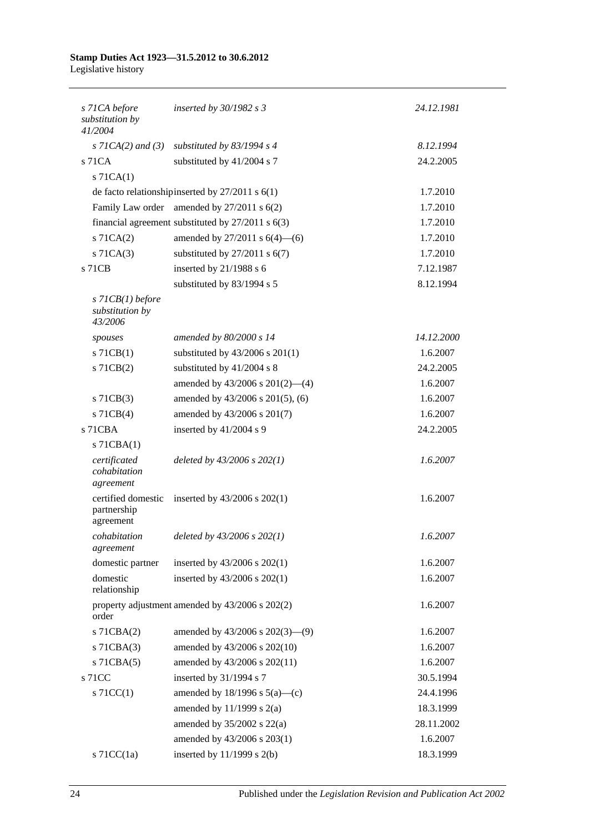| s 71CA before<br>substitution by<br>41/2004      | inserted by $30/1982$ s 3                             | 24.12.1981 |
|--------------------------------------------------|-------------------------------------------------------|------------|
| $s$ 71CA(2) and (3)                              | substituted by $83/1994$ s 4                          | 8.12.1994  |
| s 71CA                                           | substituted by 41/2004 s 7                            | 24.2.2005  |
| $s$ 71CA $(1)$                                   |                                                       |            |
|                                                  | de facto relationship inserted by $27/2011$ s $6(1)$  | 1.7.2010   |
|                                                  | Family Law order amended by 27/2011 s 6(2)            | 1.7.2010   |
|                                                  | financial agreement substituted by $27/2011$ s $6(3)$ | 1.7.2010   |
| $s$ 71CA $(2)$                                   | amended by $27/2011$ s $6(4)$ —(6)                    | 1.7.2010   |
| $s$ 71CA $(3)$                                   | substituted by $27/2011$ s $6(7)$                     | 1.7.2010   |
| s 71CB                                           | inserted by 21/1988 s 6                               | 7.12.1987  |
|                                                  | substituted by 83/1994 s 5                            | 8.12.1994  |
| $s$ 71CB(1) before<br>substitution by<br>43/2006 |                                                       |            |
| spouses                                          | amended by 80/2000 s 14                               | 14.12.2000 |
| $s$ 71CB(1)                                      | substituted by 43/2006 s 201(1)                       | 1.6.2007   |
| $s$ 71CB $(2)$                                   | substituted by 41/2004 s 8                            | 24.2.2005  |
|                                                  | amended by 43/2006 s 201(2)-(4)                       | 1.6.2007   |
| $s$ 71CB(3)                                      | amended by 43/2006 s 201(5), (6)                      | 1.6.2007   |
| s 71CB(4)                                        | amended by 43/2006 s 201(7)                           | 1.6.2007   |
| s 71CBA                                          | inserted by 41/2004 s 9                               | 24.2.2005  |
| $s$ 71CBA $(1)$                                  |                                                       |            |
| certificated<br>cohabitation<br>agreement        | deleted by $43/2006$ s $202(1)$                       | 1.6.2007   |
| certified domestic<br>partnership<br>agreement   | inserted by $43/2006$ s $202(1)$                      | 1.6.2007   |
| cohabitation<br>agreement                        | deleted by $43/2006$ s $202(1)$                       | 1.6.2007   |
| domestic partner                                 | inserted by 43/2006 s 202(1)                          | 1.6.2007   |
| domestic<br>relationship                         | inserted by 43/2006 s 202(1)                          | 1.6.2007   |
| order                                            | property adjustment amended by 43/2006 s 202(2)       | 1.6.2007   |
| s 71CBA(2)                                       | amended by $43/2006$ s $202(3)$ —(9)                  | 1.6.2007   |
| $s$ 71CBA $(3)$                                  | amended by 43/2006 s 202(10)                          | 1.6.2007   |
| $s$ 71CBA $(5)$                                  | amended by 43/2006 s 202(11)                          | 1.6.2007   |
| s 71CC                                           | inserted by 31/1994 s 7                               | 30.5.1994  |
| $s$ 71CC(1)                                      | amended by $18/1996$ s $5(a)$ —(c)                    | 24.4.1996  |
|                                                  | amended by $11/1999$ s $2(a)$                         | 18.3.1999  |
|                                                  | amended by $35/2002$ s $22(a)$                        | 28.11.2002 |
|                                                  | amended by 43/2006 s 203(1)                           | 1.6.2007   |
| s $71CC(1a)$                                     | inserted by $11/1999$ s $2(b)$                        | 18.3.1999  |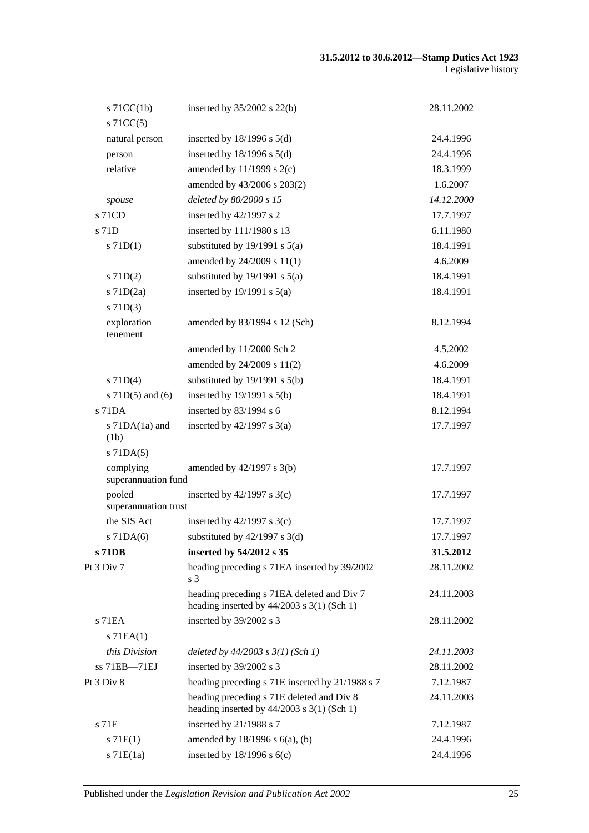| $s$ 71CC(1b)                     | inserted by $35/2002$ s 22(b)                                                              | 28.11.2002 |
|----------------------------------|--------------------------------------------------------------------------------------------|------------|
| $s$ 71CC(5)<br>natural person    |                                                                                            | 24.4.1996  |
| person                           | inserted by $18/1996$ s $5(d)$<br>inserted by $18/1996$ s $5(d)$                           | 24.4.1996  |
| relative                         | amended by $11/1999$ s $2(c)$                                                              | 18.3.1999  |
|                                  | amended by 43/2006 s 203(2)                                                                | 1.6.2007   |
|                                  | deleted by 80/2000 s 15                                                                    | 14.12.2000 |
| spouse<br>$s$ 71CD               | inserted by 42/1997 s 2                                                                    | 17.7.1997  |
| s 71D                            | inserted by 111/1980 s 13                                                                  | 6.11.1980  |
| $s$ 71D(1)                       | substituted by $19/1991$ s $5(a)$                                                          | 18.4.1991  |
|                                  | amended by 24/2009 s 11(1)                                                                 | 4.6.2009   |
|                                  |                                                                                            | 18.4.1991  |
| $s$ 71D(2)                       | substituted by $19/1991$ s $5(a)$<br>inserted by $19/1991$ s $5(a)$                        |            |
| $s$ 71D(2a)                      |                                                                                            | 18.4.1991  |
| $s$ 71D(3)                       |                                                                                            |            |
| exploration<br>tenement          | amended by 83/1994 s 12 (Sch)                                                              | 8.12.1994  |
|                                  | amended by 11/2000 Sch 2                                                                   | 4.5.2002   |
|                                  | amended by 24/2009 s 11(2)                                                                 | 4.6.2009   |
| $s$ 71D(4)                       | substituted by $19/1991$ s $5(b)$                                                          | 18.4.1991  |
| s $71D(5)$ and $(6)$             | inserted by $19/1991$ s $5(b)$                                                             | 18.4.1991  |
| s 71DA                           | inserted by 83/1994 s 6                                                                    | 8.12.1994  |
| s $71DA(1a)$ and                 | inserted by $42/1997$ s $3(a)$                                                             | 17.7.1997  |
| (1b)                             |                                                                                            |            |
| $s$ 71DA $(5)$                   |                                                                                            |            |
| complying<br>superannuation fund | amended by $42/1997$ s $3(b)$                                                              | 17.7.1997  |
| pooled<br>superannuation trust   | inserted by $42/1997$ s 3(c)                                                               | 17.7.1997  |
| the SIS Act                      | inserted by $42/1997$ s 3(c)                                                               | 17.7.1997  |
| $s$ 71DA(6)                      | substituted by $42/1997$ s $3(d)$                                                          | 17.7.1997  |
| s 71DB                           | inserted by 54/2012 s 35                                                                   | 31.5.2012  |
| Pt 3 Div 7                       | heading preceding s 71EA inserted by 39/2002<br>s 3                                        | 28.11.2002 |
|                                  | heading preceding s 71EA deleted and Div 7<br>heading inserted by $44/2003$ s 3(1) (Sch 1) | 24.11.2003 |
| s 71EA                           | inserted by 39/2002 s 3                                                                    | 28.11.2002 |
| $s$ 71EA $(1)$                   |                                                                                            |            |
| this Division                    | deleted by $44/2003$ s $3(1)$ (Sch 1)                                                      | 24.11.2003 |
| ss 71EB-71EJ                     | inserted by 39/2002 s 3                                                                    | 28.11.2002 |
| Pt 3 Div 8                       | heading preceding s 71E inserted by 21/1988 s 7                                            | 7.12.1987  |
|                                  | heading preceding s 71E deleted and Div 8<br>heading inserted by $44/2003$ s 3(1) (Sch 1)  | 24.11.2003 |
| s 71E                            | inserted by 21/1988 s 7                                                                    | 7.12.1987  |
| s 71E(1)                         | amended by $18/1996$ s $6(a)$ , (b)                                                        | 24.4.1996  |
| $s$ 71 $E(1a)$                   | inserted by $18/1996$ s $6(c)$                                                             | 24.4.1996  |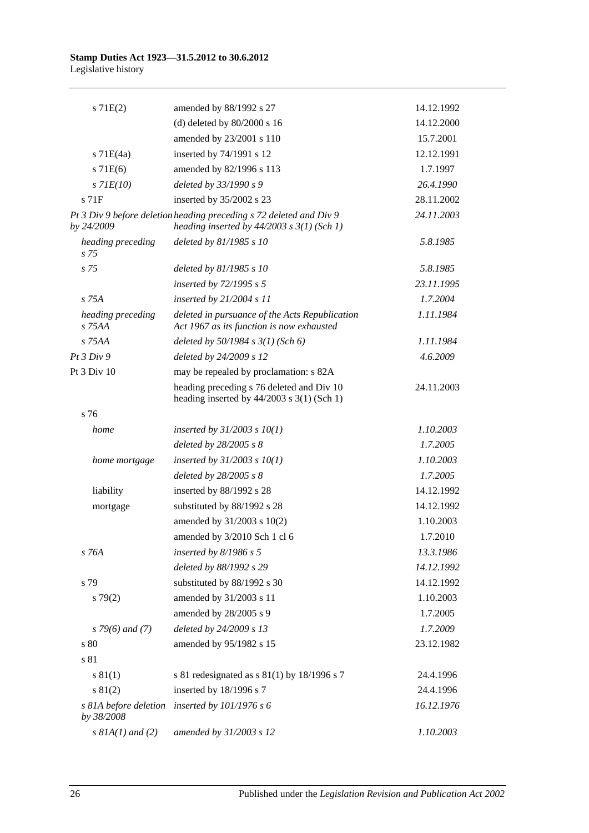| s 71E(2)                             | amended by 88/1992 s 27                                                                                               | 14.12.1992 |
|--------------------------------------|-----------------------------------------------------------------------------------------------------------------------|------------|
|                                      | (d) deleted by $80/2000$ s 16                                                                                         | 14.12.2000 |
|                                      | amended by 23/2001 s 110                                                                                              | 15.7.2001  |
| $s$ 71E $(4a)$                       | inserted by 74/1991 s 12                                                                                              | 12.12.1991 |
| $s$ 71 $E(6)$                        | amended by 82/1996 s 113                                                                                              | 1.7.1997   |
| $s$ 71 $E(10)$                       | deleted by 33/1990 s 9                                                                                                | 26.4.1990  |
| $s$ 71 $F$                           | inserted by 35/2002 s 23                                                                                              | 28.11.2002 |
| by 24/2009                           | Pt 3 Div 9 before deletion heading preceding s 72 deleted and Div 9<br>heading inserted by $44/2003$ s $3(1)$ (Sch 1) | 24.11.2003 |
| heading preceding<br>s <sub>75</sub> | deleted by 81/1985 s 10                                                                                               | 5.8.1985   |
| s <sub>75</sub>                      | deleted by 81/1985 s 10                                                                                               | 5.8.1985   |
|                                      | inserted by 72/1995 s 5                                                                                               | 23.11.1995 |
| s 75A                                | inserted by 21/2004 s 11                                                                                              | 1.7.2004   |
| heading preceding<br>$s$ 75AA        | deleted in pursuance of the Acts Republication<br>Act 1967 as its function is now exhausted                           | 1.11.1984  |
| s 75AA                               | deleted by $50/1984$ s $3(1)$ (Sch 6)                                                                                 | 1.11.1984  |
| Pt3 Div9                             | deleted by 24/2009 s 12                                                                                               | 4.6.2009   |
| Pt 3 Div 10                          | may be repealed by proclamation: s 82A                                                                                |            |
|                                      | heading preceding s 76 deleted and Div 10<br>heading inserted by $44/2003$ s 3(1) (Sch 1)                             | 24.11.2003 |
| s 76                                 |                                                                                                                       |            |
| home                                 | inserted by $31/2003$ s $10(1)$                                                                                       | 1.10.2003  |
|                                      | deleted by $28/2005 s 8$                                                                                              | 1.7.2005   |
| home mortgage                        | inserted by $31/2003$ s $10(1)$                                                                                       | 1.10.2003  |
|                                      | deleted by $28/2005 s 8$                                                                                              | 1.7.2005   |
| liability                            | inserted by 88/1992 s 28                                                                                              | 14.12.1992 |
| mortgage                             | substituted by 88/1992 s 28                                                                                           | 14.12.1992 |
|                                      | amended by $31/2003$ s $10(2)$                                                                                        | 1.10.2003  |
|                                      | amended by 3/2010 Sch 1 cl 6                                                                                          | 1.7.2010   |
| s 76A                                | inserted by $8/1986$ s 5                                                                                              | 13.3.1986  |
|                                      | deleted by 88/1992 s 29                                                                                               | 14.12.1992 |
| s 79                                 | substituted by 88/1992 s 30                                                                                           | 14.12.1992 |
| $s\,79(2)$                           | amended by 31/2003 s 11                                                                                               | 1.10.2003  |
|                                      | amended by 28/2005 s 9                                                                                                | 1.7.2005   |
| $s$ 79(6) and (7)                    | deleted by 24/2009 s 13                                                                                               | 1.7.2009   |
| s 80                                 | amended by 95/1982 s 15                                                                                               | 23.12.1982 |
| s 81                                 |                                                                                                                       |            |
| s 81(1)                              | s 81 redesignated as s $81(1)$ by 18/1996 s 7                                                                         | 24.4.1996  |
| s 81(2)                              | inserted by 18/1996 s 7                                                                                               | 24.4.1996  |
| s 81A before deletion<br>by 38/2008  | inserted by 101/1976 s 6                                                                                              | 16.12.1976 |
| $s$ 81A(1) and (2)                   | amended by 31/2003 s 12                                                                                               | 1.10.2003  |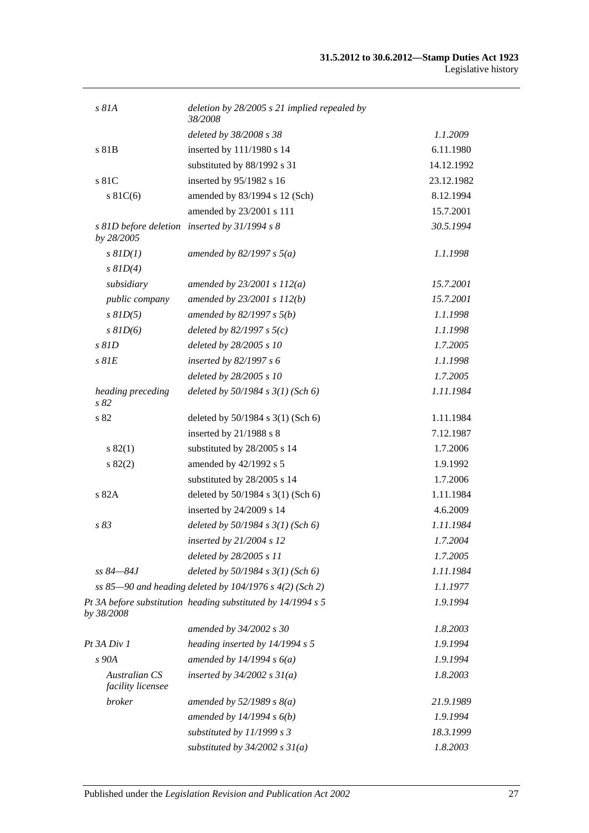| s 81A                                     | deletion by $28/2005$ s 21 implied repealed by<br>38/2008    |            |
|-------------------------------------------|--------------------------------------------------------------|------------|
|                                           | deleted by 38/2008 s 38                                      | 1.1.2009   |
| s 81B                                     | inserted by 111/1980 s 14                                    | 6.11.1980  |
|                                           | substituted by 88/1992 s 31                                  | 14.12.1992 |
| s 81C                                     | inserted by 95/1982 s 16                                     | 23.12.1982 |
| s $81C(6)$                                | amended by 83/1994 s 12 (Sch)                                | 8.12.1994  |
|                                           | amended by 23/2001 s 111                                     | 15.7.2001  |
| by 28/2005                                | s 81D before deletion inserted by 31/1994 s 8                | 30.5.1994  |
| $s$ $81D(1)$                              | amended by $82/1997 s 5(a)$                                  | 1.1.1998   |
| $s$ $81D(4)$                              |                                                              |            |
| subsidiary                                | amended by $23/2001 s 112(a)$                                | 15.7.2001  |
| public company                            | amended by 23/2001 s 112(b)                                  | 15.7.2001  |
| $s$ $81D(5)$                              | amended by $82/1997 s 5(b)$                                  | 1.1.1998   |
| $s$ $81D(6)$                              | deleted by $82/1997 s 5(c)$                                  | 1.1.1998   |
| $s$ $81D$                                 | deleted by 28/2005 s 10                                      | 1.7.2005   |
| $s$ $81E$                                 | inserted by 82/1997 s 6                                      | 1.1.1998   |
|                                           | deleted by 28/2005 s 10                                      | 1.7.2005   |
| heading preceding<br>s82                  | deleted by $50/1984$ s $3(1)$ (Sch 6)                        | 1.11.1984  |
| s 82                                      | deleted by 50/1984 s 3(1) (Sch 6)                            | 1.11.1984  |
|                                           | inserted by 21/1988 s 8                                      | 7.12.1987  |
| s 82(1)                                   | substituted by 28/2005 s 14                                  | 1.7.2006   |
| s 82(2)                                   | amended by 42/1992 s 5                                       | 1.9.1992   |
|                                           | substituted by 28/2005 s 14                                  | 1.7.2006   |
| s 82A                                     | deleted by 50/1984 s 3(1) (Sch 6)                            | 1.11.1984  |
|                                           | inserted by 24/2009 s 14                                     | 4.6.2009   |
| s 83                                      | deleted by $50/1984$ s $3(1)$ (Sch 6)                        | 1.11.1984  |
|                                           | inserted by $21/2004$ s 12                                   | 1.7.2004   |
|                                           | deleted by 28/2005 s 11                                      | 1.7.2005   |
| $ss 84 - 84J$                             | deleted by $50/1984$ s $3(1)$ (Sch 6)                        | 1.11.1984  |
|                                           | ss 85–90 and heading deleted by 104/1976 s 4(2) (Sch 2)      | 1.1.1977   |
| by 38/2008                                | Pt 3A before substitution heading substituted by 14/1994 s 5 | 1.9.1994   |
|                                           | amended by 34/2002 s 30                                      | 1.8.2003   |
| Pt 3A Div 1                               | heading inserted by 14/1994 s 5                              | 1.9.1994   |
| s 90A                                     | amended by $14/1994 s 6(a)$                                  | 1.9.1994   |
| <b>Australian CS</b><br>facility licensee | inserted by $34/2002$ s $31(a)$                              | 1.8.2003   |
| broker                                    | amended by $52/1989$ s $8(a)$                                | 21.9.1989  |
|                                           | amended by $14/1994 s 6(b)$                                  | 1.9.1994   |
|                                           | substituted by 11/1999 s 3                                   | 18.3.1999  |
|                                           | substituted by $34/2002$ s $31(a)$                           | 1.8.2003   |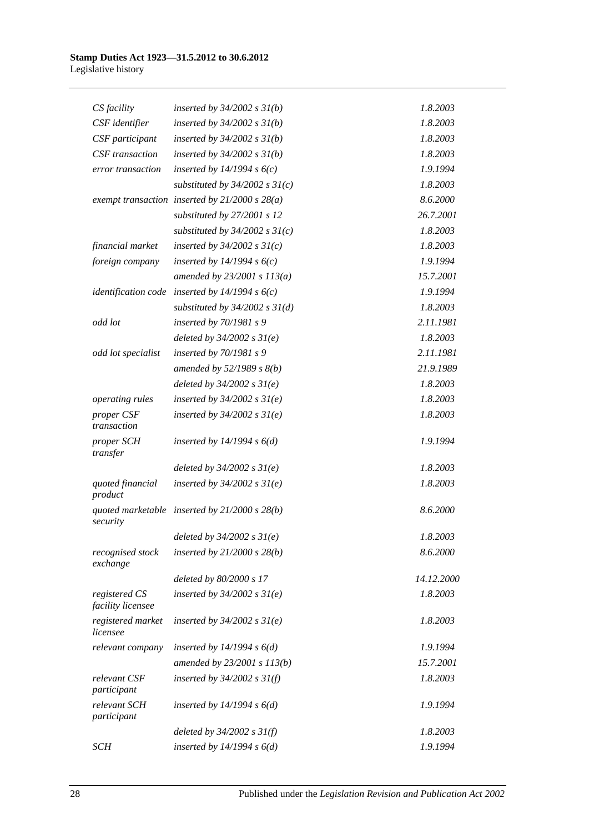| CS facility                        | inserted by $34/2002$ s $31(b)$                  | 1.8.2003   |
|------------------------------------|--------------------------------------------------|------------|
| CSF identifier                     | inserted by $34/2002$ s $31(b)$                  | 1.8.2003   |
| CSF participant                    | inserted by $34/2002$ s $31(b)$                  | 1.8.2003   |
| <b>CSF</b> transaction             | inserted by $34/2002$ s $31(b)$                  | 1.8.2003   |
| error transaction                  | inserted by $14/1994 s 6(c)$                     | 1.9.1994   |
|                                    | substituted by $34/2002$ s $31(c)$               | 1.8.2003   |
|                                    | exempt transaction inserted by $21/2000 s 28(a)$ | 8.6.2000   |
|                                    | substituted by 27/2001 s 12                      | 26.7.2001  |
|                                    | substituted by $34/2002$ s $31(c)$               | 1.8.2003   |
| financial market                   | inserted by $34/2002$ s $31(c)$                  | 1.8.2003   |
| foreign company                    | inserted by $14/1994 s 6(c)$                     | 1.9.1994   |
|                                    | amended by $23/2001 s 113(a)$                    | 15.7.2001  |
|                                    | identification code inserted by $14/1994 s 6(c)$ | 1.9.1994   |
|                                    | substituted by $34/2002$ s $31(d)$               | 1.8.2003   |
| odd lot                            | inserted by 70/1981 s 9                          | 2.11.1981  |
|                                    | deleted by $34/2002 s 31(e)$                     | 1.8.2003   |
| odd lot specialist                 | inserted by 70/1981 s 9                          | 2.11.1981  |
|                                    | amended by $52/1989 s 8(b)$                      | 21.9.1989  |
|                                    | deleted by $34/2002 s 31(e)$                     | 1.8.2003   |
| operating rules                    | inserted by $34/2002$ s $31(e)$                  | 1.8.2003   |
| proper CSF<br>transaction          | inserted by $34/2002$ s $31(e)$                  | 1.8.2003   |
| proper SCH<br>transfer             | inserted by $14/1994 s 6(d)$                     | 1.9.1994   |
|                                    | deleted by $34/2002 s 31(e)$                     | 1.8.2003   |
| quoted financial<br>product        | inserted by $34/2002$ s $31(e)$                  | 1.8.2003   |
| security                           | quoted marketable inserted by $21/2000 s 28(b)$  | 8.6.2000   |
|                                    | deleted by $34/2002 s 31(e)$                     | 1.8.2003   |
| recognised stock<br>exchange       | inserted by $21/2000 s 28(b)$                    | 8.6.2000   |
|                                    | deleted by 80/2000 s 17                          | 14.12.2000 |
| registered CS<br>facility licensee | inserted by $34/2002$ s $31(e)$                  | 1.8.2003   |
| registered market<br>licensee      | inserted by $34/2002$ s $31(e)$                  | 1.8.2003   |
| relevant company                   | inserted by $14/1994 s 6(d)$                     | 1.9.1994   |
|                                    | amended by 23/2001 s 113(b)                      | 15.7.2001  |
| relevant CSF<br>participant        | inserted by $34/2002$ s $31(f)$                  | 1.8.2003   |
| relevant SCH<br>participant        | inserted by $14/1994 s 6(d)$                     | 1.9.1994   |
|                                    | deleted by $34/2002$ s $31(f)$                   | 1.8.2003   |
| <b>SCH</b>                         | inserted by $14/1994$ s $6(d)$                   | 1.9.1994   |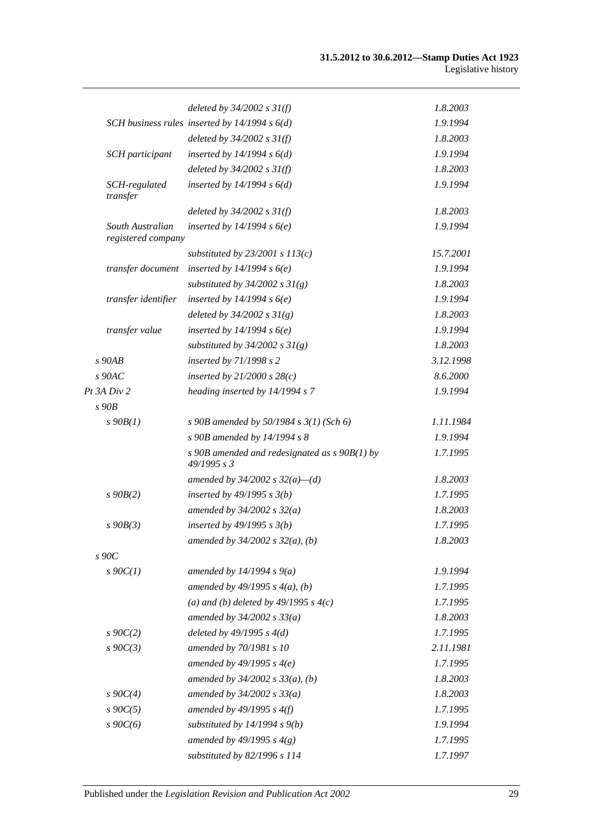|                                        | deleted by $34/2002$ s $31(f)$                                 | 1.8.2003  |
|----------------------------------------|----------------------------------------------------------------|-----------|
|                                        | SCH business rules inserted by $14/1994 s 6(d)$                | 1.9.1994  |
|                                        | deleted by $34/2002 s 31(f)$                                   | 1.8.2003  |
| SCH participant                        | inserted by $14/1994 s 6(d)$                                   | 1.9.1994  |
|                                        | deleted by $34/2002 s 31(f)$                                   | 1.8.2003  |
| SCH-regulated<br>transfer              | inserted by $14/1994 s 6(d)$                                   | 1.9.1994  |
|                                        | deleted by $34/2002$ s $31(f)$                                 | 1.8.2003  |
| South Australian<br>registered company | inserted by $14/1994 s6(e)$                                    | 1.9.1994  |
|                                        | substituted by $23/2001$ s $113(c)$                            | 15.7.2001 |
| transfer document                      | inserted by $14/1994 s6(e)$                                    | 1.9.1994  |
|                                        | substituted by $34/2002$ s $31(g)$                             | 1.8.2003  |
| transfer identifier                    | inserted by $14/1994 s6(e)$                                    | 1.9.1994  |
|                                        | deleted by $34/2002 s 31(g)$                                   | 1.8.2003  |
| transfer value                         | inserted by $14/1994 s6(e)$                                    | 1.9.1994  |
|                                        | substituted by $34/2002$ s $31(g)$                             | 1.8.2003  |
| $s$ 90AB                               | inserted by 71/1998 s 2                                        | 3.12.1998 |
| $s$ 90AC                               | inserted by $21/2000$ s $28(c)$                                | 8.6.2000  |
| Pt 3A Div 2                            | heading inserted by 14/1994 s 7                                | 1.9.1994  |
| $s$ 90 $B$                             |                                                                |           |
| $s\,90B(1)$                            | s 90B amended by 50/1984 s $3(1)$ (Sch 6)                      | 1.11.1984 |
|                                        | s 90B amended by 14/1994 s 8                                   | 1.9.1994  |
|                                        | s 90B amended and redesignated as $s$ 90B(1) by<br>49/1995 s 3 | 1.7.1995  |
|                                        | amended by 34/2002 s $32(a)$ –(d)                              | 1.8.2003  |
| $s$ 90 $B(2)$                          | inserted by $49/1995 s 3(b)$                                   | 1.7.1995  |
|                                        | amended by $34/2002 s 32(a)$                                   | 1.8.2003  |
| $s$ 90 $B(3)$                          | inserted by $49/1995 s 3(b)$                                   | 1.7.1995  |
|                                        | amended by $34/2002$ s $32(a)$ , (b)                           | 1.8.2003  |
| $s$ 90 $C$                             |                                                                |           |
| $s$ 90 $C(1)$                          | amended by $14/1994 s 9(a)$                                    | 1.9.1994  |
|                                        | amended by $49/1995 s 4(a)$ , (b)                              | 1.7.1995  |
|                                        | (a) and (b) deleted by $49/1995 s 4(c)$                        | 1.7.1995  |
|                                        | amended by $34/2002 s 33(a)$                                   | 1.8.2003  |
| $s\ 90C(2)$                            | deleted by $49/1995 s 4(d)$                                    | 1.7.1995  |
| $s\ 90C(3)$                            | amended by 70/1981 s 10                                        | 2.11.1981 |
|                                        | amended by $49/1995 s 4(e)$                                    | 1.7.1995  |
|                                        | amended by $34/2002$ s $33(a)$ , (b)                           | 1.8.2003  |
| $s \, 90C(4)$                          | amended by $34/2002 s 33(a)$                                   | 1.8.2003  |
| $s \, 90C(5)$                          | amended by $49/1995 s 4(f)$                                    | 1.7.1995  |
| $s\,90C(6)$                            | substituted by $14/1994$ s $9(b)$                              | 1.9.1994  |
|                                        | amended by 49/1995 s $4(g)$                                    | 1.7.1995  |
|                                        | substituted by 82/1996 s 114                                   | 1.7.1997  |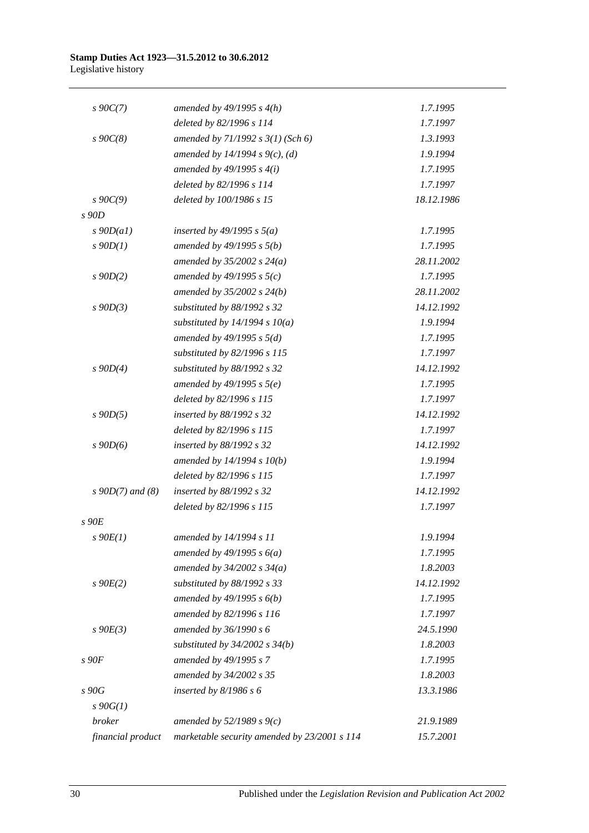| $s \, 90C(7)$      | amended by $49/1995 s 4(h)$                  | 1.7.1995   |
|--------------------|----------------------------------------------|------------|
|                    | deleted by 82/1996 s 114                     | 1.7.1997   |
| $s\,90C(8)$        | amended by 71/1992 s 3(1) (Sch 6)            | 1.3.1993   |
|                    | amended by 14/1994 s 9(c), (d)               | 1.9.1994   |
|                    | amended by $49/1995 s 4(i)$                  | 1.7.1995   |
|                    | deleted by 82/1996 s 114                     | 1.7.1997   |
| $s \, 90C(9)$      | deleted by 100/1986 s 15                     | 18.12.1986 |
| s 90D              |                                              |            |
| $s$ 90D(a1)        | inserted by 49/1995 s $5(a)$                 | 1.7.1995   |
| $s$ 90 $D(1)$      | amended by $49/1995 s 5(b)$                  | 1.7.1995   |
|                    | amended by $35/2002$ s $24(a)$               | 28.11.2002 |
| $s$ 90D(2)         | amended by 49/1995 s $5(c)$                  | 1.7.1995   |
|                    | amended by $35/2002$ s $24(b)$               | 28.11.2002 |
| $s$ 90D(3)         | substituted by 88/1992 s 32                  | 14.12.1992 |
|                    | substituted by $14/1994 s 10(a)$             | 1.9.1994   |
|                    | amended by $49/1995 s 5(d)$                  | 1.7.1995   |
|                    | substituted by 82/1996 s 115                 | 1.7.1997   |
| $s$ 90D(4)         | substituted by 88/1992 s 32                  | 14.12.1992 |
|                    | amended by $49/1995$ s $5(e)$                | 1.7.1995   |
|                    | deleted by 82/1996 s 115                     | 1.7.1997   |
| $s$ 90 $D(5)$      | inserted by 88/1992 s 32                     | 14.12.1992 |
|                    | deleted by 82/1996 s 115                     | 1.7.1997   |
| $s$ 90D(6)         | inserted by 88/1992 s 32                     | 14.12.1992 |
|                    | amended by $14/1994 s 10(b)$                 | 1.9.1994   |
|                    | deleted by 82/1996 s 115                     | 1.7.1997   |
| $s$ 90D(7) and (8) | inserted by 88/1992 s 32                     | 14.12.1992 |
|                    | deleted by 82/1996 s 115                     | 1.7.1997   |
| s 90E              |                                              |            |
| $s\ 90E(1)$        | amended by 14/1994 s 11                      | 1.9.1994   |
|                    | amended by $49/1995 s 6(a)$                  | 1.7.1995   |
|                    | amended by $34/2002$ s $34(a)$               | 1.8.2003   |
| $s$ 90 $E(2)$      | substituted by 88/1992 s 33                  | 14.12.1992 |
|                    | amended by $49/1995 s 6(b)$                  | 1.7.1995   |
|                    | amended by 82/1996 s 116                     | 1.7.1997   |
| $s\ 90E(3)$        | amended by 36/1990 s 6                       | 24.5.1990  |
|                    | substituted by $34/2002$ s $34(b)$           | 1.8.2003   |
| $s$ 90 $F$         | amended by 49/1995 s 7                       | 1.7.1995   |
|                    | amended by 34/2002 s 35                      | 1.8.2003   |
| s 90G              | inserted by $8/1986 s 6$                     | 13.3.1986  |
| $s \, 90G(1)$      |                                              |            |
| broker             | amended by $52/1989 s 9(c)$                  | 21.9.1989  |
| financial product  | marketable security amended by 23/2001 s 114 | 15.7.2001  |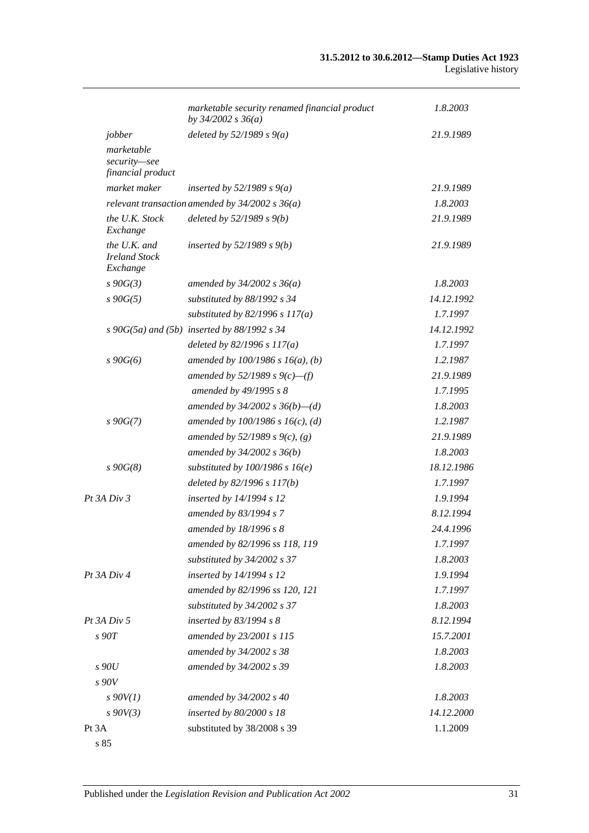|                                                  | marketable security renamed financial product<br>by $34/2002$ s $36(a)$ | 1.8.2003   |
|--------------------------------------------------|-------------------------------------------------------------------------|------------|
| jobber                                           | deleted by $52/1989 s 9(a)$                                             | 21.9.1989  |
| marketable<br>security-see<br>financial product  |                                                                         |            |
| market maker                                     | inserted by $52/1989 s 9(a)$                                            | 21.9.1989  |
|                                                  | relevant transaction amended by $34/2002$ s $36(a)$                     | 1.8.2003   |
| the U.K. Stock<br>Exchange                       | deleted by $52/1989 s 9(b)$                                             | 21.9.1989  |
| the U.K. and<br><b>Ireland Stock</b><br>Exchange | inserted by $52/1989 s 9(b)$                                            | 21.9.1989  |
| $s\,90G(3)$                                      | amended by $34/2002$ s $36(a)$                                          | 1.8.2003   |
| $s\,90G(5)$                                      | substituted by 88/1992 s 34                                             | 14.12.1992 |
|                                                  | substituted by $82/1996$ s $117(a)$                                     | 1.7.1997   |
|                                                  | $s\ 90G(5a)$ and (5b) inserted by 88/1992 s 34                          | 14.12.1992 |
|                                                  | deleted by $82/1996 s 117(a)$                                           | 1.7.1997   |
| $s\,90G(6)$                                      | amended by $100/1986 s 16(a)$ , (b)                                     | 1.2.1987   |
|                                                  | amended by 52/1989 s $9(c)$ —(f)                                        | 21.9.1989  |
|                                                  | amended by 49/1995 s 8                                                  | 1.7.1995   |
|                                                  | amended by $34/2002$ s $36(b)$ —(d)                                     | 1.8.2003   |
| $s\,90G(7)$                                      | amended by $100/1986$ s $16(c)$ , (d)                                   | 1.2.1987   |
|                                                  | amended by 52/1989 s 9(c), (g)                                          | 21.9.1989  |
|                                                  | amended by $34/2002 s 36(b)$                                            | 1.8.2003   |
| $s\,90G(8)$                                      | substituted by $100/1986$ s $16(e)$                                     | 18.12.1986 |
|                                                  | deleted by 82/1996 s 117(b)                                             | 1.7.1997   |
| Pt 3A Div 3                                      | inserted by 14/1994 s 12                                                | 1.9.1994   |
|                                                  | amended by 83/1994 s 7                                                  | 8.12.1994  |
|                                                  | amended by 18/1996 s 8                                                  | 24.4.1996  |
|                                                  | amended by 82/1996 ss 118, 119                                          | 1.7.1997   |
|                                                  | substituted by 34/2002 s 37                                             | 1.8.2003   |
| Pt 3A Div 4                                      | inserted by 14/1994 s 12                                                | 1.9.1994   |
|                                                  | amended by 82/1996 ss 120, 121                                          | 1.7.1997   |
|                                                  | substituted by 34/2002 s 37                                             | 1.8.2003   |
| Pt 3A Div 5                                      | inserted by $83/1994 s 8$                                               | 8.12.1994  |
| s90T                                             | amended by 23/2001 s 115                                                | 15.7.2001  |
|                                                  | amended by 34/2002 s 38                                                 | 1.8.2003   |
| s90U                                             | amended by 34/2002 s 39                                                 | 1.8.2003   |
| s90V                                             |                                                                         |            |
| $s$ 90V(1)                                       | amended by 34/2002 s 40                                                 | 1.8.2003   |
| $s\,90V(3)$                                      | inserted by 80/2000 s 18                                                | 14.12.2000 |
| Pt 3A                                            | substituted by 38/2008 s 39                                             | 1.1.2009   |
| s 85                                             |                                                                         |            |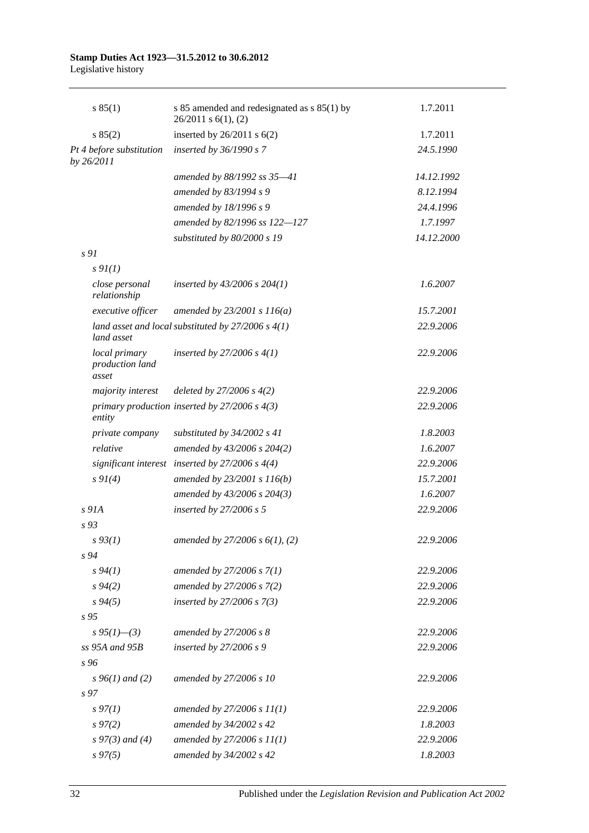## **Stamp Duties Act 1923—31.5.2012 to 30.6.2012**

Legislative history

| s 85(1)                                   | s 85 amended and redesignated as s 85(1) by<br>$26/2011$ s $6(1)$ , (2) | 1.7.2011   |
|-------------------------------------------|-------------------------------------------------------------------------|------------|
| s 85(2)                                   | inserted by $26/2011$ s $6(2)$                                          | 1.7.2011   |
| Pt 4 before substitution<br>by 26/2011    | inserted by 36/1990 s 7                                                 | 24.5.1990  |
|                                           | amended by 88/1992 ss 35-41                                             | 14.12.1992 |
|                                           | amended by 83/1994 s 9                                                  | 8.12.1994  |
|                                           | amended by 18/1996 s 9                                                  | 24.4.1996  |
|                                           | amended by 82/1996 ss 122-127                                           | 1.7.1997   |
|                                           | substituted by 80/2000 s 19                                             | 14.12.2000 |
| s 91                                      |                                                                         |            |
| $s \mathcal{Q}_I(I)$                      |                                                                         |            |
| close personal<br>relationship            | inserted by $43/2006$ s $204(1)$                                        | 1.6.2007   |
| executive officer                         | amended by $23/2001 s 116(a)$                                           | 15.7.2001  |
| land asset                                | land asset and local substituted by $27/2006$ s $4(1)$                  | 22.9.2006  |
| local primary<br>production land<br>asset | inserted by 27/2006 s $4(1)$                                            | 22.9.2006  |
| majority interest                         | deleted by $27/2006 s 4(2)$                                             | 22.9.2006  |
| entity                                    | primary production inserted by $27/2006$ s $4(3)$                       | 22.9.2006  |
| private company                           | substituted by $34/2002$ s 41                                           | 1.8.2003   |
| relative                                  | amended by 43/2006 s 204(2)                                             | 1.6.2007   |
|                                           | significant interest inserted by $27/2006$ s $4(4)$                     | 22.9.2006  |
| $s \, 9I(4)$                              | amended by 23/2001 s 116(b)                                             | 15.7.2001  |
|                                           | amended by 43/2006 s 204(3)                                             | 1.6.2007   |
| $s$ 91A                                   | inserted by $27/2006 s 5$                                               | 22.9.2006  |
| $s\,93$                                   |                                                                         |            |
| $s\,93(1)$                                | amended by $27/2006 s 6(1), (2)$                                        | 22.9.2006  |
| s 94                                      |                                                                         |            |
| s 94(1)                                   | amended by 27/2006 s 7(1)                                               | 22.9.2006  |
| $s\,94(2)$                                | amended by 27/2006 s 7(2)                                               | 22.9.2006  |
| $s\,94(5)$                                | inserted by $27/2006 s 7(3)$                                            | 22.9.2006  |
| s 95                                      |                                                                         |            |
| $s\,95(1)$ —(3)                           | amended by 27/2006 s 8                                                  | 22.9.2006  |
| $ss$ 95A and 95B                          | inserted by 27/2006 s 9                                                 | 22.9.2006  |
| s 96                                      |                                                                         |            |
| $s\,96(1)$ and (2)                        | amended by 27/2006 s 10                                                 | 22.9.2006  |
| s <sub>97</sub>                           |                                                                         |            |
| $s\,97(1)$                                | amended by $27/2006 s 11(1)$                                            | 22.9.2006  |
| $s\,97(2)$                                | amended by 34/2002 s 42                                                 | 1.8.2003   |
| $s\,97(3)$ and (4)                        | amended by $27/2006 s 11(1)$                                            | 22.9.2006  |
| $s\,97(5)$                                | amended by 34/2002 s 42                                                 | 1.8.2003   |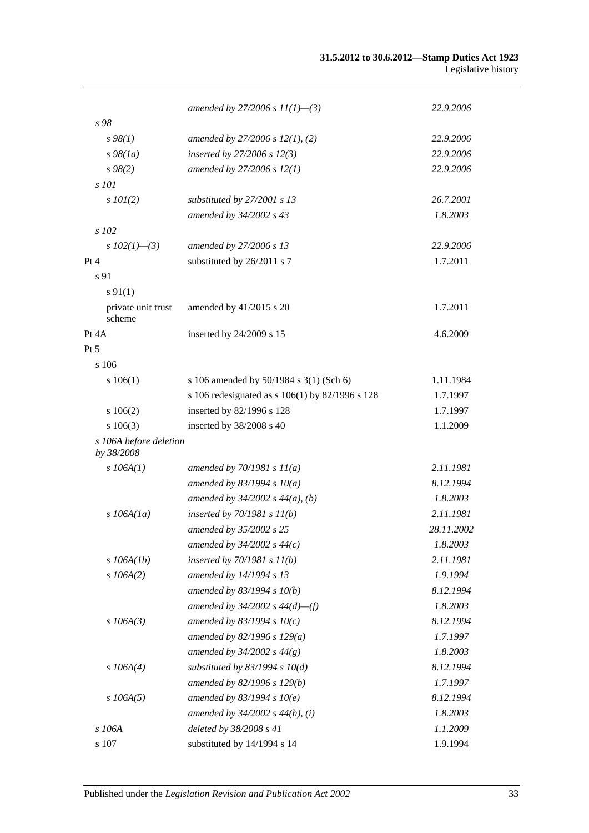|                                      | amended by 27/2006 s $11(1)$ —(3)               | 22.9.2006  |
|--------------------------------------|-------------------------------------------------|------------|
| s 98                                 |                                                 |            |
| $s\,98(1)$                           | amended by $27/2006$ s $12(1)$ , (2)            | 22.9.2006  |
| $s\,98(1a)$                          | inserted by $27/2006 s 12(3)$                   | 22.9.2006  |
| $s\,98(2)$                           | amended by 27/2006 s 12(1)                      | 22.9.2006  |
| s 101                                |                                                 |            |
| $s$ 101(2)                           | substituted by 27/2001 s 13                     | 26.7.2001  |
|                                      | amended by 34/2002 s 43                         | 1.8.2003   |
| s 102                                |                                                 |            |
| s $102(1)$ —(3)                      | amended by 27/2006 s 13                         | 22.9.2006  |
| Pt 4                                 | substituted by 26/2011 s 7                      | 1.7.2011   |
| s 91                                 |                                                 |            |
| $s\,91(1)$                           |                                                 |            |
| private unit trust                   | amended by 41/2015 s 20                         | 1.7.2011   |
| scheme                               |                                                 |            |
| Pt 4A                                | inserted by 24/2009 s 15                        | 4.6.2009   |
| $Pt\,5$                              |                                                 |            |
| s 106                                |                                                 |            |
| s 106(1)                             | s 106 amended by 50/1984 s 3(1) (Sch 6)         | 1.11.1984  |
|                                      | s 106 redesignated as s 106(1) by 82/1996 s 128 | 1.7.1997   |
| 106(2)                               | inserted by 82/1996 s 128                       | 1.7.1997   |
| $s\ 106(3)$                          | inserted by 38/2008 s 40                        | 1.1.2009   |
| s 106A before deletion<br>by 38/2008 |                                                 |            |
| $s$ 106A(1)                          | amended by $70/1981 s 11(a)$                    | 2.11.1981  |
|                                      | amended by 83/1994 s $10(a)$                    | 8.12.1994  |
|                                      | amended by $34/2002$ s $44(a)$ , (b)            | 1.8.2003   |
| $s$ 106A(1a)                         | inserted by $70/1981 s 11(b)$                   | 2.11.1981  |
|                                      | amended by 35/2002 s 25                         | 28.11.2002 |
|                                      | amended by $34/2002$ s $44(c)$                  | 1.8.2003   |
| $s$ 106A(1b)                         | inserted by $70/1981 s 11(b)$                   | 2.11.1981  |
| $s$ 106A(2)                          | amended by 14/1994 s 13                         | 1.9.1994   |
|                                      | amended by $83/1994 s 10(b)$                    | 8.12.1994  |
|                                      | amended by $34/2002$ s $44(d)$ —(f)             | 1.8.2003   |
| $s$ 106A(3)                          | amended by 83/1994 s $10(c)$                    | 8.12.1994  |
|                                      | amended by $82/1996 s 129(a)$                   | 1.7.1997   |
|                                      | amended by $34/2002 s 44(g)$                    | 1.8.2003   |
| $s$ 106A(4)                          | substituted by $83/1994$ s $10(d)$              | 8.12.1994  |
|                                      | amended by 82/1996 s 129(b)                     | 1.7.1997   |
| $s$ 106A(5)                          | amended by $83/1994 s 10(e)$                    | 8.12.1994  |
|                                      | amended by $34/2002$ s $44(h)$ , (i)            | 1.8.2003   |
| s 106A                               | deleted by 38/2008 s 41                         | 1.1.2009   |
| s 107                                | substituted by 14/1994 s 14                     | 1.9.1994   |
|                                      |                                                 |            |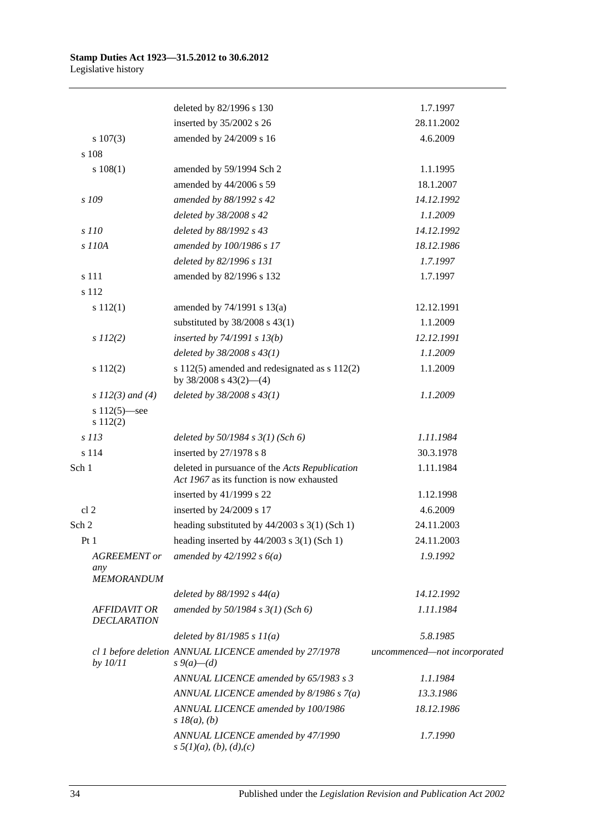|                                                 | deleted by 82/1996 s 130                                                                    | 1.7.1997                     |
|-------------------------------------------------|---------------------------------------------------------------------------------------------|------------------------------|
|                                                 | inserted by 35/2002 s 26                                                                    | 28.11.2002                   |
| $s\ 107(3)$                                     | amended by 24/2009 s 16                                                                     | 4.6.2009                     |
| s 108                                           |                                                                                             |                              |
| s 108(1)                                        | amended by 59/1994 Sch 2                                                                    | 1.1.1995                     |
|                                                 | amended by 44/2006 s 59                                                                     | 18.1.2007                    |
| s 109                                           | amended by 88/1992 s 42                                                                     | 14.12.1992                   |
|                                                 | deleted by 38/2008 s 42                                                                     | 1.1.2009                     |
| s 110                                           | deleted by 88/1992 s 43                                                                     | 14.12.1992                   |
| s 110A                                          | amended by 100/1986 s 17                                                                    | 18.12.1986                   |
|                                                 | deleted by 82/1996 s 131                                                                    | 1.7.1997                     |
| s 111                                           | amended by 82/1996 s 132                                                                    | 1.7.1997                     |
| s 112                                           |                                                                                             |                              |
| s 112(1)                                        | amended by 74/1991 s 13(a)                                                                  | 12.12.1991                   |
|                                                 | substituted by $38/2008$ s $43(1)$                                                          | 1.1.2009                     |
| $s\ 112(2)$                                     | inserted by $74/1991 s 13(b)$                                                               | 12.12.1991                   |
|                                                 | deleted by $38/2008 s 43(1)$                                                                | 1.1.2009                     |
| s112(2)                                         | s 112(5) amended and redesignated as s 112(2)<br>by $38/2008$ s $43(2)$ —(4)                | 1.1.2009                     |
| s $112(3)$ and (4)                              | deleted by $38/2008 s 43(1)$                                                                | 1.1.2009                     |
| s $112(5)$ —see<br>s 112(2)                     |                                                                                             |                              |
| $s$ 113                                         | deleted by $50/1984$ s $3(1)$ (Sch 6)                                                       | 1.11.1984                    |
| s 114                                           | inserted by $27/1978$ s 8                                                                   | 30.3.1978                    |
| Sch 1                                           | deleted in pursuance of the Acts Republication<br>Act 1967 as its function is now exhausted | 1.11.1984                    |
|                                                 | inserted by $41/1999$ s 22                                                                  | 1.12.1998                    |
| cl <sub>2</sub>                                 | inserted by 24/2009 s 17                                                                    | 4.6.2009                     |
| Sch 2                                           | heading substituted by $44/2003$ s 3(1) (Sch 1)                                             | 24.11.2003                   |
| Pt1                                             | heading inserted by $44/2003$ s 3(1) (Sch 1)                                                | 24.11.2003                   |
| <b>AGREEMENT</b> or<br>any<br><b>MEMORANDUM</b> | amended by $42/1992 s 6(a)$                                                                 | 1.9.1992                     |
|                                                 | deleted by $88/1992 s 44(a)$                                                                | 14.12.1992                   |
| <b>AFFIDAVIT OR</b><br><b>DECLARATION</b>       | amended by 50/1984 s 3(1) (Sch 6)                                                           | 1.11.1984                    |
|                                                 | deleted by $81/1985 s 11(a)$                                                                | 5.8.1985                     |
| by $10/11$                                      | cl 1 before deletion ANNUAL LICENCE amended by 27/1978<br>$s \, 9(a) - (d)$                 | uncommenced-not incorporated |
|                                                 | ANNUAL LICENCE amended by 65/1983 s 3                                                       | 1.1.1984                     |
|                                                 | ANNUAL LICENCE amended by $8/1986 s 7(a)$                                                   | 13.3.1986                    |
|                                                 | ANNUAL LICENCE amended by 100/1986<br>$s\,18(a), (b)$                                       | 18.12.1986                   |
|                                                 | ANNUAL LICENCE amended by 47/1990<br>$s \frac{5}{1}(a), (b), (d), (c)$                      | 1.7.1990                     |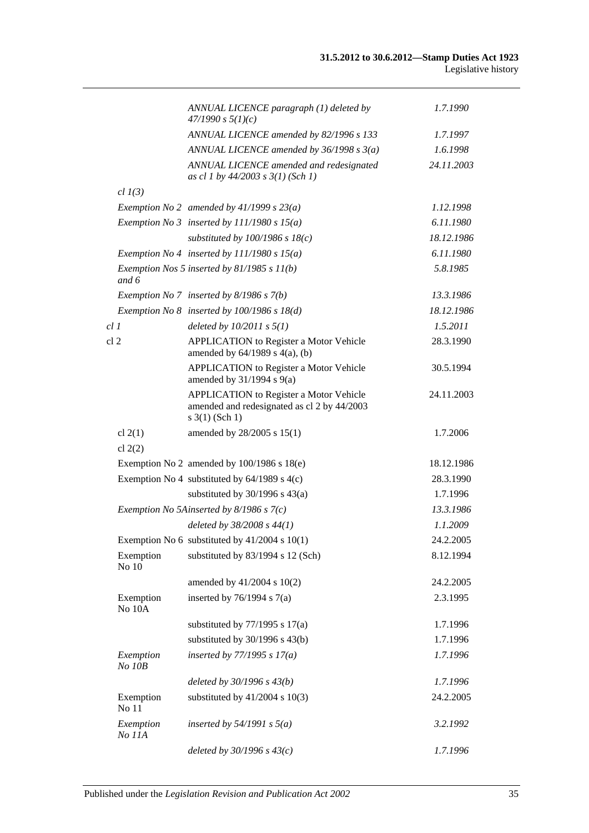|                 |                        | ANNUAL LICENCE paragraph (1) deleted by<br>47/1990 s 5(1)(c)                                                         | 1.7.1990   |
|-----------------|------------------------|----------------------------------------------------------------------------------------------------------------------|------------|
|                 |                        | ANNUAL LICENCE amended by 82/1996 s 133                                                                              | 1.7.1997   |
|                 |                        | ANNUAL LICENCE amended by $36/1998 s 3(a)$                                                                           | 1.6.1998   |
|                 |                        | ANNUAL LICENCE amended and redesignated<br>as cl 1 by $44/2003$ s $3(1)$ (Sch 1)                                     | 24.11.2003 |
|                 | $cl$ $I(3)$            |                                                                                                                      |            |
|                 |                        | Exemption No 2 amended by $41/1999$ s $23(a)$                                                                        | 1.12.1998  |
|                 |                        | Exemption No 3 inserted by $111/1980 s 15(a)$                                                                        | 6.11.1980  |
|                 |                        | substituted by $100/1986$ s $18(c)$                                                                                  | 18.12.1986 |
|                 |                        | Exemption No 4 inserted by $111/1980 s 15(a)$                                                                        | 6.11.1980  |
|                 | and 6                  | Exemption Nos 5 inserted by $81/1985 s 11(b)$                                                                        | 5.8.1985   |
|                 |                        | Exemption No 7 inserted by 8/1986 s 7(b)                                                                             | 13.3.1986  |
|                 |                        | Exemption No $8$ inserted by 100/1986 s 18(d)                                                                        | 18.12.1986 |
| cl1             |                        | deleted by $10/2011$ s $5(1)$                                                                                        | 1.5.2011   |
| cl <sub>2</sub> |                        | <b>APPLICATION</b> to Register a Motor Vehicle<br>amended by $64/1989$ s $4(a)$ , (b)                                | 28.3.1990  |
|                 |                        | <b>APPLICATION</b> to Register a Motor Vehicle<br>amended by $31/1994$ s $9(a)$                                      | 30.5.1994  |
|                 |                        | <b>APPLICATION</b> to Register a Motor Vehicle<br>amended and redesignated as cl 2 by 44/2003<br>$s \; 3(1)$ (Sch 1) | 24.11.2003 |
|                 | cl $2(1)$<br>cl $2(2)$ | amended by 28/2005 s 15(1)                                                                                           | 1.7.2006   |
|                 |                        | Exemption No 2 amended by $100/1986$ s $18(e)$                                                                       | 18.12.1986 |
|                 |                        | Exemption No 4 substituted by $64/1989$ s $4(c)$                                                                     | 28.3.1990  |
|                 |                        | substituted by $30/1996$ s $43(a)$                                                                                   | 1.7.1996   |
|                 |                        | Exemption No 5Ainserted by $8/1986$ s $7(c)$                                                                         | 13.3.1986  |
|                 |                        | deleted by $38/2008 s 44(1)$                                                                                         | 1.1.2009   |
|                 |                        | Exemption No 6 substituted by $41/2004$ s $10(1)$                                                                    | 24.2.2005  |
|                 | Exemption<br>No 10     | substituted by 83/1994 s 12 (Sch)                                                                                    | 8.12.1994  |
|                 |                        | amended by $41/2004$ s $10(2)$                                                                                       | 24.2.2005  |
|                 | Exemption<br>No 10A    | inserted by $76/1994$ s $7(a)$                                                                                       | 2.3.1995   |
|                 |                        | substituted by $77/1995$ s $17(a)$                                                                                   | 1.7.1996   |
|                 |                        | substituted by $30/1996$ s $43(b)$                                                                                   | 1.7.1996   |
|                 | Exemption<br>No 10B    | inserted by $77/1995 s 17(a)$                                                                                        | 1.7.1996   |
|                 |                        | deleted by $30/1996 s 43(b)$                                                                                         | 1.7.1996   |
|                 | Exemption<br>No 11     | substituted by $41/2004$ s $10(3)$                                                                                   | 24.2.2005  |
|                 | Exemption<br>No 11A    | inserted by $54/1991$ s $5(a)$                                                                                       | 3.2.1992   |
|                 |                        | deleted by $30/1996 s 43(c)$                                                                                         | 1.7.1996   |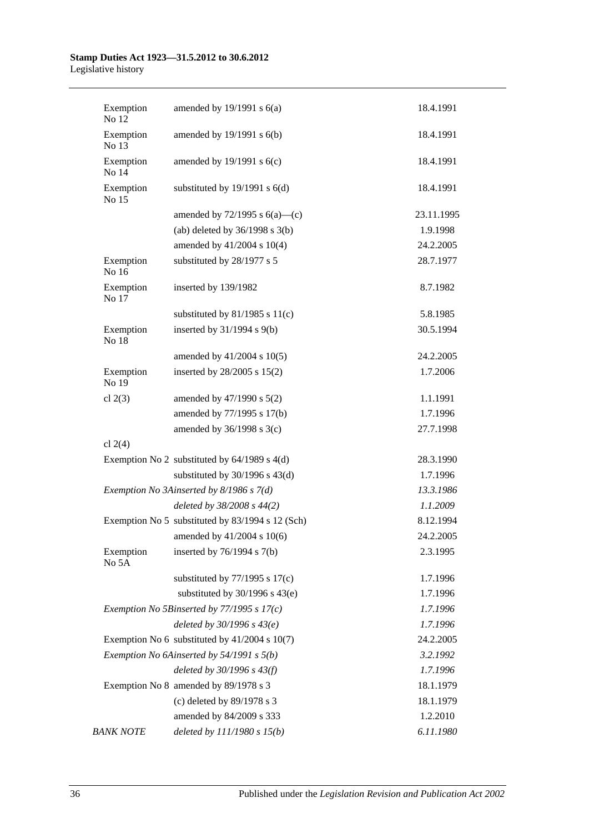| Exemption<br>No 12 | amended by $19/1991$ s $6(a)$                    | 18.4.1991  |
|--------------------|--------------------------------------------------|------------|
| Exemption<br>No 13 | amended by 19/1991 s 6(b)                        | 18.4.1991  |
| Exemption<br>No 14 | amended by $19/1991$ s $6(c)$                    | 18.4.1991  |
| Exemption<br>No 15 | substituted by $19/1991$ s $6(d)$                | 18.4.1991  |
|                    | amended by $72/1995$ s $6(a)$ —(c)               | 23.11.1995 |
|                    | (ab) deleted by $36/1998$ s $3(b)$               | 1.9.1998   |
|                    | amended by 41/2004 s 10(4)                       | 24.2.2005  |
| Exemption<br>No 16 | substituted by 28/1977 s 5                       | 28.7.1977  |
| Exemption<br>No 17 | inserted by 139/1982                             | 8.7.1982   |
|                    | substituted by $81/1985$ s $11(c)$               | 5.8.1985   |
| Exemption<br>No 18 | inserted by 31/1994 s 9(b)                       | 30.5.1994  |
|                    | amended by 41/2004 s 10(5)                       | 24.2.2005  |
| Exemption<br>No 19 | inserted by 28/2005 s 15(2)                      | 1.7.2006   |
| cl $2(3)$          | amended by 47/1990 s 5(2)                        | 1.1.1991   |
|                    | amended by 77/1995 s 17(b)                       | 1.7.1996   |
|                    | amended by 36/1998 s 3(c)                        | 27.7.1998  |
| cl $2(4)$          |                                                  |            |
|                    | Exemption No 2 substituted by $64/1989$ s $4(d)$ | 28.3.1990  |
|                    | substituted by $30/1996$ s $43(d)$               | 1.7.1996   |
|                    | Exemption No 3Ainserted by 8/1986 s 7(d)         | 13.3.1986  |
|                    | deleted by 38/2008 s 44(2)                       | 1.1.2009   |
|                    | Exemption No 5 substituted by 83/1994 s 12 (Sch) | 8.12.1994  |
|                    | amended by $41/2004$ s $10(6)$                   | 24.2.2005  |
| Exemption<br>No 5A | inserted by $76/1994$ s $7(b)$                   | 2.3.1995   |
|                    | substituted by $77/1995$ s $17(c)$               | 1.7.1996   |
|                    | substituted by $30/1996$ s $43(e)$               | 1.7.1996   |
|                    | Exemption No 5Binserted by 77/1995 s 17(c)       | 1.7.1996   |
|                    | deleted by $30/1996 s 43(e)$                     | 1.7.1996   |
|                    | Exemption No 6 substituted by 41/2004 s 10(7)    | 24.2.2005  |
|                    | Exemption No 6Ainserted by 54/1991 s 5(b)        | 3.2.1992   |
|                    | deleted by $30/1996 s 43(f)$                     | 1.7.1996   |
|                    | Exemption No 8 amended by 89/1978 s 3            | 18.1.1979  |
|                    | (c) deleted by 89/1978 s 3                       | 18.1.1979  |
|                    | amended by 84/2009 s 333                         | 1.2.2010   |
| <b>BANK NOTE</b>   | deleted by $111/1980 s 15(b)$                    | 6.11.1980  |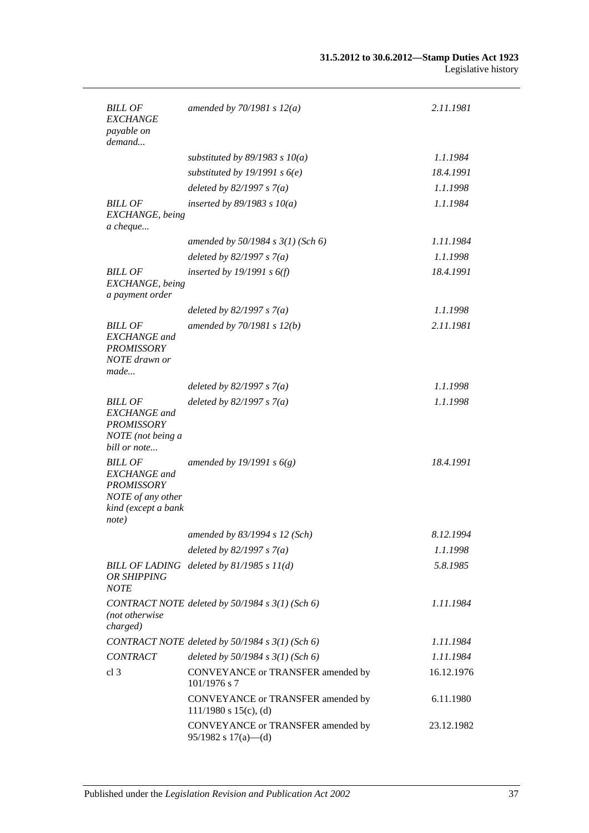| <b>BILL OF</b><br><b>EXCHANGE</b><br>payable on<br>demand                                                       | amended by $70/1981 s 12(a)$                                    | 2.11.1981  |
|-----------------------------------------------------------------------------------------------------------------|-----------------------------------------------------------------|------------|
|                                                                                                                 | substituted by $89/1983$ s $10(a)$                              | 1.1.1984   |
|                                                                                                                 | substituted by 19/1991 s $6(e)$                                 | 18.4.1991  |
|                                                                                                                 | deleted by $82/1997 s 7(a)$                                     | 1.1.1998   |
| <b>BILL OF</b><br>EXCHANGE, being<br>a cheque                                                                   | inserted by $89/1983$ s $10(a)$                                 | 1.1.1984   |
|                                                                                                                 | amended by $50/1984$ s $3(1)$ (Sch 6)                           | 1.11.1984  |
|                                                                                                                 | deleted by $82/1997 s 7(a)$                                     | 1.1.1998   |
| <b>BILL OF</b><br>EXCHANGE, being<br>a payment order                                                            | inserted by $19/1991 s 6(f)$                                    | 18.4.1991  |
|                                                                                                                 | deleted by $82/1997 s 7(a)$                                     | 1.1.1998   |
| <b>BILL OF</b><br><b>EXCHANGE</b> and<br><b>PROMISSORY</b><br>NOTE drawn or<br>made                             | amended by $70/1981 s 12(b)$                                    | 2.11.1981  |
|                                                                                                                 | deleted by $82/1997 s 7(a)$                                     | 1.1.1998   |
| <b>BILL OF</b><br><b>EXCHANGE</b> and<br><b>PROMISSORY</b><br>NOTE (not being a<br>bill or note                 | deleted by $82/1997 s 7(a)$                                     | 1.1.1998   |
| <b>BILL OF</b><br><b>EXCHANGE</b> and<br><b>PROMISSORY</b><br>NOTE of any other<br>kind (except a bank<br>note) | amended by 19/1991 s $6(g)$                                     | 18.4.1991  |
|                                                                                                                 | amended by 83/1994 s 12 (Sch)                                   | 8.12.1994  |
|                                                                                                                 | deleted by $82/1997 s 7(a)$                                     | 1.1.1998   |
| OR SHIPPING<br><b>NOTE</b>                                                                                      | BILL OF LADING deleted by 81/1985 s 11(d)                       | 5.8.1985   |
| (not otherwise<br>charged)                                                                                      | CONTRACT NOTE deleted by 50/1984 s 3(1) (Sch 6)                 | 1.11.1984  |
|                                                                                                                 | CONTRACT NOTE deleted by 50/1984 s 3(1) (Sch 6)                 | 1.11.1984  |
| <b>CONTRACT</b>                                                                                                 | deleted by $50/1984$ s $3(1)$ (Sch 6)                           | 1.11.1984  |
| cl <sub>3</sub>                                                                                                 | CONVEYANCE or TRANSFER amended by<br>$101/1976$ s 7             | 16.12.1976 |
|                                                                                                                 | CONVEYANCE or TRANSFER amended by<br>$111/1980$ s $15(c)$ , (d) | 6.11.1980  |
|                                                                                                                 | CONVEYANCE or TRANSFER amended by<br>$95/1982$ s $17(a)$ —(d)   | 23.12.1982 |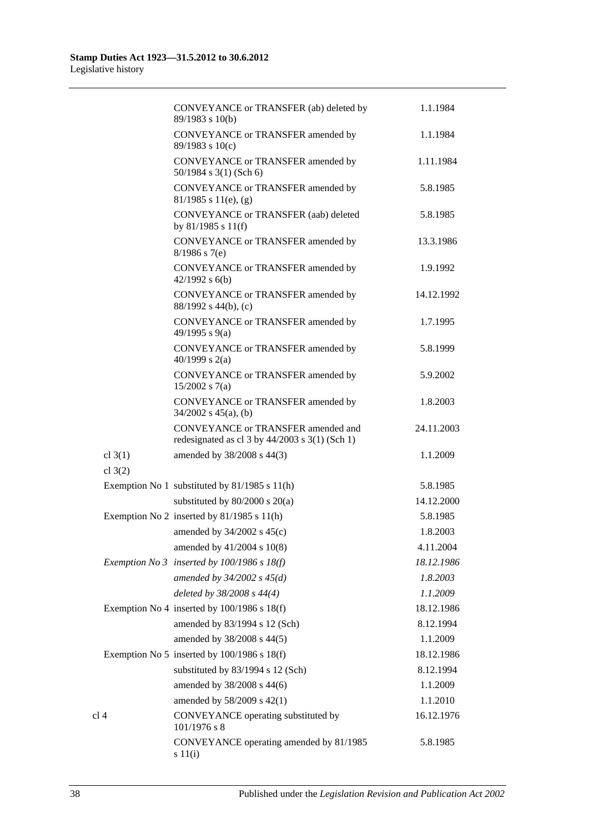|                        | CONVEYANCE or TRANSFER (ab) deleted by<br>89/1983 s 10(b)                                  | 1.1.1984   |
|------------------------|--------------------------------------------------------------------------------------------|------------|
|                        | CONVEYANCE or TRANSFER amended by<br>89/1983 s 10(c)                                       | 1.1.1984   |
|                        | CONVEYANCE or TRANSFER amended by<br>$50/1984$ s 3(1) (Sch 6)                              | 1.11.1984  |
|                        | CONVEYANCE or TRANSFER amended by<br>$81/1985$ s $11(e)$ , (g)                             | 5.8.1985   |
|                        | <b>CONVEYANCE or TRANSFER (aab) deleted</b><br>by $81/1985$ s $11(f)$                      | 5.8.1985   |
|                        | CONVEYANCE or TRANSFER amended by<br>$8/1986$ s 7(e)                                       | 13.3.1986  |
|                        | CONVEYANCE or TRANSFER amended by<br>$42/1992$ s $6(b)$                                    | 1.9.1992   |
|                        | CONVEYANCE or TRANSFER amended by<br>88/1992 s 44(b), (c)                                  | 14.12.1992 |
|                        | CONVEYANCE or TRANSFER amended by<br>49/1995 s 9(a)                                        | 1.7.1995   |
|                        | CONVEYANCE or TRANSFER amended by<br>40/1999 s $2(a)$                                      | 5.8.1999   |
|                        | CONVEYANCE or TRANSFER amended by<br>$15/2002$ s 7(a)                                      | 5.9.2002   |
|                        | CONVEYANCE or TRANSFER amended by<br>$34/2002$ s $45(a)$ , (b)                             | 1.8.2003   |
|                        | CONVEYANCE or TRANSFER amended and<br>redesignated as cl $3$ by $44/2003$ s $3(1)$ (Sch 1) | 24.11.2003 |
| cl $3(1)$<br>cl $3(2)$ | amended by 38/2008 s 44(3)                                                                 | 1.1.2009   |
|                        | Exemption No 1 substituted by 81/1985 s 11(h)                                              | 5.8.1985   |
|                        | substituted by $80/2000$ s $20(a)$                                                         | 14.12.2000 |
|                        | Exemption No 2 inserted by $81/1985$ s $11(h)$                                             | 5.8.1985   |
|                        | amended by $34/2002$ s $45(c)$                                                             | 1.8.2003   |
|                        | amended by 41/2004 s 10(8)                                                                 | 4.11.2004  |
|                        | Exemption No 3 inserted by $100/1986$ s $18(f)$                                            | 18.12.1986 |
|                        | amended by $34/2002$ s $45(d)$                                                             | 1.8.2003   |
|                        | deleted by 38/2008 s 44(4)                                                                 | 1.1.2009   |
|                        | Exemption No 4 inserted by $100/1986$ s $18(f)$                                            | 18.12.1986 |
|                        | amended by 83/1994 s 12 (Sch)                                                              | 8.12.1994  |
|                        | amended by 38/2008 s 44(5)                                                                 | 1.1.2009   |
|                        | Exemption No 5 inserted by $100/1986$ s $18(f)$                                            | 18.12.1986 |
|                        | substituted by 83/1994 s 12 (Sch)                                                          | 8.12.1994  |
|                        | amended by 38/2008 s 44(6)                                                                 | 1.1.2009   |
|                        | amended by 58/2009 s 42(1)                                                                 | 1.1.2010   |
| cl <sub>4</sub>        | CONVEYANCE operating substituted by<br>$101/1976$ s 8                                      | 16.12.1976 |
|                        | CONVEYANCE operating amended by 81/1985<br>$s\ 11(i)$                                      | 5.8.1985   |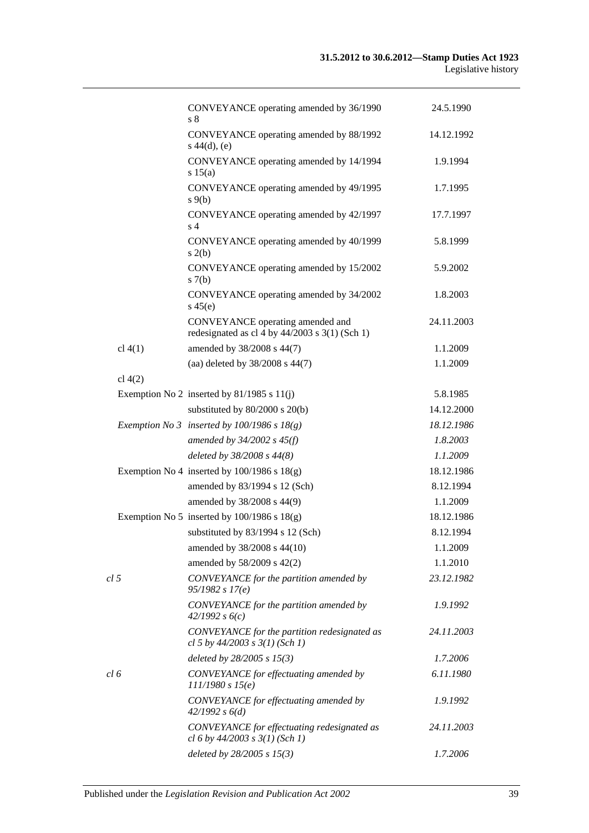|                 | CONVEYANCE operating amended by 36/1990<br>s 8                                       | 24.5.1990  |
|-----------------|--------------------------------------------------------------------------------------|------------|
|                 | CONVEYANCE operating amended by 88/1992<br>$s\ 44(d), (e)$                           | 14.12.1992 |
|                 | CONVEYANCE operating amended by 14/1994<br>s 15(a)                                   | 1.9.1994   |
|                 | CONVEYANCE operating amended by 49/1995<br>$s \theta(b)$                             | 1.7.1995   |
|                 | CONVEYANCE operating amended by 42/1997<br>s <sub>4</sub>                            | 17.7.1997  |
|                 | CONVEYANCE operating amended by 40/1999<br>s(2(b)                                    | 5.8.1999   |
|                 | CONVEYANCE operating amended by 15/2002<br>s(7(b)                                    | 5.9.2002   |
|                 | CONVEYANCE operating amended by 34/2002<br>$s\,45(e)$                                | 1.8.2003   |
|                 | CONVEYANCE operating amended and<br>redesignated as cl 4 by $44/2003$ s 3(1) (Sch 1) | 24.11.2003 |
| cl 4(1)         | amended by 38/2008 s 44(7)                                                           | 1.1.2009   |
|                 | (aa) deleted by 38/2008 s 44(7)                                                      | 1.1.2009   |
| cl $4(2)$       |                                                                                      |            |
|                 | Exemption No 2 inserted by $81/1985$ s $11(j)$                                       | 5.8.1985   |
|                 | substituted by 80/2000 s 20(b)                                                       | 14.12.2000 |
|                 | Exemption No 3 inserted by $100/1986$ s $18(g)$                                      | 18.12.1986 |
|                 | amended by $34/2002$ s $45(f)$                                                       | 1.8.2003   |
|                 | deleted by 38/2008 s 44(8)                                                           | 1.1.2009   |
|                 | Exemption No 4 inserted by $100/1986$ s $18(g)$                                      | 18.12.1986 |
|                 | amended by 83/1994 s 12 (Sch)                                                        | 8.12.1994  |
|                 | amended by 38/2008 s 44(9)                                                           | 1.1.2009   |
|                 | Exemption No 5 inserted by $100/1986$ s $18(g)$                                      | 18.12.1986 |
|                 | substituted by 83/1994 s 12 (Sch)                                                    | 8.12.1994  |
|                 | amended by 38/2008 s 44(10)                                                          | 1.1.2009   |
|                 | amended by 58/2009 s 42(2)                                                           | 1.1.2010   |
| cl <sub>5</sub> | CONVEYANCE for the partition amended by<br>95/1982 s 17(e)                           | 23.12.1982 |
|                 | CONVEYANCE for the partition amended by<br>42/1992 s6(c)                             | 1.9.1992   |
|                 | CONVEYANCE for the partition redesignated as<br>cl 5 by $44/2003$ s $3(1)$ (Sch 1)   | 24.11.2003 |
|                 | deleted by $28/2005 s 15(3)$                                                         | 1.7.2006   |
| cl 6            | CONVEYANCE for effectuating amended by<br>111/1980 s 15(e)                           | 6.11.1980  |
|                 | CONVEYANCE for effectuating amended by<br>42/1992 s 6(d)                             | 1.9.1992   |
|                 | CONVEYANCE for effectuating redesignated as<br>cl 6 by $44/2003$ s $3(1)$ (Sch 1)    | 24.11.2003 |
|                 | deleted by $28/2005 s 15(3)$                                                         | 1.7.2006   |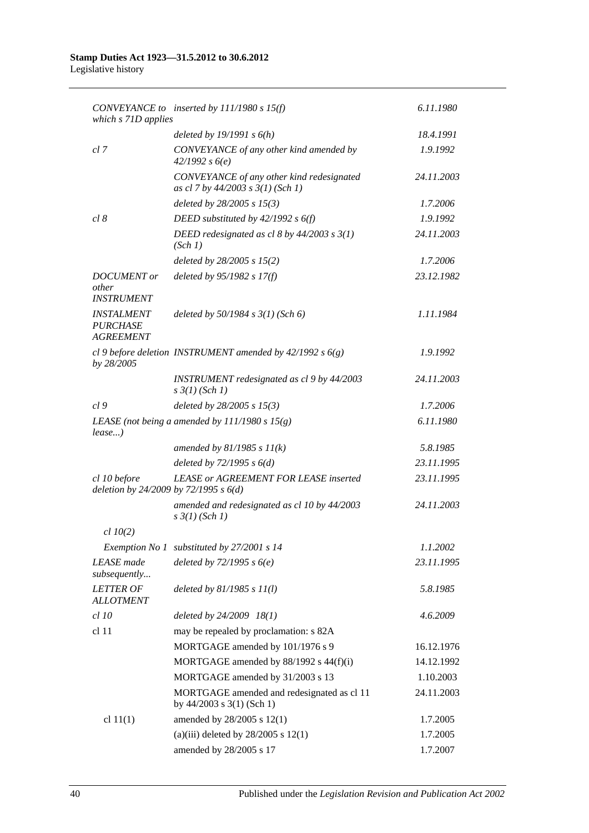| which s 71D applies                                      | CONVEYANCE to inserted by $111/1980 s 15(f)$                                   | 6.11.1980  |
|----------------------------------------------------------|--------------------------------------------------------------------------------|------------|
|                                                          | deleted by $19/1991 s 6(h)$                                                    | 18.4.1991  |
| cl 7                                                     | CONVEYANCE of any other kind amended by<br>42/1992 s6(e)                       | 1.9.1992   |
|                                                          | CONVEYANCE of any other kind redesignated<br>as cl 7 by 44/2003 s 3(1) (Sch 1) | 24.11.2003 |
|                                                          | deleted by $28/2005 s 15(3)$                                                   | 1.7.2006   |
| cl 8                                                     | DEED substituted by $42/1992 s 6(f)$                                           | 1.9.1992   |
|                                                          | DEED redesignated as cl 8 by $44/2003$ s $3(1)$<br>(Sch 1)                     | 24.11.2003 |
|                                                          | deleted by 28/2005 s 15(2)                                                     | 1.7.2006   |
| <b>DOCUMENT</b> or<br>other<br><b>INSTRUMENT</b>         | deleted by $95/1982 s 17(f)$                                                   | 23.12.1982 |
| <b>INSTALMENT</b><br><b>PURCHASE</b><br><b>AGREEMENT</b> | deleted by $50/1984$ s $3(1)$ (Sch 6)                                          | 1.11.1984  |
| by 28/2005                                               | cl 9 before deletion INSTRUMENT amended by $42/1992 s 6(g)$                    | 1.9.1992   |
|                                                          | INSTRUMENT redesignated as cl 9 by 44/2003<br>$s \frac{3}{1} (Sch 1)$          | 24.11.2003 |
| cl <sub>9</sub>                                          | deleted by $28/2005$ s $15(3)$                                                 | 1.7.2006   |
| $lease$ )                                                | LEASE (not being a amended by $111/1980 s 15(g)$ )                             | 6.11.1980  |
|                                                          | amended by $81/1985 s 11(k)$                                                   | 5.8.1985   |
|                                                          | deleted by $72/1995 s 6(d)$                                                    | 23.11.1995 |
| cl 10 before<br>deletion by 24/2009 by 72/1995 s 6(d)    | <b>LEASE or AGREEMENT FOR LEASE inserted</b>                                   | 23.11.1995 |
|                                                          | amended and redesignated as cl 10 by 44/2003<br>$s \frac{3}{1} (Sch 1)$        | 24.11.2003 |
| $cl$ 10(2)                                               |                                                                                |            |
|                                                          | Exemption No 1 substituted by 27/2001 s 14                                     | 1.1.2002   |
| <b>LEASE</b> made<br>subsequently                        | deleted by $72/1995 s6(e)$                                                     | 23.11.1995 |
| <b>LETTER OF</b><br><b>ALLOTMENT</b>                     | deleted by $81/1985 s 11(l)$                                                   | 5.8.1985   |
| <i>cl 10</i>                                             | deleted by 24/2009 18(1)                                                       | 4.6.2009   |
| cl 11                                                    | may be repealed by proclamation: s 82A                                         |            |
|                                                          | MORTGAGE amended by 101/1976 s 9                                               | 16.12.1976 |
|                                                          | MORTGAGE amended by 88/1992 s 44(f)(i)                                         | 14.12.1992 |
|                                                          | MORTGAGE amended by 31/2003 s 13                                               | 1.10.2003  |
|                                                          | MORTGAGE amended and redesignated as cl 11<br>by $44/2003$ s 3(1) (Sch 1)      | 24.11.2003 |
| cl $11(1)$                                               | amended by 28/2005 s 12(1)                                                     | 1.7.2005   |
|                                                          | (a)(iii) deleted by $28/2005$ s $12(1)$                                        | 1.7.2005   |
|                                                          | amended by 28/2005 s 17                                                        | 1.7.2007   |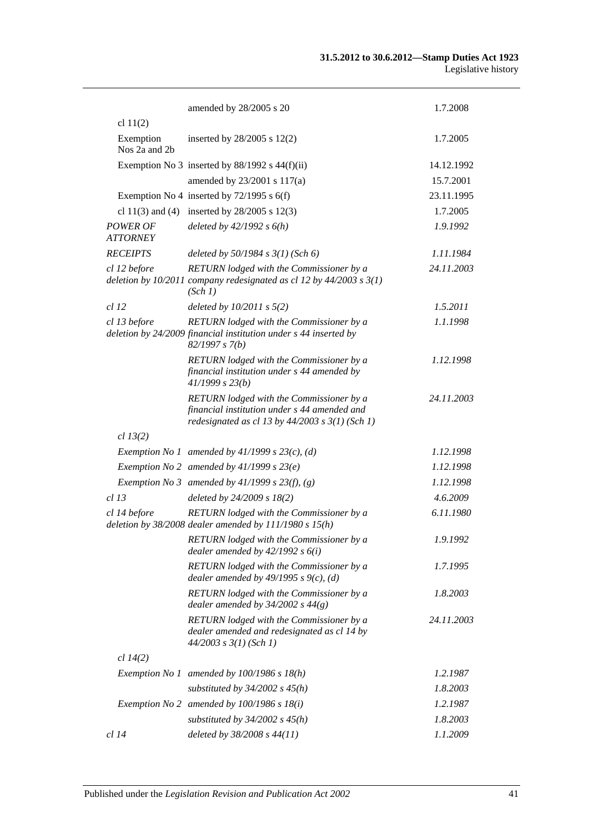|                                    | amended by 28/2005 s 20                                                                                                                         | 1.7.2008   |
|------------------------------------|-------------------------------------------------------------------------------------------------------------------------------------------------|------------|
| cl $11(2)$                         |                                                                                                                                                 |            |
| Exemption<br>Nos 2a and 2b         | inserted by $28/2005$ s $12(2)$                                                                                                                 | 1.7.2005   |
|                                    | Exemption No 3 inserted by $88/1992$ s $44(f)(ii)$                                                                                              | 14.12.1992 |
|                                    | amended by 23/2001 s 117(a)                                                                                                                     | 15.7.2001  |
|                                    | Exemption No 4 inserted by $72/1995$ s 6(f)                                                                                                     | 23.11.1995 |
|                                    | cl 11(3) and (4) inserted by $28/2005$ s 12(3)                                                                                                  | 1.7.2005   |
| <b>POWER OF</b><br><b>ATTORNEY</b> | deleted by $42/1992 s 6(h)$                                                                                                                     | 1.9.1992   |
| <b>RECEIPTS</b>                    | deleted by $50/1984$ s $3(1)$ (Sch 6)                                                                                                           | 1.11.1984  |
| cl 12 before                       | RETURN lodged with the Commissioner by a<br>deletion by $10/2011$ company redesignated as cl 12 by $44/2003$ s $3(1)$<br>(Sch 1)                | 24.11.2003 |
| <i>cl</i> 12                       | deleted by $10/2011$ s $5(2)$                                                                                                                   | 1.5.2011   |
| cl 13 before                       | RETURN lodged with the Commissioner by a<br>deletion by 24/2009 financial institution under s 44 inserted by<br>82/1997 s 7(b)                  | 1.1.1998   |
|                                    | RETURN lodged with the Commissioner by a<br>financial institution under s 44 amended by<br>41/1999 s 23(b)                                      | 1.12.1998  |
|                                    | RETURN lodged with the Commissioner by a<br>financial institution under s 44 amended and<br>redesignated as cl 13 by $44/2003$ s $3(1)$ (Sch 1) | 24.11.2003 |
| cl 13(2)                           |                                                                                                                                                 |            |
|                                    | Exemption No 1 amended by $41/1999$ s $23(c)$ , (d)                                                                                             | 1.12.1998  |
|                                    | Exemption No 2 amended by $41/1999 s 23(e)$                                                                                                     | 1.12.1998  |
|                                    | Exemption No 3 amended by $41/1999$ s $23(f)$ , (g)                                                                                             | 1.12.1998  |
| $cl$ 13                            | deleted by 24/2009 s 18(2)                                                                                                                      | 4.6.2009   |
| cl 14 before                       | RETURN lodged with the Commissioner by a<br>deletion by $38/2008$ dealer amended by $111/1980$ s $15(h)$                                        | 6.11.1980  |
|                                    | RETURN lodged with the Commissioner by a<br>dealer amended by $42/1992 s 6(i)$                                                                  | 1.9.1992   |
|                                    | RETURN lodged with the Commissioner by a<br>dealer amended by $49/1995$ s $9(c)$ , (d)                                                          | 1.7.1995   |
|                                    | RETURN lodged with the Commissioner by a<br>dealer amended by $34/2002$ s $44(g)$                                                               | 1.8.2003   |
|                                    | RETURN lodged with the Commissioner by a<br>dealer amended and redesignated as cl 14 by<br>$44/2003$ s $3(1)$ (Sch 1)                           | 24.11.2003 |
| cl 14(2)                           |                                                                                                                                                 |            |
|                                    | Exemption No 1 amended by $100/1986$ s $18(h)$                                                                                                  | 1.2.1987   |
|                                    | substituted by $34/2002$ s $45(h)$                                                                                                              | 1.8.2003   |
|                                    | Exemption No 2 amended by $100/1986$ s $18(i)$                                                                                                  | 1.2.1987   |
|                                    | substituted by $34/2002$ s $45(h)$                                                                                                              | 1.8.2003   |
| cl 14                              | deleted by 38/2008 s 44(11)                                                                                                                     | 1.1.2009   |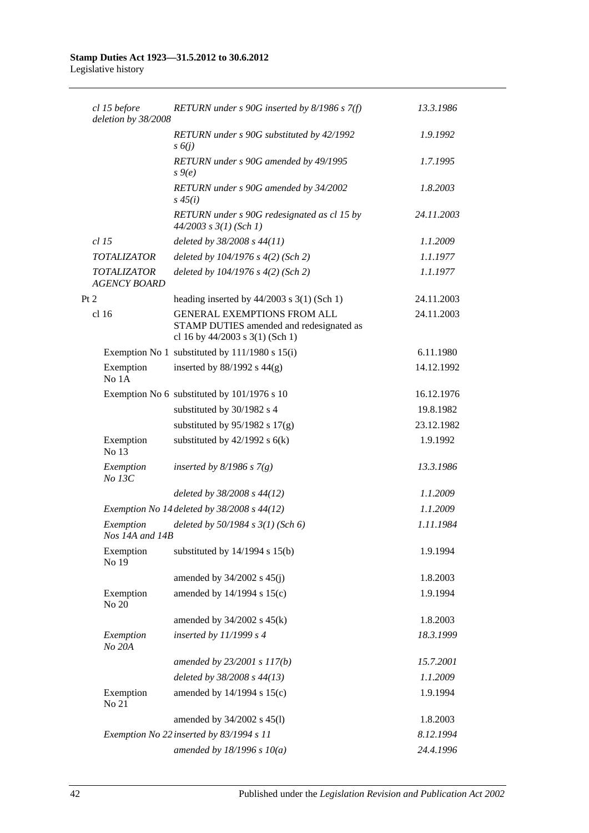| cl 15 before<br>deletion by 38/2008       | RETURN under $s$ 90G inserted by 8/1986 $s$ 7(f)                                                                  | 13.3.1986  |
|-------------------------------------------|-------------------------------------------------------------------------------------------------------------------|------------|
|                                           | RETURN under s 90G substituted by 42/1992<br>s(6j)                                                                | 1.9.1992   |
|                                           | RETURN under s 90G amended by 49/1995<br>$s \theta(e)$                                                            | 1.7.1995   |
|                                           | RETURN under s 90G amended by 34/2002<br>$s\,45(i)$                                                               | 1.8.2003   |
|                                           | RETURN under s 90G redesignated as cl 15 by<br>$44/2003$ s $3(1)$ (Sch 1)                                         | 24.11.2003 |
| $cl$ 15                                   | deleted by 38/2008 s 44(11)                                                                                       | 1.1.2009   |
| <b>TOTALIZATOR</b>                        | deleted by 104/1976 s 4(2) (Sch 2)                                                                                | 1.1.1977   |
| <b>TOTALIZATOR</b><br><b>AGENCY BOARD</b> | deleted by $104/1976$ s $4(2)$ (Sch 2)                                                                            | 1.1.1977   |
| Pt 2                                      | heading inserted by $44/2003$ s 3(1) (Sch 1)                                                                      | 24.11.2003 |
| cl 16                                     | <b>GENERAL EXEMPTIONS FROM ALL</b><br>STAMP DUTIES amended and redesignated as<br>cl 16 by 44/2003 s 3(1) (Sch 1) | 24.11.2003 |
|                                           | Exemption No 1 substituted by $111/1980$ s $15(i)$                                                                | 6.11.1980  |
| Exemption<br>No 1A                        | inserted by $88/1992$ s $44(g)$                                                                                   | 14.12.1992 |
|                                           | Exemption No 6 substituted by 101/1976 s 10                                                                       | 16.12.1976 |
|                                           | substituted by 30/1982 s 4                                                                                        | 19.8.1982  |
|                                           | substituted by $95/1982$ s $17(g)$                                                                                | 23.12.1982 |
| Exemption<br>No 13                        | substituted by $42/1992$ s $6(k)$                                                                                 | 1.9.1992   |
| Exemption<br>No 13C                       | inserted by $8/1986$ s $7(g)$                                                                                     | 13.3.1986  |
|                                           | deleted by $38/2008$ s $44(12)$                                                                                   | 1.1.2009   |
|                                           | Exemption No 14 deleted by $38/2008$ s $44(12)$                                                                   | 1.1.2009   |
| Exemption<br>Nos 14A and 14B              | deleted by $50/1984$ s $3(1)$ (Sch 6)                                                                             | 1.11.1984  |
| Exemption<br>No 19                        | substituted by $14/1994$ s $15(b)$                                                                                | 1.9.1994   |
|                                           | amended by $34/2002$ s $45(j)$                                                                                    | 1.8.2003   |
| Exemption<br>No 20                        | amended by 14/1994 s 15(c)                                                                                        | 1.9.1994   |
|                                           | amended by $34/2002$ s $45(k)$                                                                                    | 1.8.2003   |
| Exemption<br>No 20A                       | inserted by $11/1999 s 4$                                                                                         | 18.3.1999  |
|                                           | amended by 23/2001 s 117(b)                                                                                       | 15.7.2001  |
|                                           | deleted by 38/2008 s 44(13)                                                                                       | 1.1.2009   |
| Exemption<br>No 21                        | amended by 14/1994 s 15(c)                                                                                        | 1.9.1994   |
|                                           | amended by 34/2002 s 45(l)                                                                                        | 1.8.2003   |
|                                           | Exemption No 22 inserted by 83/1994 s 11                                                                          | 8.12.1994  |
|                                           | amended by $18/1996 s 10(a)$                                                                                      | 24.4.1996  |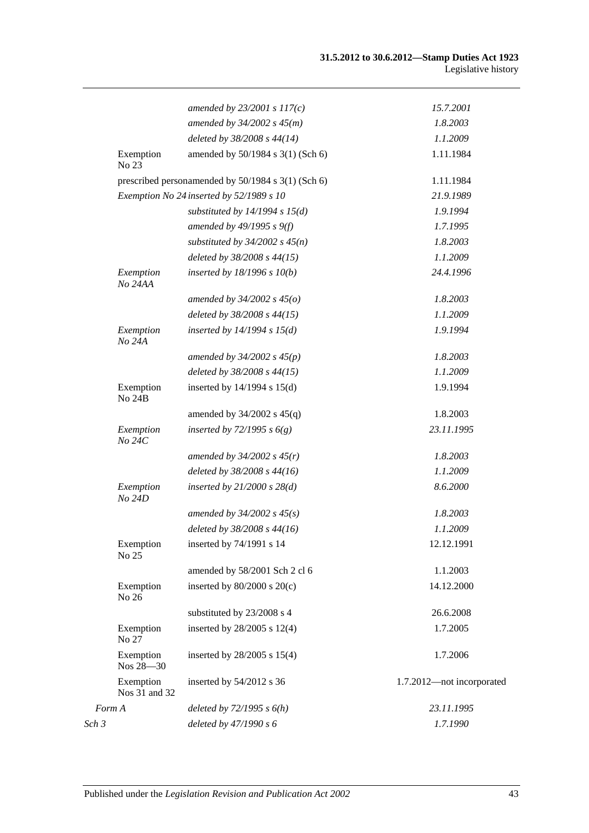|       |                            | amended by $23/2001 s 117(c)$                      | 15.7.2001                 |
|-------|----------------------------|----------------------------------------------------|---------------------------|
|       |                            | amended by $34/2002 s 45(m)$                       | 1.8.2003                  |
|       |                            | deleted by 38/2008 s 44(14)                        | 1.1.2009                  |
|       | Exemption<br>No 23         | amended by 50/1984 s 3(1) (Sch 6)                  | 1.11.1984                 |
|       |                            | prescribed personamended by 50/1984 s 3(1) (Sch 6) | 1.11.1984                 |
|       |                            | Exemption No 24 inserted by 52/1989 s 10           | 21.9.1989                 |
|       |                            | substituted by $14/1994 s 15(d)$                   | 1.9.1994                  |
|       |                            | amended by $49/1995 s 9(f)$                        | 1.7.1995                  |
|       |                            | substituted by $34/2002$ s $45(n)$                 | 1.8.2003                  |
|       |                            | deleted by 38/2008 s 44(15)                        | 1.1.2009                  |
|       | Exemption<br>No 24AA       | inserted by $18/1996 s 10(b)$                      | 24.4.1996                 |
|       |                            | amended by $34/2002 s 45(0)$                       | 1.8.2003                  |
|       |                            | deleted by 38/2008 s 44(15)                        | 1.1.2009                  |
|       | Exemption<br>No 24A        | inserted by $14/1994$ s $15(d)$                    | 1.9.1994                  |
|       |                            | amended by $34/2002 s 45(p)$                       | 1.8.2003                  |
|       |                            | deleted by 38/2008 s 44(15)                        | 1.1.2009                  |
|       | Exemption<br><b>No 24B</b> | inserted by $14/1994$ s $15(d)$                    | 1.9.1994                  |
|       |                            | amended by $34/2002$ s $45(q)$                     | 1.8.2003                  |
|       | Exemption<br>No 24C        | inserted by $72/1995 s 6(g)$                       | 23.11.1995                |
|       |                            | amended by $34/2002$ s $45(r)$                     | 1.8.2003                  |
|       |                            | deleted by 38/2008 s 44(16)                        | 1.1.2009                  |
|       | Exemption<br>No 24D        | inserted by $21/2000$ s $28(d)$                    | 8.6.2000                  |
|       |                            | amended by $34/2002$ s $45(s)$                     | 1.8.2003                  |
|       |                            | deleted by 38/2008 s 44(16)                        | 1.1.2009                  |
|       | Exemption<br>No 25         | inserted by 74/1991 s 14                           | 12.12.1991                |
|       |                            | amended by 58/2001 Sch 2 cl 6                      | 1.1.2003                  |
|       | Exemption<br>No 26         | inserted by $80/2000$ s $20(c)$                    | 14.12.2000                |
|       |                            | substituted by 23/2008 s 4                         | 26.6.2008                 |
|       | Exemption<br>No 27         | inserted by $28/2005$ s $12(4)$                    | 1.7.2005                  |
|       | Exemption<br>Nos 28-30     | inserted by $28/2005$ s $15(4)$                    | 1.7.2006                  |
|       | Exemption<br>Nos 31 and 32 | inserted by $54/2012$ s 36                         | 1.7.2012-not incorporated |
|       | Form A                     | deleted by $72/1995 s 6(h)$                        | 23.11.1995                |
| Sch 3 |                            | deleted by 47/1990 s 6                             | 1.7.1990                  |
|       |                            |                                                    |                           |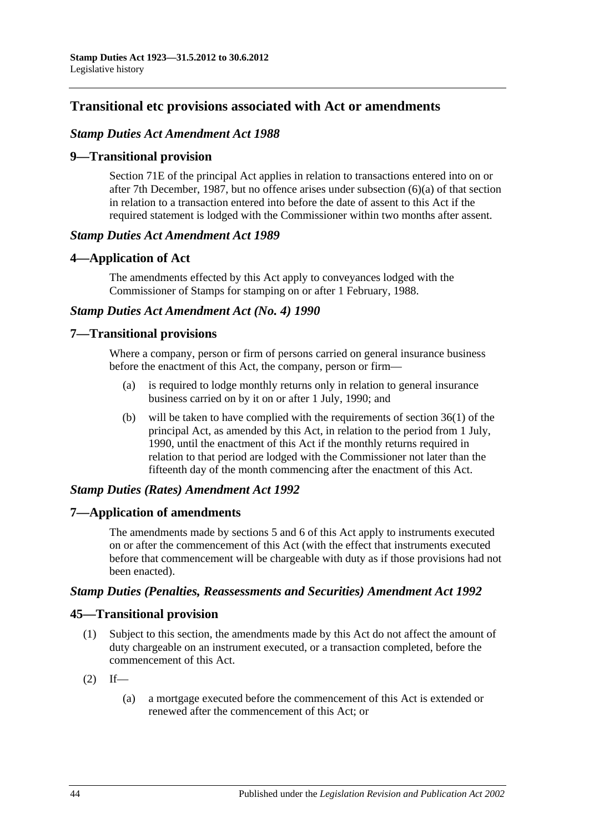# **Transitional etc provisions associated with Act or amendments**

### *Stamp Duties Act Amendment Act 1988*

### **9—Transitional provision**

Section 71E of the principal Act applies in relation to transactions entered into on or after 7th December, 1987, but no offence arises under subsection (6)(a) of that section in relation to a transaction entered into before the date of assent to this Act if the required statement is lodged with the Commissioner within two months after assent.

### *Stamp Duties Act Amendment Act 1989*

### **4—Application of Act**

The amendments effected by this Act apply to conveyances lodged with the Commissioner of Stamps for stamping on or after 1 February, 1988.

### *Stamp Duties Act Amendment Act (No. 4) 1990*

### **7—Transitional provisions**

Where a company, person or firm of persons carried on general insurance business before the enactment of this Act, the company, person or firm—

- (a) is required to lodge monthly returns only in relation to general insurance business carried on by it on or after 1 July, 1990; and
- (b) will be taken to have complied with the requirements of section 36(1) of the principal Act, as amended by this Act, in relation to the period from 1 July, 1990, until the enactment of this Act if the monthly returns required in relation to that period are lodged with the Commissioner not later than the fifteenth day of the month commencing after the enactment of this Act.

## *Stamp Duties (Rates) Amendment Act 1992*

## **7—Application of amendments**

The amendments made by sections 5 and 6 of this Act apply to instruments executed on or after the commencement of this Act (with the effect that instruments executed before that commencement will be chargeable with duty as if those provisions had not been enacted).

### *Stamp Duties (Penalties, Reassessments and Securities) Amendment Act 1992*

## **45—Transitional provision**

- (1) Subject to this section, the amendments made by this Act do not affect the amount of duty chargeable on an instrument executed, or a transaction completed, before the commencement of this Act.
- $(2)$  If—
	- (a) a mortgage executed before the commencement of this Act is extended or renewed after the commencement of this Act; or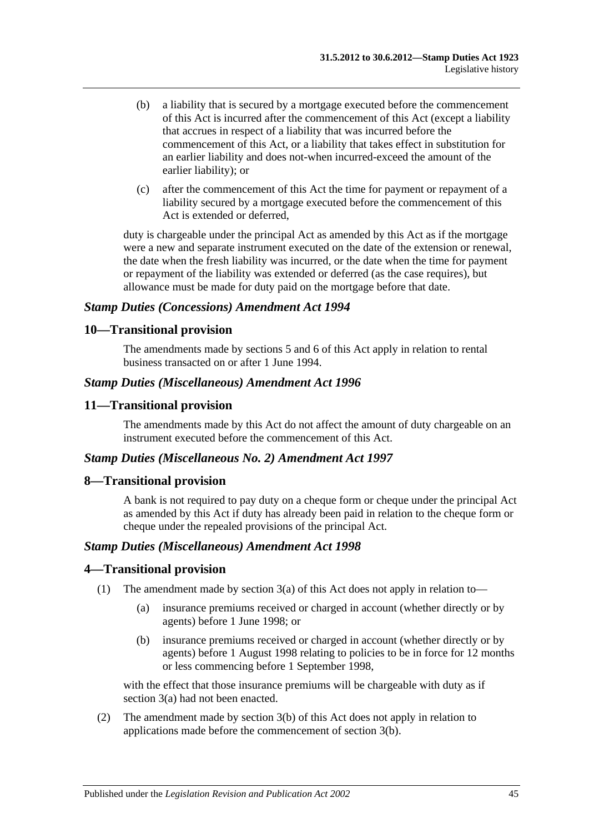- (b) a liability that is secured by a mortgage executed before the commencement of this Act is incurred after the commencement of this Act (except a liability that accrues in respect of a liability that was incurred before the commencement of this Act, or a liability that takes effect in substitution for an earlier liability and does not-when incurred-exceed the amount of the earlier liability); or
- (c) after the commencement of this Act the time for payment or repayment of a liability secured by a mortgage executed before the commencement of this Act is extended or deferred,

duty is chargeable under the principal Act as amended by this Act as if the mortgage were a new and separate instrument executed on the date of the extension or renewal, the date when the fresh liability was incurred, or the date when the time for payment or repayment of the liability was extended or deferred (as the case requires), but allowance must be made for duty paid on the mortgage before that date.

### *Stamp Duties (Concessions) Amendment Act 1994*

### **10—Transitional provision**

The amendments made by sections 5 and 6 of this Act apply in relation to rental business transacted on or after 1 June 1994.

### *Stamp Duties (Miscellaneous) Amendment Act 1996*

### **11—Transitional provision**

The amendments made by this Act do not affect the amount of duty chargeable on an instrument executed before the commencement of this Act.

### *Stamp Duties (Miscellaneous No. 2) Amendment Act 1997*

### **8—Transitional provision**

A bank is not required to pay duty on a cheque form or cheque under the principal Act as amended by this Act if duty has already been paid in relation to the cheque form or cheque under the repealed provisions of the principal Act.

### *Stamp Duties (Miscellaneous) Amendment Act 1998*

### **4—Transitional provision**

- (1) The amendment made by section 3(a) of this Act does not apply in relation to—
	- (a) insurance premiums received or charged in account (whether directly or by agents) before 1 June 1998; or
	- (b) insurance premiums received or charged in account (whether directly or by agents) before 1 August 1998 relating to policies to be in force for 12 months or less commencing before 1 September 1998,

with the effect that those insurance premiums will be chargeable with duty as if section 3(a) had not been enacted.

(2) The amendment made by section 3(b) of this Act does not apply in relation to applications made before the commencement of section 3(b).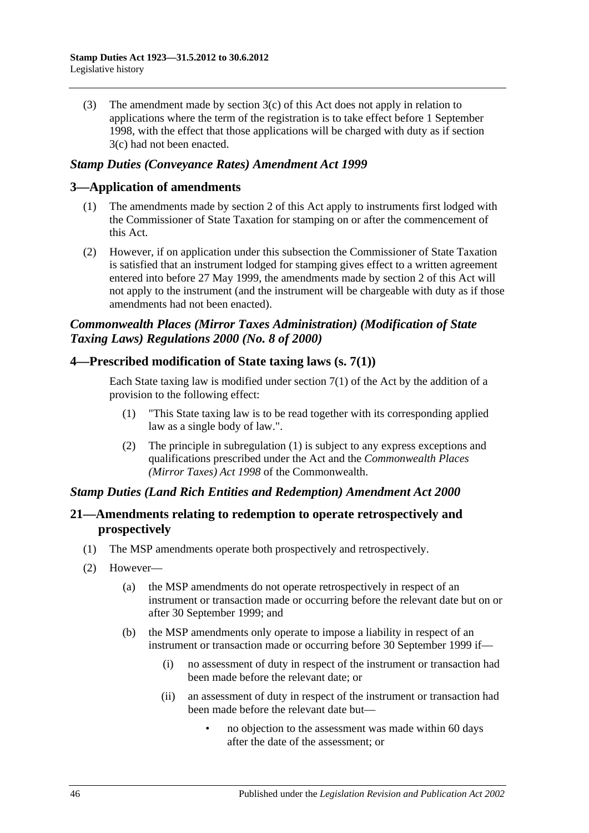(3) The amendment made by section 3(c) of this Act does not apply in relation to applications where the term of the registration is to take effect before 1 September 1998, with the effect that those applications will be charged with duty as if section 3(c) had not been enacted.

### *Stamp Duties (Conveyance Rates) Amendment Act 1999*

### **3—Application of amendments**

- (1) The amendments made by section 2 of this Act apply to instruments first lodged with the Commissioner of State Taxation for stamping on or after the commencement of this Act.
- (2) However, if on application under this subsection the Commissioner of State Taxation is satisfied that an instrument lodged for stamping gives effect to a written agreement entered into before 27 May 1999, the amendments made by section 2 of this Act will not apply to the instrument (and the instrument will be chargeable with duty as if those amendments had not been enacted).

# *Commonwealth Places (Mirror Taxes Administration) (Modification of State Taxing Laws) Regulations 2000 (No. 8 of 2000)*

### **4—Prescribed modification of State taxing laws (s. 7(1))**

Each State taxing law is modified under section  $7(1)$  of the Act by the addition of a provision to the following effect:

- (1) "This State taxing law is to be read together with its corresponding applied law as a single body of law.".
- (2) The principle in subregulation (1) is subject to any express exceptions and qualifications prescribed under the Act and the *Commonwealth Places (Mirror Taxes) Act 1998* of the Commonwealth.

## *Stamp Duties (Land Rich Entities and Redemption) Amendment Act 2000*

## **21—Amendments relating to redemption to operate retrospectively and prospectively**

- (1) The MSP amendments operate both prospectively and retrospectively.
- (2) However—
	- (a) the MSP amendments do not operate retrospectively in respect of an instrument or transaction made or occurring before the relevant date but on or after 30 September 1999; and
	- (b) the MSP amendments only operate to impose a liability in respect of an instrument or transaction made or occurring before 30 September 1999 if—
		- (i) no assessment of duty in respect of the instrument or transaction had been made before the relevant date; or
		- (ii) an assessment of duty in respect of the instrument or transaction had been made before the relevant date but—
			- no objection to the assessment was made within 60 days after the date of the assessment; or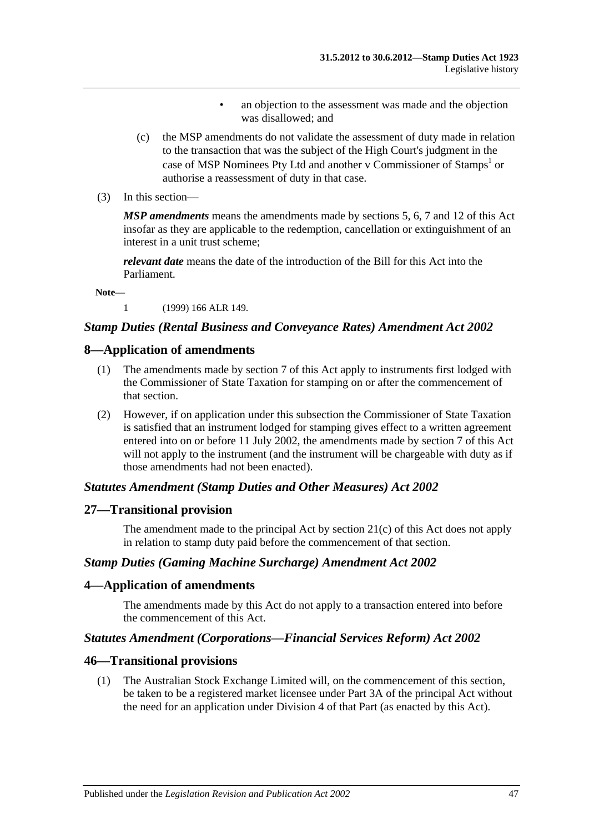- an objection to the assessment was made and the objection was disallowed; and
- (c) the MSP amendments do not validate the assessment of duty made in relation to the transaction that was the subject of the High Court's judgment in the case of MSP Nominees Pty Ltd and another v Commissioner of Stamps<sup>1</sup> or authorise a reassessment of duty in that case.
- (3) In this section—

*MSP amendments* means the amendments made by sections 5, 6, 7 and 12 of this Act insofar as they are applicable to the redemption, cancellation or extinguishment of an interest in a unit trust scheme;

*relevant date* means the date of the introduction of the Bill for this Act into the Parliament.

**Note—**

1 (1999) 166 ALR 149.

### *Stamp Duties (Rental Business and Conveyance Rates) Amendment Act 2002*

### **8—Application of amendments**

- (1) The amendments made by section 7 of this Act apply to instruments first lodged with the Commissioner of State Taxation for stamping on or after the commencement of that section.
- (2) However, if on application under this subsection the Commissioner of State Taxation is satisfied that an instrument lodged for stamping gives effect to a written agreement entered into on or before 11 July 2002, the amendments made by section 7 of this Act will not apply to the instrument (and the instrument will be chargeable with duty as if those amendments had not been enacted).

#### *Statutes Amendment (Stamp Duties and Other Measures) Act 2002*

#### **27—Transitional provision**

The amendment made to the principal Act by section 21(c) of this Act does not apply in relation to stamp duty paid before the commencement of that section.

### *Stamp Duties (Gaming Machine Surcharge) Amendment Act 2002*

#### **4—Application of amendments**

The amendments made by this Act do not apply to a transaction entered into before the commencement of this Act.

### *Statutes Amendment (Corporations—Financial Services Reform) Act 2002*

#### **46—Transitional provisions**

(1) The Australian Stock Exchange Limited will, on the commencement of this section, be taken to be a registered market licensee under Part 3A of the principal Act without the need for an application under Division 4 of that Part (as enacted by this Act).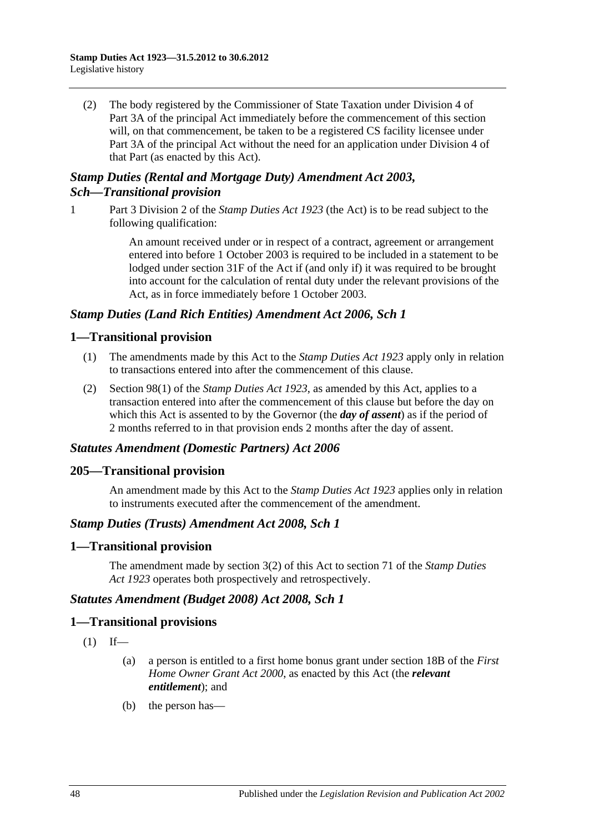(2) The body registered by the Commissioner of State Taxation under Division 4 of Part 3A of the principal Act immediately before the commencement of this section will, on that commencement, be taken to be a registered CS facility licensee under Part 3A of the principal Act without the need for an application under Division 4 of that Part (as enacted by this Act).

# *Stamp Duties (Rental and Mortgage Duty) Amendment Act 2003, Sch—Transitional provision*

1 Part 3 Division 2 of the *[Stamp Duties Act](http://www.legislation.sa.gov.au/index.aspx?action=legref&type=act&legtitle=Stamp%20Duties%20Act%201923) 1923* (the Act) is to be read subject to the following qualification:

> An amount received under or in respect of a contract, agreement or arrangement entered into before 1 October 2003 is required to be included in a statement to be lodged under section 31F of the Act if (and only if) it was required to be brought into account for the calculation of rental duty under the relevant provisions of the Act, as in force immediately before 1 October 2003.

## *Stamp Duties (Land Rich Entities) Amendment Act 2006, Sch 1*

# **1—Transitional provision**

- (1) The amendments made by this Act to the *[Stamp Duties Act](http://www.legislation.sa.gov.au/index.aspx?action=legref&type=act&legtitle=Stamp%20Duties%20Act%201923) 1923* apply only in relation to transactions entered into after the commencement of this clause.
- (2) Section 98(1) of the *[Stamp Duties Act](http://www.legislation.sa.gov.au/index.aspx?action=legref&type=act&legtitle=Stamp%20Duties%20Act%201923) 1923*, as amended by this Act, applies to a transaction entered into after the commencement of this clause but before the day on which this Act is assented to by the Governor (the *day of assent*) as if the period of 2 months referred to in that provision ends 2 months after the day of assent.

## *Statutes Amendment (Domestic Partners) Act 2006*

## **205—Transitional provision**

An amendment made by this Act to the *[Stamp Duties Act](http://www.legislation.sa.gov.au/index.aspx?action=legref&type=act&legtitle=Stamp%20Duties%20Act%201923) 1923* applies only in relation to instruments executed after the commencement of the amendment.

### *Stamp Duties (Trusts) Amendment Act 2008, Sch 1*

## **1—Transitional provision**

The amendment made by section 3(2) of this Act to section 71 of the *[Stamp Duties](http://www.legislation.sa.gov.au/index.aspx?action=legref&type=act&legtitle=Stamp%20Duties%20Act%201923)  Act [1923](http://www.legislation.sa.gov.au/index.aspx?action=legref&type=act&legtitle=Stamp%20Duties%20Act%201923)* operates both prospectively and retrospectively.

## *Statutes Amendment (Budget 2008) Act 2008, Sch 1*

### **1—Transitional provisions**

- $(1)$  If—
	- (a) a person is entitled to a first home bonus grant under section 18B of the *[First](http://www.legislation.sa.gov.au/index.aspx?action=legref&type=act&legtitle=First%20Home%20Owner%20Grant%20Act%202000)  [Home Owner Grant Act](http://www.legislation.sa.gov.au/index.aspx?action=legref&type=act&legtitle=First%20Home%20Owner%20Grant%20Act%202000) 2000*, as enacted by this Act (the *relevant entitlement*); and
	- (b) the person has—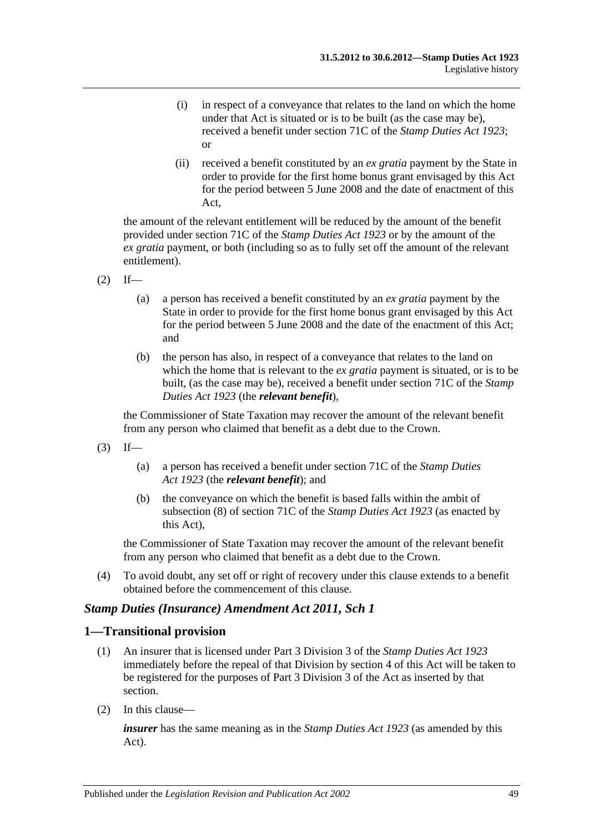- (i) in respect of a conveyance that relates to the land on which the home under that Act is situated or is to be built (as the case may be), received a benefit under section 71C of the *[Stamp Duties Act](http://www.legislation.sa.gov.au/index.aspx?action=legref&type=act&legtitle=Stamp%20Duties%20Act%201923) 1923*; or
- (ii) received a benefit constituted by an *ex gratia* payment by the State in order to provide for the first home bonus grant envisaged by this Act for the period between 5 June 2008 and the date of enactment of this Act,

the amount of the relevant entitlement will be reduced by the amount of the benefit provided under section 71C of the *[Stamp Duties Act](http://www.legislation.sa.gov.au/index.aspx?action=legref&type=act&legtitle=Stamp%20Duties%20Act%201923) 1923* or by the amount of the *ex gratia* payment, or both (including so as to fully set off the amount of the relevant entitlement).

- $(2)$  If—
	- (a) a person has received a benefit constituted by an *ex gratia* payment by the State in order to provide for the first home bonus grant envisaged by this Act for the period between 5 June 2008 and the date of the enactment of this Act; and
	- (b) the person has also, in respect of a conveyance that relates to the land on which the home that is relevant to the *ex gratia* payment is situated, or is to be built, (as the case may be), received a benefit under section 71C of the *[Stamp](http://www.legislation.sa.gov.au/index.aspx?action=legref&type=act&legtitle=Stamp%20Duties%20Act%201923)  [Duties Act](http://www.legislation.sa.gov.au/index.aspx?action=legref&type=act&legtitle=Stamp%20Duties%20Act%201923) 1923* (the *relevant benefit*),

the Commissioner of State Taxation may recover the amount of the relevant benefit from any person who claimed that benefit as a debt due to the Crown.

- $(3)$  If—
	- (a) a person has received a benefit under section 71C of the *[Stamp Duties](http://www.legislation.sa.gov.au/index.aspx?action=legref&type=act&legtitle=Stamp%20Duties%20Act%201923)  Act [1923](http://www.legislation.sa.gov.au/index.aspx?action=legref&type=act&legtitle=Stamp%20Duties%20Act%201923)* (the *relevant benefit*); and
	- (b) the conveyance on which the benefit is based falls within the ambit of subsection (8) of section 71C of the *[Stamp Duties Act](http://www.legislation.sa.gov.au/index.aspx?action=legref&type=act&legtitle=Stamp%20Duties%20Act%201923) 1923* (as enacted by this Act),

the Commissioner of State Taxation may recover the amount of the relevant benefit from any person who claimed that benefit as a debt due to the Crown.

(4) To avoid doubt, any set off or right of recovery under this clause extends to a benefit obtained before the commencement of this clause.

### *Stamp Duties (Insurance) Amendment Act 2011, Sch 1*

### **1—Transitional provision**

- (1) An insurer that is licensed under Part 3 Division 3 of the *[Stamp Duties Act](http://www.legislation.sa.gov.au/index.aspx?action=legref&type=act&legtitle=Stamp%20Duties%20Act%201923) 1923* immediately before the repeal of that Division by section 4 of this Act will be taken to be registered for the purposes of Part 3 Division 3 of the Act as inserted by that section.
- (2) In this clause—

*insurer* has the same meaning as in the *[Stamp Duties Act](http://www.legislation.sa.gov.au/index.aspx?action=legref&type=act&legtitle=Stamp%20Duties%20Act%201923) 1923* (as amended by this Act).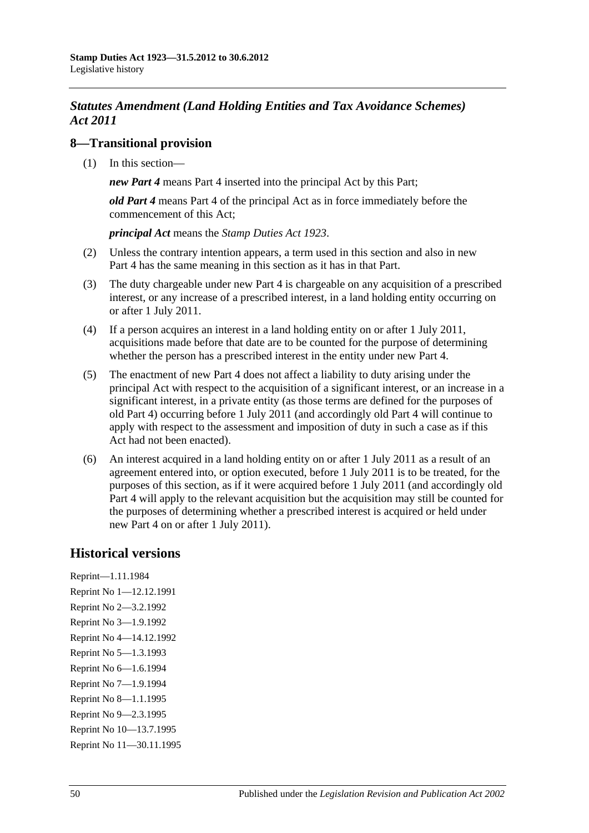# *Statutes Amendment (Land Holding Entities and Tax Avoidance Schemes) Act 2011*

## **8—Transitional provision**

(1) In this section—

*new Part 4* means Part 4 inserted into the principal Act by this Part;

*old Part 4* means Part 4 of the principal Act as in force immediately before the commencement of this Act;

*principal Act* means the *[Stamp Duties Act](http://www.legislation.sa.gov.au/index.aspx?action=legref&type=act&legtitle=Stamp%20Duties%20Act%201923) 1923*.

- (2) Unless the contrary intention appears, a term used in this section and also in new Part 4 has the same meaning in this section as it has in that Part.
- (3) The duty chargeable under new Part 4 is chargeable on any acquisition of a prescribed interest, or any increase of a prescribed interest, in a land holding entity occurring on or after 1 July 2011.
- (4) If a person acquires an interest in a land holding entity on or after 1 July 2011, acquisitions made before that date are to be counted for the purpose of determining whether the person has a prescribed interest in the entity under new Part 4.
- (5) The enactment of new Part 4 does not affect a liability to duty arising under the principal Act with respect to the acquisition of a significant interest, or an increase in a significant interest, in a private entity (as those terms are defined for the purposes of old Part 4) occurring before 1 July 2011 (and accordingly old Part 4 will continue to apply with respect to the assessment and imposition of duty in such a case as if this Act had not been enacted).
- (6) An interest acquired in a land holding entity on or after 1 July 2011 as a result of an agreement entered into, or option executed, before 1 July 2011 is to be treated, for the purposes of this section, as if it were acquired before 1 July 2011 (and accordingly old Part 4 will apply to the relevant acquisition but the acquisition may still be counted for the purposes of determining whether a prescribed interest is acquired or held under new Part 4 on or after 1 July 2011).

# **Historical versions**

Reprint—1.11.1984 Reprint No 1—12.12.1991 Reprint No 2—3.2.1992 Reprint No 3—1.9.1992 Reprint No 4—14.12.1992 Reprint No 5—1.3.1993 Reprint No 6—1.6.1994 Reprint No 7—1.9.1994 Reprint No 8—1.1.1995 Reprint No 9—2.3.1995 Reprint No 10—13.7.1995 Reprint No 11—30.11.1995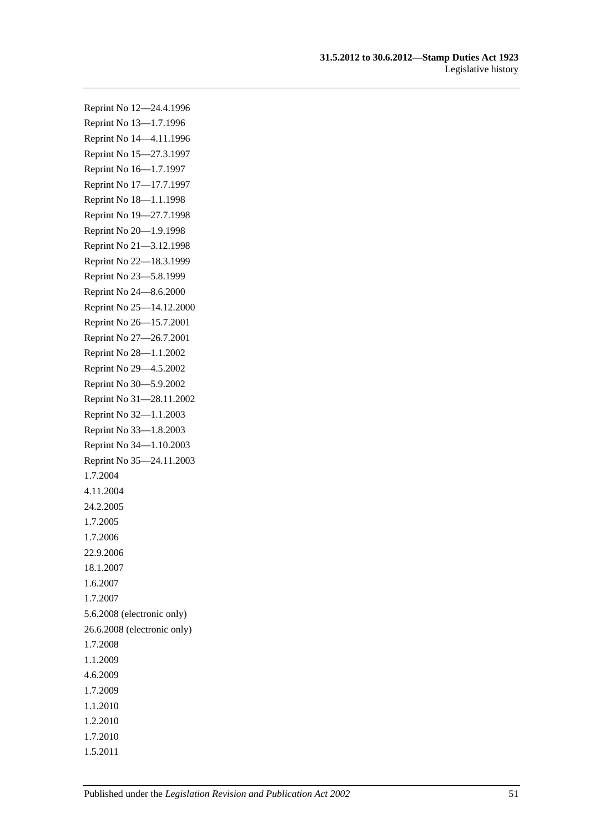Reprint No 12—24.4.1996 Reprint No 13—1.7.1996 Reprint No 14—4.11.1996 Reprint No 15—27.3.1997 Reprint No 16—1.7.1997 Reprint No 17—17.7.1997 Reprint No 18—1.1.1998 Reprint No 19—27.7.1998 Reprint No 20—1.9.1998 Reprint No 21—3.12.1998 Reprint No 22—18.3.1999 Reprint No 23—5.8.1999 Reprint No 24—8.6.2000 Reprint No 25—14.12.2000 Reprint No 26—15.7.2001 Reprint No 27—26.7.2001 Reprint No 28—1.1.2002 Reprint No 29—4.5.2002 Reprint No 30—5.9.2002 Reprint No 31—28.11.2002 Reprint No 32—1.1.2003 Reprint No 33—1.8.2003 Reprint No 34—1.10.2003 Reprint No 35—24.11.2003 1.7.2004 4.11.2004 24.2.2005 1.7.2005 1.7.2006 22.9.2006 18.1.2007 1.6.2007 1.7.2007 5.6.2008 (electronic only) 26.6.2008 (electronic only) 1.7.2008 1.1.2009 4.6.2009 1.7.2009 1.1.2010 1.2.2010 1.7.2010 1.5.2011